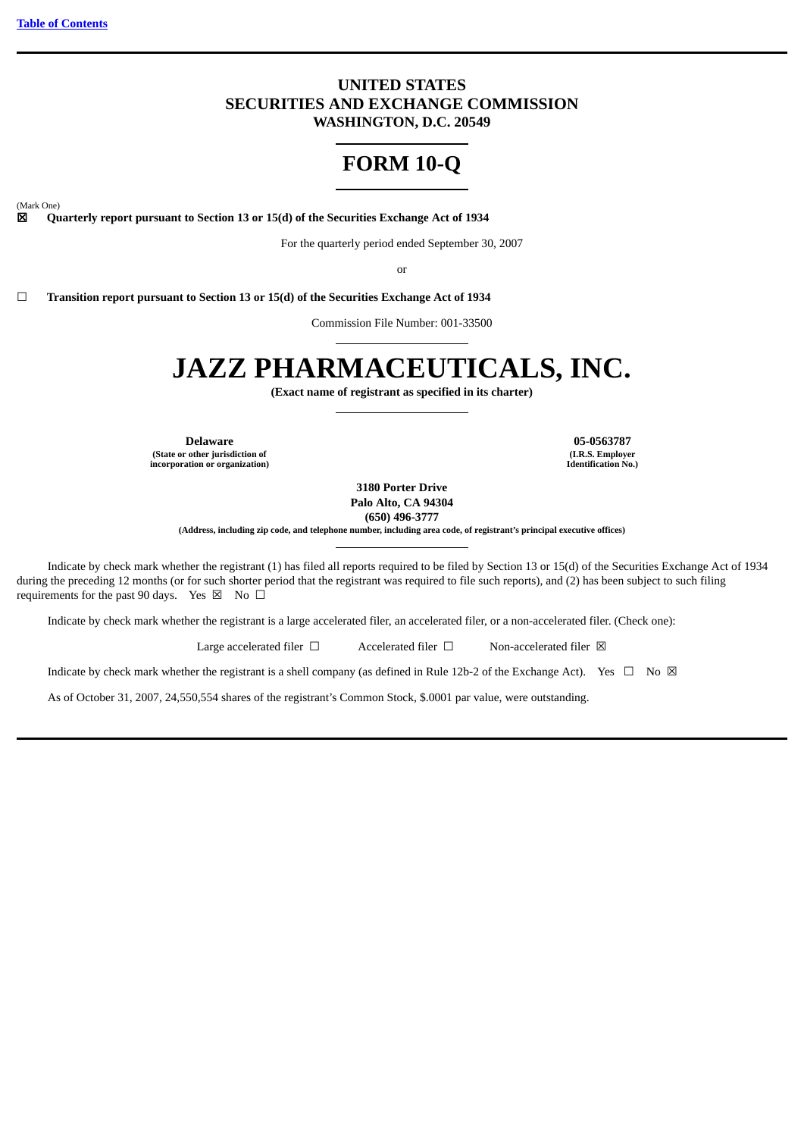## **UNITED STATES SECURITIES AND EXCHANGE COMMISSION WASHINGTON, D.C. 20549**

## **FORM 10-Q**

(Mark One)

☒ **Quarterly report pursuant to Section 13 or 15(d) of the Securities Exchange Act of 1934**

For the quarterly period ended September 30, 2007

or

☐ **Transition report pursuant to Section 13 or 15(d) of the Securities Exchange Act of 1934**

Commission File Number: 001-33500

# **JAZZ PHARMACEUTICALS, INC.**

**(Exact name of registrant as specified in its charter)**

**(State or other jurisdiction of incorporation or organization)**

**Delaware 05-0563787 (I.R.S. Employer Identification No.)**

**3180 Porter Drive**

**Palo Alto, CA 94304**

**(650) 496-3777**

**(Address, including zip code, and telephone number, including area code, of registrant's principal executive offices)**

Indicate by check mark whether the registrant (1) has filed all reports required to be filed by Section 13 or 15(d) of the Securities Exchange Act of 1934 during the preceding 12 months (or for such shorter period that the registrant was required to file such reports), and (2) has been subject to such filing requirements for the past 90 days. Yes  $\boxtimes$  No  $\Box$ 

Indicate by check mark whether the registrant is a large accelerated filer, an accelerated filer, or a non-accelerated filer. (Check one):

Large accelerated filer □ Accelerated filer □ Non-accelerated filer ⊠

Indicate by check mark whether the registrant is a shell company (as defined in Rule 12b-2 of the Exchange Act). Yes  $\Box$  No  $\boxtimes$ 

As of October 31, 2007, 24,550,554 shares of the registrant's Common Stock, \$.0001 par value, were outstanding.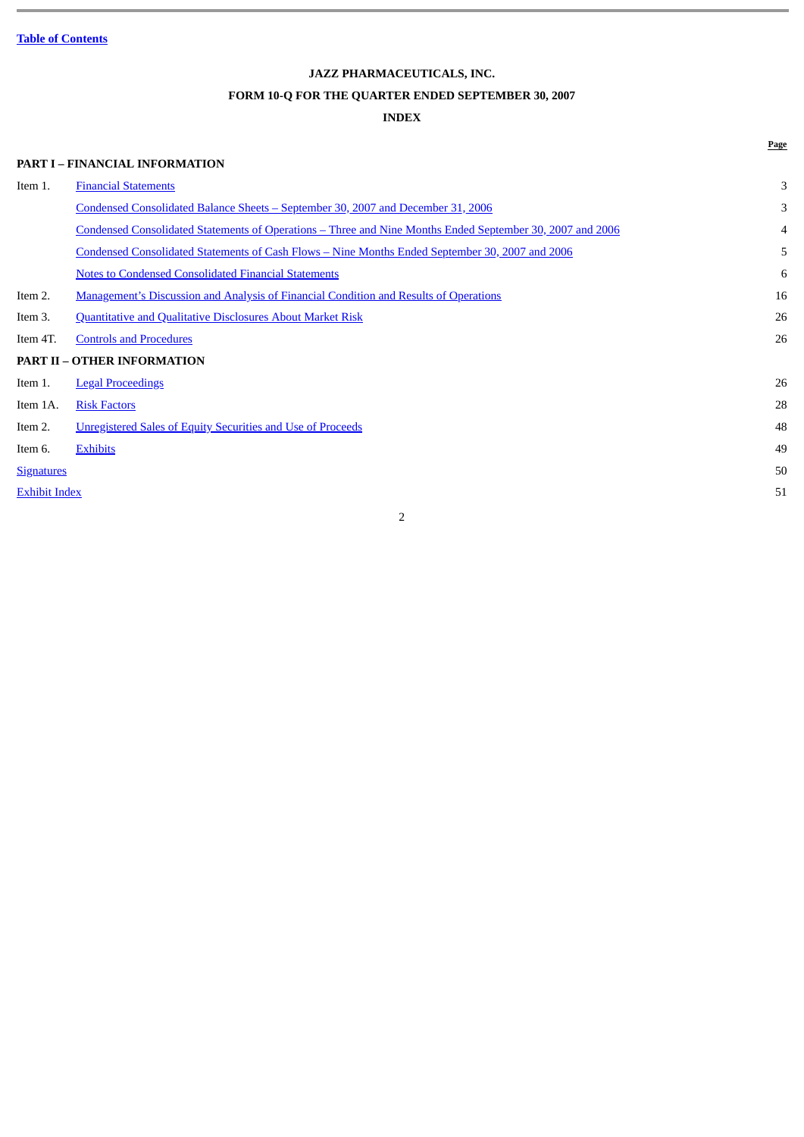## **JAZZ PHARMACEUTICALS, INC.**

## **FORM 10-Q FOR THE QUARTER ENDED SEPTEMBER 30, 2007**

## **INDEX**

<span id="page-1-0"></span>

|                      |                                                                                                           | Page |
|----------------------|-----------------------------------------------------------------------------------------------------------|------|
|                      | PART I - FINANCIAL INFORMATION                                                                            |      |
| Item 1.              | <b>Financial Statements</b>                                                                               | 3    |
|                      | Condensed Consolidated Balance Sheets - September 30, 2007 and December 31, 2006                          | 3    |
|                      | Condensed Consolidated Statements of Operations - Three and Nine Months Ended September 30, 2007 and 2006 | 4    |
|                      | <u>Condensed Consolidated Statements of Cash Flows - Nine Months Ended September 30, 2007 and 2006</u>    | 5    |
|                      | <b>Notes to Condensed Consolidated Financial Statements</b>                                               | 6    |
| Item 2.              | <b>Management's Discussion and Analysis of Financial Condition and Results of Operations</b>              | 16   |
| Item 3.              | Quantitative and Qualitative Disclosures About Market Risk                                                | 26   |
| Item 4T.             | <b>Controls and Procedures</b>                                                                            | 26   |
|                      | <b>PART II - OTHER INFORMATION</b>                                                                        |      |
| Item 1.              | <b>Legal Proceedings</b>                                                                                  | 26   |
| Item 1A.             | <b>Risk Factors</b>                                                                                       | 28   |
| Item 2.              | Unregistered Sales of Equity Securities and Use of Proceeds                                               | 48   |
| Item 6.              | <b>Exhibits</b>                                                                                           | 49   |
| <b>Signatures</b>    |                                                                                                           | 50   |
| <b>Exhibit Index</b> |                                                                                                           | 51   |
|                      |                                                                                                           |      |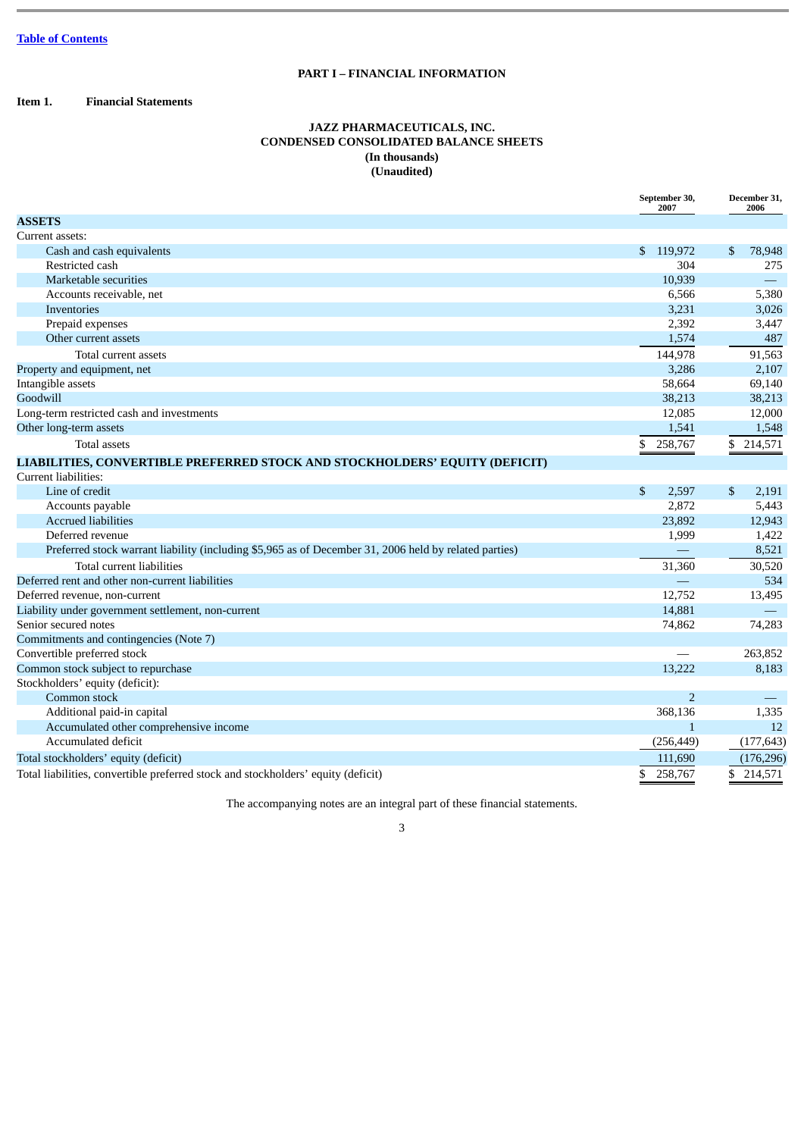## **PART I – FINANCIAL INFORMATION**

<span id="page-2-1"></span><span id="page-2-0"></span>**Item 1. Financial Statements**

## **JAZZ PHARMACEUTICALS, INC. CONDENSED CONSOLIDATED BALANCE SHEETS (In thousands) (Unaudited)**

|                                                                                                       | September 30,<br>2007 | December 31,<br>2006 |
|-------------------------------------------------------------------------------------------------------|-----------------------|----------------------|
| <b>ASSETS</b>                                                                                         |                       |                      |
| Current assets:                                                                                       |                       |                      |
| Cash and cash equivalents                                                                             | \$<br>119,972         | \$<br>78,948         |
| Restricted cash                                                                                       | 304                   | 275                  |
| Marketable securities                                                                                 | 10,939                |                      |
| Accounts receivable, net                                                                              | 6,566                 | 5,380                |
| Inventories                                                                                           | 3,231                 | 3,026                |
| Prepaid expenses                                                                                      | 2,392                 | 3,447                |
| Other current assets                                                                                  | 1,574                 | 487                  |
| Total current assets                                                                                  | 144,978               | 91,563               |
| Property and equipment, net                                                                           | 3,286                 | 2,107                |
| Intangible assets                                                                                     | 58,664                | 69,140               |
| Goodwill                                                                                              | 38,213                | 38,213               |
| Long-term restricted cash and investments                                                             | 12,085                | 12,000               |
| Other long-term assets                                                                                | 1,541                 | 1,548                |
| <b>Total assets</b>                                                                                   | 258,767<br>\$         | 214,571<br>\$        |
| LIABILITIES, CONVERTIBLE PREFERRED STOCK AND STOCKHOLDERS' EQUITY (DEFICIT)                           |                       |                      |
| Current liabilities:                                                                                  |                       |                      |
| Line of credit                                                                                        | \$<br>2,597           | \$<br>2,191          |
| Accounts payable                                                                                      | 2,872                 | 5,443                |
| <b>Accrued liabilities</b>                                                                            | 23,892                | 12,943               |
| Deferred revenue                                                                                      | 1,999                 | 1,422                |
| Preferred stock warrant liability (including \$5,965 as of December 31, 2006 held by related parties) |                       | 8,521                |
| Total current liabilities                                                                             | 31,360                | 30,520               |
| Deferred rent and other non-current liabilities                                                       |                       | 534                  |
| Deferred revenue, non-current                                                                         | 12,752                | 13,495               |
| Liability under government settlement, non-current                                                    | 14,881                |                      |
| Senior secured notes                                                                                  | 74,862                | 74,283               |
| Commitments and contingencies (Note 7)                                                                |                       |                      |
| Convertible preferred stock                                                                           |                       | 263,852              |
| Common stock subject to repurchase                                                                    | 13,222                | 8,183                |
| Stockholders' equity (deficit):                                                                       |                       |                      |
| Common stock                                                                                          | $\overline{2}$        |                      |
| Additional paid-in capital                                                                            | 368,136               | 1,335                |
| Accumulated other comprehensive income                                                                | $\mathbf{1}$          | 12                   |
| Accumulated deficit                                                                                   | (256, 449)            | (177, 643)           |
| Total stockholders' equity (deficit)                                                                  | 111,690               | (176, 296)           |
| Total liabilities, convertible preferred stock and stockholders' equity (deficit)                     | 258,767<br>\$         | \$214,571            |

The accompanying notes are an integral part of these financial statements.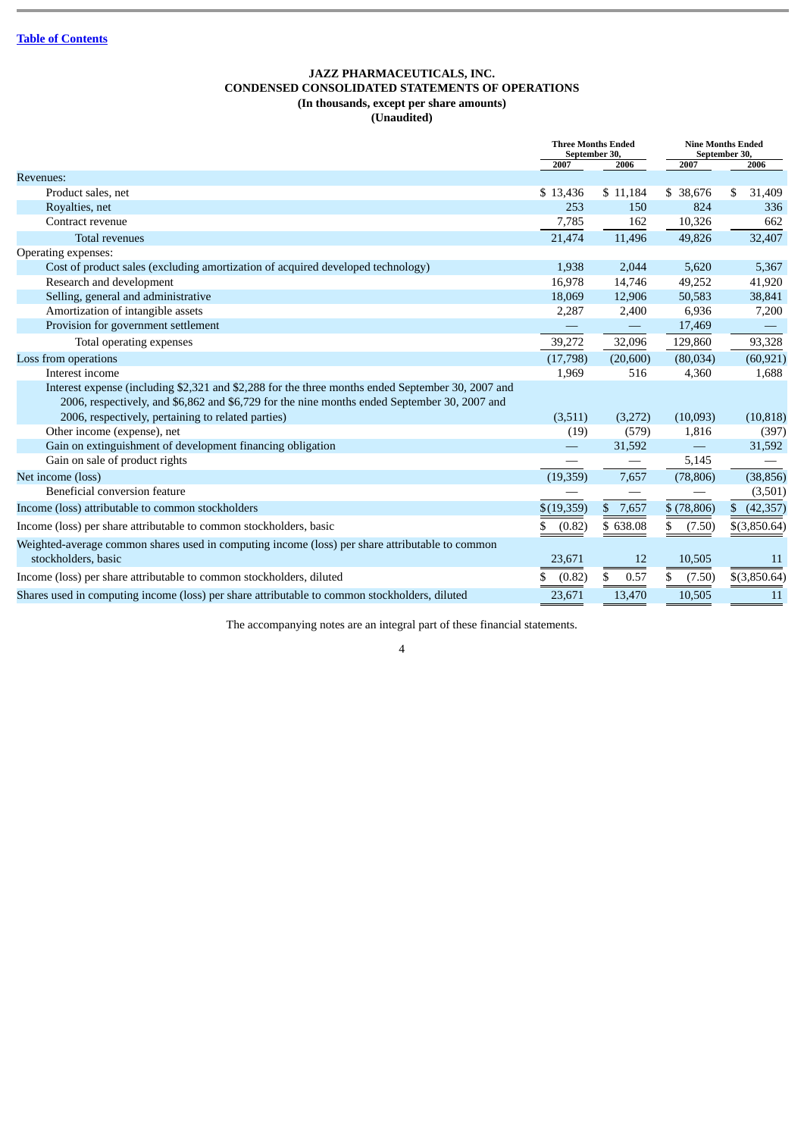## **JAZZ PHARMACEUTICALS, INC. CONDENSED CONSOLIDATED STATEMENTS OF OPERATIONS (In thousands, except per share amounts) (Unaudited)**

<span id="page-3-0"></span>

|                                                                                                   | <b>Three Months Ended</b><br>September 30, |             |                   | <b>Nine Months Ended</b><br>September 30, |
|---------------------------------------------------------------------------------------------------|--------------------------------------------|-------------|-------------------|-------------------------------------------|
|                                                                                                   | 2007                                       | 2006        | 2007              | 2006                                      |
| <b>Revenues:</b>                                                                                  |                                            |             |                   |                                           |
| Product sales, net                                                                                | \$13,436                                   | \$11,184    | \$ 38,676         | \$<br>31,409                              |
| Royalties, net                                                                                    | 253                                        | 150         | 824               | 336                                       |
| Contract revenue                                                                                  | 7,785                                      | 162         | 10,326            | 662                                       |
| <b>Total revenues</b>                                                                             | 21,474                                     | 11,496      | 49,826            | 32,407                                    |
| Operating expenses:                                                                               |                                            |             |                   |                                           |
| Cost of product sales (excluding amortization of acquired developed technology)                   | 1.938                                      | 2,044       | 5,620             | 5,367                                     |
| Research and development                                                                          | 16,978                                     | 14,746      | 49,252            | 41,920                                    |
| Selling, general and administrative                                                               | 18,069                                     | 12,906      | 50,583            | 38,841                                    |
| Amortization of intangible assets                                                                 | 2,287                                      | 2,400       | 6,936             | 7,200                                     |
| Provision for government settlement                                                               |                                            |             | 17,469            |                                           |
| Total operating expenses                                                                          | 39,272                                     | 32,096      | 129,860           | 93,328                                    |
| Loss from operations                                                                              | (17,798)                                   | (20,600)    | (80,034)          | (60, 921)                                 |
| Interest income                                                                                   | 1,969                                      | 516         | 4,360             | 1,688                                     |
| Interest expense (including \$2,321 and \$2,288 for the three months ended September 30, 2007 and |                                            |             |                   |                                           |
| 2006, respectively, and \$6,862 and \$6,729 for the nine months ended September 30, 2007 and      |                                            |             |                   |                                           |
| 2006, respectively, pertaining to related parties)                                                | (3,511)                                    | (3,272)     | (10,093)          | (10, 818)                                 |
| Other income (expense), net                                                                       | (19)                                       | (579)       | 1,816             | (397)                                     |
| Gain on extinguishment of development financing obligation                                        |                                            | 31,592      | $\qquad \qquad -$ | 31,592                                    |
| Gain on sale of product rights                                                                    |                                            |             | 5,145             |                                           |
| Net income (loss)                                                                                 | (19,359)                                   | 7,657       | (78, 806)         | (38, 856)                                 |
| Beneficial conversion feature                                                                     |                                            |             |                   | (3,501)                                   |
| Income (loss) attributable to common stockholders                                                 | \$(19,359)                                 | \$<br>7,657 | \$(78,806)        | \$.<br>(42, 357)                          |
| Income (loss) per share attributable to common stockholders, basic                                | (0.82)<br>S.                               | \$ 638.08   | \$<br>(7.50)      | $$$ (3,850.64)                            |
| Weighted-average common shares used in computing income (loss) per share attributable to common   |                                            |             |                   |                                           |
| stockholders, basic                                                                               | 23,671                                     | 12          | 10,505            | 11                                        |
| Income (loss) per share attributable to common stockholders, diluted                              | \$<br>(0.82)                               | \$<br>0.57  | \$<br>(7.50)      | $$$ (3,850.64)                            |
| Shares used in computing income (loss) per share attributable to common stockholders, diluted     | 23,671                                     | 13,470      | 10,505            | 11                                        |

The accompanying notes are an integral part of these financial statements.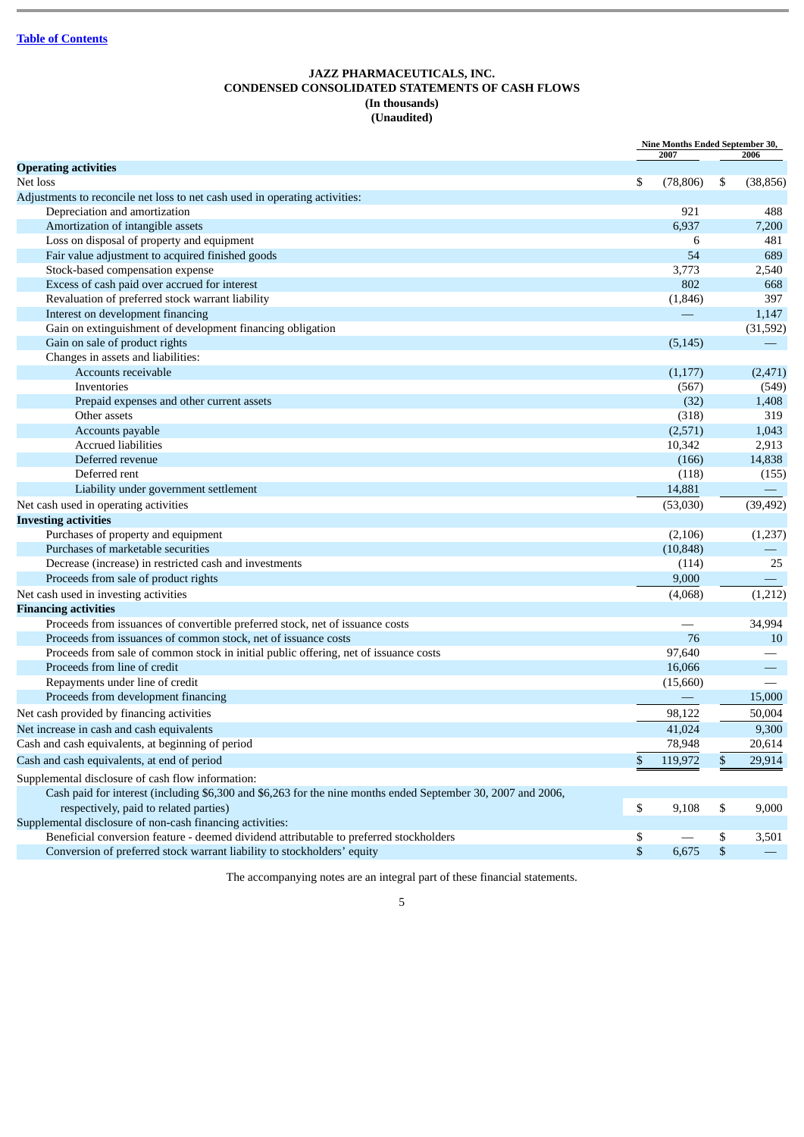## **JAZZ PHARMACEUTICALS, INC. CONDENSED CONSOLIDATED STATEMENTS OF CASH FLOWS (In thousands) (Unaudited)**

<span id="page-4-0"></span>

|                                                                                                              | Nine Months Ended September 30, |           |              |                          |  |
|--------------------------------------------------------------------------------------------------------------|---------------------------------|-----------|--------------|--------------------------|--|
| <b>Operating activities</b>                                                                                  |                                 | 2007      |              | 2006                     |  |
| Net loss                                                                                                     | \$                              | (78, 806) | \$           | (38, 856)                |  |
| Adjustments to reconcile net loss to net cash used in operating activities:                                  |                                 |           |              |                          |  |
| Depreciation and amortization                                                                                |                                 | 921       |              | 488                      |  |
| Amortization of intangible assets                                                                            |                                 | 6,937     |              | 7,200                    |  |
| Loss on disposal of property and equipment                                                                   |                                 | 6         |              | 481                      |  |
| Fair value adjustment to acquired finished goods                                                             |                                 | 54        |              | 689                      |  |
| Stock-based compensation expense                                                                             |                                 | 3,773     |              | 2,540                    |  |
| Excess of cash paid over accrued for interest                                                                |                                 | 802       |              | 668                      |  |
| Revaluation of preferred stock warrant liability                                                             |                                 | (1,846)   |              | 397                      |  |
| Interest on development financing                                                                            |                                 |           |              | 1,147                    |  |
| Gain on extinguishment of development financing obligation                                                   |                                 |           |              | (31,592)                 |  |
|                                                                                                              |                                 |           |              |                          |  |
| Gain on sale of product rights                                                                               |                                 | (5, 145)  |              |                          |  |
| Changes in assets and liabilities:                                                                           |                                 |           |              |                          |  |
| Accounts receivable                                                                                          |                                 | (1,177)   |              | (2,471)                  |  |
| Inventories                                                                                                  |                                 | (567)     |              | (549)                    |  |
| Prepaid expenses and other current assets                                                                    |                                 | (32)      |              | 1,408                    |  |
| Other assets                                                                                                 |                                 | (318)     |              | 319                      |  |
| Accounts payable                                                                                             |                                 | (2,571)   |              | 1,043                    |  |
| Accrued liabilities                                                                                          |                                 | 10,342    |              | 2,913                    |  |
| Deferred revenue                                                                                             |                                 | (166)     |              | 14,838                   |  |
| Deferred rent                                                                                                |                                 | (118)     |              | (155)                    |  |
| Liability under government settlement                                                                        |                                 | 14,881    |              |                          |  |
| Net cash used in operating activities                                                                        |                                 | (53,030)  |              | (39, 492)                |  |
| <b>Investing activities</b>                                                                                  |                                 |           |              |                          |  |
| Purchases of property and equipment                                                                          |                                 | (2,106)   |              | (1,237)                  |  |
| Purchases of marketable securities                                                                           |                                 | (10, 848) |              |                          |  |
| Decrease (increase) in restricted cash and investments                                                       |                                 | (114)     |              | 25                       |  |
| Proceeds from sale of product rights                                                                         |                                 | 9,000     |              |                          |  |
| Net cash used in investing activities                                                                        |                                 | (4,068)   |              | (1,212)                  |  |
| <b>Financing activities</b>                                                                                  |                                 |           |              |                          |  |
| Proceeds from issuances of convertible preferred stock, net of issuance costs                                |                                 |           |              | 34,994                   |  |
| Proceeds from issuances of common stock, net of issuance costs                                               |                                 | 76        |              | 10                       |  |
| Proceeds from sale of common stock in initial public offering, net of issuance costs                         |                                 | 97,640    |              |                          |  |
| Proceeds from line of credit                                                                                 |                                 | 16,066    |              |                          |  |
| Repayments under line of credit                                                                              |                                 | (15,660)  |              |                          |  |
| Proceeds from development financing                                                                          |                                 |           |              | 15,000                   |  |
| Net cash provided by financing activities                                                                    |                                 | 98,122    |              | 50,004                   |  |
|                                                                                                              |                                 |           |              |                          |  |
| Net increase in cash and cash equivalents                                                                    |                                 | 41,024    |              | 9,300                    |  |
| Cash and cash equivalents, at beginning of period                                                            |                                 | 78,948    |              | 20,614                   |  |
| Cash and cash equivalents, at end of period                                                                  | \$                              | 119,972   | \$           | 29,914                   |  |
| Supplemental disclosure of cash flow information:                                                            |                                 |           |              |                          |  |
| Cash paid for interest (including \$6,300 and \$6,263 for the nine months ended September 30, 2007 and 2006, |                                 |           |              |                          |  |
| respectively, paid to related parties)                                                                       | \$                              | 9,108     | \$           | 9,000                    |  |
| Supplemental disclosure of non-cash financing activities:                                                    |                                 |           |              |                          |  |
| Beneficial conversion feature - deemed dividend attributable to preferred stockholders                       | \$                              |           | \$           | 3,501                    |  |
| Conversion of preferred stock warrant liability to stockholders' equity                                      | \$                              | 6,675     | $\mathbb{S}$ | $\overline{\phantom{m}}$ |  |
|                                                                                                              |                                 |           |              |                          |  |

The accompanying notes are an integral part of these financial statements.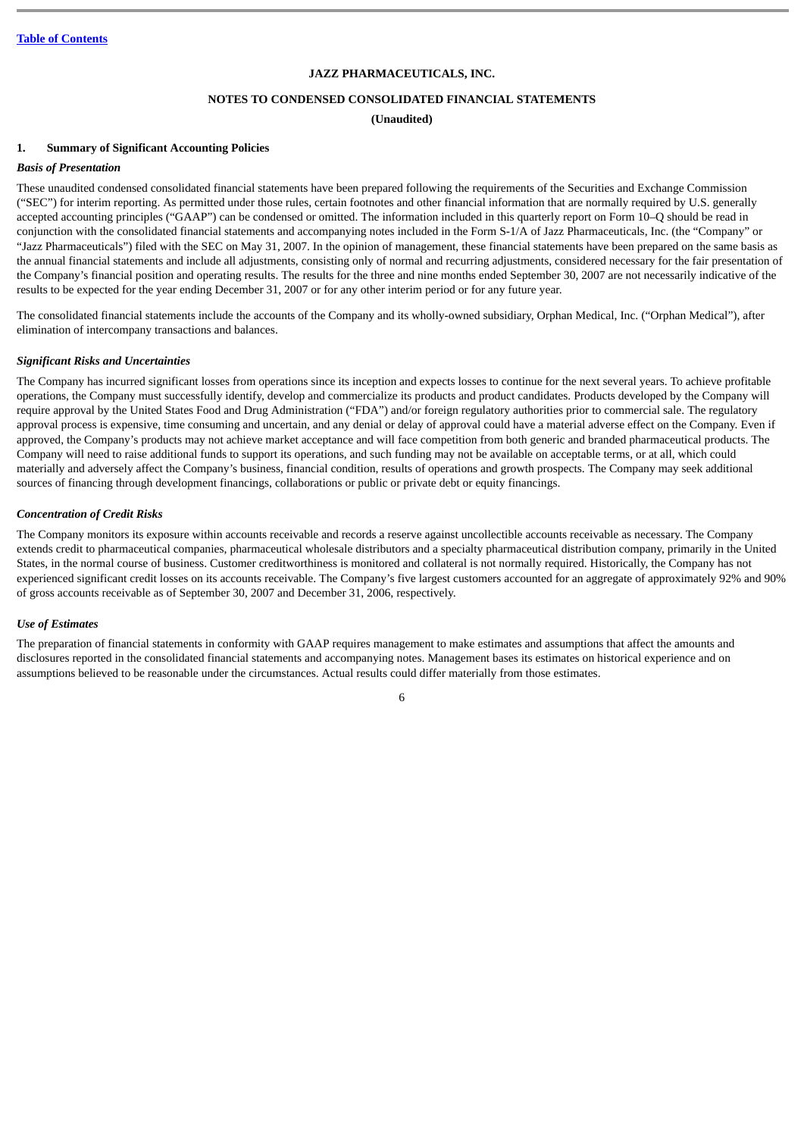#### **JAZZ PHARMACEUTICALS, INC.**

#### **NOTES TO CONDENSED CONSOLIDATED FINANCIAL STATEMENTS**

**(Unaudited)**

#### <span id="page-5-0"></span>**1. Summary of Significant Accounting Policies**

## *Basis of Presentation*

These unaudited condensed consolidated financial statements have been prepared following the requirements of the Securities and Exchange Commission ("SEC") for interim reporting. As permitted under those rules, certain footnotes and other financial information that are normally required by U.S. generally accepted accounting principles ("GAAP") can be condensed or omitted. The information included in this quarterly report on Form 10–Q should be read in conjunction with the consolidated financial statements and accompanying notes included in the Form S-1/A of Jazz Pharmaceuticals, Inc. (the "Company" or "Jazz Pharmaceuticals") filed with the SEC on May 31, 2007. In the opinion of management, these financial statements have been prepared on the same basis as the annual financial statements and include all adjustments, consisting only of normal and recurring adjustments, considered necessary for the fair presentation of the Company's financial position and operating results. The results for the three and nine months ended September 30, 2007 are not necessarily indicative of the results to be expected for the year ending December 31, 2007 or for any other interim period or for any future year.

The consolidated financial statements include the accounts of the Company and its wholly-owned subsidiary, Orphan Medical, Inc. ("Orphan Medical"), after elimination of intercompany transactions and balances.

#### *Significant Risks and Uncertainties*

The Company has incurred significant losses from operations since its inception and expects losses to continue for the next several years. To achieve profitable operations, the Company must successfully identify, develop and commercialize its products and product candidates. Products developed by the Company will require approval by the United States Food and Drug Administration ("FDA") and/or foreign regulatory authorities prior to commercial sale. The regulatory approval process is expensive, time consuming and uncertain, and any denial or delay of approval could have a material adverse effect on the Company. Even if approved, the Company's products may not achieve market acceptance and will face competition from both generic and branded pharmaceutical products. The Company will need to raise additional funds to support its operations, and such funding may not be available on acceptable terms, or at all, which could materially and adversely affect the Company's business, financial condition, results of operations and growth prospects. The Company may seek additional sources of financing through development financings, collaborations or public or private debt or equity financings.

#### *Concentration of Credit Risks*

The Company monitors its exposure within accounts receivable and records a reserve against uncollectible accounts receivable as necessary. The Company extends credit to pharmaceutical companies, pharmaceutical wholesale distributors and a specialty pharmaceutical distribution company, primarily in the United States, in the normal course of business. Customer creditworthiness is monitored and collateral is not normally required. Historically, the Company has not experienced significant credit losses on its accounts receivable. The Company's five largest customers accounted for an aggregate of approximately 92% and 90% of gross accounts receivable as of September 30, 2007 and December 31, 2006, respectively.

#### *Use of Estimates*

The preparation of financial statements in conformity with GAAP requires management to make estimates and assumptions that affect the amounts and disclosures reported in the consolidated financial statements and accompanying notes. Management bases its estimates on historical experience and on assumptions believed to be reasonable under the circumstances. Actual results could differ materially from those estimates.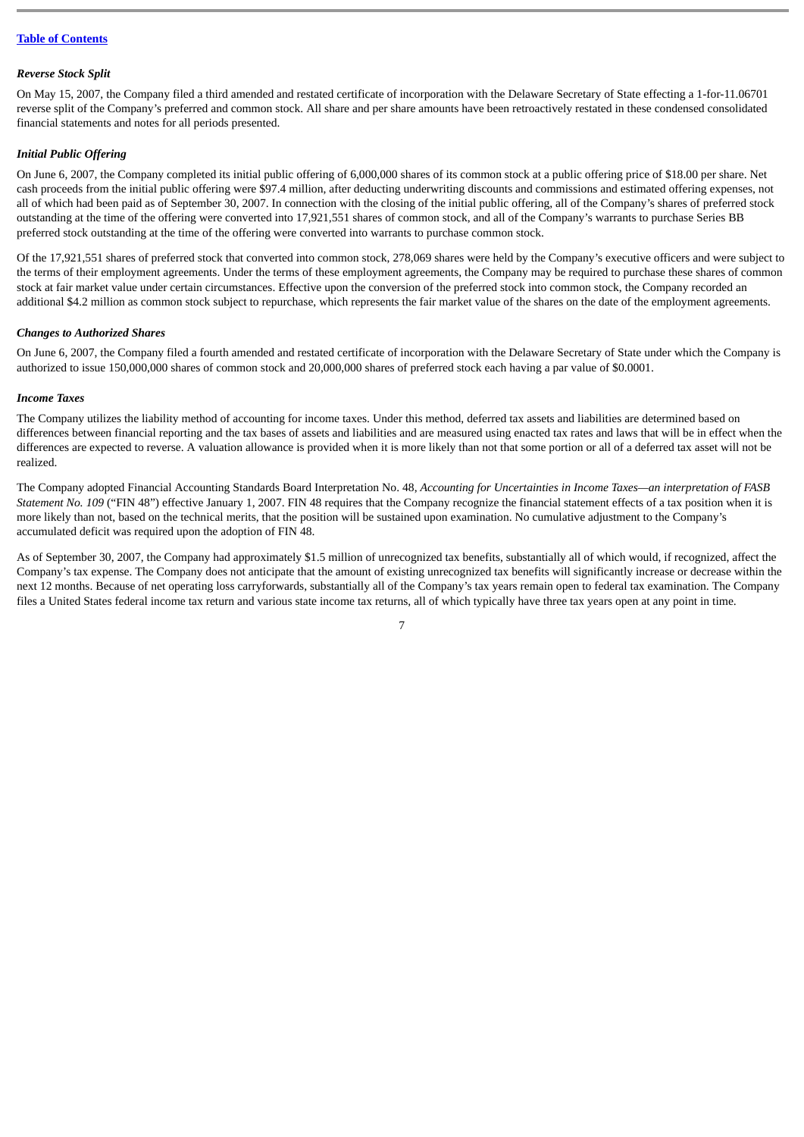#### *Reverse Stock Split*

On May 15, 2007, the Company filed a third amended and restated certificate of incorporation with the Delaware Secretary of State effecting a 1-for-11.06701 reverse split of the Company's preferred and common stock. All share and per share amounts have been retroactively restated in these condensed consolidated financial statements and notes for all periods presented.

#### *Initial Public Offering*

On June 6, 2007, the Company completed its initial public offering of 6,000,000 shares of its common stock at a public offering price of \$18.00 per share. Net cash proceeds from the initial public offering were \$97.4 million, after deducting underwriting discounts and commissions and estimated offering expenses, not all of which had been paid as of September 30, 2007. In connection with the closing of the initial public offering, all of the Company's shares of preferred stock outstanding at the time of the offering were converted into 17,921,551 shares of common stock, and all of the Company's warrants to purchase Series BB preferred stock outstanding at the time of the offering were converted into warrants to purchase common stock.

Of the 17,921,551 shares of preferred stock that converted into common stock, 278,069 shares were held by the Company's executive officers and were subject to the terms of their employment agreements. Under the terms of these employment agreements, the Company may be required to purchase these shares of common stock at fair market value under certain circumstances. Effective upon the conversion of the preferred stock into common stock, the Company recorded an additional \$4.2 million as common stock subject to repurchase, which represents the fair market value of the shares on the date of the employment agreements.

#### *Changes to Authorized Shares*

On June 6, 2007, the Company filed a fourth amended and restated certificate of incorporation with the Delaware Secretary of State under which the Company is authorized to issue 150,000,000 shares of common stock and 20,000,000 shares of preferred stock each having a par value of \$0.0001.

#### *Income Taxes*

The Company utilizes the liability method of accounting for income taxes. Under this method, deferred tax assets and liabilities are determined based on differences between financial reporting and the tax bases of assets and liabilities and are measured using enacted tax rates and laws that will be in effect when the differences are expected to reverse. A valuation allowance is provided when it is more likely than not that some portion or all of a deferred tax asset will not be realized.

The Company adopted Financial Accounting Standards Board Interpretation No. 48, *Accounting for Uncertainties in Income Taxes—an interpretation of FASB Statement No. 109* ("FIN 48") effective January 1, 2007. FIN 48 requires that the Company recognize the financial statement effects of a tax position when it is more likely than not, based on the technical merits, that the position will be sustained upon examination. No cumulative adjustment to the Company's accumulated deficit was required upon the adoption of FIN 48.

As of September 30, 2007, the Company had approximately \$1.5 million of unrecognized tax benefits, substantially all of which would, if recognized, affect the Company's tax expense. The Company does not anticipate that the amount of existing unrecognized tax benefits will significantly increase or decrease within the next 12 months. Because of net operating loss carryforwards, substantially all of the Company's tax years remain open to federal tax examination. The Company files a United States federal income tax return and various state income tax returns, all of which typically have three tax years open at any point in time.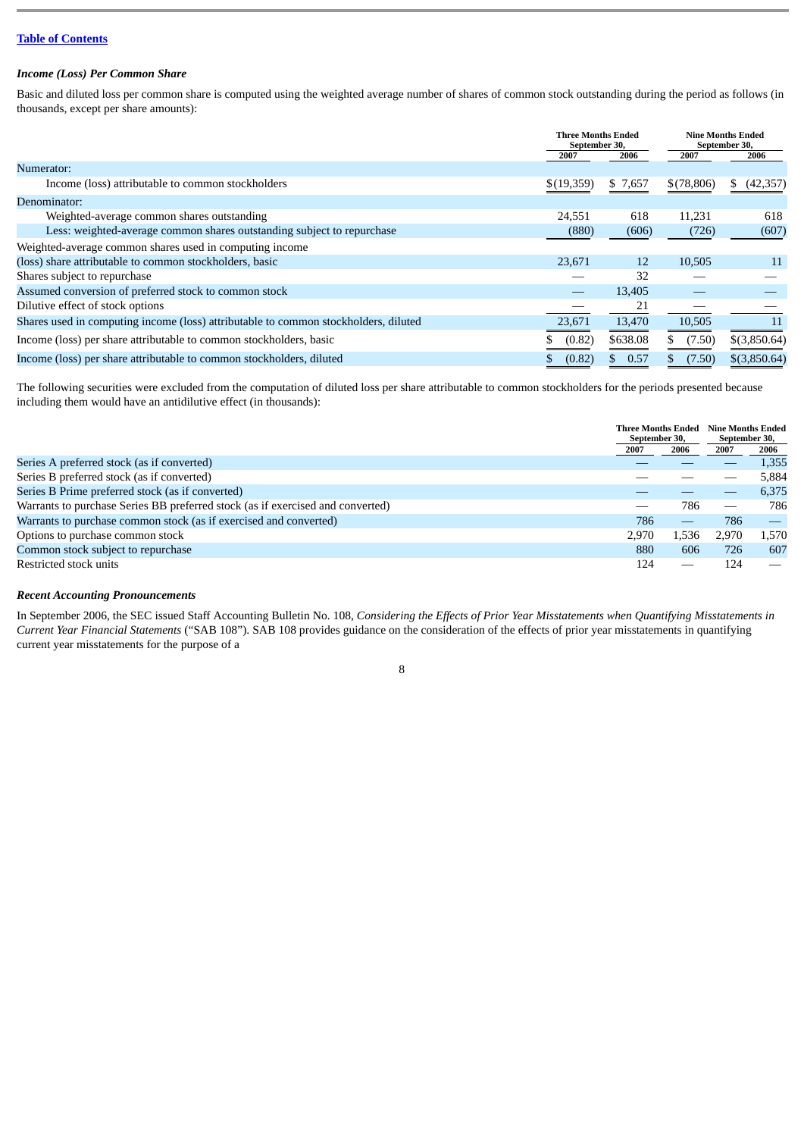#### *Income (Loss) Per Common Share*

Basic and diluted loss per common share is computed using the weighted average number of shares of common stock outstanding during the period as follows (in thousands, except per share amounts):

|                                                                                     | <b>Three Months Ended</b><br>September 30, |            |             | <b>Nine Months Ended</b><br>September 30, |
|-------------------------------------------------------------------------------------|--------------------------------------------|------------|-------------|-------------------------------------------|
|                                                                                     | 2007                                       | 2006       | 2007        | 2006                                      |
| Numerator:                                                                          |                                            |            |             |                                           |
| Income (loss) attributable to common stockholders                                   | \$(19,359)                                 | \$ 7,657   | \$(78, 806) | (42,357)<br>S.                            |
| Denominator:                                                                        |                                            |            |             |                                           |
| Weighted-average common shares outstanding                                          | 24,551                                     | 618        | 11,231      | 618                                       |
| Less: weighted-average common shares outstanding subject to repurchase              | (880)                                      | (606)      | (726)       | (607)                                     |
| Weighted-average common shares used in computing income                             |                                            |            |             |                                           |
| (loss) share attributable to common stockholders, basic                             | 23,671                                     | 12         | 10,505      | 11                                        |
| Shares subject to repurchase                                                        |                                            | 32         |             |                                           |
| Assumed conversion of preferred stock to common stock                               |                                            | 13,405     |             |                                           |
| Dilutive effect of stock options                                                    |                                            | 21         |             |                                           |
| Shares used in computing income (loss) attributable to common stockholders, diluted | 23,671                                     | 13,470     | 10,505      | 11                                        |
| Income (loss) per share attributable to common stockholders, basic                  | (0.82)                                     | \$638.08   | (7.50)      | $$$ (3,850.64)                            |
| Income (loss) per share attributable to common stockholders, diluted                | (0.82)                                     | 0.57<br>S. | (7.50)      | $$$ (3,850.64)                            |

The following securities were excluded from the computation of diluted loss per share attributable to common stockholders for the periods presented because including them would have an antidilutive effect (in thousands):

|                                                                                | <b>Three Months Ended</b><br>September 30, |       | <b>Nine Months Ended</b><br>September 30, |       |
|--------------------------------------------------------------------------------|--------------------------------------------|-------|-------------------------------------------|-------|
|                                                                                | 2007                                       | 2006  | 2007                                      | 2006  |
| Series A preferred stock (as if converted)                                     |                                            |       |                                           | 1,355 |
| Series B preferred stock (as if converted)                                     |                                            |       |                                           | 5,884 |
| Series B Prime preferred stock (as if converted)                               |                                            |       |                                           | 6,375 |
| Warrants to purchase Series BB preferred stock (as if exercised and converted) |                                            | 786   |                                           | 786   |
| Warrants to purchase common stock (as if exercised and converted)              | 786                                        |       | 786                                       |       |
| Options to purchase common stock                                               | 2.970                                      | 1.536 | 2.970                                     | 1.570 |
| Common stock subject to repurchase                                             | 880                                        | 606   | 726                                       | 607   |
| Restricted stock units                                                         | 124                                        |       | 124                                       |       |

#### *Recent Accounting Pronouncements*

In September 2006, the SEC issued Staff Accounting Bulletin No. 108, *Considering the Effects of Prior Year Misstatements when Quantifying Misstatements in Current Year Financial Statements* ("SAB 108"). SAB 108 provides guidance on the consideration of the effects of prior year misstatements in quantifying current year misstatements for the purpose of a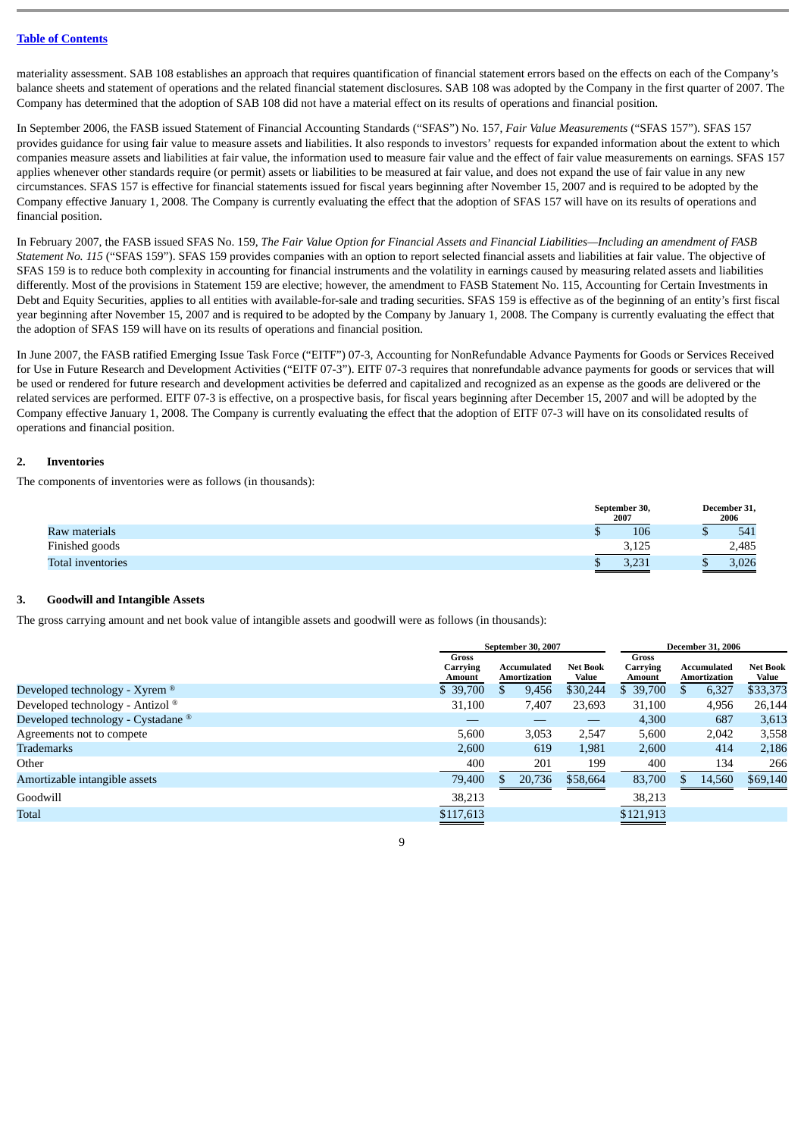materiality assessment. SAB 108 establishes an approach that requires quantification of financial statement errors based on the effects on each of the Company's balance sheets and statement of operations and the related financial statement disclosures. SAB 108 was adopted by the Company in the first quarter of 2007. The Company has determined that the adoption of SAB 108 did not have a material effect on its results of operations and financial position.

In September 2006, the FASB issued Statement of Financial Accounting Standards ("SFAS") No. 157, *Fair Value Measurements* ("SFAS 157"). SFAS 157 provides guidance for using fair value to measure assets and liabilities. It also responds to investors' requests for expanded information about the extent to which companies measure assets and liabilities at fair value, the information used to measure fair value and the effect of fair value measurements on earnings. SFAS 157 applies whenever other standards require (or permit) assets or liabilities to be measured at fair value, and does not expand the use of fair value in any new circumstances. SFAS 157 is effective for financial statements issued for fiscal years beginning after November 15, 2007 and is required to be adopted by the Company effective January 1, 2008. The Company is currently evaluating the effect that the adoption of SFAS 157 will have on its results of operations and financial position.

In February 2007, the FASB issued SFAS No. 159, *The Fair Value Option for Financial Assets and Financial Liabilities—Including an amendment of FASB Statement No. 115* ("SFAS 159"). SFAS 159 provides companies with an option to report selected financial assets and liabilities at fair value. The objective of SFAS 159 is to reduce both complexity in accounting for financial instruments and the volatility in earnings caused by measuring related assets and liabilities differently. Most of the provisions in Statement 159 are elective; however, the amendment to FASB Statement No. 115, Accounting for Certain Investments in Debt and Equity Securities, applies to all entities with available-for-sale and trading securities. SFAS 159 is effective as of the beginning of an entity's first fiscal year beginning after November 15, 2007 and is required to be adopted by the Company by January 1, 2008. The Company is currently evaluating the effect that the adoption of SFAS 159 will have on its results of operations and financial position.

In June 2007, the FASB ratified Emerging Issue Task Force ("EITF") 07-3, Accounting for NonRefundable Advance Payments for Goods or Services Received for Use in Future Research and Development Activities ("EITF 07-3"). EITF 07-3 requires that nonrefundable advance payments for goods or services that will be used or rendered for future research and development activities be deferred and capitalized and recognized as an expense as the goods are delivered or the related services are performed. EITF 07-3 is effective, on a prospective basis, for fiscal years beginning after December 15, 2007 and will be adopted by the Company effective January 1, 2008. The Company is currently evaluating the effect that the adoption of EITF 07-3 will have on its consolidated results of operations and financial position.

#### **2. Inventories**

The components of inventories were as follows (in thousands):

|                   | September 30,<br>2007 |                | December 31,<br>2006 |  |                                                                                                                                                                                                                                               |
|-------------------|-----------------------|----------------|----------------------|--|-----------------------------------------------------------------------------------------------------------------------------------------------------------------------------------------------------------------------------------------------|
| Raw materials     |                       | 106            |                      |  | 541                                                                                                                                                                                                                                           |
| Finished goods    |                       | 3,125          |                      |  | 2,485                                                                                                                                                                                                                                         |
| Total inventories |                       | 12 רב<br>⊥رے,ں |                      |  | 3,026<br><u> The Company of the Company of the Company of the Company of the Company of the Company of the Company of the Company of the Company of the Company of the Company of the Company of the Company of the Company of the Compan</u> |

#### **3. Goodwill and Intangible Assets**

The gross carrying amount and net book value of intangible assets and goodwill were as follows (in thousands):

|                                             | September 30, 2007          |    |                                    |                          | <b>December 31, 2006</b>    |    |                                    |                          |
|---------------------------------------------|-----------------------------|----|------------------------------------|--------------------------|-----------------------------|----|------------------------------------|--------------------------|
|                                             | Gross<br>Carrying<br>Amount |    | <b>Accumulated</b><br>Amortization | <b>Net Book</b><br>Value | Gross<br>Carrying<br>Amount |    | <b>Accumulated</b><br>Amortization | <b>Net Book</b><br>Value |
| Developed technology - Xyrem $^{\circledR}$ | \$39,700                    | S. | 9,456                              | \$30,244                 | \$ 39,700                   | S. | 6,327                              | \$33,373                 |
| Developed technology - Antizol®             | 31,100                      |    | 7,407                              | 23,693                   | 31,100                      |    | 4,956                              | 26,144                   |
| Developed technology - Cystadane ®          |                             |    |                                    |                          | 4,300                       |    | 687                                | 3,613                    |
| Agreements not to compete                   | 5,600                       |    | 3,053                              | 2,547                    | 5,600                       |    | 2,042                              | 3,558                    |
| Trademarks                                  | 2,600                       |    | 619                                | 1,981                    | 2,600                       |    | 414                                | 2,186                    |
| Other                                       | 400                         |    | 201                                | 199                      | 400                         |    | 134                                | 266                      |
| Amortizable intangible assets               | 79,400                      | S. | 20,736                             | \$58,664                 | 83,700                      |    | 14,560                             | \$69,140                 |
| Goodwill                                    | 38,213                      |    |                                    |                          | 38,213                      |    |                                    |                          |
| <b>Total</b>                                | \$117,613                   |    |                                    |                          | \$121,913                   |    |                                    |                          |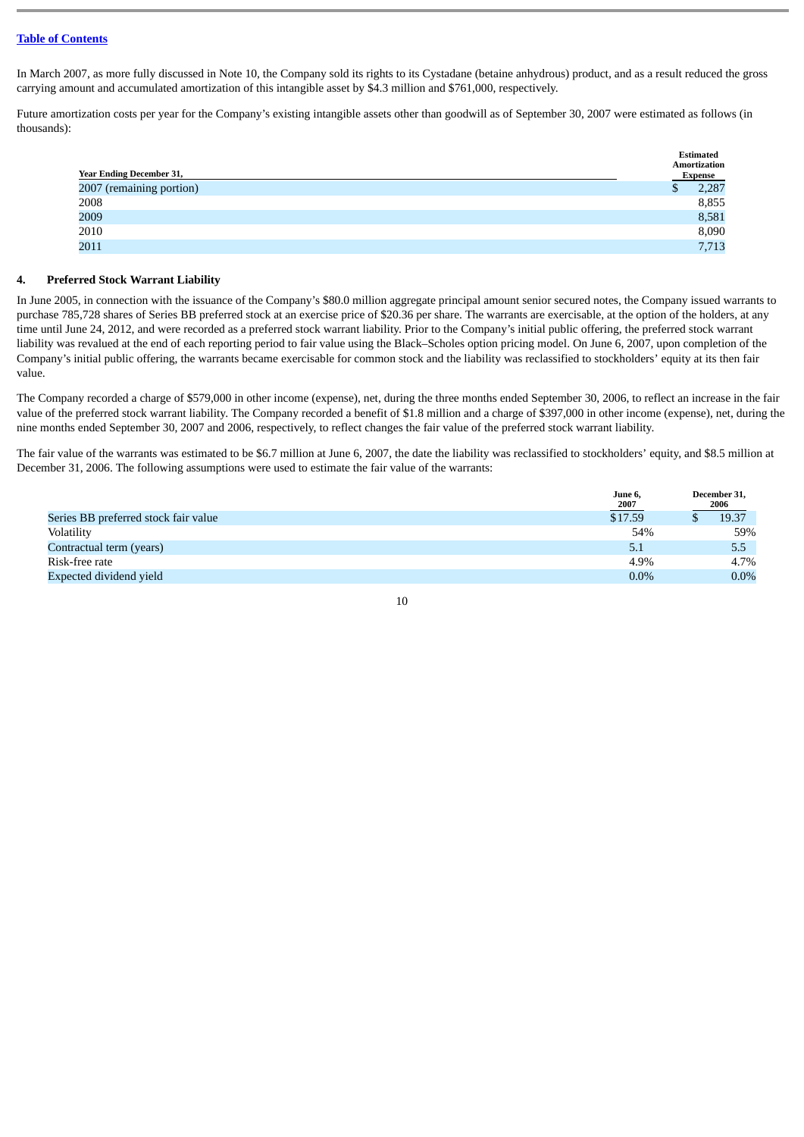In March 2007, as more fully discussed in Note 10, the Company sold its rights to its Cystadane (betaine anhydrous) product, and as a result reduced the gross carrying amount and accumulated amortization of this intangible asset by \$4.3 million and \$761,000, respectively.

Future amortization costs per year for the Company's existing intangible assets other than goodwill as of September 30, 2007 were estimated as follows (in thousands):

| <b>Year Ending December 31,</b> |    | <b>Estimated</b><br><b>Amortization</b><br><b>Expense</b> |
|---------------------------------|----|-----------------------------------------------------------|
| 2007 (remaining portion)        | ۵D | 2,287                                                     |
| 2008                            |    | 8,855                                                     |
| 2009                            |    | 8,581                                                     |
| 2010                            |    | 8,090                                                     |
| 2011                            |    | 7,713                                                     |

#### **4. Preferred Stock Warrant Liability**

In June 2005, in connection with the issuance of the Company's \$80.0 million aggregate principal amount senior secured notes, the Company issued warrants to purchase 785,728 shares of Series BB preferred stock at an exercise price of \$20.36 per share. The warrants are exercisable, at the option of the holders, at any time until June 24, 2012, and were recorded as a preferred stock warrant liability. Prior to the Company's initial public offering, the preferred stock warrant liability was revalued at the end of each reporting period to fair value using the Black–Scholes option pricing model. On June 6, 2007, upon completion of the Company's initial public offering, the warrants became exercisable for common stock and the liability was reclassified to stockholders' equity at its then fair value.

The Company recorded a charge of \$579,000 in other income (expense), net, during the three months ended September 30, 2006, to reflect an increase in the fair value of the preferred stock warrant liability. The Company recorded a benefit of \$1.8 million and a charge of \$397,000 in other income (expense), net, during the nine months ended September 30, 2007 and 2006, respectively, to reflect changes the fair value of the preferred stock warrant liability.

The fair value of the warrants was estimated to be \$6.7 million at June 6, 2007, the date the liability was reclassified to stockholders' equity, and \$8.5 million at December 31, 2006. The following assumptions were used to estimate the fair value of the warrants:

|                                      | June 6, | December 31, |  |
|--------------------------------------|---------|--------------|--|
|                                      | 2007    | 2006         |  |
| Series BB preferred stock fair value | \$17.59 | 19.37        |  |
| Volatility                           | 54%     | 59%          |  |
| Contractual term (years)             | 5.1     | 5.5          |  |
| Risk-free rate                       | 4.9%    | 4.7%         |  |
| <b>Expected dividend yield</b>       | $0.0\%$ | $0.0\%$      |  |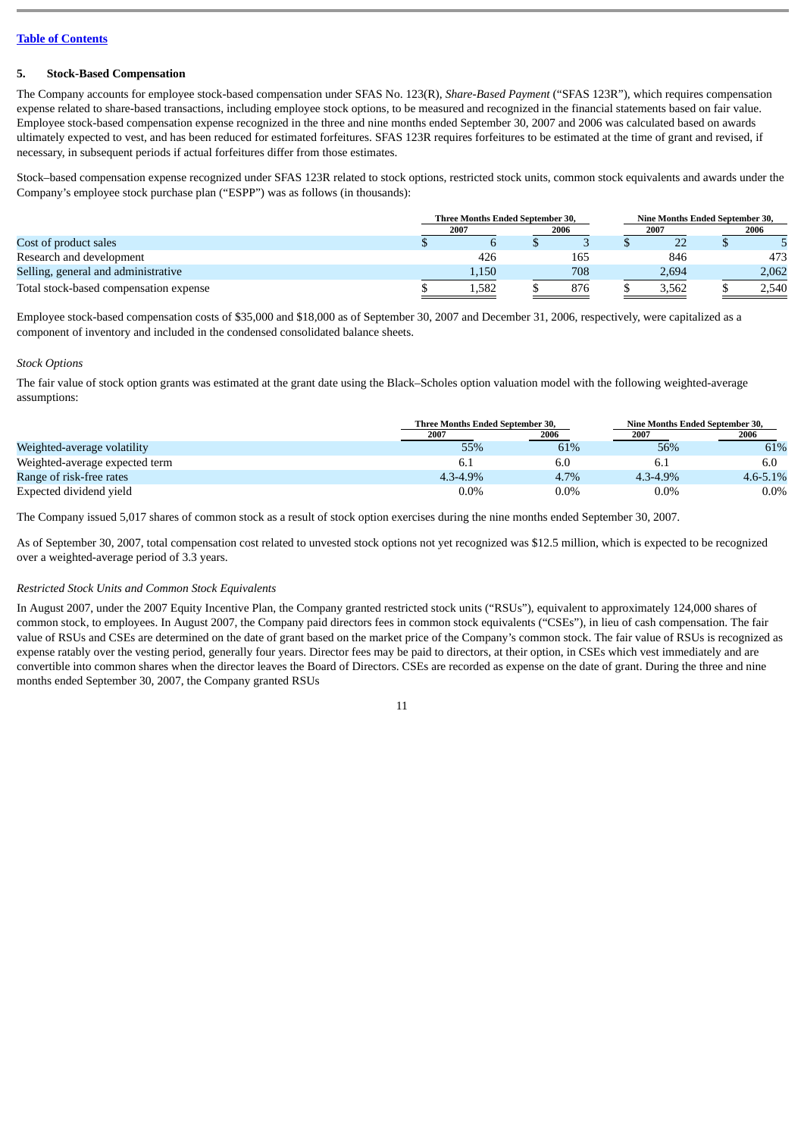#### **5. Stock-Based Compensation**

The Company accounts for employee stock-based compensation under SFAS No. 123(R), *Share-Based Payment* ("SFAS 123R"), which requires compensation expense related to share-based transactions, including employee stock options, to be measured and recognized in the financial statements based on fair value. Employee stock-based compensation expense recognized in the three and nine months ended September 30, 2007 and 2006 was calculated based on awards ultimately expected to vest, and has been reduced for estimated forfeitures. SFAS 123R requires forfeitures to be estimated at the time of grant and revised, if necessary, in subsequent periods if actual forfeitures differ from those estimates.

Stock–based compensation expense recognized under SFAS 123R related to stock options, restricted stock units, common stock equivalents and awards under the Company's employee stock purchase plan ("ESPP") was as follows (in thousands):

|                                        | Three Months Ended September 30. |       |      |     |  | Nine Months Ended September 30. |      |       |  |
|----------------------------------------|----------------------------------|-------|------|-----|--|---------------------------------|------|-------|--|
|                                        | 2007<br>2006                     |       | 2007 |     |  |                                 | 2006 |       |  |
| Cost of product sales                  |                                  |       |      |     |  | 22                              |      |       |  |
| Research and development               |                                  | 426   |      | 165 |  | 846                             |      | 473   |  |
| Selling, general and administrative    |                                  | 1.150 |      | 708 |  | 2.694                           |      | 2,062 |  |
| Total stock-based compensation expense |                                  | 1,582 |      | 876 |  | 3.562                           |      | 2,540 |  |

Employee stock-based compensation costs of \$35,000 and \$18,000 as of September 30, 2007 and December 31, 2006, respectively, were capitalized as a component of inventory and included in the condensed consolidated balance sheets.

#### *Stock Options*

The fair value of stock option grants was estimated at the grant date using the Black–Scholes option valuation model with the following weighted-average assumptions:

|                                | <b>Three Months Ended September 30.</b> |         | Nine Months Ended September 30, |               |  |  |
|--------------------------------|-----------------------------------------|---------|---------------------------------|---------------|--|--|
|                                | 2007                                    | 2006    | 2007                            | 2006          |  |  |
| Weighted-average volatility    | 55%                                     | 61%     | 56%                             | 61%           |  |  |
| Weighted-average expected term | -6.1                                    | 6.0     | 6.1                             | 6.0           |  |  |
| Range of risk-free rates       | $4.3 - 4.9\%$                           | 4.7%    | $4.3 - 4.9\%$                   | $4.6 - 5.1\%$ |  |  |
| Expected dividend yield        | $0.0\%$                                 | $0.0\%$ | $0.0\%$                         | $0.0\%$       |  |  |

The Company issued 5,017 shares of common stock as a result of stock option exercises during the nine months ended September 30, 2007.

As of September 30, 2007, total compensation cost related to unvested stock options not yet recognized was \$12.5 million, which is expected to be recognized over a weighted-average period of 3.3 years.

#### *Restricted Stock Units and Common Stock Equivalents*

In August 2007, under the 2007 Equity Incentive Plan, the Company granted restricted stock units ("RSUs"), equivalent to approximately 124,000 shares of common stock, to employees. In August 2007, the Company paid directors fees in common stock equivalents ("CSEs"), in lieu of cash compensation. The fair value of RSUs and CSEs are determined on the date of grant based on the market price of the Company's common stock. The fair value of RSUs is recognized as expense ratably over the vesting period, generally four years. Director fees may be paid to directors, at their option, in CSEs which vest immediately and are convertible into common shares when the director leaves the Board of Directors. CSEs are recorded as expense on the date of grant. During the three and nine months ended September 30, 2007, the Company granted RSUs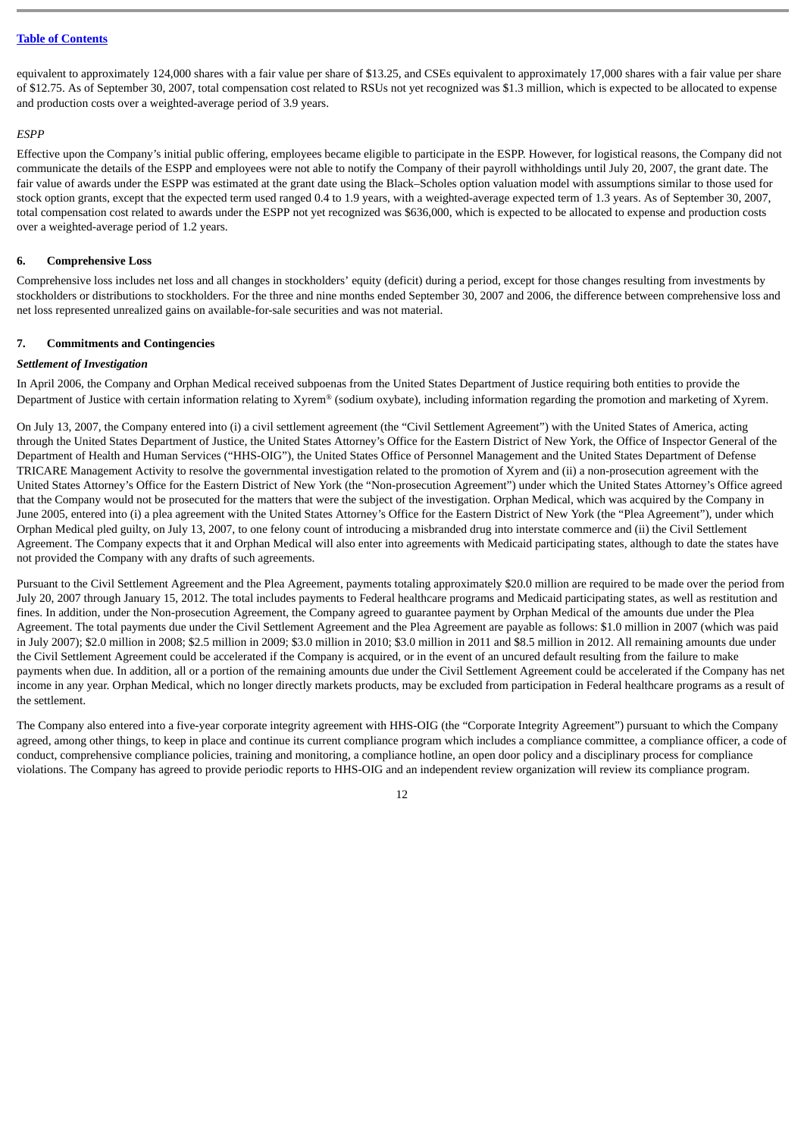equivalent to approximately 124,000 shares with a fair value per share of \$13.25, and CSEs equivalent to approximately 17,000 shares with a fair value per share of \$12.75. As of September 30, 2007, total compensation cost related to RSUs not yet recognized was \$1.3 million, which is expected to be allocated to expense and production costs over a weighted-average period of 3.9 years.

#### *ESPP*

Effective upon the Company's initial public offering, employees became eligible to participate in the ESPP. However, for logistical reasons, the Company did not communicate the details of the ESPP and employees were not able to notify the Company of their payroll withholdings until July 20, 2007, the grant date. The fair value of awards under the ESPP was estimated at the grant date using the Black–Scholes option valuation model with assumptions similar to those used for stock option grants, except that the expected term used ranged 0.4 to 1.9 years, with a weighted-average expected term of 1.3 years. As of September 30, 2007, total compensation cost related to awards under the ESPP not yet recognized was \$636,000, which is expected to be allocated to expense and production costs over a weighted-average period of 1.2 years.

#### **6. Comprehensive Loss**

Comprehensive loss includes net loss and all changes in stockholders' equity (deficit) during a period, except for those changes resulting from investments by stockholders or distributions to stockholders. For the three and nine months ended September 30, 2007 and 2006, the difference between comprehensive loss and net loss represented unrealized gains on available-for-sale securities and was not material.

#### **7. Commitments and Contingencies**

#### *Settlement of Investigation*

In April 2006, the Company and Orphan Medical received subpoenas from the United States Department of Justice requiring both entities to provide the Department of Justice with certain information relating to Xyrem® (sodium oxybate), including information regarding the promotion and marketing of Xyrem.

On July 13, 2007, the Company entered into (i) a civil settlement agreement (the "Civil Settlement Agreement") with the United States of America, acting through the United States Department of Justice, the United States Attorney's Office for the Eastern District of New York, the Office of Inspector General of the Department of Health and Human Services ("HHS-OIG"), the United States Office of Personnel Management and the United States Department of Defense TRICARE Management Activity to resolve the governmental investigation related to the promotion of Xyrem and (ii) a non-prosecution agreement with the United States Attorney's Office for the Eastern District of New York (the "Non-prosecution Agreement") under which the United States Attorney's Office agreed that the Company would not be prosecuted for the matters that were the subject of the investigation. Orphan Medical, which was acquired by the Company in June 2005, entered into (i) a plea agreement with the United States Attorney's Office for the Eastern District of New York (the "Plea Agreement"), under which Orphan Medical pled guilty, on July 13, 2007, to one felony count of introducing a misbranded drug into interstate commerce and (ii) the Civil Settlement Agreement. The Company expects that it and Orphan Medical will also enter into agreements with Medicaid participating states, although to date the states have not provided the Company with any drafts of such agreements.

Pursuant to the Civil Settlement Agreement and the Plea Agreement, payments totaling approximately \$20.0 million are required to be made over the period from July 20, 2007 through January 15, 2012. The total includes payments to Federal healthcare programs and Medicaid participating states, as well as restitution and fines. In addition, under the Non-prosecution Agreement, the Company agreed to guarantee payment by Orphan Medical of the amounts due under the Plea Agreement. The total payments due under the Civil Settlement Agreement and the Plea Agreement are payable as follows: \$1.0 million in 2007 (which was paid in July 2007); \$2.0 million in 2008; \$2.5 million in 2009; \$3.0 million in 2010; \$3.0 million in 2011 and \$8.5 million in 2012. All remaining amounts due under the Civil Settlement Agreement could be accelerated if the Company is acquired, or in the event of an uncured default resulting from the failure to make payments when due. In addition, all or a portion of the remaining amounts due under the Civil Settlement Agreement could be accelerated if the Company has net income in any year. Orphan Medical, which no longer directly markets products, may be excluded from participation in Federal healthcare programs as a result of the settlement.

The Company also entered into a five-year corporate integrity agreement with HHS-OIG (the "Corporate Integrity Agreement") pursuant to which the Company agreed, among other things, to keep in place and continue its current compliance program which includes a compliance committee, a compliance officer, a code of conduct, comprehensive compliance policies, training and monitoring, a compliance hotline, an open door policy and a disciplinary process for compliance violations. The Company has agreed to provide periodic reports to HHS-OIG and an independent review organization will review its compliance program.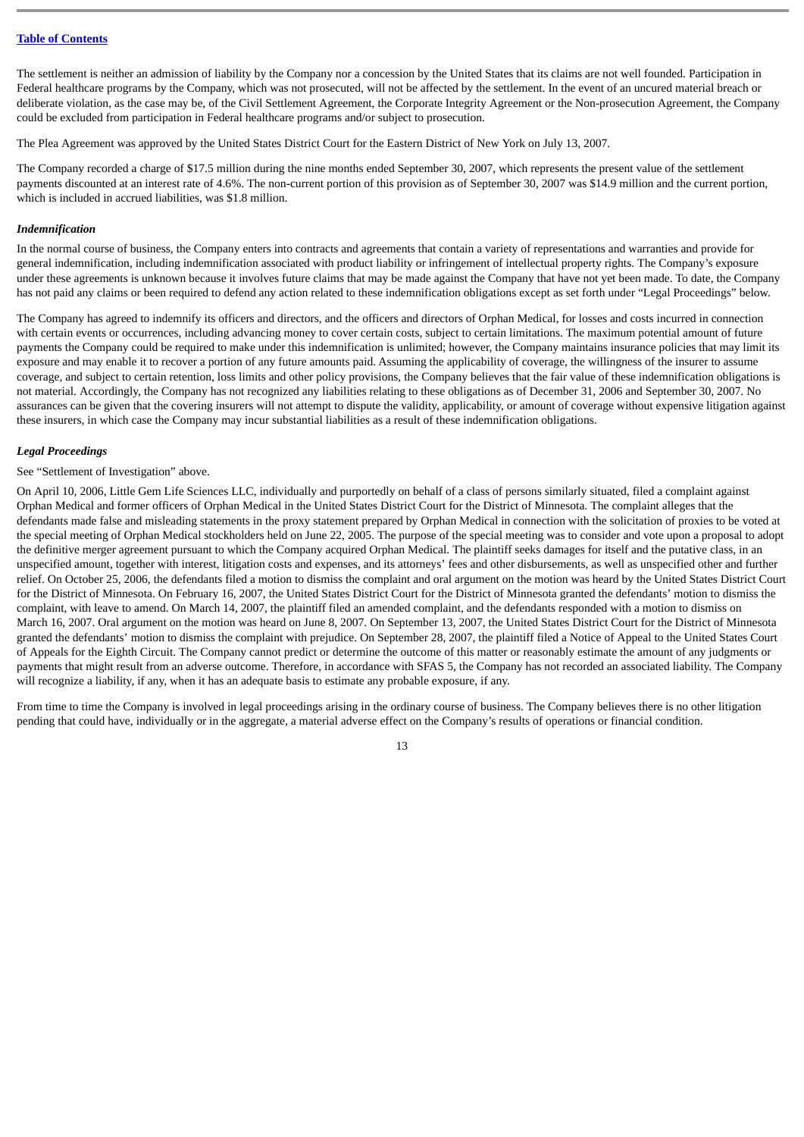The settlement is neither an admission of liability by the Company nor a concession by the United States that its claims are not well founded. Participation in Federal healthcare programs by the Company, which was not prosecuted, will not be affected by the settlement. In the event of an uncured material breach or deliberate violation, as the case may be, of the Civil Settlement Agreement, the Corporate Integrity Agreement or the Non-prosecution Agreement, the Company could be excluded from participation in Federal healthcare programs and/or subject to prosecution.

The Plea Agreement was approved by the United States District Court for the Eastern District of New York on July 13, 2007.

The Company recorded a charge of \$17.5 million during the nine months ended September 30, 2007, which represents the present value of the settlement payments discounted at an interest rate of 4.6%. The non-current portion of this provision as of September 30, 2007 was \$14.9 million and the current portion, which is included in accrued liabilities, was \$1.8 million.

#### *Indemnification*

In the normal course of business, the Company enters into contracts and agreements that contain a variety of representations and warranties and provide for general indemnification, including indemnification associated with product liability or infringement of intellectual property rights. The Company's exposure under these agreements is unknown because it involves future claims that may be made against the Company that have not yet been made. To date, the Company has not paid any claims or been required to defend any action related to these indemnification obligations except as set forth under "Legal Proceedings" below.

The Company has agreed to indemnify its officers and directors, and the officers and directors of Orphan Medical, for losses and costs incurred in connection with certain events or occurrences, including advancing money to cover certain costs, subject to certain limitations. The maximum potential amount of future payments the Company could be required to make under this indemnification is unlimited; however, the Company maintains insurance policies that may limit its exposure and may enable it to recover a portion of any future amounts paid. Assuming the applicability of coverage, the willingness of the insurer to assume coverage, and subject to certain retention, loss limits and other policy provisions, the Company believes that the fair value of these indemnification obligations is not material. Accordingly, the Company has not recognized any liabilities relating to these obligations as of December 31, 2006 and September 30, 2007. No assurances can be given that the covering insurers will not attempt to dispute the validity, applicability, or amount of coverage without expensive litigation against these insurers, in which case the Company may incur substantial liabilities as a result of these indemnification obligations.

#### *Legal Proceedings*

#### See "Settlement of Investigation" above.

On April 10, 2006, Little Gem Life Sciences LLC, individually and purportedly on behalf of a class of persons similarly situated, filed a complaint against Orphan Medical and former officers of Orphan Medical in the United States District Court for the District of Minnesota. The complaint alleges that the defendants made false and misleading statements in the proxy statement prepared by Orphan Medical in connection with the solicitation of proxies to be voted at the special meeting of Orphan Medical stockholders held on June 22, 2005. The purpose of the special meeting was to consider and vote upon a proposal to adopt the definitive merger agreement pursuant to which the Company acquired Orphan Medical. The plaintiff seeks damages for itself and the putative class, in an unspecified amount, together with interest, litigation costs and expenses, and its attorneys' fees and other disbursements, as well as unspecified other and further relief. On October 25, 2006, the defendants filed a motion to dismiss the complaint and oral argument on the motion was heard by the United States District Court for the District of Minnesota. On February 16, 2007, the United States District Court for the District of Minnesota granted the defendants' motion to dismiss the complaint, with leave to amend. On March 14, 2007, the plaintiff filed an amended complaint, and the defendants responded with a motion to dismiss on March 16, 2007. Oral argument on the motion was heard on June 8, 2007. On September 13, 2007, the United States District Court for the District of Minnesota granted the defendants' motion to dismiss the complaint with prejudice. On September 28, 2007, the plaintiff filed a Notice of Appeal to the United States Court of Appeals for the Eighth Circuit. The Company cannot predict or determine the outcome of this matter or reasonably estimate the amount of any judgments or payments that might result from an adverse outcome. Therefore, in accordance with SFAS 5, the Company has not recorded an associated liability. The Company will recognize a liability, if any, when it has an adequate basis to estimate any probable exposure, if any.

From time to time the Company is involved in legal proceedings arising in the ordinary course of business. The Company believes there is no other litigation pending that could have, individually or in the aggregate, a material adverse effect on the Company's results of operations or financial condition.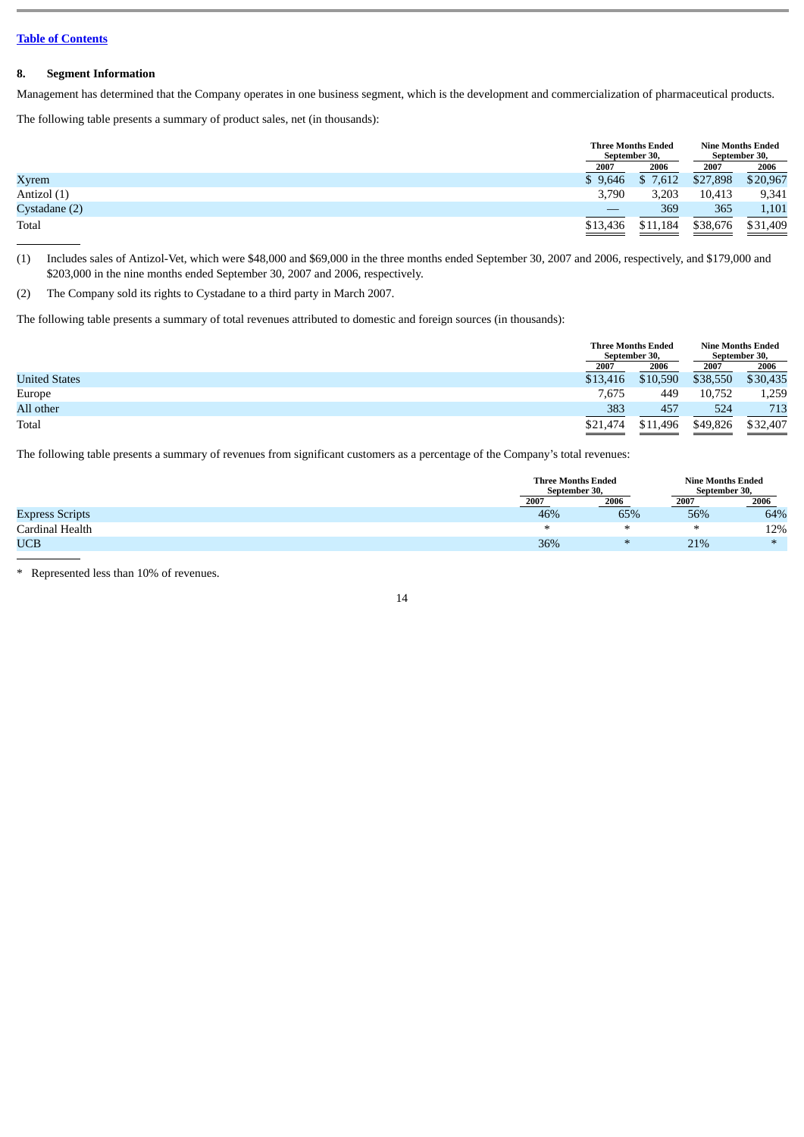#### **8. Segment Information**

Management has determined that the Company operates in one business segment, which is the development and commercialization of pharmaceutical products.

The following table presents a summary of product sales, net (in thousands):

|               |                    | <b>Three Months Ended</b><br>September 30, |          | <b>Nine Months Ended</b><br>September 30, |  |
|---------------|--------------------|--------------------------------------------|----------|-------------------------------------------|--|
|               | 2007               | 2006                                       | 2007     | 2006                                      |  |
| Xyrem         | \$9,646            | 7,612                                      | \$27,898 | \$20,967                                  |  |
| Antizol (1)   | 3,790              | 3,203                                      | 10,413   | 9,341                                     |  |
| Cystadane (2) |                    | 369                                        | 365      | 1,101                                     |  |
| Total         | \$13,436<br>______ | \$11,184                                   | \$38,676 | \$31,409                                  |  |

(1) Includes sales of Antizol-Vet, which were \$48,000 and \$69,000 in the three months ended September 30, 2007 and 2006, respectively, and \$179,000 and \$203,000 in the nine months ended September 30, 2007 and 2006, respectively.

(2) The Company sold its rights to Cystadane to a third party in March 2007.

The following table presents a summary of total revenues attributed to domestic and foreign sources (in thousands):

|                      |          | <b>Three Months Ended</b><br>September 30, |          | <b>Nine Months Ended</b><br>September 30, |  |
|----------------------|----------|--------------------------------------------|----------|-------------------------------------------|--|
|                      | 2007     | 2006                                       | 2007     | 2006                                      |  |
| <b>United States</b> | \$13,416 | \$10,590                                   | \$38,550 | \$30,435                                  |  |
| Europe               | 7,675    | 449                                        | 10,752   | .259                                      |  |
| All other            | 383      | 457                                        | 524      | 713                                       |  |
| Total                | \$21,474 | \$11,496                                   | \$49,826 | \$32,407                                  |  |

The following table presents a summary of revenues from significant customers as a percentage of the Company's total revenues:

|                        |      | <b>Three Months Ended</b><br>September 30. |      | <b>Nine Months Ended</b><br>September 30. |  |
|------------------------|------|--------------------------------------------|------|-------------------------------------------|--|
|                        | 2007 | 2006                                       | 2007 | 2006                                      |  |
| <b>Express Scripts</b> | 46%  | 65%                                        | 56%  | 64%                                       |  |
| Cardinal Health        | *    | *                                          | *    | 12%                                       |  |
| <b>UCB</b>             | 36%  | *                                          | 21%  |                                           |  |

\* Represented less than 10% of revenues.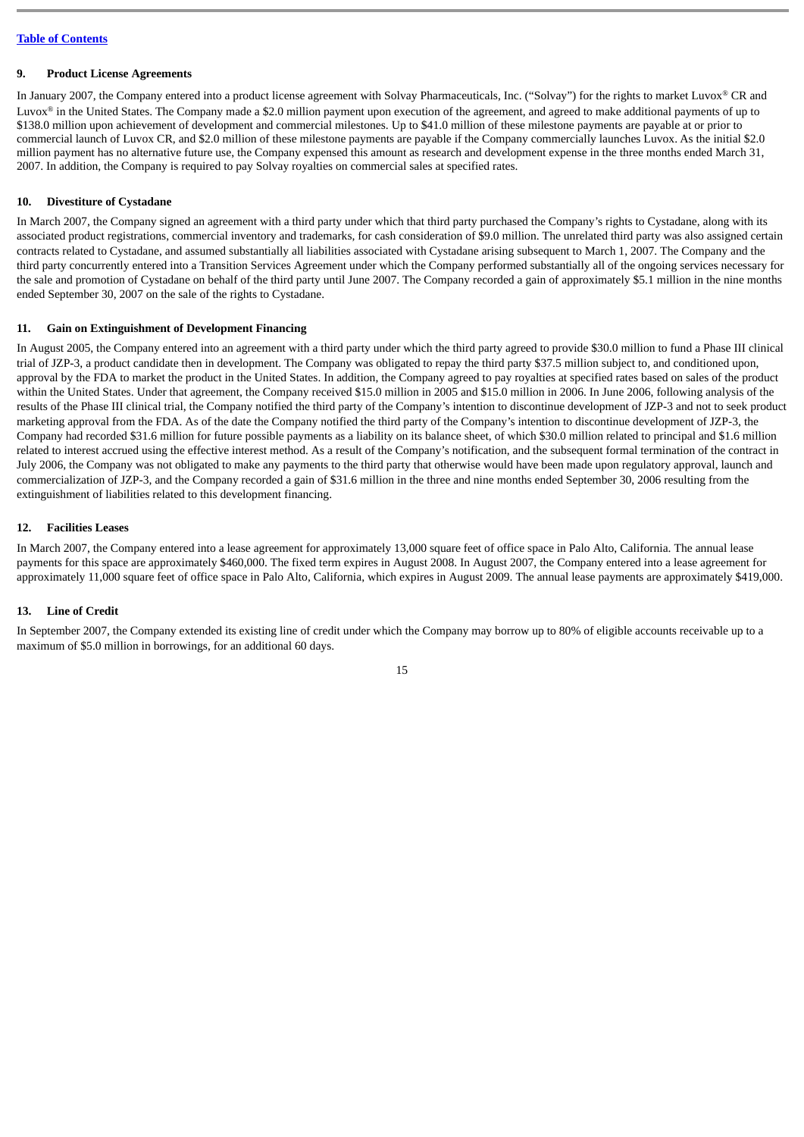## **9. Product License Agreements**

In January 2007, the Company entered into a product license agreement with Solvay Pharmaceuticals, Inc. ("Solvay") for the rights to market Luvox® CR and Luvox<sup>®</sup> in the United States. The Company made a \$2.0 million payment upon execution of the agreement, and agreed to make additional payments of up to \$138.0 million upon achievement of development and commercial milestones. Up to \$41.0 million of these milestone payments are payable at or prior to commercial launch of Luvox CR, and \$2.0 million of these milestone payments are payable if the Company commercially launches Luvox. As the initial \$2.0 million payment has no alternative future use, the Company expensed this amount as research and development expense in the three months ended March 31, 2007. In addition, the Company is required to pay Solvay royalties on commercial sales at specified rates.

## **10. Divestiture of Cystadane**

In March 2007, the Company signed an agreement with a third party under which that third party purchased the Company's rights to Cystadane, along with its associated product registrations, commercial inventory and trademarks, for cash consideration of \$9.0 million. The unrelated third party was also assigned certain contracts related to Cystadane, and assumed substantially all liabilities associated with Cystadane arising subsequent to March 1, 2007. The Company and the third party concurrently entered into a Transition Services Agreement under which the Company performed substantially all of the ongoing services necessary for the sale and promotion of Cystadane on behalf of the third party until June 2007. The Company recorded a gain of approximately \$5.1 million in the nine months ended September 30, 2007 on the sale of the rights to Cystadane.

## **11. Gain on Extinguishment of Development Financing**

In August 2005, the Company entered into an agreement with a third party under which the third party agreed to provide \$30.0 million to fund a Phase III clinical trial of JZP-3, a product candidate then in development. The Company was obligated to repay the third party \$37.5 million subject to, and conditioned upon, approval by the FDA to market the product in the United States. In addition, the Company agreed to pay royalties at specified rates based on sales of the product within the United States. Under that agreement, the Company received \$15.0 million in 2005 and \$15.0 million in 2006. In June 2006, following analysis of the results of the Phase III clinical trial, the Company notified the third party of the Company's intention to discontinue development of JZP-3 and not to seek product marketing approval from the FDA. As of the date the Company notified the third party of the Company's intention to discontinue development of JZP-3, the Company had recorded \$31.6 million for future possible payments as a liability on its balance sheet, of which \$30.0 million related to principal and \$1.6 million related to interest accrued using the effective interest method. As a result of the Company's notification, and the subsequent formal termination of the contract in July 2006, the Company was not obligated to make any payments to the third party that otherwise would have been made upon regulatory approval, launch and commercialization of JZP-3, and the Company recorded a gain of \$31.6 million in the three and nine months ended September 30, 2006 resulting from the extinguishment of liabilities related to this development financing.

#### **12. Facilities Leases**

In March 2007, the Company entered into a lease agreement for approximately 13,000 square feet of office space in Palo Alto, California. The annual lease payments for this space are approximately \$460,000. The fixed term expires in August 2008. In August 2007, the Company entered into a lease agreement for approximately 11,000 square feet of office space in Palo Alto, California, which expires in August 2009. The annual lease payments are approximately \$419,000.

#### **13. Line of Credit**

In September 2007, the Company extended its existing line of credit under which the Company may borrow up to 80% of eligible accounts receivable up to a maximum of \$5.0 million in borrowings, for an additional 60 days.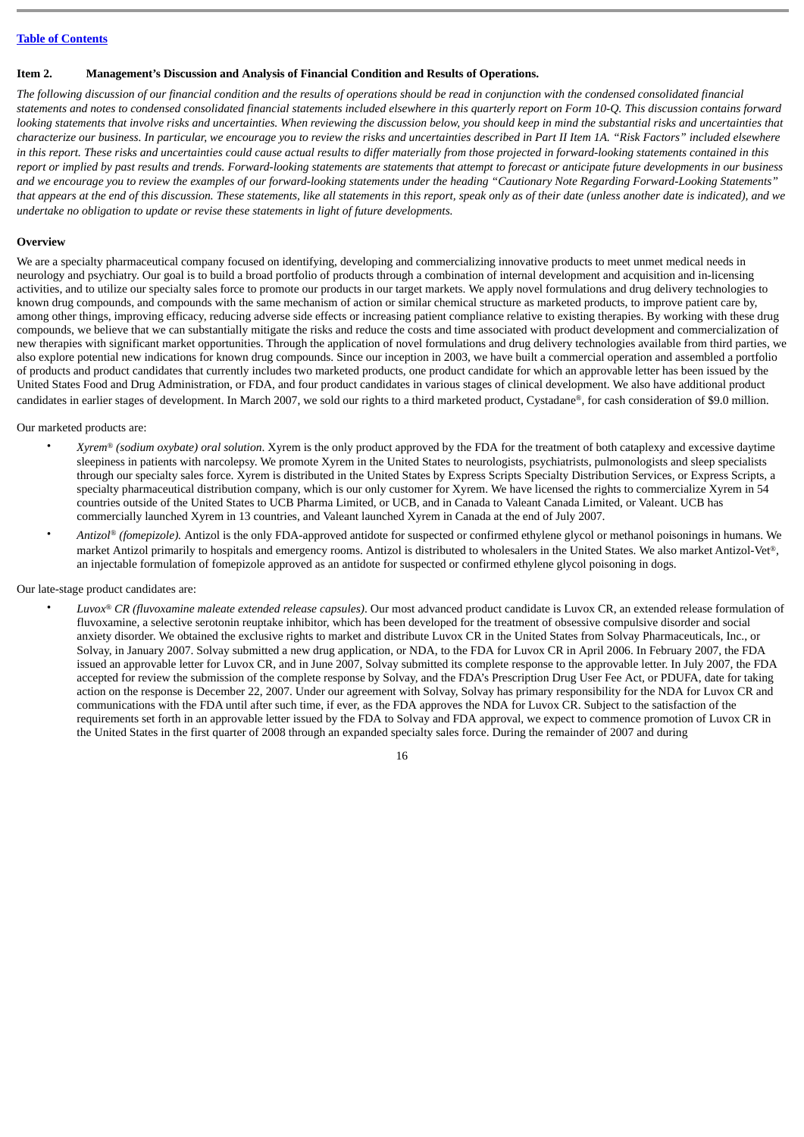#### <span id="page-15-0"></span>**Item 2. Management's Discussion and Analysis of Financial Condition and Results of Operations.**

*The following discussion of our financial condition and the results of operations should be read in conjunction with the condensed consolidated financial statements and notes to condensed consolidated financial statements included elsewhere in this quarterly report on Form 10-Q. This discussion contains forward looking statements that involve risks and uncertainties. When reviewing the discussion below, you should keep in mind the substantial risks and uncertainties that characterize our business. In particular, we encourage you to review the risks and uncertainties described in Part II Item 1A. "Risk Factors" included elsewhere in this report. These risks and uncertainties could cause actual results to differ materially from those projected in forward-looking statements contained in this report or implied by past results and trends. Forward-looking statements are statements that attempt to forecast or anticipate future developments in our business and we encourage you to review the examples of our forward-looking statements under the heading "Cautionary Note Regarding Forward-Looking Statements" that appears at the end of this discussion. These statements, like all statements in this report, speak only as of their date (unless another date is indicated), and we undertake no obligation to update or revise these statements in light of future developments.*

#### **Overview**

We are a specialty pharmaceutical company focused on identifying, developing and commercializing innovative products to meet unmet medical needs in neurology and psychiatry. Our goal is to build a broad portfolio of products through a combination of internal development and acquisition and in-licensing activities, and to utilize our specialty sales force to promote our products in our target markets. We apply novel formulations and drug delivery technologies to known drug compounds, and compounds with the same mechanism of action or similar chemical structure as marketed products, to improve patient care by, among other things, improving efficacy, reducing adverse side effects or increasing patient compliance relative to existing therapies. By working with these drug compounds, we believe that we can substantially mitigate the risks and reduce the costs and time associated with product development and commercialization of new therapies with significant market opportunities. Through the application of novel formulations and drug delivery technologies available from third parties, we also explore potential new indications for known drug compounds. Since our inception in 2003, we have built a commercial operation and assembled a portfolio of products and product candidates that currently includes two marketed products, one product candidate for which an approvable letter has been issued by the United States Food and Drug Administration, or FDA, and four product candidates in various stages of clinical development. We also have additional product candidates in earlier stages of development. In March 2007, we sold our rights to a third marketed product, Cystadane®, for cash consideration of \$9.0 million.

Our marketed products are:

- *Xyrem® (sodium oxybate) oral solution*. Xyrem is the only product approved by the FDA for the treatment of both cataplexy and excessive daytime sleepiness in patients with narcolepsy. We promote Xyrem in the United States to neurologists, psychiatrists, pulmonologists and sleep specialists through our specialty sales force. Xyrem is distributed in the United States by Express Scripts Specialty Distribution Services, or Express Scripts, a specialty pharmaceutical distribution company, which is our only customer for Xyrem. We have licensed the rights to commercialize Xyrem in 54 countries outside of the United States to UCB Pharma Limited, or UCB, and in Canada to Valeant Canada Limited, or Valeant. UCB has commercially launched Xyrem in 13 countries, and Valeant launched Xyrem in Canada at the end of July 2007.
- *Antizol® (fomepizole).* Antizol is the only FDA-approved antidote for suspected or confirmed ethylene glycol or methanol poisonings in humans. We market Antizol primarily to hospitals and emergency rooms. Antizol is distributed to wholesalers in the United States. We also market Antizol-Vet®, an injectable formulation of fomepizole approved as an antidote for suspected or confirmed ethylene glycol poisoning in dogs.

#### Our late-stage product candidates are:

• *Luvox® CR (fluvoxamine maleate extended release capsules)*. Our most advanced product candidate is Luvox CR, an extended release formulation of fluvoxamine, a selective serotonin reuptake inhibitor, which has been developed for the treatment of obsessive compulsive disorder and social anxiety disorder. We obtained the exclusive rights to market and distribute Luvox CR in the United States from Solvay Pharmaceuticals, Inc., or Solvay, in January 2007. Solvay submitted a new drug application, or NDA, to the FDA for Luvox CR in April 2006. In February 2007, the FDA issued an approvable letter for Luvox CR, and in June 2007, Solvay submitted its complete response to the approvable letter. In July 2007, the FDA accepted for review the submission of the complete response by Solvay, and the FDA's Prescription Drug User Fee Act, or PDUFA, date for taking action on the response is December 22, 2007. Under our agreement with Solvay, Solvay has primary responsibility for the NDA for Luvox CR and communications with the FDA until after such time, if ever, as the FDA approves the NDA for Luvox CR. Subject to the satisfaction of the requirements set forth in an approvable letter issued by the FDA to Solvay and FDA approval, we expect to commence promotion of Luvox CR in the United States in the first quarter of 2008 through an expanded specialty sales force. During the remainder of 2007 and during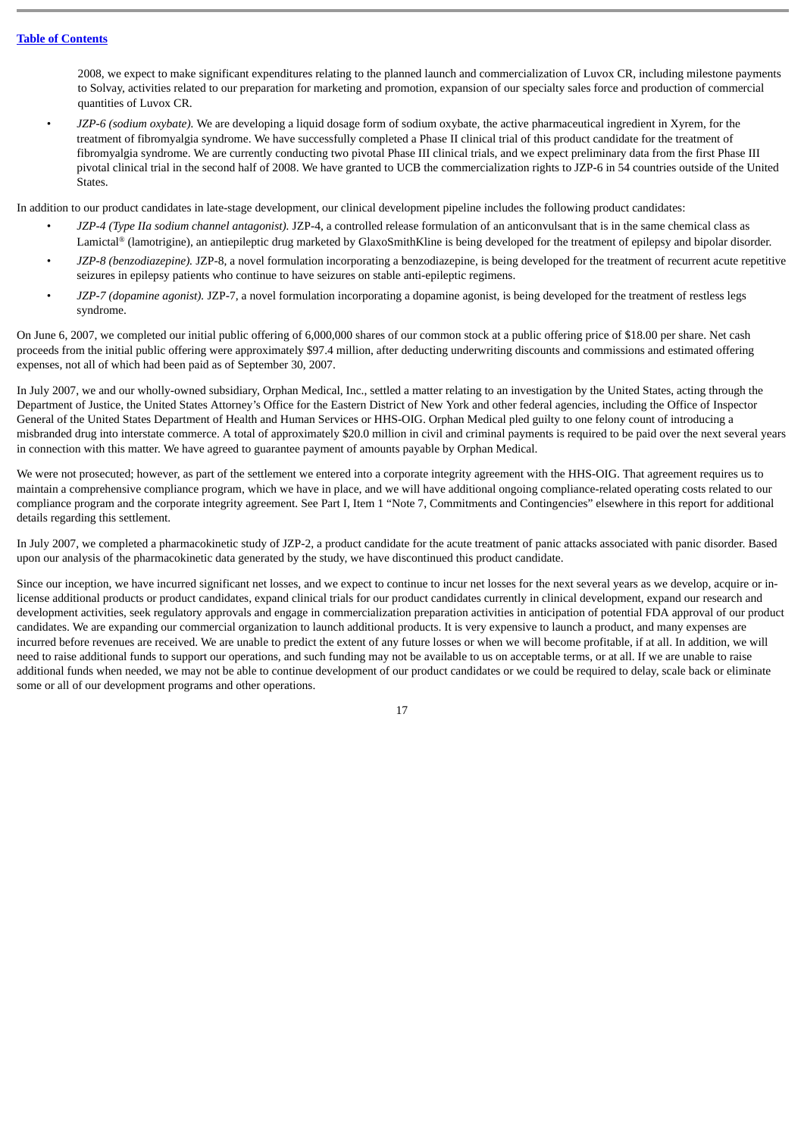2008, we expect to make significant expenditures relating to the planned launch and commercialization of Luvox CR, including milestone payments to Solvay, activities related to our preparation for marketing and promotion, expansion of our specialty sales force and production of commercial quantities of Luvox CR.

• *JZP-6 (sodium oxybate).* We are developing a liquid dosage form of sodium oxybate, the active pharmaceutical ingredient in Xyrem, for the treatment of fibromyalgia syndrome. We have successfully completed a Phase II clinical trial of this product candidate for the treatment of fibromyalgia syndrome. We are currently conducting two pivotal Phase III clinical trials, and we expect preliminary data from the first Phase III pivotal clinical trial in the second half of 2008. We have granted to UCB the commercialization rights to JZP-6 in 54 countries outside of the United **States** 

In addition to our product candidates in late-stage development, our clinical development pipeline includes the following product candidates:

- *JZP-4 (Type IIa sodium channel antagonist).* JZP-4, a controlled release formulation of an anticonvulsant that is in the same chemical class as Lamictal® (lamotrigine), an antiepileptic drug marketed by GlaxoSmithKline is being developed for the treatment of epilepsy and bipolar disorder.
- *JZP-8 (benzodiazepine).* JZP-8, a novel formulation incorporating a benzodiazepine, is being developed for the treatment of recurrent acute repetitive seizures in epilepsy patients who continue to have seizures on stable anti-epileptic regimens.
- *JZP-7 (dopamine agonist).* JZP-7, a novel formulation incorporating a dopamine agonist, is being developed for the treatment of restless legs syndrome.

On June 6, 2007, we completed our initial public offering of 6,000,000 shares of our common stock at a public offering price of \$18.00 per share. Net cash proceeds from the initial public offering were approximately \$97.4 million, after deducting underwriting discounts and commissions and estimated offering expenses, not all of which had been paid as of September 30, 2007.

In July 2007, we and our wholly-owned subsidiary, Orphan Medical, Inc., settled a matter relating to an investigation by the United States, acting through the Department of Justice, the United States Attorney's Office for the Eastern District of New York and other federal agencies, including the Office of Inspector General of the United States Department of Health and Human Services or HHS-OIG. Orphan Medical pled guilty to one felony count of introducing a misbranded drug into interstate commerce. A total of approximately \$20.0 million in civil and criminal payments is required to be paid over the next several years in connection with this matter. We have agreed to guarantee payment of amounts payable by Orphan Medical.

We were not prosecuted; however, as part of the settlement we entered into a corporate integrity agreement with the HHS-OIG. That agreement requires us to maintain a comprehensive compliance program, which we have in place, and we will have additional ongoing compliance-related operating costs related to our compliance program and the corporate integrity agreement. See Part I, Item 1 "Note 7, Commitments and Contingencies" elsewhere in this report for additional details regarding this settlement.

In July 2007, we completed a pharmacokinetic study of JZP-2, a product candidate for the acute treatment of panic attacks associated with panic disorder. Based upon our analysis of the pharmacokinetic data generated by the study, we have discontinued this product candidate.

Since our inception, we have incurred significant net losses, and we expect to continue to incur net losses for the next several years as we develop, acquire or inlicense additional products or product candidates, expand clinical trials for our product candidates currently in clinical development, expand our research and development activities, seek regulatory approvals and engage in commercialization preparation activities in anticipation of potential FDA approval of our product candidates. We are expanding our commercial organization to launch additional products. It is very expensive to launch a product, and many expenses are incurred before revenues are received. We are unable to predict the extent of any future losses or when we will become profitable, if at all. In addition, we will need to raise additional funds to support our operations, and such funding may not be available to us on acceptable terms, or at all. If we are unable to raise additional funds when needed, we may not be able to continue development of our product candidates or we could be required to delay, scale back or eliminate some or all of our development programs and other operations.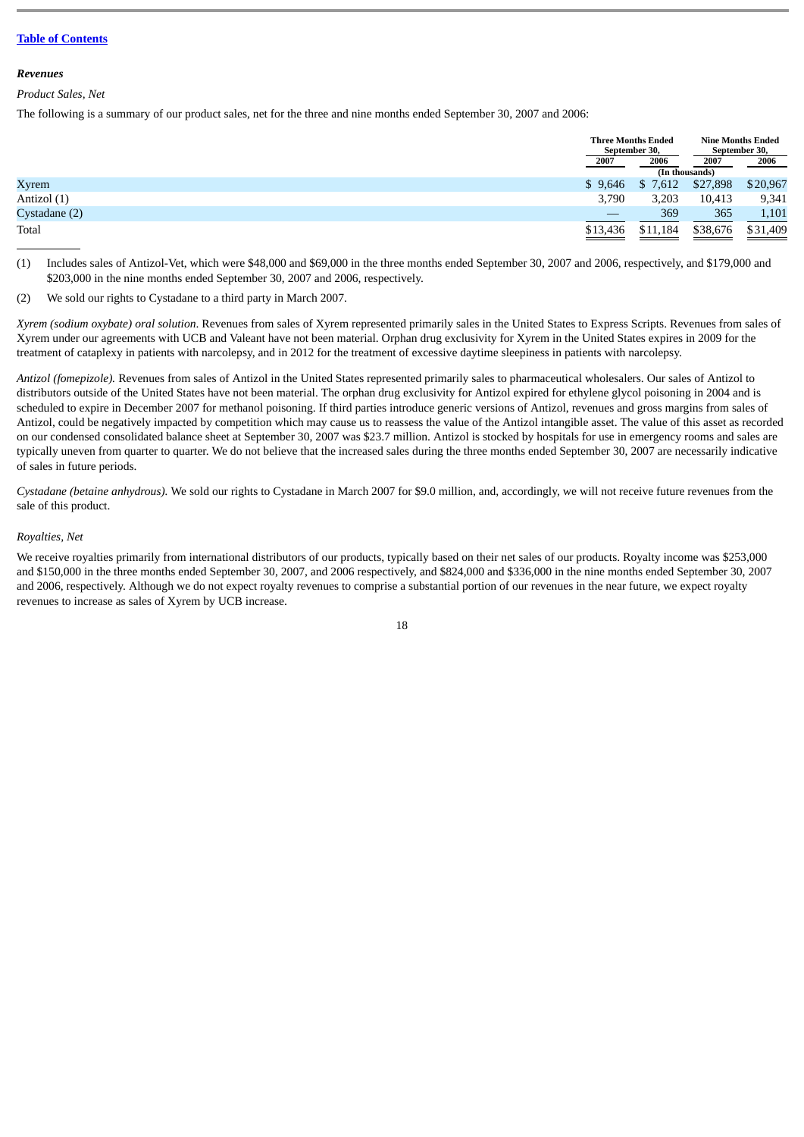#### *Revenues*

*Product Sales, Net*

The following is a summary of our product sales, net for the three and nine months ended September 30, 2007 and 2006:

|               |          | <b>Three Months Ended</b><br>September 30, | <b>Nine Months Ended</b><br>September 30, |          |
|---------------|----------|--------------------------------------------|-------------------------------------------|----------|
|               | 2007     | 2006                                       | 2007                                      | 2006     |
|               |          |                                            | (In thousands)                            |          |
| Xyrem         | \$9,646  | 7,612                                      | \$27,898                                  | \$20,967 |
| Antizol (1)   | 3,790    | 3,203                                      | 10,413                                    | 9,341    |
| Cystadane (2) |          | 369                                        | 365                                       | 1,101    |
| Total         | \$13,436 | \$11,184                                   | \$38,676                                  | \$31,409 |

(1) Includes sales of Antizol-Vet, which were \$48,000 and \$69,000 in the three months ended September 30, 2007 and 2006, respectively, and \$179,000 and \$203,000 in the nine months ended September 30, 2007 and 2006, respectively.

(2) We sold our rights to Cystadane to a third party in March 2007.

*Xyrem (sodium oxybate) oral solution*. Revenues from sales of Xyrem represented primarily sales in the United States to Express Scripts. Revenues from sales of Xyrem under our agreements with UCB and Valeant have not been material. Orphan drug exclusivity for Xyrem in the United States expires in 2009 for the treatment of cataplexy in patients with narcolepsy, and in 2012 for the treatment of excessive daytime sleepiness in patients with narcolepsy.

*Antizol (fomepizole).* Revenues from sales of Antizol in the United States represented primarily sales to pharmaceutical wholesalers. Our sales of Antizol to distributors outside of the United States have not been material. The orphan drug exclusivity for Antizol expired for ethylene glycol poisoning in 2004 and is scheduled to expire in December 2007 for methanol poisoning. If third parties introduce generic versions of Antizol, revenues and gross margins from sales of Antizol, could be negatively impacted by competition which may cause us to reassess the value of the Antizol intangible asset. The value of this asset as recorded on our condensed consolidated balance sheet at September 30, 2007 was \$23.7 million. Antizol is stocked by hospitals for use in emergency rooms and sales are typically uneven from quarter to quarter. We do not believe that the increased sales during the three months ended September 30, 2007 are necessarily indicative of sales in future periods.

*Cystadane (betaine anhydrous).* We sold our rights to Cystadane in March 2007 for \$9.0 million, and, accordingly, we will not receive future revenues from the sale of this product.

#### *Royalties, Net*

We receive royalties primarily from international distributors of our products, typically based on their net sales of our products. Royalty income was \$253,000 and \$150,000 in the three months ended September 30, 2007, and 2006 respectively, and \$824,000 and \$336,000 in the nine months ended September 30, 2007 and 2006, respectively. Although we do not expect royalty revenues to comprise a substantial portion of our revenues in the near future, we expect royalty revenues to increase as sales of Xyrem by UCB increase.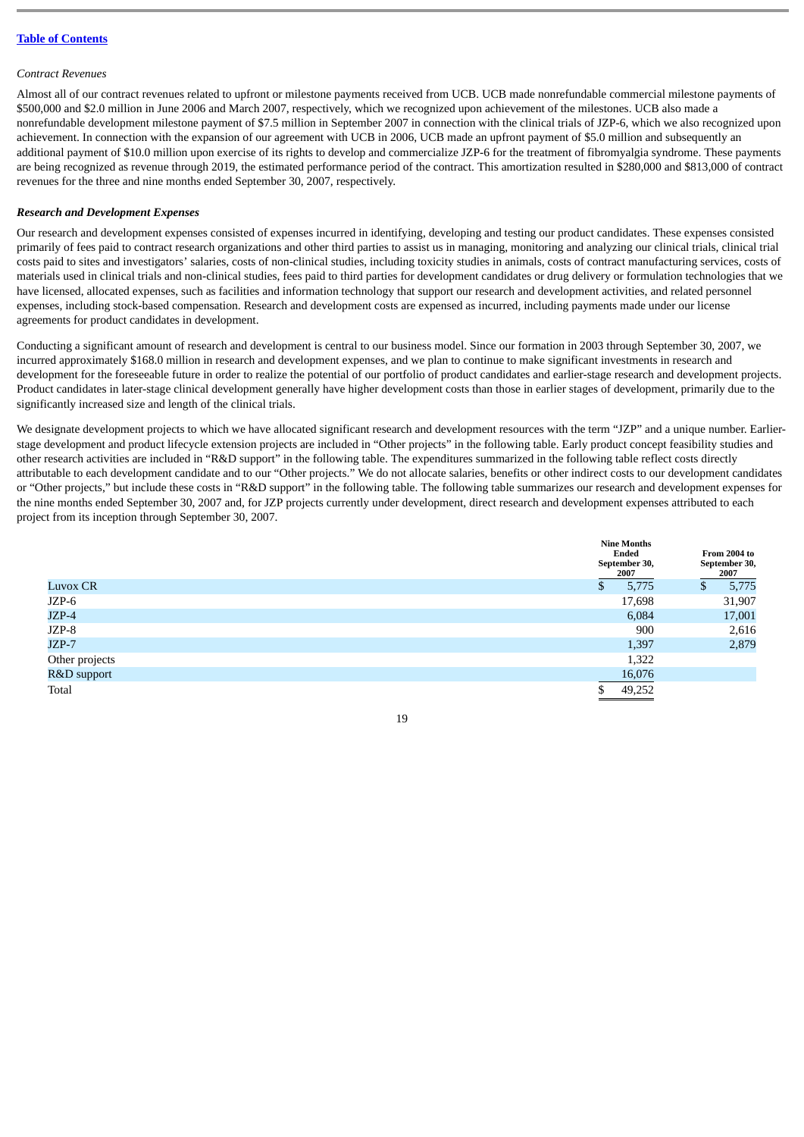#### *Contract Revenues*

Almost all of our contract revenues related to upfront or milestone payments received from UCB. UCB made nonrefundable commercial milestone payments of \$500,000 and \$2.0 million in June 2006 and March 2007, respectively, which we recognized upon achievement of the milestones. UCB also made a nonrefundable development milestone payment of \$7.5 million in September 2007 in connection with the clinical trials of JZP-6, which we also recognized upon achievement. In connection with the expansion of our agreement with UCB in 2006, UCB made an upfront payment of \$5.0 million and subsequently an additional payment of \$10.0 million upon exercise of its rights to develop and commercialize JZP-6 for the treatment of fibromyalgia syndrome. These payments are being recognized as revenue through 2019, the estimated performance period of the contract. This amortization resulted in \$280,000 and \$813,000 of contract revenues for the three and nine months ended September 30, 2007, respectively.

#### *Research and Development Expenses*

Our research and development expenses consisted of expenses incurred in identifying, developing and testing our product candidates. These expenses consisted primarily of fees paid to contract research organizations and other third parties to assist us in managing, monitoring and analyzing our clinical trials, clinical trial costs paid to sites and investigators' salaries, costs of non-clinical studies, including toxicity studies in animals, costs of contract manufacturing services, costs of materials used in clinical trials and non-clinical studies, fees paid to third parties for development candidates or drug delivery or formulation technologies that we have licensed, allocated expenses, such as facilities and information technology that support our research and development activities, and related personnel expenses, including stock-based compensation. Research and development costs are expensed as incurred, including payments made under our license agreements for product candidates in development.

Conducting a significant amount of research and development is central to our business model. Since our formation in 2003 through September 30, 2007, we incurred approximately \$168.0 million in research and development expenses, and we plan to continue to make significant investments in research and development for the foreseeable future in order to realize the potential of our portfolio of product candidates and earlier-stage research and development projects. Product candidates in later-stage clinical development generally have higher development costs than those in earlier stages of development, primarily due to the significantly increased size and length of the clinical trials.

We designate development projects to which we have allocated significant research and development resources with the term "JZP" and a unique number. Earlierstage development and product lifecycle extension projects are included in "Other projects" in the following table. Early product concept feasibility studies and other research activities are included in "R&D support" in the following table. The expenditures summarized in the following table reflect costs directly attributable to each development candidate and to our "Other projects." We do not allocate salaries, benefits or other indirect costs to our development candidates or "Other projects," but include these costs in "R&D support" in the following table. The following table summarizes our research and development expenses for the nine months ended September 30, 2007 and, for JZP projects currently under development, direct research and development expenses attributed to each project from its inception through September 30, 2007.

|                | <b>Nine Months</b><br>Ended<br>September 30,<br>2007 | From 2004 to<br>September 30,<br>2007 |  |
|----------------|------------------------------------------------------|---------------------------------------|--|
| Luvox CR       | 5,775<br>D                                           | 5,775<br>S                            |  |
| JZP-6          | 17,698                                               | 31,907                                |  |
| $JZP-4$        | 6,084                                                | 17,001                                |  |
| JZP-8          | 900                                                  | 2,616                                 |  |
| $JZP-7$        | 1,397                                                | 2,879                                 |  |
| Other projects | 1,322                                                |                                       |  |
| R&D support    | 16,076                                               |                                       |  |
| Total          | 49,252                                               |                                       |  |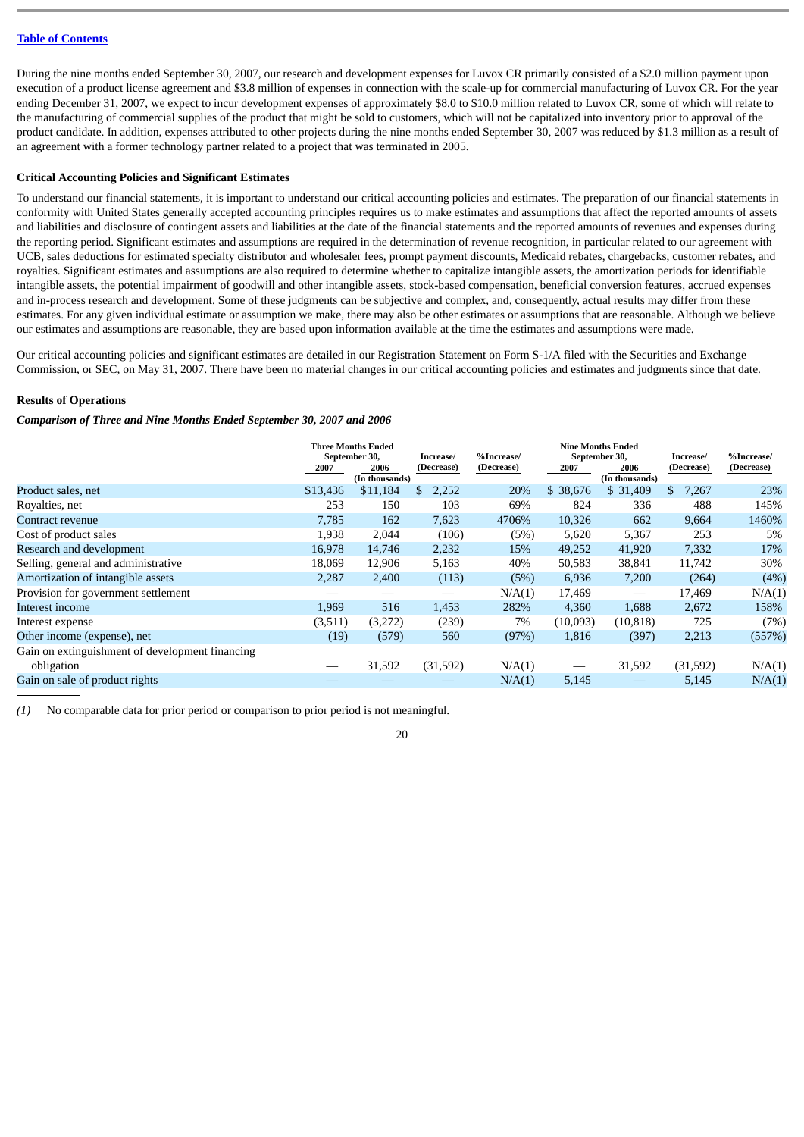During the nine months ended September 30, 2007, our research and development expenses for Luvox CR primarily consisted of a \$2.0 million payment upon execution of a product license agreement and \$3.8 million of expenses in connection with the scale-up for commercial manufacturing of Luvox CR. For the year ending December 31, 2007, we expect to incur development expenses of approximately \$8.0 to \$10.0 million related to Luvox CR, some of which will relate to the manufacturing of commercial supplies of the product that might be sold to customers, which will not be capitalized into inventory prior to approval of the product candidate. In addition, expenses attributed to other projects during the nine months ended September 30, 2007 was reduced by \$1.3 million as a result of an agreement with a former technology partner related to a project that was terminated in 2005.

#### **Critical Accounting Policies and Significant Estimates**

To understand our financial statements, it is important to understand our critical accounting policies and estimates. The preparation of our financial statements in conformity with United States generally accepted accounting principles requires us to make estimates and assumptions that affect the reported amounts of assets and liabilities and disclosure of contingent assets and liabilities at the date of the financial statements and the reported amounts of revenues and expenses during the reporting period. Significant estimates and assumptions are required in the determination of revenue recognition, in particular related to our agreement with UCB, sales deductions for estimated specialty distributor and wholesaler fees, prompt payment discounts, Medicaid rebates, chargebacks, customer rebates, and royalties. Significant estimates and assumptions are also required to determine whether to capitalize intangible assets, the amortization periods for identifiable intangible assets, the potential impairment of goodwill and other intangible assets, stock-based compensation, beneficial conversion features, accrued expenses and in-process research and development. Some of these judgments can be subjective and complex, and, consequently, actual results may differ from these estimates. For any given individual estimate or assumption we make, there may also be other estimates or assumptions that are reasonable. Although we believe our estimates and assumptions are reasonable, they are based upon information available at the time the estimates and assumptions were made.

Our critical accounting policies and significant estimates are detailed in our Registration Statement on Form S-1/A filed with the Securities and Exchange Commission, or SEC, on May 31, 2007. There have been no material changes in our critical accounting policies and estimates and judgments since that date.

#### **Results of Operations**

*Comparison of Three and Nine Months Ended September 30, 2007 and 2006*

|                                                 | <b>Three Months Ended</b><br>September 30,<br>Increase/ |                | <b>Nine Months Ended</b><br>%Increase/<br>September 30, |            |          | Increase/         | %Increase/  |            |
|-------------------------------------------------|---------------------------------------------------------|----------------|---------------------------------------------------------|------------|----------|-------------------|-------------|------------|
|                                                 | 2007                                                    | 2006           | (Decrease)                                              | (Decrease) | 2007     | 2006              | (Decrease)  | (Decrease) |
|                                                 |                                                         | (In thousands) |                                                         |            |          | (In thousands)    |             |            |
| Product sales, net                              | \$13,436                                                | \$11,184       | \$<br>2,252                                             | 20%        | \$38,676 | \$ 31,409         | \$<br>7,267 | 23%        |
| Royalties, net                                  | 253                                                     | 150            | 103                                                     | 69%        | 824      | 336               | 488         | 145%       |
| Contract revenue                                | 7,785                                                   | 162            | 7,623                                                   | 4706%      | 10,326   | 662               | 9,664       | 1460%      |
| Cost of product sales                           | 1,938                                                   | 2,044          | (106)                                                   | (5%)       | 5,620    | 5,367             | 253         | 5%         |
| Research and development                        | 16,978                                                  | 14,746         | 2,232                                                   | 15%        | 49,252   | 41,920            | 7,332       | 17%        |
| Selling, general and administrative             | 18,069                                                  | 12,906         | 5,163                                                   | 40%        | 50,583   | 38,841            | 11,742      | 30%        |
| Amortization of intangible assets               | 2,287                                                   | 2,400          | (113)                                                   | (5%)       | 6,936    | 7,200             | (264)       | (4%)       |
| Provision for government settlement             |                                                         | __             |                                                         | N/A(1)     | 17,469   | $\hspace{0.05cm}$ | 17,469      | N/A(1)     |
| Interest income                                 | 1,969                                                   | 516            | 1,453                                                   | 282%       | 4,360    | 1,688             | 2,672       | 158%       |
| Interest expense                                | (3,511)                                                 | (3,272)        | (239)                                                   | 7%         | (10,093) | (10, 818)         | 725         | (7%)       |
| Other income (expense), net                     | (19)                                                    | (579)          | 560                                                     | (97%)      | 1,816    | (397)             | 2,213       | (557%)     |
| Gain on extinguishment of development financing |                                                         |                |                                                         |            |          |                   |             |            |
| obligation                                      |                                                         | 31,592         | (31,592)                                                | N/A(1)     |          | 31,592            | (31,592)    | N/A(1)     |
| Gain on sale of product rights                  |                                                         |                |                                                         | N/A(1)     | 5,145    |                   | 5,145       | N/A(1)     |
|                                                 |                                                         |                |                                                         |            |          |                   |             |            |

*(1)* No comparable data for prior period or comparison to prior period is not meaningful.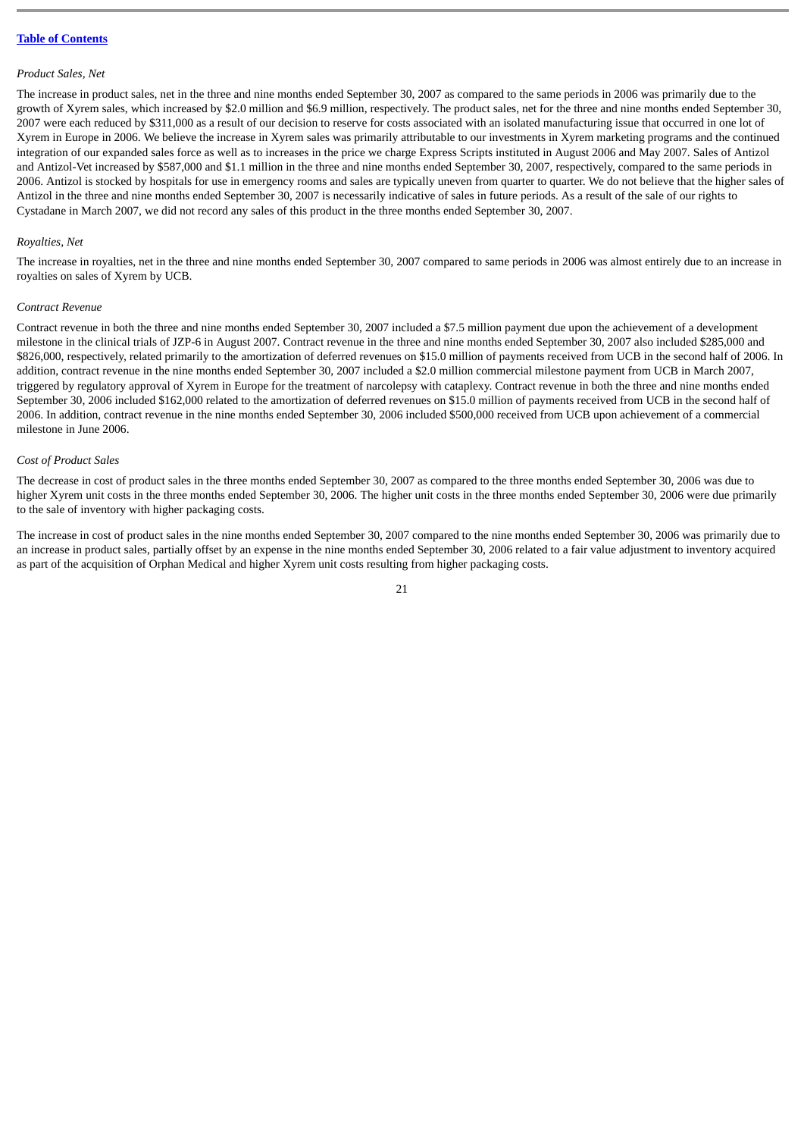#### *Product Sales, Net*

The increase in product sales, net in the three and nine months ended September 30, 2007 as compared to the same periods in 2006 was primarily due to the growth of Xyrem sales, which increased by \$2.0 million and \$6.9 million, respectively. The product sales, net for the three and nine months ended September 30, 2007 were each reduced by \$311,000 as a result of our decision to reserve for costs associated with an isolated manufacturing issue that occurred in one lot of Xyrem in Europe in 2006. We believe the increase in Xyrem sales was primarily attributable to our investments in Xyrem marketing programs and the continued integration of our expanded sales force as well as to increases in the price we charge Express Scripts instituted in August 2006 and May 2007. Sales of Antizol and Antizol-Vet increased by \$587,000 and \$1.1 million in the three and nine months ended September 30, 2007, respectively, compared to the same periods in 2006. Antizol is stocked by hospitals for use in emergency rooms and sales are typically uneven from quarter to quarter. We do not believe that the higher sales of Antizol in the three and nine months ended September 30, 2007 is necessarily indicative of sales in future periods. As a result of the sale of our rights to Cystadane in March 2007, we did not record any sales of this product in the three months ended September 30, 2007.

#### *Royalties, Net*

The increase in royalties, net in the three and nine months ended September 30, 2007 compared to same periods in 2006 was almost entirely due to an increase in royalties on sales of Xyrem by UCB.

#### *Contract Revenue*

Contract revenue in both the three and nine months ended September 30, 2007 included a \$7.5 million payment due upon the achievement of a development milestone in the clinical trials of JZP-6 in August 2007. Contract revenue in the three and nine months ended September 30, 2007 also included \$285,000 and \$826,000, respectively, related primarily to the amortization of deferred revenues on \$15.0 million of payments received from UCB in the second half of 2006. In addition, contract revenue in the nine months ended September 30, 2007 included a \$2.0 million commercial milestone payment from UCB in March 2007, triggered by regulatory approval of Xyrem in Europe for the treatment of narcolepsy with cataplexy. Contract revenue in both the three and nine months ended September 30, 2006 included \$162,000 related to the amortization of deferred revenues on \$15.0 million of payments received from UCB in the second half of 2006. In addition, contract revenue in the nine months ended September 30, 2006 included \$500,000 received from UCB upon achievement of a commercial milestone in June 2006.

#### *Cost of Product Sales*

The decrease in cost of product sales in the three months ended September 30, 2007 as compared to the three months ended September 30, 2006 was due to higher Xyrem unit costs in the three months ended September 30, 2006. The higher unit costs in the three months ended September 30, 2006 were due primarily to the sale of inventory with higher packaging costs.

The increase in cost of product sales in the nine months ended September 30, 2007 compared to the nine months ended September 30, 2006 was primarily due to an increase in product sales, partially offset by an expense in the nine months ended September 30, 2006 related to a fair value adjustment to inventory acquired as part of the acquisition of Orphan Medical and higher Xyrem unit costs resulting from higher packaging costs.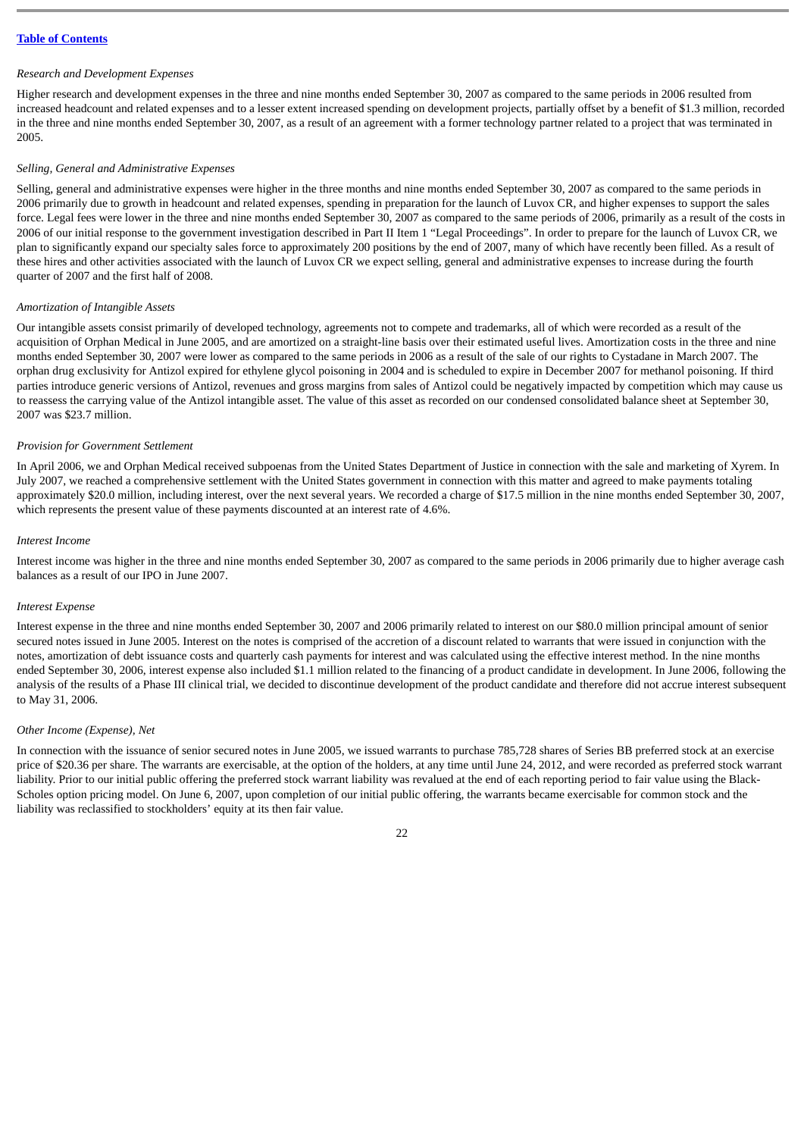#### *Research and Development Expenses*

Higher research and development expenses in the three and nine months ended September 30, 2007 as compared to the same periods in 2006 resulted from increased headcount and related expenses and to a lesser extent increased spending on development projects, partially offset by a benefit of \$1.3 million, recorded in the three and nine months ended September 30, 2007, as a result of an agreement with a former technology partner related to a project that was terminated in 2005.

#### *Selling, General and Administrative Expenses*

Selling, general and administrative expenses were higher in the three months and nine months ended September 30, 2007 as compared to the same periods in 2006 primarily due to growth in headcount and related expenses, spending in preparation for the launch of Luvox CR, and higher expenses to support the sales force. Legal fees were lower in the three and nine months ended September 30, 2007 as compared to the same periods of 2006, primarily as a result of the costs in 2006 of our initial response to the government investigation described in Part II Item 1 "Legal Proceedings". In order to prepare for the launch of Luvox CR, we plan to significantly expand our specialty sales force to approximately 200 positions by the end of 2007, many of which have recently been filled. As a result of these hires and other activities associated with the launch of Luvox CR we expect selling, general and administrative expenses to increase during the fourth quarter of 2007 and the first half of 2008.

#### *Amortization of Intangible Assets*

Our intangible assets consist primarily of developed technology, agreements not to compete and trademarks, all of which were recorded as a result of the acquisition of Orphan Medical in June 2005, and are amortized on a straight-line basis over their estimated useful lives. Amortization costs in the three and nine months ended September 30, 2007 were lower as compared to the same periods in 2006 as a result of the sale of our rights to Cystadane in March 2007. The orphan drug exclusivity for Antizol expired for ethylene glycol poisoning in 2004 and is scheduled to expire in December 2007 for methanol poisoning. If third parties introduce generic versions of Antizol, revenues and gross margins from sales of Antizol could be negatively impacted by competition which may cause us to reassess the carrying value of the Antizol intangible asset. The value of this asset as recorded on our condensed consolidated balance sheet at September 30, 2007 was \$23.7 million.

#### *Provision for Government Settlement*

In April 2006, we and Orphan Medical received subpoenas from the United States Department of Justice in connection with the sale and marketing of Xyrem. In July 2007, we reached a comprehensive settlement with the United States government in connection with this matter and agreed to make payments totaling approximately \$20.0 million, including interest, over the next several years. We recorded a charge of \$17.5 million in the nine months ended September 30, 2007, which represents the present value of these payments discounted at an interest rate of 4.6%.

#### *Interest Income*

Interest income was higher in the three and nine months ended September 30, 2007 as compared to the same periods in 2006 primarily due to higher average cash balances as a result of our IPO in June 2007.

#### *Interest Expense*

Interest expense in the three and nine months ended September 30, 2007 and 2006 primarily related to interest on our \$80.0 million principal amount of senior secured notes issued in June 2005. Interest on the notes is comprised of the accretion of a discount related to warrants that were issued in conjunction with the notes, amortization of debt issuance costs and quarterly cash payments for interest and was calculated using the effective interest method. In the nine months ended September 30, 2006, interest expense also included \$1.1 million related to the financing of a product candidate in development. In June 2006, following the analysis of the results of a Phase III clinical trial, we decided to discontinue development of the product candidate and therefore did not accrue interest subsequent to May 31, 2006.

#### *Other Income (Expense), Net*

In connection with the issuance of senior secured notes in June 2005, we issued warrants to purchase 785,728 shares of Series BB preferred stock at an exercise price of \$20.36 per share. The warrants are exercisable, at the option of the holders, at any time until June 24, 2012, and were recorded as preferred stock warrant liability. Prior to our initial public offering the preferred stock warrant liability was revalued at the end of each reporting period to fair value using the Black-Scholes option pricing model. On June 6, 2007, upon completion of our initial public offering, the warrants became exercisable for common stock and the liability was reclassified to stockholders' equity at its then fair value.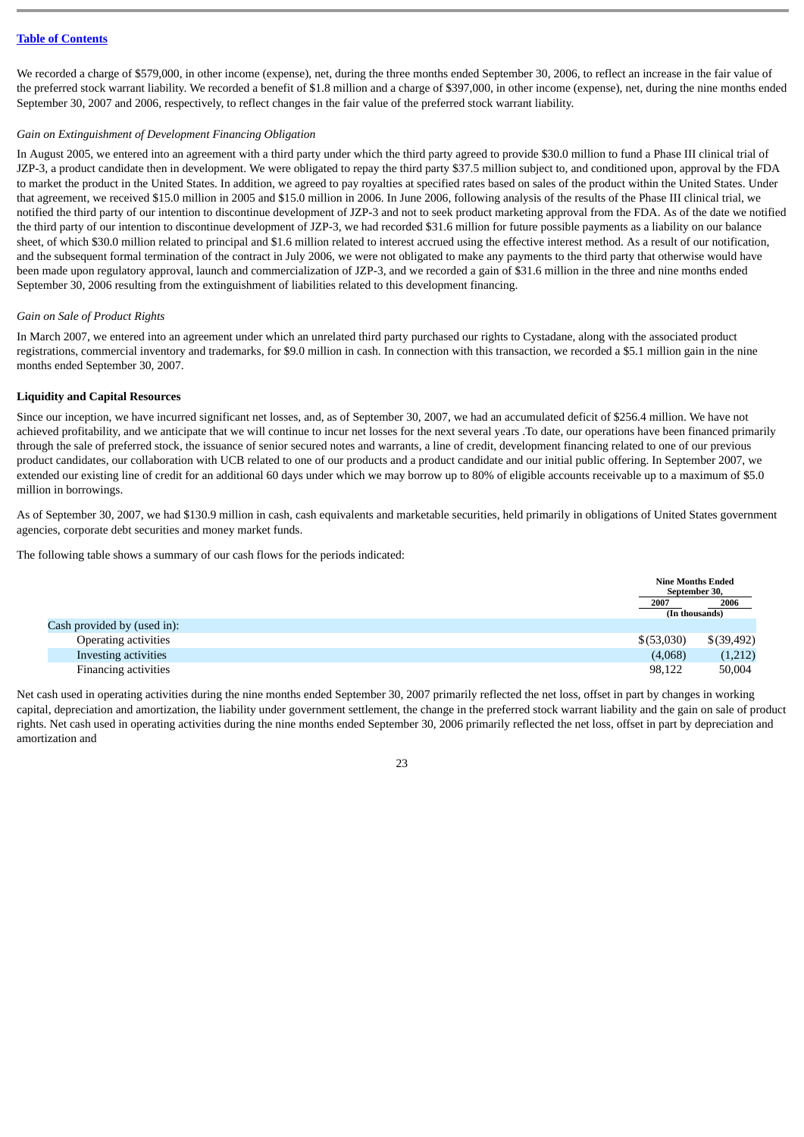We recorded a charge of \$579,000, in other income (expense), net, during the three months ended September 30, 2006, to reflect an increase in the fair value of the preferred stock warrant liability. We recorded a benefit of \$1.8 million and a charge of \$397,000, in other income (expense), net, during the nine months ended September 30, 2007 and 2006, respectively, to reflect changes in the fair value of the preferred stock warrant liability.

#### *Gain on Extinguishment of Development Financing Obligation*

In August 2005, we entered into an agreement with a third party under which the third party agreed to provide \$30.0 million to fund a Phase III clinical trial of JZP-3, a product candidate then in development. We were obligated to repay the third party \$37.5 million subject to, and conditioned upon, approval by the FDA to market the product in the United States. In addition, we agreed to pay royalties at specified rates based on sales of the product within the United States. Under that agreement, we received \$15.0 million in 2005 and \$15.0 million in 2006. In June 2006, following analysis of the results of the Phase III clinical trial, we notified the third party of our intention to discontinue development of JZP-3 and not to seek product marketing approval from the FDA. As of the date we notified the third party of our intention to discontinue development of JZP-3, we had recorded \$31.6 million for future possible payments as a liability on our balance sheet, of which \$30.0 million related to principal and \$1.6 million related to interest accrued using the effective interest method. As a result of our notification, and the subsequent formal termination of the contract in July 2006, we were not obligated to make any payments to the third party that otherwise would have been made upon regulatory approval, launch and commercialization of JZP-3, and we recorded a gain of \$31.6 million in the three and nine months ended September 30, 2006 resulting from the extinguishment of liabilities related to this development financing.

#### *Gain on Sale of Product Rights*

In March 2007, we entered into an agreement under which an unrelated third party purchased our rights to Cystadane, along with the associated product registrations, commercial inventory and trademarks, for \$9.0 million in cash. In connection with this transaction, we recorded a \$5.1 million gain in the nine months ended September 30, 2007.

#### **Liquidity and Capital Resources**

Since our inception, we have incurred significant net losses, and, as of September 30, 2007, we had an accumulated deficit of \$256.4 million. We have not achieved profitability, and we anticipate that we will continue to incur net losses for the next several years .To date, our operations have been financed primarily through the sale of preferred stock, the issuance of senior secured notes and warrants, a line of credit, development financing related to one of our previous product candidates, our collaboration with UCB related to one of our products and a product candidate and our initial public offering. In September 2007, we extended our existing line of credit for an additional 60 days under which we may borrow up to 80% of eligible accounts receivable up to a maximum of \$5.0 million in borrowings.

As of September 30, 2007, we had \$130.9 million in cash, cash equivalents and marketable securities, held primarily in obligations of United States government agencies, corporate debt securities and money market funds.

The following table shows a summary of our cash flows for the periods indicated:

|                             | <b>Nine Months Ended</b><br>September 30, |            |  |
|-----------------------------|-------------------------------------------|------------|--|
|                             | 2007                                      | 2006       |  |
|                             | (In thousands)                            |            |  |
| Cash provided by (used in): |                                           |            |  |
| Operating activities        | \$(53,030)                                | \$(39,492) |  |
| Investing activities        | (4,068)                                   | (1,212)    |  |
| Financing activities        | 98,122                                    | 50,004     |  |

Net cash used in operating activities during the nine months ended September 30, 2007 primarily reflected the net loss, offset in part by changes in working capital, depreciation and amortization, the liability under government settlement, the change in the preferred stock warrant liability and the gain on sale of product rights. Net cash used in operating activities during the nine months ended September 30, 2006 primarily reflected the net loss, offset in part by depreciation and amortization and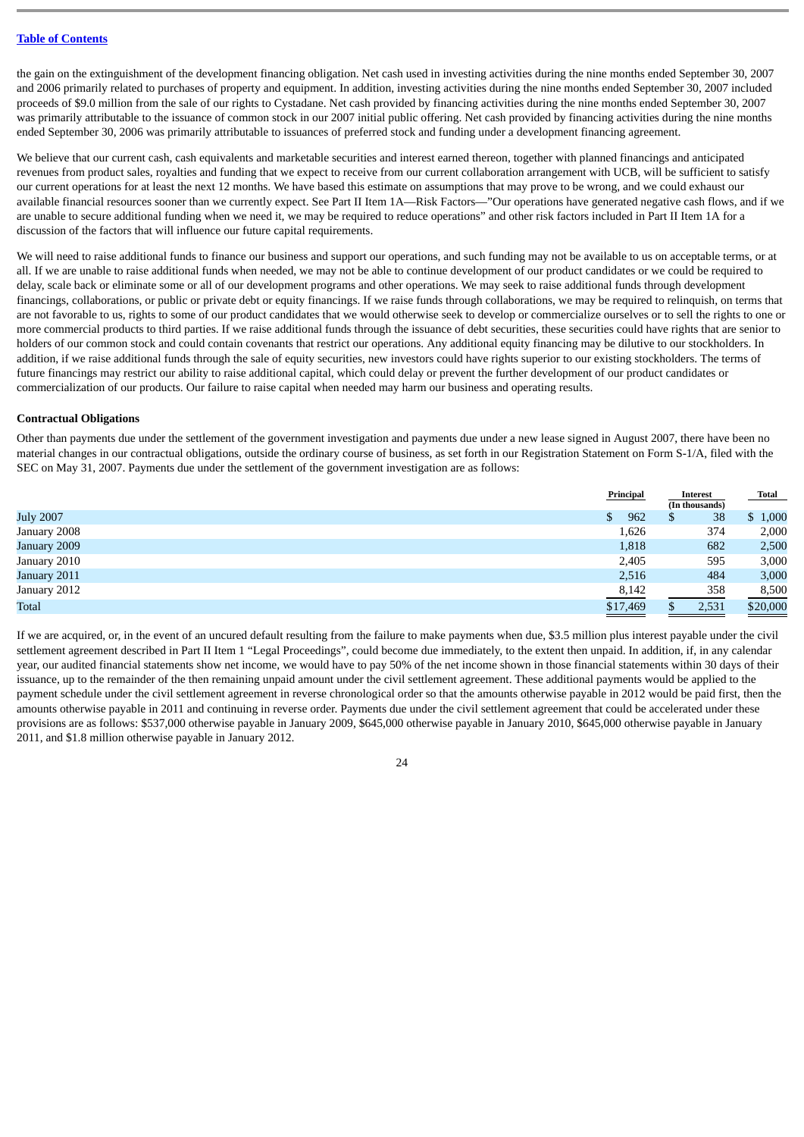the gain on the extinguishment of the development financing obligation. Net cash used in investing activities during the nine months ended September 30, 2007 and 2006 primarily related to purchases of property and equipment. In addition, investing activities during the nine months ended September 30, 2007 included proceeds of \$9.0 million from the sale of our rights to Cystadane. Net cash provided by financing activities during the nine months ended September 30, 2007 was primarily attributable to the issuance of common stock in our 2007 initial public offering. Net cash provided by financing activities during the nine months ended September 30, 2006 was primarily attributable to issuances of preferred stock and funding under a development financing agreement.

We believe that our current cash, cash equivalents and marketable securities and interest earned thereon, together with planned financings and anticipated revenues from product sales, royalties and funding that we expect to receive from our current collaboration arrangement with UCB, will be sufficient to satisfy our current operations for at least the next 12 months. We have based this estimate on assumptions that may prove to be wrong, and we could exhaust our available financial resources sooner than we currently expect. See Part II Item 1A—Risk Factors—"Our operations have generated negative cash flows, and if we are unable to secure additional funding when we need it, we may be required to reduce operations" and other risk factors included in Part II Item 1A for a discussion of the factors that will influence our future capital requirements.

We will need to raise additional funds to finance our business and support our operations, and such funding may not be available to us on acceptable terms, or at all. If we are unable to raise additional funds when needed, we may not be able to continue development of our product candidates or we could be required to delay, scale back or eliminate some or all of our development programs and other operations. We may seek to raise additional funds through development financings, collaborations, or public or private debt or equity financings. If we raise funds through collaborations, we may be required to relinquish, on terms that are not favorable to us, rights to some of our product candidates that we would otherwise seek to develop or commercialize ourselves or to sell the rights to one or more commercial products to third parties. If we raise additional funds through the issuance of debt securities, these securities could have rights that are senior to holders of our common stock and could contain covenants that restrict our operations. Any additional equity financing may be dilutive to our stockholders. In addition, if we raise additional funds through the sale of equity securities, new investors could have rights superior to our existing stockholders. The terms of future financings may restrict our ability to raise additional capital, which could delay or prevent the further development of our product candidates or commercialization of our products. Our failure to raise capital when needed may harm our business and operating results.

#### **Contractual Obligations**

Other than payments due under the settlement of the government investigation and payments due under a new lease signed in August 2007, there have been no material changes in our contractual obligations, outside the ordinary course of business, as set forth in our Registration Statement on Form S-1/A, filed with the SEC on May 31, 2007. Payments due under the settlement of the government investigation are as follows:

|                  | Principal | <b>Interest</b><br>(In thousands) | Total    |
|------------------|-----------|-----------------------------------|----------|
| <b>July 2007</b> | 962<br>\$ | 38                                | \$1,000  |
| January 2008     | 1,626     | 374                               | 2,000    |
| January 2009     | 1,818     | 682                               | 2,500    |
| January 2010     | 2,405     | 595                               | 3,000    |
| January 2011     | 2,516     | 484                               | 3,000    |
| January 2012     | 8,142     | 358                               | 8,500    |
| <b>Total</b>     | \$17,469  | 2,531                             | \$20,000 |

If we are acquired, or, in the event of an uncured default resulting from the failure to make payments when due, \$3.5 million plus interest payable under the civil settlement agreement described in Part II Item 1 "Legal Proceedings", could become due immediately, to the extent then unpaid. In addition, if, in any calendar year, our audited financial statements show net income, we would have to pay 50% of the net income shown in those financial statements within 30 days of their issuance, up to the remainder of the then remaining unpaid amount under the civil settlement agreement. These additional payments would be applied to the payment schedule under the civil settlement agreement in reverse chronological order so that the amounts otherwise payable in 2012 would be paid first, then the amounts otherwise payable in 2011 and continuing in reverse order. Payments due under the civil settlement agreement that could be accelerated under these provisions are as follows: \$537,000 otherwise payable in January 2009, \$645,000 otherwise payable in January 2010, \$645,000 otherwise payable in January 2011, and \$1.8 million otherwise payable in January 2012.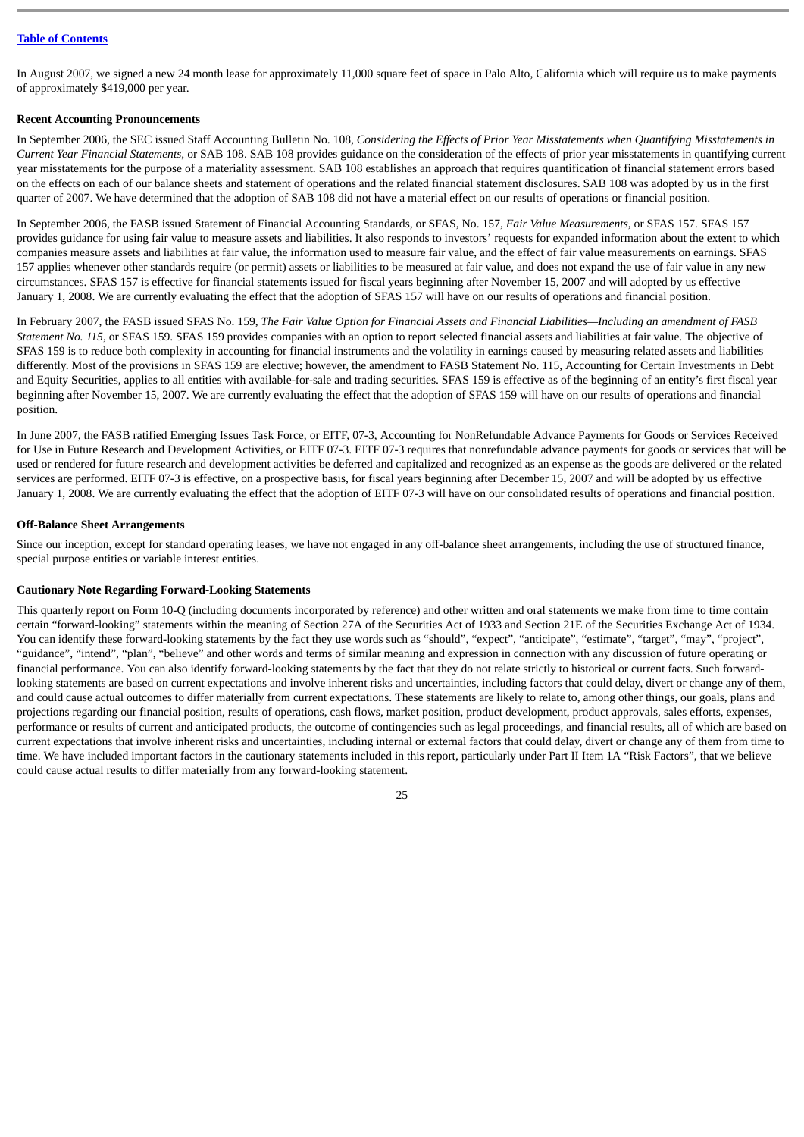In August 2007, we signed a new 24 month lease for approximately 11,000 square feet of space in Palo Alto, California which will require us to make payments of approximately \$419,000 per year.

#### **Recent Accounting Pronouncements**

In September 2006, the SEC issued Staff Accounting Bulletin No. 108, *Considering the Effects of Prior Year Misstatements when Quantifying Misstatements in Current Year Financial Statements*, or SAB 108. SAB 108 provides guidance on the consideration of the effects of prior year misstatements in quantifying current year misstatements for the purpose of a materiality assessment. SAB 108 establishes an approach that requires quantification of financial statement errors based on the effects on each of our balance sheets and statement of operations and the related financial statement disclosures. SAB 108 was adopted by us in the first quarter of 2007. We have determined that the adoption of SAB 108 did not have a material effect on our results of operations or financial position.

In September 2006, the FASB issued Statement of Financial Accounting Standards, or SFAS, No. 157, *Fair Value Measurements*, or SFAS 157. SFAS 157 provides guidance for using fair value to measure assets and liabilities. It also responds to investors' requests for expanded information about the extent to which companies measure assets and liabilities at fair value, the information used to measure fair value, and the effect of fair value measurements on earnings. SFAS 157 applies whenever other standards require (or permit) assets or liabilities to be measured at fair value, and does not expand the use of fair value in any new circumstances. SFAS 157 is effective for financial statements issued for fiscal years beginning after November 15, 2007 and will adopted by us effective January 1, 2008. We are currently evaluating the effect that the adoption of SFAS 157 will have on our results of operations and financial position.

In February 2007, the FASB issued SFAS No. 159, *The Fair Value Option for Financial Assets and Financial Liabilities—Including an amendment of FASB Statement No. 115*, or SFAS 159. SFAS 159 provides companies with an option to report selected financial assets and liabilities at fair value. The objective of SFAS 159 is to reduce both complexity in accounting for financial instruments and the volatility in earnings caused by measuring related assets and liabilities differently. Most of the provisions in SFAS 159 are elective; however, the amendment to FASB Statement No. 115, Accounting for Certain Investments in Debt and Equity Securities, applies to all entities with available-for-sale and trading securities. SFAS 159 is effective as of the beginning of an entity's first fiscal year beginning after November 15, 2007. We are currently evaluating the effect that the adoption of SFAS 159 will have on our results of operations and financial position.

In June 2007, the FASB ratified Emerging Issues Task Force, or EITF, 07-3, Accounting for NonRefundable Advance Payments for Goods or Services Received for Use in Future Research and Development Activities, or EITF 07-3. EITF 07-3 requires that nonrefundable advance payments for goods or services that will be used or rendered for future research and development activities be deferred and capitalized and recognized as an expense as the goods are delivered or the related services are performed. EITF 07-3 is effective, on a prospective basis, for fiscal years beginning after December 15, 2007 and will be adopted by us effective January 1, 2008. We are currently evaluating the effect that the adoption of EITF 07-3 will have on our consolidated results of operations and financial position.

#### **Off-Balance Sheet Arrangements**

Since our inception, except for standard operating leases, we have not engaged in any off-balance sheet arrangements, including the use of structured finance, special purpose entities or variable interest entities.

#### **Cautionary Note Regarding Forward-Looking Statements**

This quarterly report on Form 10-Q (including documents incorporated by reference) and other written and oral statements we make from time to time contain certain "forward-looking" statements within the meaning of Section 27A of the Securities Act of 1933 and Section 21E of the Securities Exchange Act of 1934. You can identify these forward-looking statements by the fact they use words such as "should", "expect", "anticipate", "estimate", "target", "may", "project", "guidance", "intend", "plan", "believe" and other words and terms of similar meaning and expression in connection with any discussion of future operating or financial performance. You can also identify forward-looking statements by the fact that they do not relate strictly to historical or current facts. Such forwardlooking statements are based on current expectations and involve inherent risks and uncertainties, including factors that could delay, divert or change any of them, and could cause actual outcomes to differ materially from current expectations. These statements are likely to relate to, among other things, our goals, plans and projections regarding our financial position, results of operations, cash flows, market position, product development, product approvals, sales efforts, expenses, performance or results of current and anticipated products, the outcome of contingencies such as legal proceedings, and financial results, all of which are based on current expectations that involve inherent risks and uncertainties, including internal or external factors that could delay, divert or change any of them from time to time. We have included important factors in the cautionary statements included in this report, particularly under Part II Item 1A "Risk Factors", that we believe could cause actual results to differ materially from any forward-looking statement.

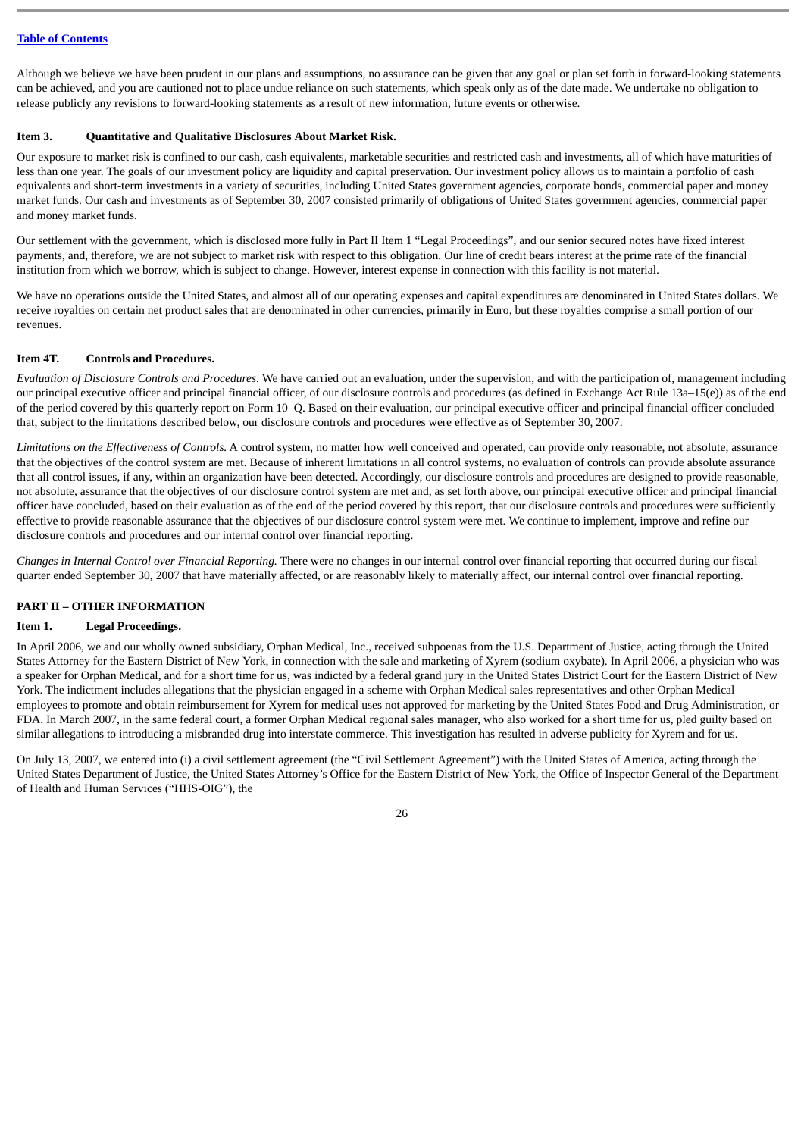Although we believe we have been prudent in our plans and assumptions, no assurance can be given that any goal or plan set forth in forward-looking statements can be achieved, and you are cautioned not to place undue reliance on such statements, which speak only as of the date made. We undertake no obligation to release publicly any revisions to forward-looking statements as a result of new information, future events or otherwise.

#### <span id="page-25-0"></span>**Item 3. Quantitative and Qualitative Disclosures About Market Risk.**

Our exposure to market risk is confined to our cash, cash equivalents, marketable securities and restricted cash and investments, all of which have maturities of less than one year. The goals of our investment policy are liquidity and capital preservation. Our investment policy allows us to maintain a portfolio of cash equivalents and short-term investments in a variety of securities, including United States government agencies, corporate bonds, commercial paper and money market funds. Our cash and investments as of September 30, 2007 consisted primarily of obligations of United States government agencies, commercial paper and money market funds.

Our settlement with the government, which is disclosed more fully in Part II Item 1 "Legal Proceedings", and our senior secured notes have fixed interest payments, and, therefore, we are not subject to market risk with respect to this obligation. Our line of credit bears interest at the prime rate of the financial institution from which we borrow, which is subject to change. However, interest expense in connection with this facility is not material.

We have no operations outside the United States, and almost all of our operating expenses and capital expenditures are denominated in United States dollars. We receive royalties on certain net product sales that are denominated in other currencies, primarily in Euro, but these royalties comprise a small portion of our revenues.

#### <span id="page-25-1"></span>**Item 4T. Controls and Procedures.**

*Evaluation of Disclosure Controls and Procedures*. We have carried out an evaluation, under the supervision, and with the participation of, management including our principal executive officer and principal financial officer, of our disclosure controls and procedures (as defined in Exchange Act Rule 13a–15(e)) as of the end of the period covered by this quarterly report on Form 10–Q. Based on their evaluation, our principal executive officer and principal financial officer concluded that, subject to the limitations described below, our disclosure controls and procedures were effective as of September 30, 2007.

*Limitations on the Effectiveness of Controls.* A control system, no matter how well conceived and operated, can provide only reasonable, not absolute, assurance that the objectives of the control system are met. Because of inherent limitations in all control systems, no evaluation of controls can provide absolute assurance that all control issues, if any, within an organization have been detected. Accordingly, our disclosure controls and procedures are designed to provide reasonable, not absolute, assurance that the objectives of our disclosure control system are met and, as set forth above, our principal executive officer and principal financial officer have concluded, based on their evaluation as of the end of the period covered by this report, that our disclosure controls and procedures were sufficiently effective to provide reasonable assurance that the objectives of our disclosure control system were met. We continue to implement, improve and refine our disclosure controls and procedures and our internal control over financial reporting.

*Changes in Internal Control over Financial Reporting.* There were no changes in our internal control over financial reporting that occurred during our fiscal quarter ended September 30, 2007 that have materially affected, or are reasonably likely to materially affect, our internal control over financial reporting.

#### **PART II – OTHER INFORMATION**

#### <span id="page-25-2"></span>**Item 1. Legal Proceedings.**

In April 2006, we and our wholly owned subsidiary, Orphan Medical, Inc., received subpoenas from the U.S. Department of Justice, acting through the United States Attorney for the Eastern District of New York, in connection with the sale and marketing of Xyrem (sodium oxybate). In April 2006, a physician who was a speaker for Orphan Medical, and for a short time for us, was indicted by a federal grand jury in the United States District Court for the Eastern District of New York. The indictment includes allegations that the physician engaged in a scheme with Orphan Medical sales representatives and other Orphan Medical employees to promote and obtain reimbursement for Xyrem for medical uses not approved for marketing by the United States Food and Drug Administration, or FDA. In March 2007, in the same federal court, a former Orphan Medical regional sales manager, who also worked for a short time for us, pled guilty based on similar allegations to introducing a misbranded drug into interstate commerce. This investigation has resulted in adverse publicity for Xyrem and for us.

On July 13, 2007, we entered into (i) a civil settlement agreement (the "Civil Settlement Agreement") with the United States of America, acting through the United States Department of Justice, the United States Attorney's Office for the Eastern District of New York, the Office of Inspector General of the Department of Health and Human Services ("HHS-OIG"), the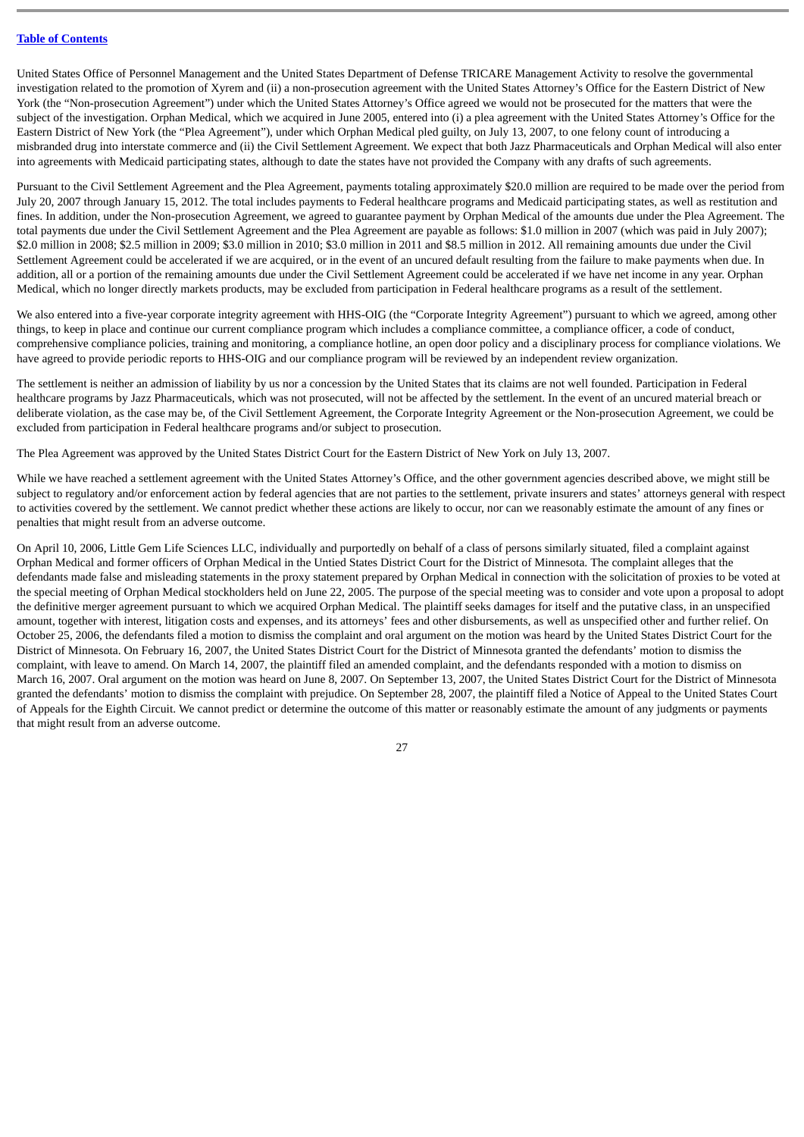United States Office of Personnel Management and the United States Department of Defense TRICARE Management Activity to resolve the governmental investigation related to the promotion of Xyrem and (ii) a non-prosecution agreement with the United States Attorney's Office for the Eastern District of New York (the "Non-prosecution Agreement") under which the United States Attorney's Office agreed we would not be prosecuted for the matters that were the subject of the investigation. Orphan Medical, which we acquired in June 2005, entered into (i) a plea agreement with the United States Attorney's Office for the Eastern District of New York (the "Plea Agreement"), under which Orphan Medical pled guilty, on July 13, 2007, to one felony count of introducing a misbranded drug into interstate commerce and (ii) the Civil Settlement Agreement. We expect that both Jazz Pharmaceuticals and Orphan Medical will also enter into agreements with Medicaid participating states, although to date the states have not provided the Company with any drafts of such agreements.

Pursuant to the Civil Settlement Agreement and the Plea Agreement, payments totaling approximately \$20.0 million are required to be made over the period from July 20, 2007 through January 15, 2012. The total includes payments to Federal healthcare programs and Medicaid participating states, as well as restitution and fines. In addition, under the Non-prosecution Agreement, we agreed to guarantee payment by Orphan Medical of the amounts due under the Plea Agreement. The total payments due under the Civil Settlement Agreement and the Plea Agreement are payable as follows: \$1.0 million in 2007 (which was paid in July 2007); \$2.0 million in 2008; \$2.5 million in 2009; \$3.0 million in 2010; \$3.0 million in 2011 and \$8.5 million in 2012. All remaining amounts due under the Civil Settlement Agreement could be accelerated if we are acquired, or in the event of an uncured default resulting from the failure to make payments when due. In addition, all or a portion of the remaining amounts due under the Civil Settlement Agreement could be accelerated if we have net income in any year. Orphan Medical, which no longer directly markets products, may be excluded from participation in Federal healthcare programs as a result of the settlement.

We also entered into a five-year corporate integrity agreement with HHS-OIG (the "Corporate Integrity Agreement") pursuant to which we agreed, among other things, to keep in place and continue our current compliance program which includes a compliance committee, a compliance officer, a code of conduct, comprehensive compliance policies, training and monitoring, a compliance hotline, an open door policy and a disciplinary process for compliance violations. We have agreed to provide periodic reports to HHS-OIG and our compliance program will be reviewed by an independent review organization.

The settlement is neither an admission of liability by us nor a concession by the United States that its claims are not well founded. Participation in Federal healthcare programs by Jazz Pharmaceuticals, which was not prosecuted, will not be affected by the settlement. In the event of an uncured material breach or deliberate violation, as the case may be, of the Civil Settlement Agreement, the Corporate Integrity Agreement or the Non-prosecution Agreement, we could be excluded from participation in Federal healthcare programs and/or subject to prosecution.

The Plea Agreement was approved by the United States District Court for the Eastern District of New York on July 13, 2007.

While we have reached a settlement agreement with the United States Attorney's Office, and the other government agencies described above, we might still be subject to regulatory and/or enforcement action by federal agencies that are not parties to the settlement, private insurers and states' attorneys general with respect to activities covered by the settlement. We cannot predict whether these actions are likely to occur, nor can we reasonably estimate the amount of any fines or penalties that might result from an adverse outcome.

On April 10, 2006, Little Gem Life Sciences LLC, individually and purportedly on behalf of a class of persons similarly situated, filed a complaint against Orphan Medical and former officers of Orphan Medical in the Untied States District Court for the District of Minnesota. The complaint alleges that the defendants made false and misleading statements in the proxy statement prepared by Orphan Medical in connection with the solicitation of proxies to be voted at the special meeting of Orphan Medical stockholders held on June 22, 2005. The purpose of the special meeting was to consider and vote upon a proposal to adopt the definitive merger agreement pursuant to which we acquired Orphan Medical. The plaintiff seeks damages for itself and the putative class, in an unspecified amount, together with interest, litigation costs and expenses, and its attorneys' fees and other disbursements, as well as unspecified other and further relief. On October 25, 2006, the defendants filed a motion to dismiss the complaint and oral argument on the motion was heard by the United States District Court for the District of Minnesota. On February 16, 2007, the United States District Court for the District of Minnesota granted the defendants' motion to dismiss the complaint, with leave to amend. On March 14, 2007, the plaintiff filed an amended complaint, and the defendants responded with a motion to dismiss on March 16, 2007. Oral argument on the motion was heard on June 8, 2007. On September 13, 2007, the United States District Court for the District of Minnesota granted the defendants' motion to dismiss the complaint with prejudice. On September 28, 2007, the plaintiff filed a Notice of Appeal to the United States Court of Appeals for the Eighth Circuit. We cannot predict or determine the outcome of this matter or reasonably estimate the amount of any judgments or payments that might result from an adverse outcome.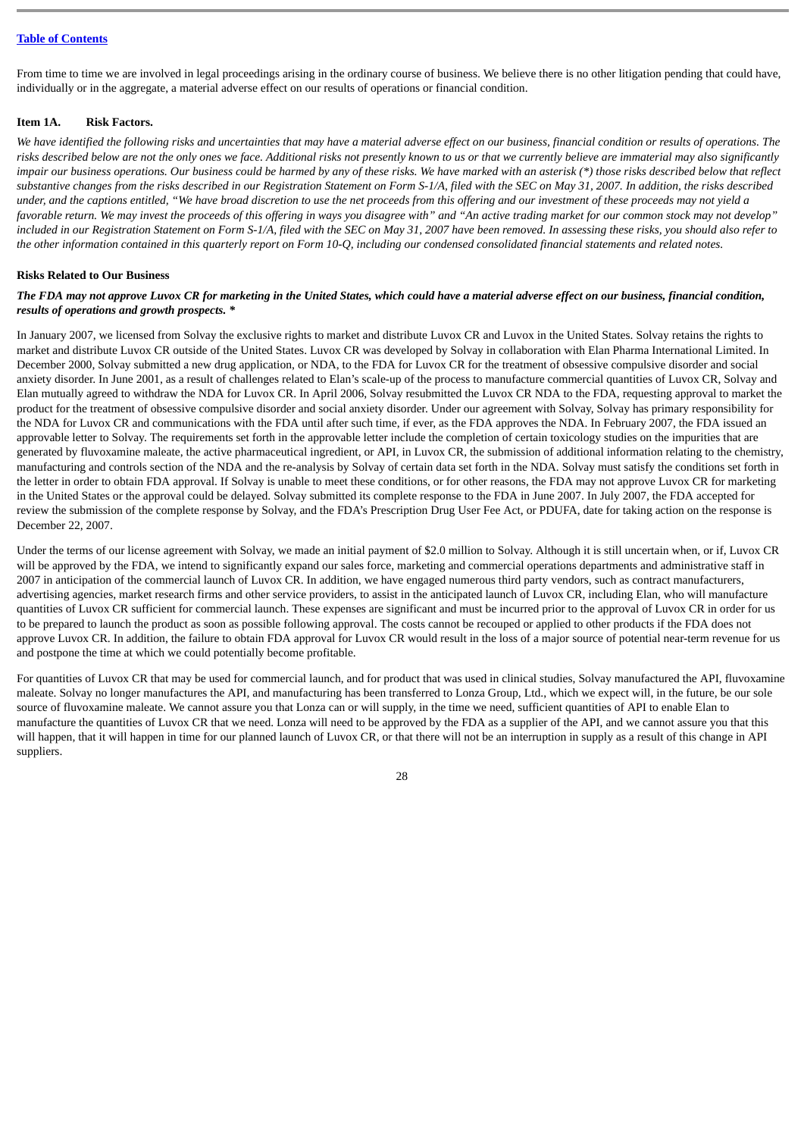From time to time we are involved in legal proceedings arising in the ordinary course of business. We believe there is no other litigation pending that could have, individually or in the aggregate, a material adverse effect on our results of operations or financial condition.

#### <span id="page-27-0"></span>**Item 1A. Risk Factors.**

*We have identified the following risks and uncertainties that may have a material adverse effect on our business, financial condition or results of operations. The risks described below are not the only ones we face. Additional risks not presently known to us or that we currently believe are immaterial may also significantly impair our business operations. Our business could be harmed by any of these risks. We have marked with an asterisk (\*) those risks described below that reflect substantive changes from the risks described in our Registration Statement on Form S-1/A, filed with the SEC on May 31, 2007. In addition, the risks described under, and the captions entitled, "We have broad discretion to use the net proceeds from this offering and our investment of these proceeds may not yield a favorable return. We may invest the proceeds of this offering in ways you disagree with" and "An active trading market for our common stock may not develop" included in our Registration Statement on Form S-1/A, filed with the SEC on May 31, 2007 have been removed. In assessing these risks, you should also refer to the other information contained in this quarterly report on Form 10-Q, including our condensed consolidated financial statements and related notes.*

#### **Risks Related to Our Business**

#### *The FDA may not approve Luvox CR for marketing in the United States, which could have a material adverse effect on our business, financial condition, results of operations and growth prospects. \**

In January 2007, we licensed from Solvay the exclusive rights to market and distribute Luvox CR and Luvox in the United States. Solvay retains the rights to market and distribute Luvox CR outside of the United States. Luvox CR was developed by Solvay in collaboration with Elan Pharma International Limited. In December 2000, Solvay submitted a new drug application, or NDA, to the FDA for Luvox CR for the treatment of obsessive compulsive disorder and social anxiety disorder. In June 2001, as a result of challenges related to Elan's scale-up of the process to manufacture commercial quantities of Luvox CR, Solvay and Elan mutually agreed to withdraw the NDA for Luvox CR. In April 2006, Solvay resubmitted the Luvox CR NDA to the FDA, requesting approval to market the product for the treatment of obsessive compulsive disorder and social anxiety disorder. Under our agreement with Solvay, Solvay has primary responsibility for the NDA for Luvox CR and communications with the FDA until after such time, if ever, as the FDA approves the NDA. In February 2007, the FDA issued an approvable letter to Solvay. The requirements set forth in the approvable letter include the completion of certain toxicology studies on the impurities that are generated by fluvoxamine maleate, the active pharmaceutical ingredient, or API, in Luvox CR, the submission of additional information relating to the chemistry, manufacturing and controls section of the NDA and the re-analysis by Solvay of certain data set forth in the NDA. Solvay must satisfy the conditions set forth in the letter in order to obtain FDA approval. If Solvay is unable to meet these conditions, or for other reasons, the FDA may not approve Luvox CR for marketing in the United States or the approval could be delayed. Solvay submitted its complete response to the FDA in June 2007. In July 2007, the FDA accepted for review the submission of the complete response by Solvay, and the FDA's Prescription Drug User Fee Act, or PDUFA, date for taking action on the response is December 22, 2007.

Under the terms of our license agreement with Solvay, we made an initial payment of \$2.0 million to Solvay. Although it is still uncertain when, or if, Luvox CR will be approved by the FDA, we intend to significantly expand our sales force, marketing and commercial operations departments and administrative staff in 2007 in anticipation of the commercial launch of Luvox CR. In addition, we have engaged numerous third party vendors, such as contract manufacturers, advertising agencies, market research firms and other service providers, to assist in the anticipated launch of Luvox CR, including Elan, who will manufacture quantities of Luvox CR sufficient for commercial launch. These expenses are significant and must be incurred prior to the approval of Luvox CR in order for us to be prepared to launch the product as soon as possible following approval. The costs cannot be recouped or applied to other products if the FDA does not approve Luvox CR. In addition, the failure to obtain FDA approval for Luvox CR would result in the loss of a major source of potential near-term revenue for us and postpone the time at which we could potentially become profitable.

For quantities of Luvox CR that may be used for commercial launch, and for product that was used in clinical studies, Solvay manufactured the API, fluvoxamine maleate. Solvay no longer manufactures the API, and manufacturing has been transferred to Lonza Group, Ltd., which we expect will, in the future, be our sole source of fluvoxamine maleate. We cannot assure you that Lonza can or will supply, in the time we need, sufficient quantities of API to enable Elan to manufacture the quantities of Luvox CR that we need. Lonza will need to be approved by the FDA as a supplier of the API, and we cannot assure you that this will happen, that it will happen in time for our planned launch of Luvox CR, or that there will not be an interruption in supply as a result of this change in API suppliers.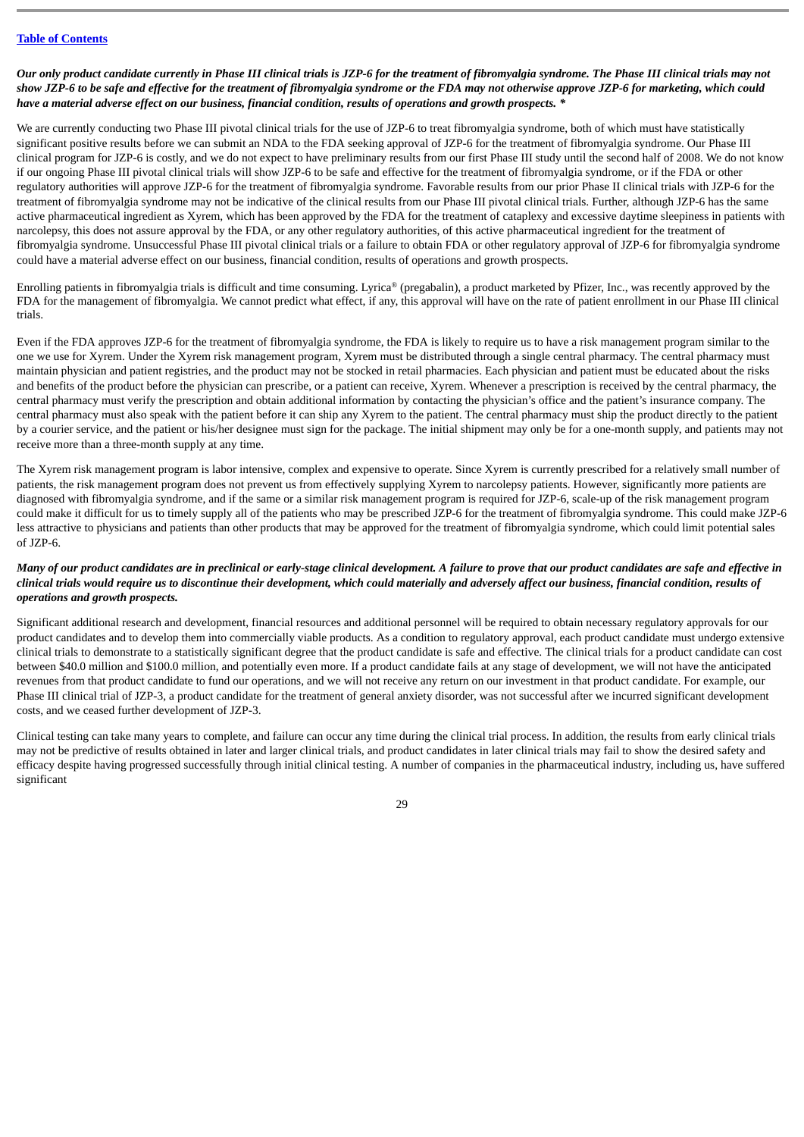#### *Our only product candidate currently in Phase III clinical trials is JZP-6 for the treatment of fibromyalgia syndrome. The Phase III clinical trials may not show JZP-6 to be safe and effective for the treatment of fibromyalgia syndrome or the FDA may not otherwise approve JZP-6 for marketing, which could have a material adverse effect on our business, financial condition, results of operations and growth prospects. \**

We are currently conducting two Phase III pivotal clinical trials for the use of JZP-6 to treat fibromyalgia syndrome, both of which must have statistically significant positive results before we can submit an NDA to the FDA seeking approval of JZP-6 for the treatment of fibromyalgia syndrome. Our Phase III clinical program for JZP-6 is costly, and we do not expect to have preliminary results from our first Phase III study until the second half of 2008. We do not know if our ongoing Phase III pivotal clinical trials will show JZP-6 to be safe and effective for the treatment of fibromyalgia syndrome, or if the FDA or other regulatory authorities will approve JZP-6 for the treatment of fibromyalgia syndrome. Favorable results from our prior Phase II clinical trials with JZP-6 for the treatment of fibromyalgia syndrome may not be indicative of the clinical results from our Phase III pivotal clinical trials. Further, although JZP-6 has the same active pharmaceutical ingredient as Xyrem, which has been approved by the FDA for the treatment of cataplexy and excessive daytime sleepiness in patients with narcolepsy, this does not assure approval by the FDA, or any other regulatory authorities, of this active pharmaceutical ingredient for the treatment of fibromyalgia syndrome. Unsuccessful Phase III pivotal clinical trials or a failure to obtain FDA or other regulatory approval of JZP-6 for fibromyalgia syndrome could have a material adverse effect on our business, financial condition, results of operations and growth prospects.

Enrolling patients in fibromyalgia trials is difficult and time consuming. Lyrica® (pregabalin), a product marketed by Pfizer, Inc., was recently approved by the FDA for the management of fibromyalgia. We cannot predict what effect, if any, this approval will have on the rate of patient enrollment in our Phase III clinical trials.

Even if the FDA approves JZP-6 for the treatment of fibromyalgia syndrome, the FDA is likely to require us to have a risk management program similar to the one we use for Xyrem. Under the Xyrem risk management program, Xyrem must be distributed through a single central pharmacy. The central pharmacy must maintain physician and patient registries, and the product may not be stocked in retail pharmacies. Each physician and patient must be educated about the risks and benefits of the product before the physician can prescribe, or a patient can receive, Xyrem. Whenever a prescription is received by the central pharmacy, the central pharmacy must verify the prescription and obtain additional information by contacting the physician's office and the patient's insurance company. The central pharmacy must also speak with the patient before it can ship any Xyrem to the patient. The central pharmacy must ship the product directly to the patient by a courier service, and the patient or his/her designee must sign for the package. The initial shipment may only be for a one-month supply, and patients may not receive more than a three-month supply at any time.

The Xyrem risk management program is labor intensive, complex and expensive to operate. Since Xyrem is currently prescribed for a relatively small number of patients, the risk management program does not prevent us from effectively supplying Xyrem to narcolepsy patients. However, significantly more patients are diagnosed with fibromyalgia syndrome, and if the same or a similar risk management program is required for JZP-6, scale-up of the risk management program could make it difficult for us to timely supply all of the patients who may be prescribed JZP-6 for the treatment of fibromyalgia syndrome. This could make JZP-6 less attractive to physicians and patients than other products that may be approved for the treatment of fibromyalgia syndrome, which could limit potential sales of JZP-6.

#### *Many of our product candidates are in preclinical or early-stage clinical development. A failure to prove that our product candidates are safe and effective in clinical trials would require us to discontinue their development, which could materially and adversely affect our business, financial condition, results of operations and growth prospects.*

Significant additional research and development, financial resources and additional personnel will be required to obtain necessary regulatory approvals for our product candidates and to develop them into commercially viable products. As a condition to regulatory approval, each product candidate must undergo extensive clinical trials to demonstrate to a statistically significant degree that the product candidate is safe and effective. The clinical trials for a product candidate can cost between \$40.0 million and \$100.0 million, and potentially even more. If a product candidate fails at any stage of development, we will not have the anticipated revenues from that product candidate to fund our operations, and we will not receive any return on our investment in that product candidate. For example, our Phase III clinical trial of JZP-3, a product candidate for the treatment of general anxiety disorder, was not successful after we incurred significant development costs, and we ceased further development of JZP-3.

Clinical testing can take many years to complete, and failure can occur any time during the clinical trial process. In addition, the results from early clinical trials may not be predictive of results obtained in later and larger clinical trials, and product candidates in later clinical trials may fail to show the desired safety and efficacy despite having progressed successfully through initial clinical testing. A number of companies in the pharmaceutical industry, including us, have suffered significant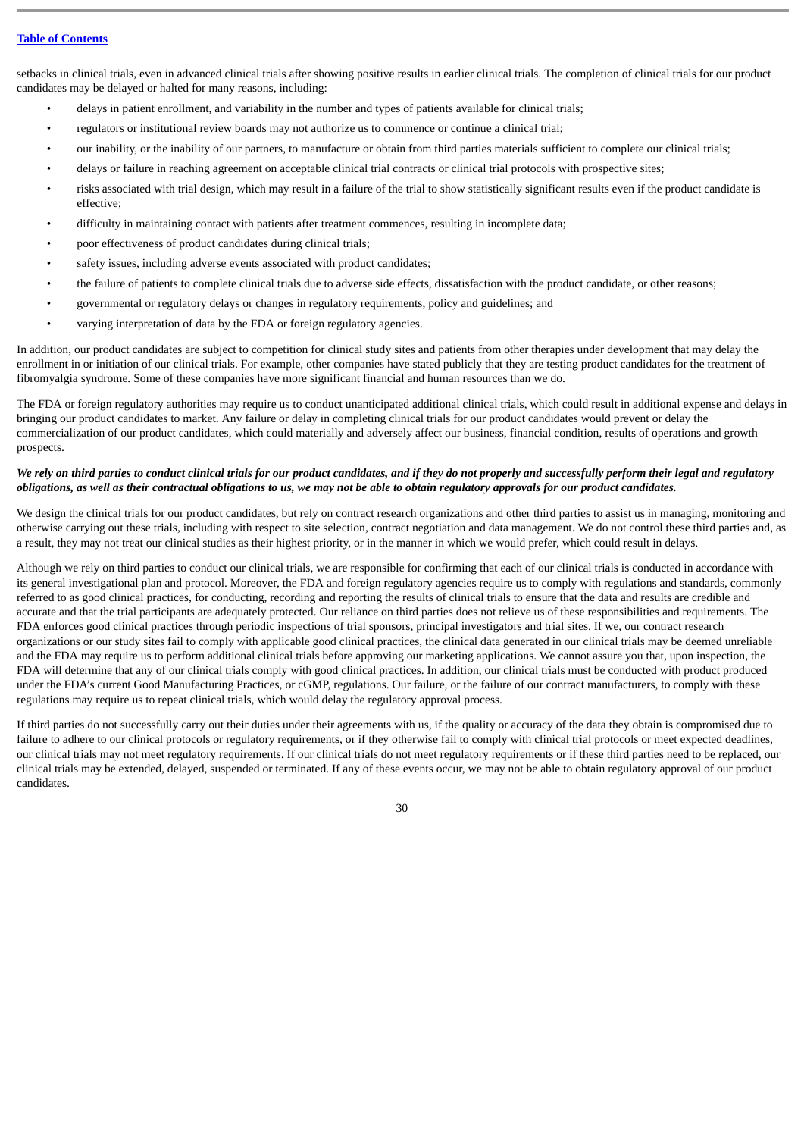setbacks in clinical trials, even in advanced clinical trials after showing positive results in earlier clinical trials. The completion of clinical trials for our product candidates may be delayed or halted for many reasons, including:

- delays in patient enrollment, and variability in the number and types of patients available for clinical trials;
- regulators or institutional review boards may not authorize us to commence or continue a clinical trial;
- our inability, or the inability of our partners, to manufacture or obtain from third parties materials sufficient to complete our clinical trials;
- delays or failure in reaching agreement on acceptable clinical trial contracts or clinical trial protocols with prospective sites;
- risks associated with trial design, which may result in a failure of the trial to show statistically significant results even if the product candidate is effective;
- difficulty in maintaining contact with patients after treatment commences, resulting in incomplete data;
- poor effectiveness of product candidates during clinical trials;
- safety issues, including adverse events associated with product candidates;
- the failure of patients to complete clinical trials due to adverse side effects, dissatisfaction with the product candidate, or other reasons;
- governmental or regulatory delays or changes in regulatory requirements, policy and guidelines; and
- varying interpretation of data by the FDA or foreign regulatory agencies.

In addition, our product candidates are subject to competition for clinical study sites and patients from other therapies under development that may delay the enrollment in or initiation of our clinical trials. For example, other companies have stated publicly that they are testing product candidates for the treatment of fibromyalgia syndrome. Some of these companies have more significant financial and human resources than we do.

The FDA or foreign regulatory authorities may require us to conduct unanticipated additional clinical trials, which could result in additional expense and delays in bringing our product candidates to market. Any failure or delay in completing clinical trials for our product candidates would prevent or delay the commercialization of our product candidates, which could materially and adversely affect our business, financial condition, results of operations and growth prospects.

#### *We rely on third parties to conduct clinical trials for our product candidates, and if they do not properly and successfully perform their legal and regulatory obligations, as well as their contractual obligations to us, we may not be able to obtain regulatory approvals for our product candidates.*

We design the clinical trials for our product candidates, but rely on contract research organizations and other third parties to assist us in managing, monitoring and otherwise carrying out these trials, including with respect to site selection, contract negotiation and data management. We do not control these third parties and, as a result, they may not treat our clinical studies as their highest priority, or in the manner in which we would prefer, which could result in delays.

Although we rely on third parties to conduct our clinical trials, we are responsible for confirming that each of our clinical trials is conducted in accordance with its general investigational plan and protocol. Moreover, the FDA and foreign regulatory agencies require us to comply with regulations and standards, commonly referred to as good clinical practices, for conducting, recording and reporting the results of clinical trials to ensure that the data and results are credible and accurate and that the trial participants are adequately protected. Our reliance on third parties does not relieve us of these responsibilities and requirements. The FDA enforces good clinical practices through periodic inspections of trial sponsors, principal investigators and trial sites. If we, our contract research organizations or our study sites fail to comply with applicable good clinical practices, the clinical data generated in our clinical trials may be deemed unreliable and the FDA may require us to perform additional clinical trials before approving our marketing applications. We cannot assure you that, upon inspection, the FDA will determine that any of our clinical trials comply with good clinical practices. In addition, our clinical trials must be conducted with product produced under the FDA's current Good Manufacturing Practices, or cGMP, regulations. Our failure, or the failure of our contract manufacturers, to comply with these regulations may require us to repeat clinical trials, which would delay the regulatory approval process.

If third parties do not successfully carry out their duties under their agreements with us, if the quality or accuracy of the data they obtain is compromised due to failure to adhere to our clinical protocols or regulatory requirements, or if they otherwise fail to comply with clinical trial protocols or meet expected deadlines, our clinical trials may not meet regulatory requirements. If our clinical trials do not meet regulatory requirements or if these third parties need to be replaced, our clinical trials may be extended, delayed, suspended or terminated. If any of these events occur, we may not be able to obtain regulatory approval of our product candidates.

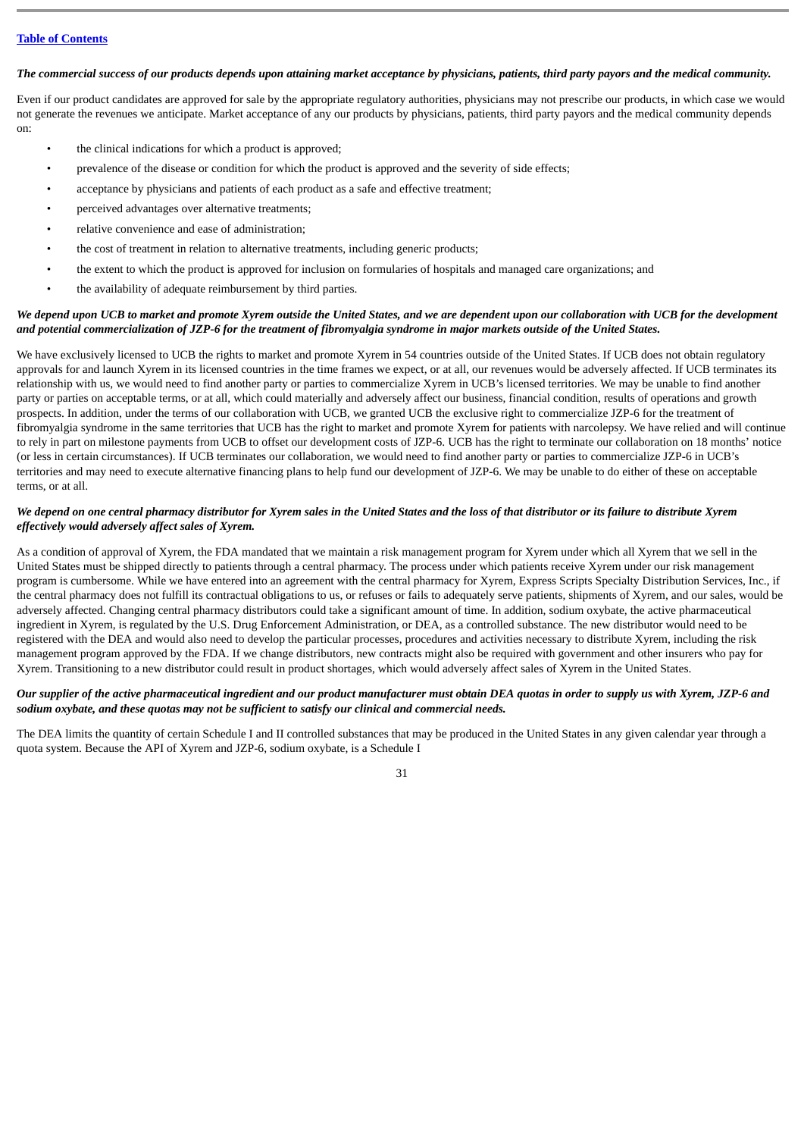#### *The commercial success of our products depends upon attaining market acceptance by physicians, patients, third party payors and the medical community.*

Even if our product candidates are approved for sale by the appropriate regulatory authorities, physicians may not prescribe our products, in which case we would not generate the revenues we anticipate. Market acceptance of any our products by physicians, patients, third party payors and the medical community depends on:

- the clinical indications for which a product is approved;
- prevalence of the disease or condition for which the product is approved and the severity of side effects;
- acceptance by physicians and patients of each product as a safe and effective treatment;
- perceived advantages over alternative treatments;
- relative convenience and ease of administration;
- the cost of treatment in relation to alternative treatments, including generic products;
- the extent to which the product is approved for inclusion on formularies of hospitals and managed care organizations; and
- the availability of adequate reimbursement by third parties.

#### *We depend upon UCB to market and promote Xyrem outside the United States, and we are dependent upon our collaboration with UCB for the development and potential commercialization of JZP-6 for the treatment of fibromyalgia syndrome in major markets outside of the United States.*

We have exclusively licensed to UCB the rights to market and promote Xyrem in 54 countries outside of the United States. If UCB does not obtain regulatory approvals for and launch Xyrem in its licensed countries in the time frames we expect, or at all, our revenues would be adversely affected. If UCB terminates its relationship with us, we would need to find another party or parties to commercialize Xyrem in UCB's licensed territories. We may be unable to find another party or parties on acceptable terms, or at all, which could materially and adversely affect our business, financial condition, results of operations and growth prospects. In addition, under the terms of our collaboration with UCB, we granted UCB the exclusive right to commercialize JZP-6 for the treatment of fibromyalgia syndrome in the same territories that UCB has the right to market and promote Xyrem for patients with narcolepsy. We have relied and will continue to rely in part on milestone payments from UCB to offset our development costs of JZP-6. UCB has the right to terminate our collaboration on 18 months' notice (or less in certain circumstances). If UCB terminates our collaboration, we would need to find another party or parties to commercialize JZP-6 in UCB's territories and may need to execute alternative financing plans to help fund our development of JZP-6. We may be unable to do either of these on acceptable terms, or at all.

## *We depend on one central pharmacy distributor for Xyrem sales in the United States and the loss of that distributor or its failure to distribute Xyrem effectively would adversely affect sales of Xyrem.*

As a condition of approval of Xyrem, the FDA mandated that we maintain a risk management program for Xyrem under which all Xyrem that we sell in the United States must be shipped directly to patients through a central pharmacy. The process under which patients receive Xyrem under our risk management program is cumbersome. While we have entered into an agreement with the central pharmacy for Xyrem, Express Scripts Specialty Distribution Services, Inc., if the central pharmacy does not fulfill its contractual obligations to us, or refuses or fails to adequately serve patients, shipments of Xyrem, and our sales, would be adversely affected. Changing central pharmacy distributors could take a significant amount of time. In addition, sodium oxybate, the active pharmaceutical ingredient in Xyrem, is regulated by the U.S. Drug Enforcement Administration, or DEA, as a controlled substance. The new distributor would need to be registered with the DEA and would also need to develop the particular processes, procedures and activities necessary to distribute Xyrem, including the risk management program approved by the FDA. If we change distributors, new contracts might also be required with government and other insurers who pay for Xyrem. Transitioning to a new distributor could result in product shortages, which would adversely affect sales of Xyrem in the United States.

#### *Our supplier of the active pharmaceutical ingredient and our product manufacturer must obtain DEA quotas in order to supply us with Xyrem, JZP-6 and sodium oxybate, and these quotas may not be sufficient to satisfy our clinical and commercial needs.*

The DEA limits the quantity of certain Schedule I and II controlled substances that may be produced in the United States in any given calendar year through a quota system. Because the API of Xyrem and JZP-6, sodium oxybate, is a Schedule I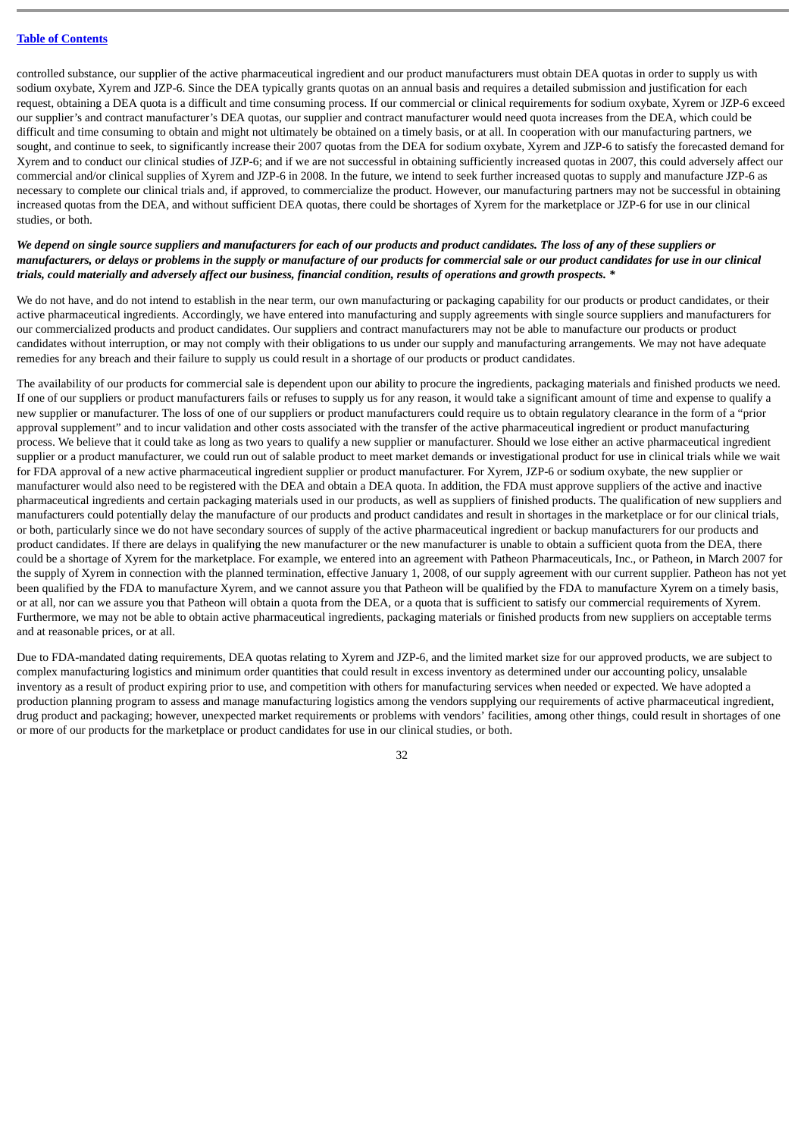controlled substance, our supplier of the active pharmaceutical ingredient and our product manufacturers must obtain DEA quotas in order to supply us with sodium oxybate, Xyrem and JZP-6. Since the DEA typically grants quotas on an annual basis and requires a detailed submission and justification for each request, obtaining a DEA quota is a difficult and time consuming process. If our commercial or clinical requirements for sodium oxybate, Xyrem or JZP-6 exceed our supplier's and contract manufacturer's DEA quotas, our supplier and contract manufacturer would need quota increases from the DEA, which could be difficult and time consuming to obtain and might not ultimately be obtained on a timely basis, or at all. In cooperation with our manufacturing partners, we sought, and continue to seek, to significantly increase their 2007 quotas from the DEA for sodium oxybate, Xyrem and JZP-6 to satisfy the forecasted demand for Xyrem and to conduct our clinical studies of JZP-6; and if we are not successful in obtaining sufficiently increased quotas in 2007, this could adversely affect our commercial and/or clinical supplies of Xyrem and JZP-6 in 2008. In the future, we intend to seek further increased quotas to supply and manufacture JZP-6 as necessary to complete our clinical trials and, if approved, to commercialize the product. However, our manufacturing partners may not be successful in obtaining increased quotas from the DEA, and without sufficient DEA quotas, there could be shortages of Xyrem for the marketplace or JZP-6 for use in our clinical studies, or both.

#### *We depend on single source suppliers and manufacturers for each of our products and product candidates. The loss of any of these suppliers or manufacturers, or delays or problems in the supply or manufacture of our products for commercial sale or our product candidates for use in our clinical trials, could materially and adversely affect our business, financial condition, results of operations and growth prospects. \**

We do not have, and do not intend to establish in the near term, our own manufacturing or packaging capability for our products or product candidates, or their active pharmaceutical ingredients. Accordingly, we have entered into manufacturing and supply agreements with single source suppliers and manufacturers for our commercialized products and product candidates. Our suppliers and contract manufacturers may not be able to manufacture our products or product candidates without interruption, or may not comply with their obligations to us under our supply and manufacturing arrangements. We may not have adequate remedies for any breach and their failure to supply us could result in a shortage of our products or product candidates.

The availability of our products for commercial sale is dependent upon our ability to procure the ingredients, packaging materials and finished products we need. If one of our suppliers or product manufacturers fails or refuses to supply us for any reason, it would take a significant amount of time and expense to qualify a new supplier or manufacturer. The loss of one of our suppliers or product manufacturers could require us to obtain regulatory clearance in the form of a "prior approval supplement" and to incur validation and other costs associated with the transfer of the active pharmaceutical ingredient or product manufacturing process. We believe that it could take as long as two years to qualify a new supplier or manufacturer. Should we lose either an active pharmaceutical ingredient supplier or a product manufacturer, we could run out of salable product to meet market demands or investigational product for use in clinical trials while we wait for FDA approval of a new active pharmaceutical ingredient supplier or product manufacturer. For Xyrem, JZP-6 or sodium oxybate, the new supplier or manufacturer would also need to be registered with the DEA and obtain a DEA quota. In addition, the FDA must approve suppliers of the active and inactive pharmaceutical ingredients and certain packaging materials used in our products, as well as suppliers of finished products. The qualification of new suppliers and manufacturers could potentially delay the manufacture of our products and product candidates and result in shortages in the marketplace or for our clinical trials, or both, particularly since we do not have secondary sources of supply of the active pharmaceutical ingredient or backup manufacturers for our products and product candidates. If there are delays in qualifying the new manufacturer or the new manufacturer is unable to obtain a sufficient quota from the DEA, there could be a shortage of Xyrem for the marketplace. For example, we entered into an agreement with Patheon Pharmaceuticals, Inc., or Patheon, in March 2007 for the supply of Xyrem in connection with the planned termination, effective January 1, 2008, of our supply agreement with our current supplier. Patheon has not yet been qualified by the FDA to manufacture Xyrem, and we cannot assure you that Patheon will be qualified by the FDA to manufacture Xyrem on a timely basis, or at all, nor can we assure you that Patheon will obtain a quota from the DEA, or a quota that is sufficient to satisfy our commercial requirements of Xyrem. Furthermore, we may not be able to obtain active pharmaceutical ingredients, packaging materials or finished products from new suppliers on acceptable terms and at reasonable prices, or at all.

Due to FDA-mandated dating requirements, DEA quotas relating to Xyrem and JZP-6, and the limited market size for our approved products, we are subject to complex manufacturing logistics and minimum order quantities that could result in excess inventory as determined under our accounting policy, unsalable inventory as a result of product expiring prior to use, and competition with others for manufacturing services when needed or expected. We have adopted a production planning program to assess and manage manufacturing logistics among the vendors supplying our requirements of active pharmaceutical ingredient, drug product and packaging; however, unexpected market requirements or problems with vendors' facilities, among other things, could result in shortages of one or more of our products for the marketplace or product candidates for use in our clinical studies, or both.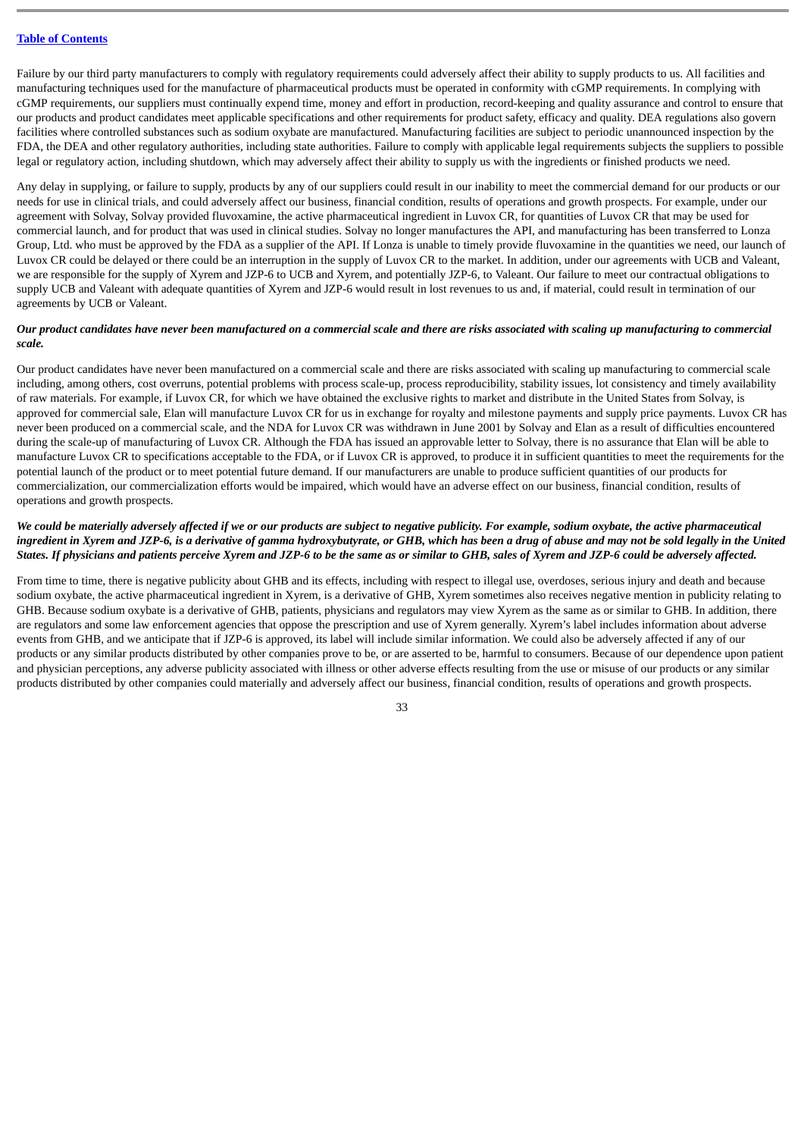Failure by our third party manufacturers to comply with regulatory requirements could adversely affect their ability to supply products to us. All facilities and manufacturing techniques used for the manufacture of pharmaceutical products must be operated in conformity with cGMP requirements. In complying with cGMP requirements, our suppliers must continually expend time, money and effort in production, record-keeping and quality assurance and control to ensure that our products and product candidates meet applicable specifications and other requirements for product safety, efficacy and quality. DEA regulations also govern facilities where controlled substances such as sodium oxybate are manufactured. Manufacturing facilities are subject to periodic unannounced inspection by the FDA, the DEA and other regulatory authorities, including state authorities. Failure to comply with applicable legal requirements subjects the suppliers to possible legal or regulatory action, including shutdown, which may adversely affect their ability to supply us with the ingredients or finished products we need.

Any delay in supplying, or failure to supply, products by any of our suppliers could result in our inability to meet the commercial demand for our products or our needs for use in clinical trials, and could adversely affect our business, financial condition, results of operations and growth prospects. For example, under our agreement with Solvay, Solvay provided fluvoxamine, the active pharmaceutical ingredient in Luvox CR, for quantities of Luvox CR that may be used for commercial launch, and for product that was used in clinical studies. Solvay no longer manufactures the API, and manufacturing has been transferred to Lonza Group, Ltd. who must be approved by the FDA as a supplier of the API. If Lonza is unable to timely provide fluvoxamine in the quantities we need, our launch of Luvox CR could be delayed or there could be an interruption in the supply of Luvox CR to the market. In addition, under our agreements with UCB and Valeant, we are responsible for the supply of Xyrem and JZP-6 to UCB and Xyrem, and potentially JZP-6, to Valeant. Our failure to meet our contractual obligations to supply UCB and Valeant with adequate quantities of Xyrem and JZP-6 would result in lost revenues to us and, if material, could result in termination of our agreements by UCB or Valeant.

#### *Our product candidates have never been manufactured on a commercial scale and there are risks associated with scaling up manufacturing to commercial scale.*

Our product candidates have never been manufactured on a commercial scale and there are risks associated with scaling up manufacturing to commercial scale including, among others, cost overruns, potential problems with process scale-up, process reproducibility, stability issues, lot consistency and timely availability of raw materials. For example, if Luvox CR, for which we have obtained the exclusive rights to market and distribute in the United States from Solvay, is approved for commercial sale, Elan will manufacture Luvox CR for us in exchange for royalty and milestone payments and supply price payments. Luvox CR has never been produced on a commercial scale, and the NDA for Luvox CR was withdrawn in June 2001 by Solvay and Elan as a result of difficulties encountered during the scale-up of manufacturing of Luvox CR. Although the FDA has issued an approvable letter to Solvay, there is no assurance that Elan will be able to manufacture Luvox CR to specifications acceptable to the FDA, or if Luvox CR is approved, to produce it in sufficient quantities to meet the requirements for the potential launch of the product or to meet potential future demand. If our manufacturers are unable to produce sufficient quantities of our products for commercialization, our commercialization efforts would be impaired, which would have an adverse effect on our business, financial condition, results of operations and growth prospects.

#### *We could be materially adversely affected if we or our products are subject to negative publicity. For example, sodium oxybate, the active pharmaceutical ingredient in Xyrem and JZP-6, is a derivative of gamma hydroxybutyrate, or GHB, which has been a drug of abuse and may not be sold legally in the United States. If physicians and patients perceive Xyrem and JZP-6 to be the same as or similar to GHB, sales of Xyrem and JZP-6 could be adversely affected.*

From time to time, there is negative publicity about GHB and its effects, including with respect to illegal use, overdoses, serious injury and death and because sodium oxybate, the active pharmaceutical ingredient in Xyrem, is a derivative of GHB, Xyrem sometimes also receives negative mention in publicity relating to GHB. Because sodium oxybate is a derivative of GHB, patients, physicians and regulators may view Xyrem as the same as or similar to GHB. In addition, there are regulators and some law enforcement agencies that oppose the prescription and use of Xyrem generally. Xyrem's label includes information about adverse events from GHB, and we anticipate that if JZP-6 is approved, its label will include similar information. We could also be adversely affected if any of our products or any similar products distributed by other companies prove to be, or are asserted to be, harmful to consumers. Because of our dependence upon patient and physician perceptions, any adverse publicity associated with illness or other adverse effects resulting from the use or misuse of our products or any similar products distributed by other companies could materially and adversely affect our business, financial condition, results of operations and growth prospects.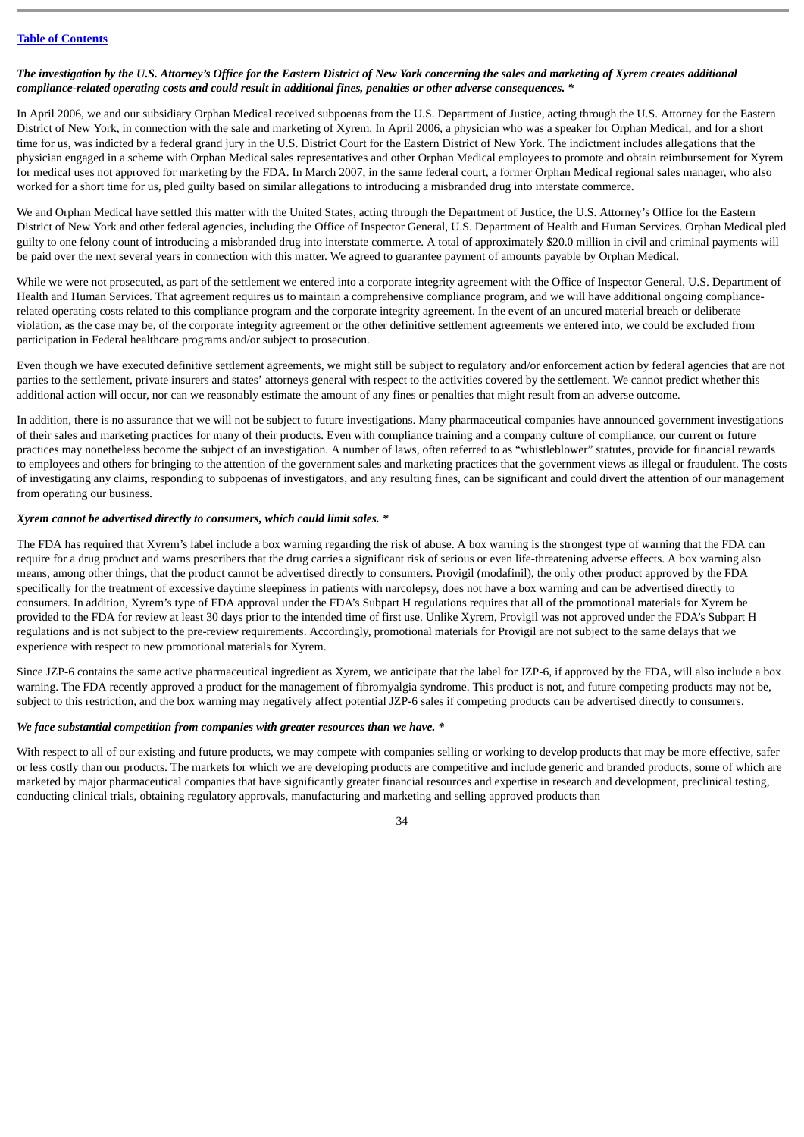#### *The investigation by the U.S. Attorney's Office for the Eastern District of New York concerning the sales and marketing of Xyrem creates additional compliance-related operating costs and could result in additional fines, penalties or other adverse consequences. \**

In April 2006, we and our subsidiary Orphan Medical received subpoenas from the U.S. Department of Justice, acting through the U.S. Attorney for the Eastern District of New York, in connection with the sale and marketing of Xyrem. In April 2006, a physician who was a speaker for Orphan Medical, and for a short time for us, was indicted by a federal grand jury in the U.S. District Court for the Eastern District of New York. The indictment includes allegations that the physician engaged in a scheme with Orphan Medical sales representatives and other Orphan Medical employees to promote and obtain reimbursement for Xyrem for medical uses not approved for marketing by the FDA. In March 2007, in the same federal court, a former Orphan Medical regional sales manager, who also worked for a short time for us, pled guilty based on similar allegations to introducing a misbranded drug into interstate commerce.

We and Orphan Medical have settled this matter with the United States, acting through the Department of Justice, the U.S. Attorney's Office for the Eastern District of New York and other federal agencies, including the Office of Inspector General, U.S. Department of Health and Human Services. Orphan Medical pled guilty to one felony count of introducing a misbranded drug into interstate commerce. A total of approximately \$20.0 million in civil and criminal payments will be paid over the next several years in connection with this matter. We agreed to guarantee payment of amounts payable by Orphan Medical.

While we were not prosecuted, as part of the settlement we entered into a corporate integrity agreement with the Office of Inspector General, U.S. Department of Health and Human Services. That agreement requires us to maintain a comprehensive compliance program, and we will have additional ongoing compliancerelated operating costs related to this compliance program and the corporate integrity agreement. In the event of an uncured material breach or deliberate violation, as the case may be, of the corporate integrity agreement or the other definitive settlement agreements we entered into, we could be excluded from participation in Federal healthcare programs and/or subject to prosecution.

Even though we have executed definitive settlement agreements, we might still be subject to regulatory and/or enforcement action by federal agencies that are not parties to the settlement, private insurers and states' attorneys general with respect to the activities covered by the settlement. We cannot predict whether this additional action will occur, nor can we reasonably estimate the amount of any fines or penalties that might result from an adverse outcome.

In addition, there is no assurance that we will not be subject to future investigations. Many pharmaceutical companies have announced government investigations of their sales and marketing practices for many of their products. Even with compliance training and a company culture of compliance, our current or future practices may nonetheless become the subject of an investigation. A number of laws, often referred to as "whistleblower" statutes, provide for financial rewards to employees and others for bringing to the attention of the government sales and marketing practices that the government views as illegal or fraudulent. The costs of investigating any claims, responding to subpoenas of investigators, and any resulting fines, can be significant and could divert the attention of our management from operating our business.

#### *Xyrem cannot be advertised directly to consumers, which could limit sales. \**

The FDA has required that Xyrem's label include a box warning regarding the risk of abuse. A box warning is the strongest type of warning that the FDA can require for a drug product and warns prescribers that the drug carries a significant risk of serious or even life-threatening adverse effects. A box warning also means, among other things, that the product cannot be advertised directly to consumers. Provigil (modafinil), the only other product approved by the FDA specifically for the treatment of excessive daytime sleepiness in patients with narcolepsy, does not have a box warning and can be advertised directly to consumers. In addition, Xyrem's type of FDA approval under the FDA's Subpart H regulations requires that all of the promotional materials for Xyrem be provided to the FDA for review at least 30 days prior to the intended time of first use. Unlike Xyrem, Provigil was not approved under the FDA's Subpart H regulations and is not subject to the pre-review requirements. Accordingly, promotional materials for Provigil are not subject to the same delays that we experience with respect to new promotional materials for Xyrem.

Since JZP-6 contains the same active pharmaceutical ingredient as Xyrem, we anticipate that the label for JZP-6, if approved by the FDA, will also include a box warning. The FDA recently approved a product for the management of fibromyalgia syndrome. This product is not, and future competing products may not be, subject to this restriction, and the box warning may negatively affect potential JZP-6 sales if competing products can be advertised directly to consumers.

#### *We face substantial competition from companies with greater resources than we have. \**

With respect to all of our existing and future products, we may compete with companies selling or working to develop products that may be more effective, safer or less costly than our products. The markets for which we are developing products are competitive and include generic and branded products, some of which are marketed by major pharmaceutical companies that have significantly greater financial resources and expertise in research and development, preclinical testing, conducting clinical trials, obtaining regulatory approvals, manufacturing and marketing and selling approved products than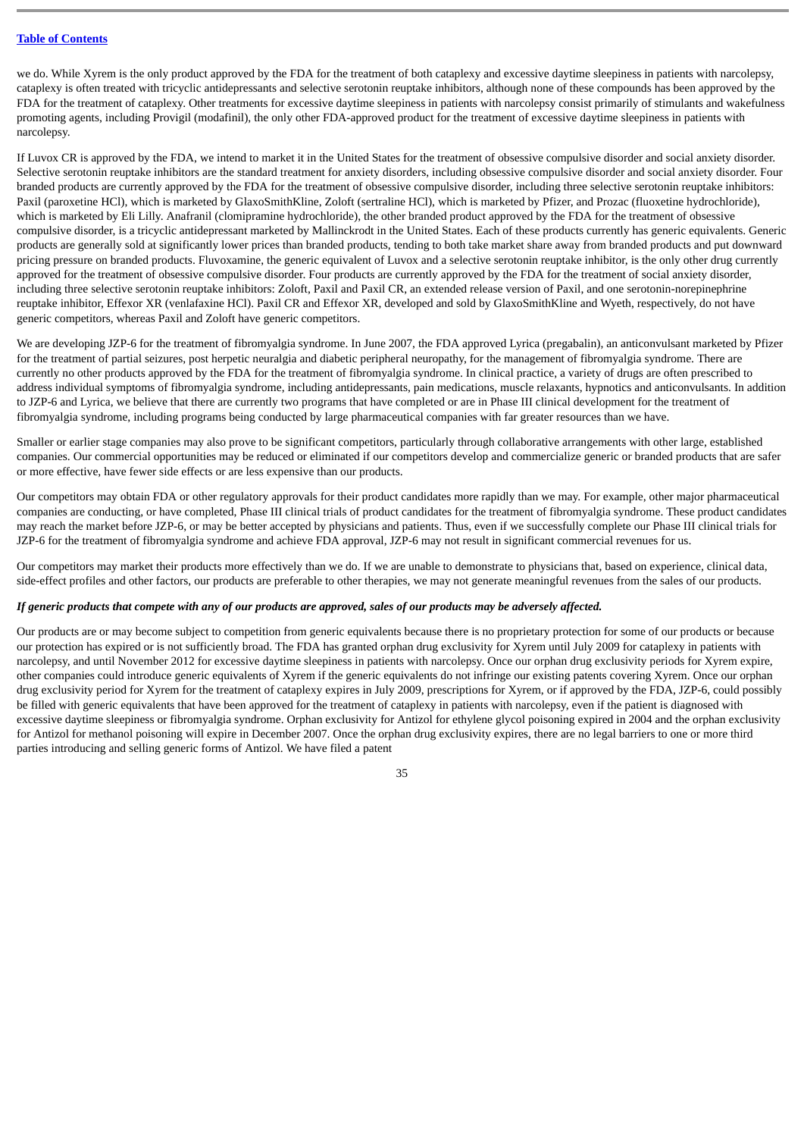we do. While Xyrem is the only product approved by the FDA for the treatment of both cataplexy and excessive daytime sleepiness in patients with narcolepsy, cataplexy is often treated with tricyclic antidepressants and selective serotonin reuptake inhibitors, although none of these compounds has been approved by the FDA for the treatment of cataplexy. Other treatments for excessive daytime sleepiness in patients with narcolepsy consist primarily of stimulants and wakefulness promoting agents, including Provigil (modafinil), the only other FDA-approved product for the treatment of excessive daytime sleepiness in patients with narcolepsy.

If Luvox CR is approved by the FDA, we intend to market it in the United States for the treatment of obsessive compulsive disorder and social anxiety disorder. Selective serotonin reuptake inhibitors are the standard treatment for anxiety disorders, including obsessive compulsive disorder and social anxiety disorder. Four branded products are currently approved by the FDA for the treatment of obsessive compulsive disorder, including three selective serotonin reuptake inhibitors: Paxil (paroxetine HCl), which is marketed by GlaxoSmithKline, Zoloft (sertraline HCl), which is marketed by Pfizer, and Prozac (fluoxetine hydrochloride), which is marketed by Eli Lilly. Anafranil (clomipramine hydrochloride), the other branded product approved by the FDA for the treatment of obsessive compulsive disorder, is a tricyclic antidepressant marketed by Mallinckrodt in the United States. Each of these products currently has generic equivalents. Generic products are generally sold at significantly lower prices than branded products, tending to both take market share away from branded products and put downward pricing pressure on branded products. Fluvoxamine, the generic equivalent of Luvox and a selective serotonin reuptake inhibitor, is the only other drug currently approved for the treatment of obsessive compulsive disorder. Four products are currently approved by the FDA for the treatment of social anxiety disorder, including three selective serotonin reuptake inhibitors: Zoloft, Paxil and Paxil CR, an extended release version of Paxil, and one serotonin-norepinephrine reuptake inhibitor, Effexor XR (venlafaxine HCl). Paxil CR and Effexor XR, developed and sold by GlaxoSmithKline and Wyeth, respectively, do not have generic competitors, whereas Paxil and Zoloft have generic competitors.

We are developing JZP-6 for the treatment of fibromyalgia syndrome. In June 2007, the FDA approved Lyrica (pregabalin), an anticonvulsant marketed by Pfizer for the treatment of partial seizures, post herpetic neuralgia and diabetic peripheral neuropathy, for the management of fibromyalgia syndrome. There are currently no other products approved by the FDA for the treatment of fibromyalgia syndrome. In clinical practice, a variety of drugs are often prescribed to address individual symptoms of fibromyalgia syndrome, including antidepressants, pain medications, muscle relaxants, hypnotics and anticonvulsants. In addition to JZP-6 and Lyrica, we believe that there are currently two programs that have completed or are in Phase III clinical development for the treatment of fibromyalgia syndrome, including programs being conducted by large pharmaceutical companies with far greater resources than we have.

Smaller or earlier stage companies may also prove to be significant competitors, particularly through collaborative arrangements with other large, established companies. Our commercial opportunities may be reduced or eliminated if our competitors develop and commercialize generic or branded products that are safer or more effective, have fewer side effects or are less expensive than our products.

Our competitors may obtain FDA or other regulatory approvals for their product candidates more rapidly than we may. For example, other major pharmaceutical companies are conducting, or have completed, Phase III clinical trials of product candidates for the treatment of fibromyalgia syndrome. These product candidates may reach the market before JZP-6, or may be better accepted by physicians and patients. Thus, even if we successfully complete our Phase III clinical trials for JZP-6 for the treatment of fibromyalgia syndrome and achieve FDA approval, JZP-6 may not result in significant commercial revenues for us.

Our competitors may market their products more effectively than we do. If we are unable to demonstrate to physicians that, based on experience, clinical data, side-effect profiles and other factors, our products are preferable to other therapies, we may not generate meaningful revenues from the sales of our products.

#### *If generic products that compete with any of our products are approved, sales of our products may be adversely affected.*

Our products are or may become subject to competition from generic equivalents because there is no proprietary protection for some of our products or because our protection has expired or is not sufficiently broad. The FDA has granted orphan drug exclusivity for Xyrem until July 2009 for cataplexy in patients with narcolepsy, and until November 2012 for excessive daytime sleepiness in patients with narcolepsy. Once our orphan drug exclusivity periods for Xyrem expire, other companies could introduce generic equivalents of Xyrem if the generic equivalents do not infringe our existing patents covering Xyrem. Once our orphan drug exclusivity period for Xyrem for the treatment of cataplexy expires in July 2009, prescriptions for Xyrem, or if approved by the FDA, JZP-6, could possibly be filled with generic equivalents that have been approved for the treatment of cataplexy in patients with narcolepsy, even if the patient is diagnosed with excessive daytime sleepiness or fibromyalgia syndrome. Orphan exclusivity for Antizol for ethylene glycol poisoning expired in 2004 and the orphan exclusivity for Antizol for methanol poisoning will expire in December 2007. Once the orphan drug exclusivity expires, there are no legal barriers to one or more third parties introducing and selling generic forms of Antizol. We have filed a patent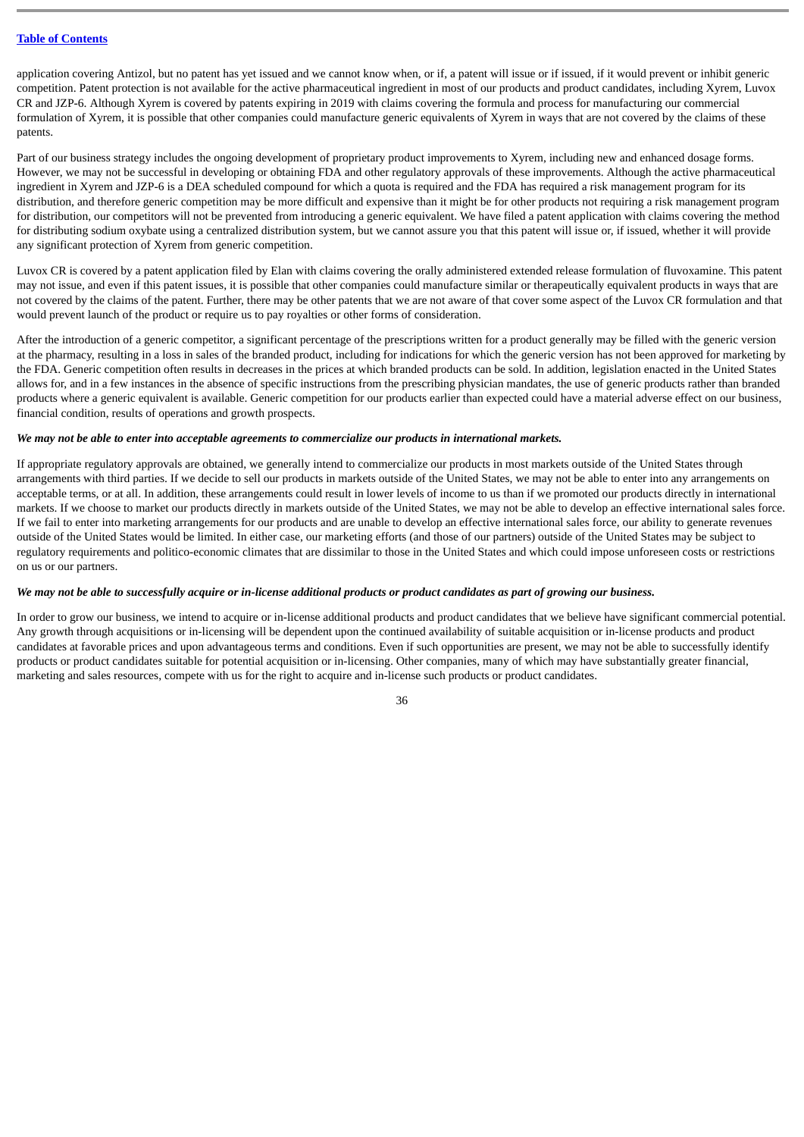application covering Antizol, but no patent has yet issued and we cannot know when, or if, a patent will issue or if issued, if it would prevent or inhibit generic competition. Patent protection is not available for the active pharmaceutical ingredient in most of our products and product candidates, including Xyrem, Luvox CR and JZP-6. Although Xyrem is covered by patents expiring in 2019 with claims covering the formula and process for manufacturing our commercial formulation of Xyrem, it is possible that other companies could manufacture generic equivalents of Xyrem in ways that are not covered by the claims of these patents.

Part of our business strategy includes the ongoing development of proprietary product improvements to Xyrem, including new and enhanced dosage forms. However, we may not be successful in developing or obtaining FDA and other regulatory approvals of these improvements. Although the active pharmaceutical ingredient in Xyrem and JZP-6 is a DEA scheduled compound for which a quota is required and the FDA has required a risk management program for its distribution, and therefore generic competition may be more difficult and expensive than it might be for other products not requiring a risk management program for distribution, our competitors will not be prevented from introducing a generic equivalent. We have filed a patent application with claims covering the method for distributing sodium oxybate using a centralized distribution system, but we cannot assure you that this patent will issue or, if issued, whether it will provide any significant protection of Xyrem from generic competition.

Luvox CR is covered by a patent application filed by Elan with claims covering the orally administered extended release formulation of fluvoxamine. This patent may not issue, and even if this patent issues, it is possible that other companies could manufacture similar or therapeutically equivalent products in ways that are not covered by the claims of the patent. Further, there may be other patents that we are not aware of that cover some aspect of the Luvox CR formulation and that would prevent launch of the product or require us to pay royalties or other forms of consideration.

After the introduction of a generic competitor, a significant percentage of the prescriptions written for a product generally may be filled with the generic version at the pharmacy, resulting in a loss in sales of the branded product, including for indications for which the generic version has not been approved for marketing by the FDA. Generic competition often results in decreases in the prices at which branded products can be sold. In addition, legislation enacted in the United States allows for, and in a few instances in the absence of specific instructions from the prescribing physician mandates, the use of generic products rather than branded products where a generic equivalent is available. Generic competition for our products earlier than expected could have a material adverse effect on our business, financial condition, results of operations and growth prospects.

#### *We may not be able to enter into acceptable agreements to commercialize our products in international markets.*

If appropriate regulatory approvals are obtained, we generally intend to commercialize our products in most markets outside of the United States through arrangements with third parties. If we decide to sell our products in markets outside of the United States, we may not be able to enter into any arrangements on acceptable terms, or at all. In addition, these arrangements could result in lower levels of income to us than if we promoted our products directly in international markets. If we choose to market our products directly in markets outside of the United States, we may not be able to develop an effective international sales force. If we fail to enter into marketing arrangements for our products and are unable to develop an effective international sales force, our ability to generate revenues outside of the United States would be limited. In either case, our marketing efforts (and those of our partners) outside of the United States may be subject to regulatory requirements and politico-economic climates that are dissimilar to those in the United States and which could impose unforeseen costs or restrictions on us or our partners.

#### *We may not be able to successfully acquire or in-license additional products or product candidates as part of growing our business.*

In order to grow our business, we intend to acquire or in-license additional products and product candidates that we believe have significant commercial potential. Any growth through acquisitions or in-licensing will be dependent upon the continued availability of suitable acquisition or in-license products and product candidates at favorable prices and upon advantageous terms and conditions. Even if such opportunities are present, we may not be able to successfully identify products or product candidates suitable for potential acquisition or in-licensing. Other companies, many of which may have substantially greater financial, marketing and sales resources, compete with us for the right to acquire and in-license such products or product candidates.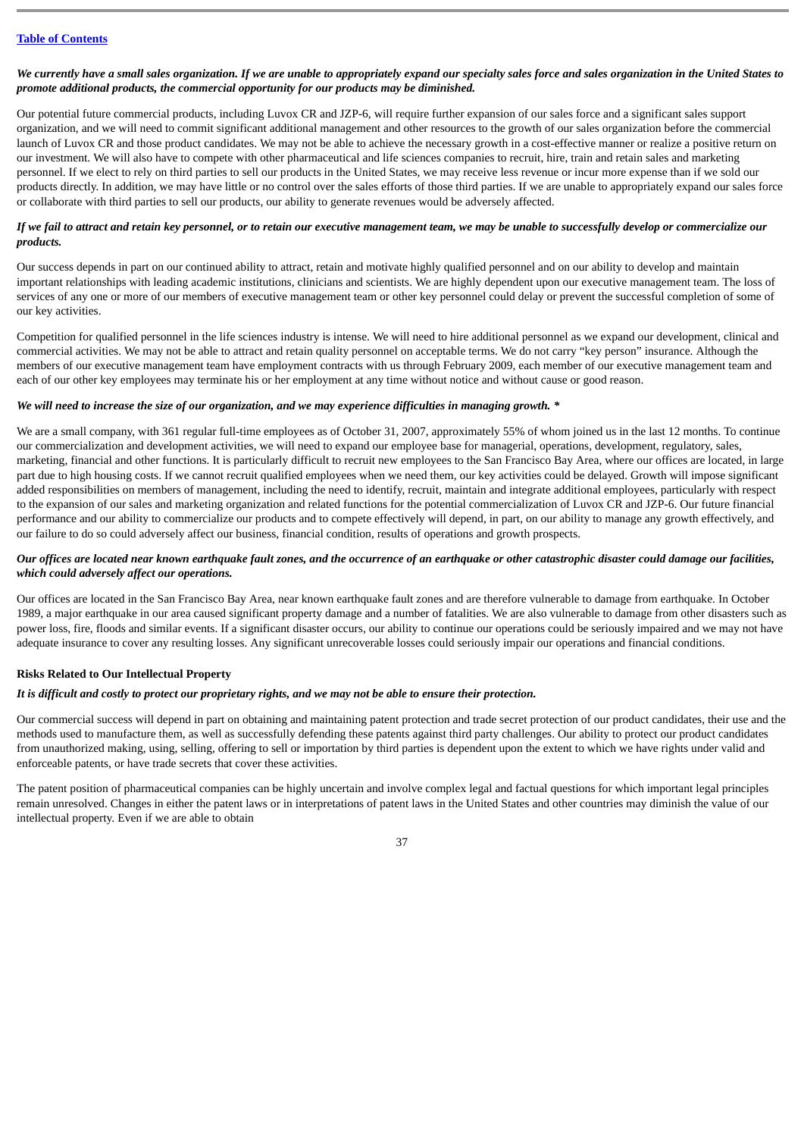### *We currently have a small sales organization. If we are unable to appropriately expand our specialty sales force and sales organization in the United States to promote additional products, the commercial opportunity for our products may be diminished.*

Our potential future commercial products, including Luvox CR and JZP-6, will require further expansion of our sales force and a significant sales support organization, and we will need to commit significant additional management and other resources to the growth of our sales organization before the commercial launch of Luvox CR and those product candidates. We may not be able to achieve the necessary growth in a cost-effective manner or realize a positive return on our investment. We will also have to compete with other pharmaceutical and life sciences companies to recruit, hire, train and retain sales and marketing personnel. If we elect to rely on third parties to sell our products in the United States, we may receive less revenue or incur more expense than if we sold our products directly. In addition, we may have little or no control over the sales efforts of those third parties. If we are unable to appropriately expand our sales force or collaborate with third parties to sell our products, our ability to generate revenues would be adversely affected.

## *If we fail to attract and retain key personnel, or to retain our executive management team, we may be unable to successfully develop or commercialize our products.*

Our success depends in part on our continued ability to attract, retain and motivate highly qualified personnel and on our ability to develop and maintain important relationships with leading academic institutions, clinicians and scientists. We are highly dependent upon our executive management team. The loss of services of any one or more of our members of executive management team or other key personnel could delay or prevent the successful completion of some of our key activities.

Competition for qualified personnel in the life sciences industry is intense. We will need to hire additional personnel as we expand our development, clinical and commercial activities. We may not be able to attract and retain quality personnel on acceptable terms. We do not carry "key person" insurance. Although the members of our executive management team have employment contracts with us through February 2009, each member of our executive management team and each of our other key employees may terminate his or her employment at any time without notice and without cause or good reason.

### *We will need to increase the size of our organization, and we may experience difficulties in managing growth. \**

We are a small company, with 361 regular full-time employees as of October 31, 2007, approximately 55% of whom joined us in the last 12 months. To continue our commercialization and development activities, we will need to expand our employee base for managerial, operations, development, regulatory, sales, marketing, financial and other functions. It is particularly difficult to recruit new employees to the San Francisco Bay Area, where our offices are located, in large part due to high housing costs. If we cannot recruit qualified employees when we need them, our key activities could be delayed. Growth will impose significant added responsibilities on members of management, including the need to identify, recruit, maintain and integrate additional employees, particularly with respect to the expansion of our sales and marketing organization and related functions for the potential commercialization of Luvox CR and JZP-6. Our future financial performance and our ability to commercialize our products and to compete effectively will depend, in part, on our ability to manage any growth effectively, and our failure to do so could adversely affect our business, financial condition, results of operations and growth prospects.

## *Our offices are located near known earthquake fault zones, and the occurrence of an earthquake or other catastrophic disaster could damage our facilities, which could adversely affect our operations.*

Our offices are located in the San Francisco Bay Area, near known earthquake fault zones and are therefore vulnerable to damage from earthquake. In October 1989, a major earthquake in our area caused significant property damage and a number of fatalities. We are also vulnerable to damage from other disasters such as power loss, fire, floods and similar events. If a significant disaster occurs, our ability to continue our operations could be seriously impaired and we may not have adequate insurance to cover any resulting losses. Any significant unrecoverable losses could seriously impair our operations and financial conditions.

## **Risks Related to Our Intellectual Property**

## *It is difficult and costly to protect our proprietary rights, and we may not be able to ensure their protection.*

Our commercial success will depend in part on obtaining and maintaining patent protection and trade secret protection of our product candidates, their use and the methods used to manufacture them, as well as successfully defending these patents against third party challenges. Our ability to protect our product candidates from unauthorized making, using, selling, offering to sell or importation by third parties is dependent upon the extent to which we have rights under valid and enforceable patents, or have trade secrets that cover these activities.

The patent position of pharmaceutical companies can be highly uncertain and involve complex legal and factual questions for which important legal principles remain unresolved. Changes in either the patent laws or in interpretations of patent laws in the United States and other countries may diminish the value of our intellectual property. Even if we are able to obtain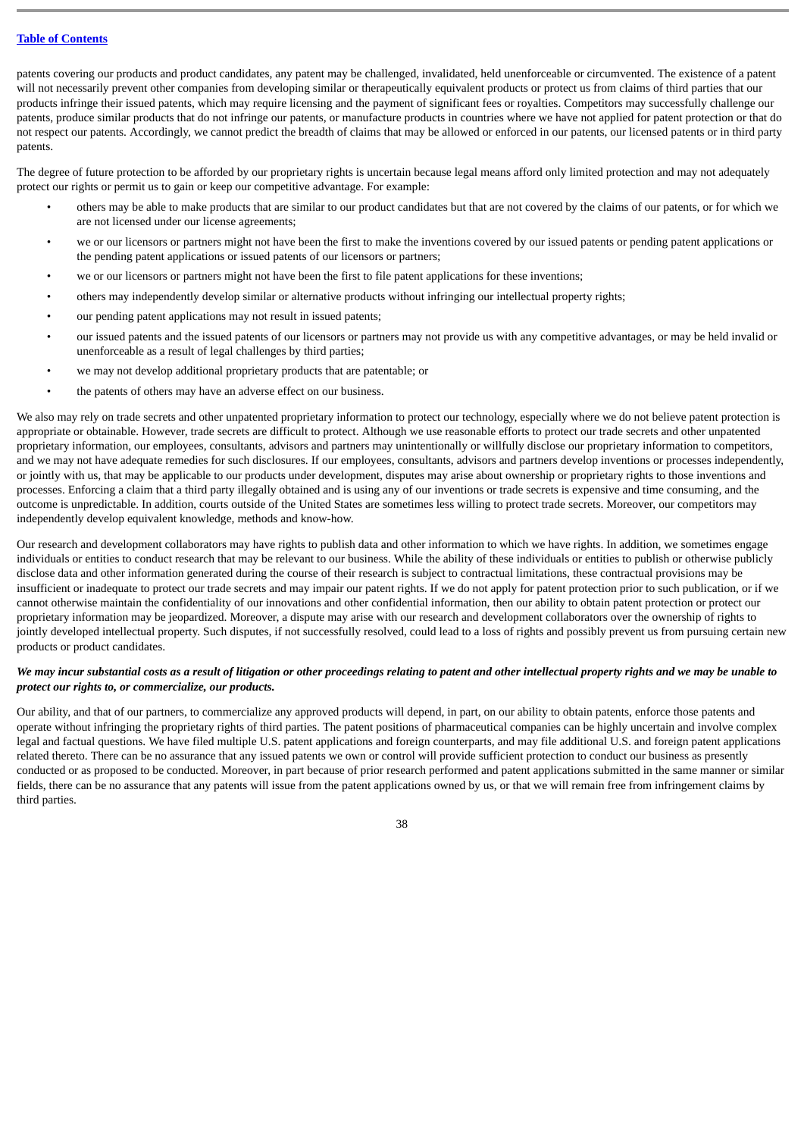patents covering our products and product candidates, any patent may be challenged, invalidated, held unenforceable or circumvented. The existence of a patent will not necessarily prevent other companies from developing similar or therapeutically equivalent products or protect us from claims of third parties that our products infringe their issued patents, which may require licensing and the payment of significant fees or royalties. Competitors may successfully challenge our patents, produce similar products that do not infringe our patents, or manufacture products in countries where we have not applied for patent protection or that do not respect our patents. Accordingly, we cannot predict the breadth of claims that may be allowed or enforced in our patents, our licensed patents or in third party patents.

The degree of future protection to be afforded by our proprietary rights is uncertain because legal means afford only limited protection and may not adequately protect our rights or permit us to gain or keep our competitive advantage. For example:

- others may be able to make products that are similar to our product candidates but that are not covered by the claims of our patents, or for which we are not licensed under our license agreements;
- we or our licensors or partners might not have been the first to make the inventions covered by our issued patents or pending patent applications or the pending patent applications or issued patents of our licensors or partners;
- we or our licensors or partners might not have been the first to file patent applications for these inventions;
- others may independently develop similar or alternative products without infringing our intellectual property rights;
- our pending patent applications may not result in issued patents;
- our issued patents and the issued patents of our licensors or partners may not provide us with any competitive advantages, or may be held invalid or unenforceable as a result of legal challenges by third parties;
- we may not develop additional proprietary products that are patentable; or
- the patents of others may have an adverse effect on our business.

We also may rely on trade secrets and other unpatented proprietary information to protect our technology, especially where we do not believe patent protection is appropriate or obtainable. However, trade secrets are difficult to protect. Although we use reasonable efforts to protect our trade secrets and other unpatented proprietary information, our employees, consultants, advisors and partners may unintentionally or willfully disclose our proprietary information to competitors, and we may not have adequate remedies for such disclosures. If our employees, consultants, advisors and partners develop inventions or processes independently, or jointly with us, that may be applicable to our products under development, disputes may arise about ownership or proprietary rights to those inventions and processes. Enforcing a claim that a third party illegally obtained and is using any of our inventions or trade secrets is expensive and time consuming, and the outcome is unpredictable. In addition, courts outside of the United States are sometimes less willing to protect trade secrets. Moreover, our competitors may independently develop equivalent knowledge, methods and know-how.

Our research and development collaborators may have rights to publish data and other information to which we have rights. In addition, we sometimes engage individuals or entities to conduct research that may be relevant to our business. While the ability of these individuals or entities to publish or otherwise publicly disclose data and other information generated during the course of their research is subject to contractual limitations, these contractual provisions may be insufficient or inadequate to protect our trade secrets and may impair our patent rights. If we do not apply for patent protection prior to such publication, or if we cannot otherwise maintain the confidentiality of our innovations and other confidential information, then our ability to obtain patent protection or protect our proprietary information may be jeopardized. Moreover, a dispute may arise with our research and development collaborators over the ownership of rights to jointly developed intellectual property. Such disputes, if not successfully resolved, could lead to a loss of rights and possibly prevent us from pursuing certain new products or product candidates.

### *We may incur substantial costs as a result of litigation or other proceedings relating to patent and other intellectual property rights and we may be unable to protect our rights to, or commercialize, our products.*

Our ability, and that of our partners, to commercialize any approved products will depend, in part, on our ability to obtain patents, enforce those patents and operate without infringing the proprietary rights of third parties. The patent positions of pharmaceutical companies can be highly uncertain and involve complex legal and factual questions. We have filed multiple U.S. patent applications and foreign counterparts, and may file additional U.S. and foreign patent applications related thereto. There can be no assurance that any issued patents we own or control will provide sufficient protection to conduct our business as presently conducted or as proposed to be conducted. Moreover, in part because of prior research performed and patent applications submitted in the same manner or similar fields, there can be no assurance that any patents will issue from the patent applications owned by us, or that we will remain free from infringement claims by third parties.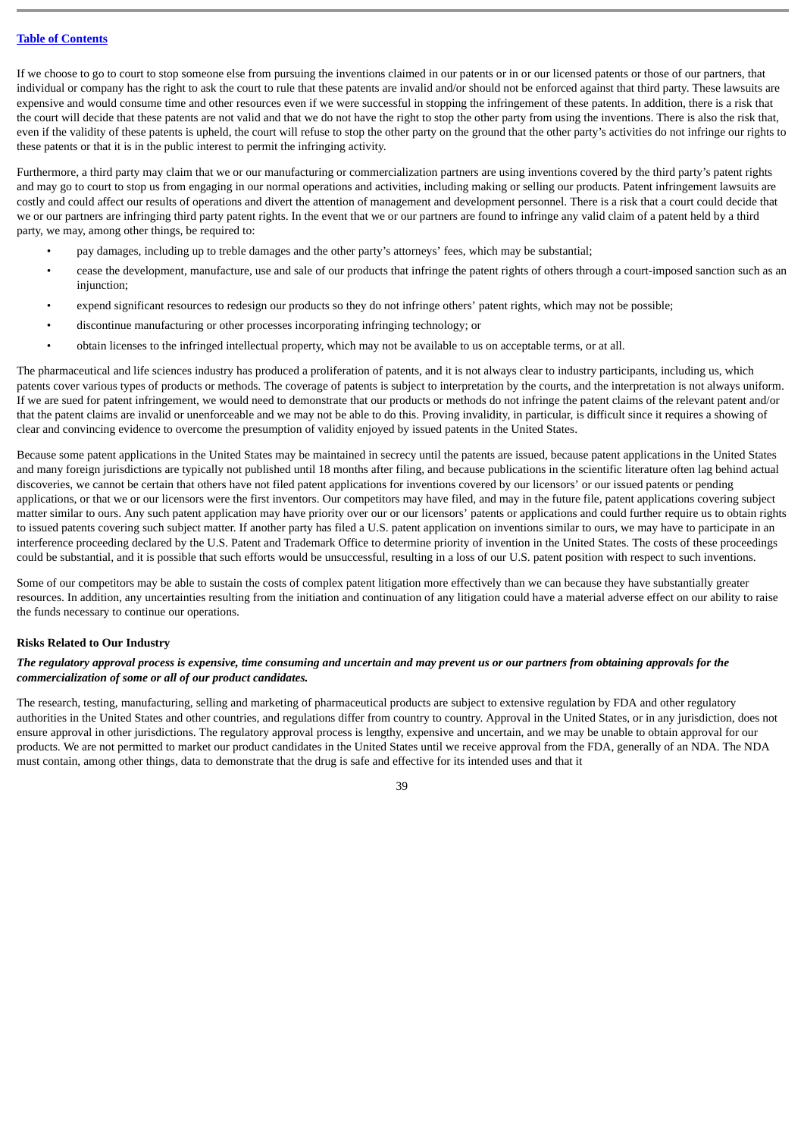If we choose to go to court to stop someone else from pursuing the inventions claimed in our patents or in or our licensed patents or those of our partners, that individual or company has the right to ask the court to rule that these patents are invalid and/or should not be enforced against that third party. These lawsuits are expensive and would consume time and other resources even if we were successful in stopping the infringement of these patents. In addition, there is a risk that the court will decide that these patents are not valid and that we do not have the right to stop the other party from using the inventions. There is also the risk that, even if the validity of these patents is upheld, the court will refuse to stop the other party on the ground that the other party's activities do not infringe our rights to these patents or that it is in the public interest to permit the infringing activity.

Furthermore, a third party may claim that we or our manufacturing or commercialization partners are using inventions covered by the third party's patent rights and may go to court to stop us from engaging in our normal operations and activities, including making or selling our products. Patent infringement lawsuits are costly and could affect our results of operations and divert the attention of management and development personnel. There is a risk that a court could decide that we or our partners are infringing third party patent rights. In the event that we or our partners are found to infringe any valid claim of a patent held by a third party, we may, among other things, be required to:

- pay damages, including up to treble damages and the other party's attorneys' fees, which may be substantial;
- cease the development, manufacture, use and sale of our products that infringe the patent rights of others through a court-imposed sanction such as an injunction;
- expend significant resources to redesign our products so they do not infringe others' patent rights, which may not be possible;
- discontinue manufacturing or other processes incorporating infringing technology; or
- obtain licenses to the infringed intellectual property, which may not be available to us on acceptable terms, or at all.

The pharmaceutical and life sciences industry has produced a proliferation of patents, and it is not always clear to industry participants, including us, which patents cover various types of products or methods. The coverage of patents is subject to interpretation by the courts, and the interpretation is not always uniform. If we are sued for patent infringement, we would need to demonstrate that our products or methods do not infringe the patent claims of the relevant patent and/or that the patent claims are invalid or unenforceable and we may not be able to do this. Proving invalidity, in particular, is difficult since it requires a showing of clear and convincing evidence to overcome the presumption of validity enjoyed by issued patents in the United States.

Because some patent applications in the United States may be maintained in secrecy until the patents are issued, because patent applications in the United States and many foreign jurisdictions are typically not published until 18 months after filing, and because publications in the scientific literature often lag behind actual discoveries, we cannot be certain that others have not filed patent applications for inventions covered by our licensors' or our issued patents or pending applications, or that we or our licensors were the first inventors. Our competitors may have filed, and may in the future file, patent applications covering subject matter similar to ours. Any such patent application may have priority over our or our licensors' patents or applications and could further require us to obtain rights to issued patents covering such subject matter. If another party has filed a U.S. patent application on inventions similar to ours, we may have to participate in an interference proceeding declared by the U.S. Patent and Trademark Office to determine priority of invention in the United States. The costs of these proceedings could be substantial, and it is possible that such efforts would be unsuccessful, resulting in a loss of our U.S. patent position with respect to such inventions.

Some of our competitors may be able to sustain the costs of complex patent litigation more effectively than we can because they have substantially greater resources. In addition, any uncertainties resulting from the initiation and continuation of any litigation could have a material adverse effect on our ability to raise the funds necessary to continue our operations.

### **Risks Related to Our Industry**

### *The regulatory approval process is expensive, time consuming and uncertain and may prevent us or our partners from obtaining approvals for the commercialization of some or all of our product candidates.*

The research, testing, manufacturing, selling and marketing of pharmaceutical products are subject to extensive regulation by FDA and other regulatory authorities in the United States and other countries, and regulations differ from country to country. Approval in the United States, or in any jurisdiction, does not ensure approval in other jurisdictions. The regulatory approval process is lengthy, expensive and uncertain, and we may be unable to obtain approval for our products. We are not permitted to market our product candidates in the United States until we receive approval from the FDA, generally of an NDA. The NDA must contain, among other things, data to demonstrate that the drug is safe and effective for its intended uses and that it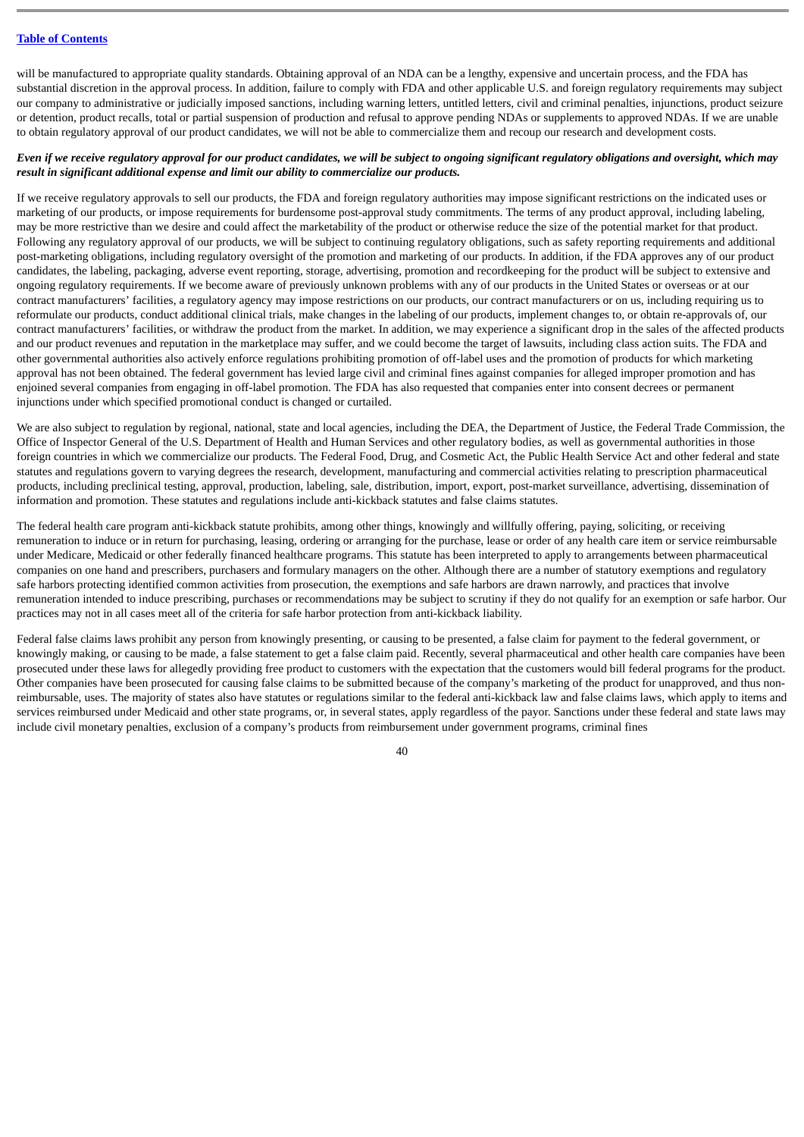will be manufactured to appropriate quality standards. Obtaining approval of an NDA can be a lengthy, expensive and uncertain process, and the FDA has substantial discretion in the approval process. In addition, failure to comply with FDA and other applicable U.S. and foreign regulatory requirements may subject our company to administrative or judicially imposed sanctions, including warning letters, untitled letters, civil and criminal penalties, injunctions, product seizure or detention, product recalls, total or partial suspension of production and refusal to approve pending NDAs or supplements to approved NDAs. If we are unable to obtain regulatory approval of our product candidates, we will not be able to commercialize them and recoup our research and development costs.

### *Even if we receive regulatory approval for our product candidates, we will be subject to ongoing significant regulatory obligations and oversight, which may result in significant additional expense and limit our ability to commercialize our products.*

If we receive regulatory approvals to sell our products, the FDA and foreign regulatory authorities may impose significant restrictions on the indicated uses or marketing of our products, or impose requirements for burdensome post-approval study commitments. The terms of any product approval, including labeling, may be more restrictive than we desire and could affect the marketability of the product or otherwise reduce the size of the potential market for that product. Following any regulatory approval of our products, we will be subject to continuing regulatory obligations, such as safety reporting requirements and additional post-marketing obligations, including regulatory oversight of the promotion and marketing of our products. In addition, if the FDA approves any of our product candidates, the labeling, packaging, adverse event reporting, storage, advertising, promotion and recordkeeping for the product will be subject to extensive and ongoing regulatory requirements. If we become aware of previously unknown problems with any of our products in the United States or overseas or at our contract manufacturers' facilities, a regulatory agency may impose restrictions on our products, our contract manufacturers or on us, including requiring us to reformulate our products, conduct additional clinical trials, make changes in the labeling of our products, implement changes to, or obtain re-approvals of, our contract manufacturers' facilities, or withdraw the product from the market. In addition, we may experience a significant drop in the sales of the affected products and our product revenues and reputation in the marketplace may suffer, and we could become the target of lawsuits, including class action suits. The FDA and other governmental authorities also actively enforce regulations prohibiting promotion of off-label uses and the promotion of products for which marketing approval has not been obtained. The federal government has levied large civil and criminal fines against companies for alleged improper promotion and has enjoined several companies from engaging in off-label promotion. The FDA has also requested that companies enter into consent decrees or permanent injunctions under which specified promotional conduct is changed or curtailed.

We are also subject to regulation by regional, national, state and local agencies, including the DEA, the Department of Justice, the Federal Trade Commission, the Office of Inspector General of the U.S. Department of Health and Human Services and other regulatory bodies, as well as governmental authorities in those foreign countries in which we commercialize our products. The Federal Food, Drug, and Cosmetic Act, the Public Health Service Act and other federal and state statutes and regulations govern to varying degrees the research, development, manufacturing and commercial activities relating to prescription pharmaceutical products, including preclinical testing, approval, production, labeling, sale, distribution, import, export, post-market surveillance, advertising, dissemination of information and promotion. These statutes and regulations include anti-kickback statutes and false claims statutes.

The federal health care program anti-kickback statute prohibits, among other things, knowingly and willfully offering, paying, soliciting, or receiving remuneration to induce or in return for purchasing, leasing, ordering or arranging for the purchase, lease or order of any health care item or service reimbursable under Medicare, Medicaid or other federally financed healthcare programs. This statute has been interpreted to apply to arrangements between pharmaceutical companies on one hand and prescribers, purchasers and formulary managers on the other. Although there are a number of statutory exemptions and regulatory safe harbors protecting identified common activities from prosecution, the exemptions and safe harbors are drawn narrowly, and practices that involve remuneration intended to induce prescribing, purchases or recommendations may be subject to scrutiny if they do not qualify for an exemption or safe harbor. Our practices may not in all cases meet all of the criteria for safe harbor protection from anti-kickback liability.

Federal false claims laws prohibit any person from knowingly presenting, or causing to be presented, a false claim for payment to the federal government, or knowingly making, or causing to be made, a false statement to get a false claim paid. Recently, several pharmaceutical and other health care companies have been prosecuted under these laws for allegedly providing free product to customers with the expectation that the customers would bill federal programs for the product. Other companies have been prosecuted for causing false claims to be submitted because of the company's marketing of the product for unapproved, and thus nonreimbursable, uses. The majority of states also have statutes or regulations similar to the federal anti-kickback law and false claims laws, which apply to items and services reimbursed under Medicaid and other state programs, or, in several states, apply regardless of the payor. Sanctions under these federal and state laws may include civil monetary penalties, exclusion of a company's products from reimbursement under government programs, criminal fines

 $40$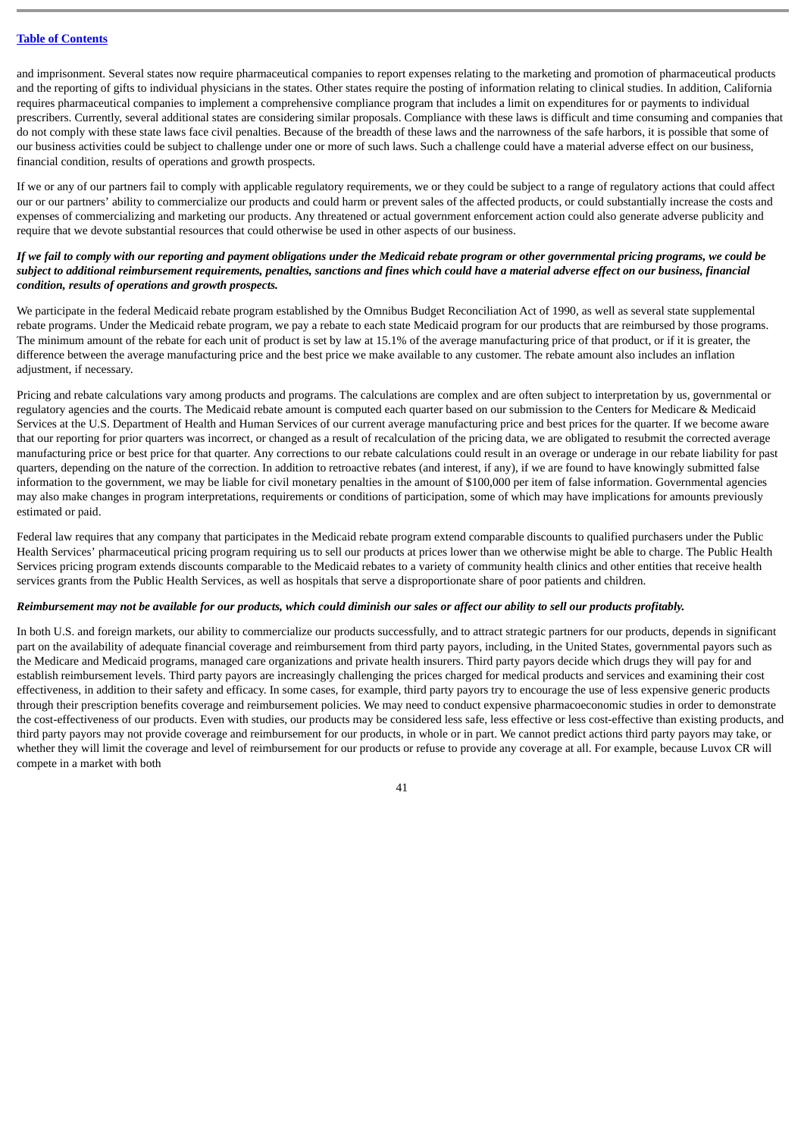and imprisonment. Several states now require pharmaceutical companies to report expenses relating to the marketing and promotion of pharmaceutical products and the reporting of gifts to individual physicians in the states. Other states require the posting of information relating to clinical studies. In addition, California requires pharmaceutical companies to implement a comprehensive compliance program that includes a limit on expenditures for or payments to individual prescribers. Currently, several additional states are considering similar proposals. Compliance with these laws is difficult and time consuming and companies that do not comply with these state laws face civil penalties. Because of the breadth of these laws and the narrowness of the safe harbors, it is possible that some of our business activities could be subject to challenge under one or more of such laws. Such a challenge could have a material adverse effect on our business, financial condition, results of operations and growth prospects.

If we or any of our partners fail to comply with applicable regulatory requirements, we or they could be subject to a range of regulatory actions that could affect our or our partners' ability to commercialize our products and could harm or prevent sales of the affected products, or could substantially increase the costs and expenses of commercializing and marketing our products. Any threatened or actual government enforcement action could also generate adverse publicity and require that we devote substantial resources that could otherwise be used in other aspects of our business.

## *If we fail to comply with our reporting and payment obligations under the Medicaid rebate program or other governmental pricing programs, we could be subject to additional reimbursement requirements, penalties, sanctions and fines which could have a material adverse effect on our business, financial condition, results of operations and growth prospects.*

We participate in the federal Medicaid rebate program established by the Omnibus Budget Reconciliation Act of 1990, as well as several state supplemental rebate programs. Under the Medicaid rebate program, we pay a rebate to each state Medicaid program for our products that are reimbursed by those programs. The minimum amount of the rebate for each unit of product is set by law at 15.1% of the average manufacturing price of that product, or if it is greater, the difference between the average manufacturing price and the best price we make available to any customer. The rebate amount also includes an inflation adjustment, if necessary.

Pricing and rebate calculations vary among products and programs. The calculations are complex and are often subject to interpretation by us, governmental or regulatory agencies and the courts. The Medicaid rebate amount is computed each quarter based on our submission to the Centers for Medicare & Medicaid Services at the U.S. Department of Health and Human Services of our current average manufacturing price and best prices for the quarter. If we become aware that our reporting for prior quarters was incorrect, or changed as a result of recalculation of the pricing data, we are obligated to resubmit the corrected average manufacturing price or best price for that quarter. Any corrections to our rebate calculations could result in an overage or underage in our rebate liability for past quarters, depending on the nature of the correction. In addition to retroactive rebates (and interest, if any), if we are found to have knowingly submitted false information to the government, we may be liable for civil monetary penalties in the amount of \$100,000 per item of false information. Governmental agencies may also make changes in program interpretations, requirements or conditions of participation, some of which may have implications for amounts previously estimated or paid.

Federal law requires that any company that participates in the Medicaid rebate program extend comparable discounts to qualified purchasers under the Public Health Services' pharmaceutical pricing program requiring us to sell our products at prices lower than we otherwise might be able to charge. The Public Health Services pricing program extends discounts comparable to the Medicaid rebates to a variety of community health clinics and other entities that receive health services grants from the Public Health Services, as well as hospitals that serve a disproportionate share of poor patients and children.

### *Reimbursement may not be available for our products, which could diminish our sales or affect our ability to sell our products profitably.*

In both U.S. and foreign markets, our ability to commercialize our products successfully, and to attract strategic partners for our products, depends in significant part on the availability of adequate financial coverage and reimbursement from third party payors, including, in the United States, governmental payors such as the Medicare and Medicaid programs, managed care organizations and private health insurers. Third party payors decide which drugs they will pay for and establish reimbursement levels. Third party payors are increasingly challenging the prices charged for medical products and services and examining their cost effectiveness, in addition to their safety and efficacy. In some cases, for example, third party payors try to encourage the use of less expensive generic products through their prescription benefits coverage and reimbursement policies. We may need to conduct expensive pharmacoeconomic studies in order to demonstrate the cost-effectiveness of our products. Even with studies, our products may be considered less safe, less effective or less cost-effective than existing products, and third party payors may not provide coverage and reimbursement for our products, in whole or in part. We cannot predict actions third party payors may take, or whether they will limit the coverage and level of reimbursement for our products or refuse to provide any coverage at all. For example, because Luvox CR will compete in a market with both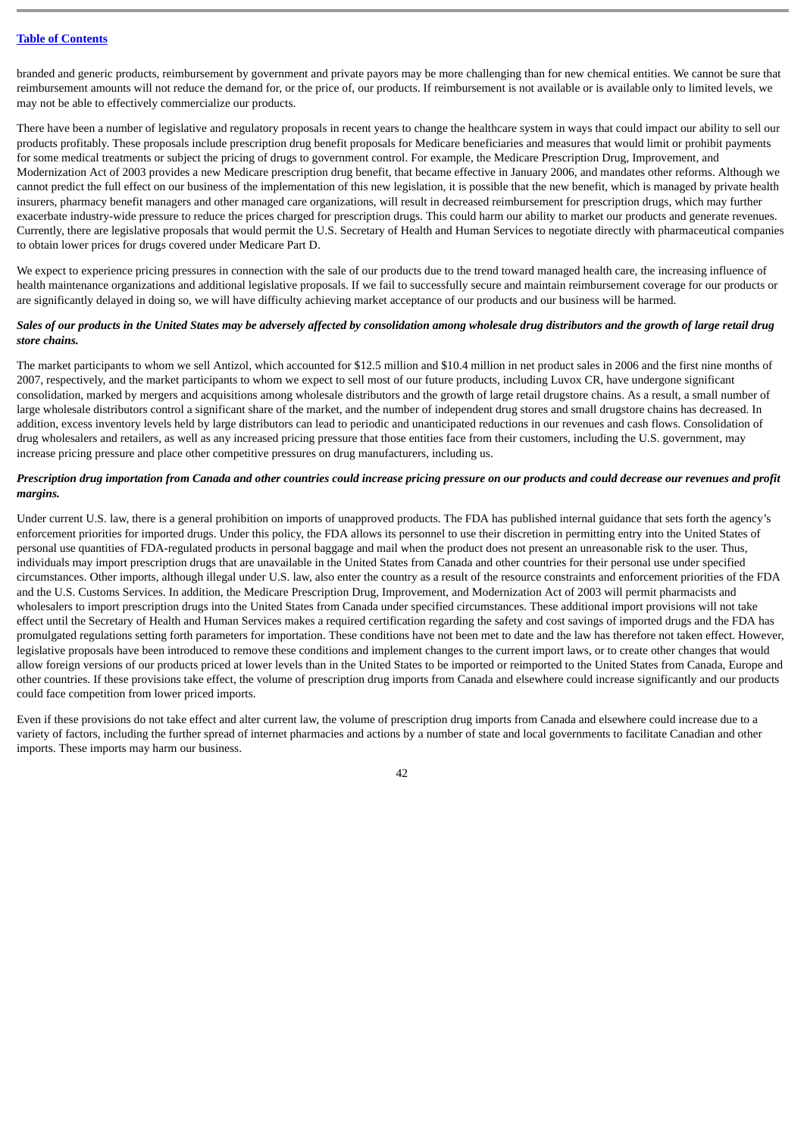branded and generic products, reimbursement by government and private payors may be more challenging than for new chemical entities. We cannot be sure that reimbursement amounts will not reduce the demand for, or the price of, our products. If reimbursement is not available or is available only to limited levels, we may not be able to effectively commercialize our products.

There have been a number of legislative and regulatory proposals in recent years to change the healthcare system in ways that could impact our ability to sell our products profitably. These proposals include prescription drug benefit proposals for Medicare beneficiaries and measures that would limit or prohibit payments for some medical treatments or subject the pricing of drugs to government control. For example, the Medicare Prescription Drug, Improvement, and Modernization Act of 2003 provides a new Medicare prescription drug benefit, that became effective in January 2006, and mandates other reforms. Although we cannot predict the full effect on our business of the implementation of this new legislation, it is possible that the new benefit, which is managed by private health insurers, pharmacy benefit managers and other managed care organizations, will result in decreased reimbursement for prescription drugs, which may further exacerbate industry-wide pressure to reduce the prices charged for prescription drugs. This could harm our ability to market our products and generate revenues. Currently, there are legislative proposals that would permit the U.S. Secretary of Health and Human Services to negotiate directly with pharmaceutical companies to obtain lower prices for drugs covered under Medicare Part D.

We expect to experience pricing pressures in connection with the sale of our products due to the trend toward managed health care, the increasing influence of health maintenance organizations and additional legislative proposals. If we fail to successfully secure and maintain reimbursement coverage for our products or are significantly delayed in doing so, we will have difficulty achieving market acceptance of our products and our business will be harmed.

### *Sales of our products in the United States may be adversely affected by consolidation among wholesale drug distributors and the growth of large retail drug store chains.*

The market participants to whom we sell Antizol, which accounted for \$12.5 million and \$10.4 million in net product sales in 2006 and the first nine months of 2007, respectively, and the market participants to whom we expect to sell most of our future products, including Luvox CR, have undergone significant consolidation, marked by mergers and acquisitions among wholesale distributors and the growth of large retail drugstore chains. As a result, a small number of large wholesale distributors control a significant share of the market, and the number of independent drug stores and small drugstore chains has decreased. In addition, excess inventory levels held by large distributors can lead to periodic and unanticipated reductions in our revenues and cash flows. Consolidation of drug wholesalers and retailers, as well as any increased pricing pressure that those entities face from their customers, including the U.S. government, may increase pricing pressure and place other competitive pressures on drug manufacturers, including us.

## *Prescription drug importation from Canada and other countries could increase pricing pressure on our products and could decrease our revenues and profit margins.*

Under current U.S. law, there is a general prohibition on imports of unapproved products. The FDA has published internal guidance that sets forth the agency's enforcement priorities for imported drugs. Under this policy, the FDA allows its personnel to use their discretion in permitting entry into the United States of personal use quantities of FDA-regulated products in personal baggage and mail when the product does not present an unreasonable risk to the user. Thus, individuals may import prescription drugs that are unavailable in the United States from Canada and other countries for their personal use under specified circumstances. Other imports, although illegal under U.S. law, also enter the country as a result of the resource constraints and enforcement priorities of the FDA and the U.S. Customs Services. In addition, the Medicare Prescription Drug, Improvement, and Modernization Act of 2003 will permit pharmacists and wholesalers to import prescription drugs into the United States from Canada under specified circumstances. These additional import provisions will not take effect until the Secretary of Health and Human Services makes a required certification regarding the safety and cost savings of imported drugs and the FDA has promulgated regulations setting forth parameters for importation. These conditions have not been met to date and the law has therefore not taken effect. However, legislative proposals have been introduced to remove these conditions and implement changes to the current import laws, or to create other changes that would allow foreign versions of our products priced at lower levels than in the United States to be imported or reimported to the United States from Canada, Europe and other countries. If these provisions take effect, the volume of prescription drug imports from Canada and elsewhere could increase significantly and our products could face competition from lower priced imports.

Even if these provisions do not take effect and alter current law, the volume of prescription drug imports from Canada and elsewhere could increase due to a variety of factors, including the further spread of internet pharmacies and actions by a number of state and local governments to facilitate Canadian and other imports. These imports may harm our business.

42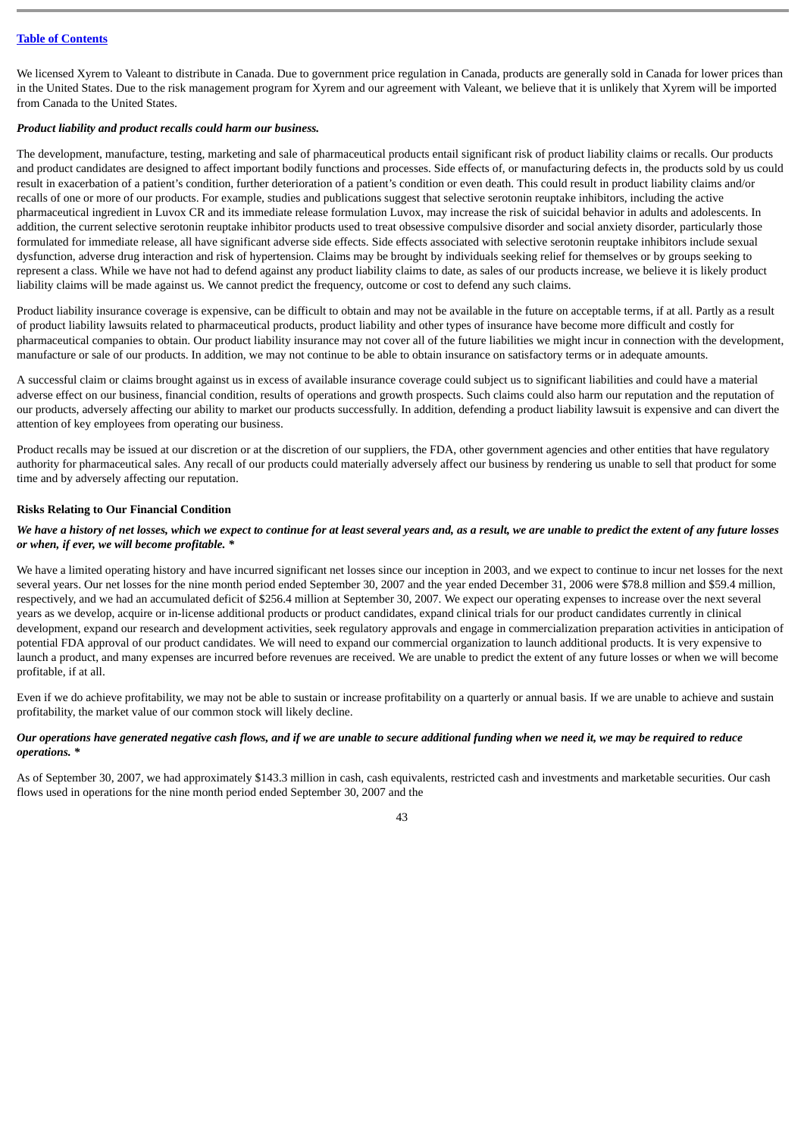We licensed Xyrem to Valeant to distribute in Canada. Due to government price regulation in Canada, products are generally sold in Canada for lower prices than in the United States. Due to the risk management program for Xyrem and our agreement with Valeant, we believe that it is unlikely that Xyrem will be imported from Canada to the United States.

### *Product liability and product recalls could harm our business.*

The development, manufacture, testing, marketing and sale of pharmaceutical products entail significant risk of product liability claims or recalls. Our products and product candidates are designed to affect important bodily functions and processes. Side effects of, or manufacturing defects in, the products sold by us could result in exacerbation of a patient's condition, further deterioration of a patient's condition or even death. This could result in product liability claims and/or recalls of one or more of our products. For example, studies and publications suggest that selective serotonin reuptake inhibitors, including the active pharmaceutical ingredient in Luvox CR and its immediate release formulation Luvox, may increase the risk of suicidal behavior in adults and adolescents. In addition, the current selective serotonin reuptake inhibitor products used to treat obsessive compulsive disorder and social anxiety disorder, particularly those formulated for immediate release, all have significant adverse side effects. Side effects associated with selective serotonin reuptake inhibitors include sexual dysfunction, adverse drug interaction and risk of hypertension. Claims may be brought by individuals seeking relief for themselves or by groups seeking to represent a class. While we have not had to defend against any product liability claims to date, as sales of our products increase, we believe it is likely product liability claims will be made against us. We cannot predict the frequency, outcome or cost to defend any such claims.

Product liability insurance coverage is expensive, can be difficult to obtain and may not be available in the future on acceptable terms, if at all. Partly as a result of product liability lawsuits related to pharmaceutical products, product liability and other types of insurance have become more difficult and costly for pharmaceutical companies to obtain. Our product liability insurance may not cover all of the future liabilities we might incur in connection with the development, manufacture or sale of our products. In addition, we may not continue to be able to obtain insurance on satisfactory terms or in adequate amounts.

A successful claim or claims brought against us in excess of available insurance coverage could subject us to significant liabilities and could have a material adverse effect on our business, financial condition, results of operations and growth prospects. Such claims could also harm our reputation and the reputation of our products, adversely affecting our ability to market our products successfully. In addition, defending a product liability lawsuit is expensive and can divert the attention of key employees from operating our business.

Product recalls may be issued at our discretion or at the discretion of our suppliers, the FDA, other government agencies and other entities that have regulatory authority for pharmaceutical sales. Any recall of our products could materially adversely affect our business by rendering us unable to sell that product for some time and by adversely affecting our reputation.

### **Risks Relating to Our Financial Condition**

### *We have a history of net losses, which we expect to continue for at least several years and, as a result, we are unable to predict the extent of any future losses or when, if ever, we will become profitable. \**

We have a limited operating history and have incurred significant net losses since our inception in 2003, and we expect to continue to incur net losses for the next several years. Our net losses for the nine month period ended September 30, 2007 and the year ended December 31, 2006 were \$78.8 million and \$59.4 million, respectively, and we had an accumulated deficit of \$256.4 million at September 30, 2007. We expect our operating expenses to increase over the next several years as we develop, acquire or in-license additional products or product candidates, expand clinical trials for our product candidates currently in clinical development, expand our research and development activities, seek regulatory approvals and engage in commercialization preparation activities in anticipation of potential FDA approval of our product candidates. We will need to expand our commercial organization to launch additional products. It is very expensive to launch a product, and many expenses are incurred before revenues are received. We are unable to predict the extent of any future losses or when we will become profitable, if at all.

Even if we do achieve profitability, we may not be able to sustain or increase profitability on a quarterly or annual basis. If we are unable to achieve and sustain profitability, the market value of our common stock will likely decline.

### *Our operations have generated negative cash flows, and if we are unable to secure additional funding when we need it, we may be required to reduce operations. \**

As of September 30, 2007, we had approximately \$143.3 million in cash, cash equivalents, restricted cash and investments and marketable securities. Our cash flows used in operations for the nine month period ended September 30, 2007 and the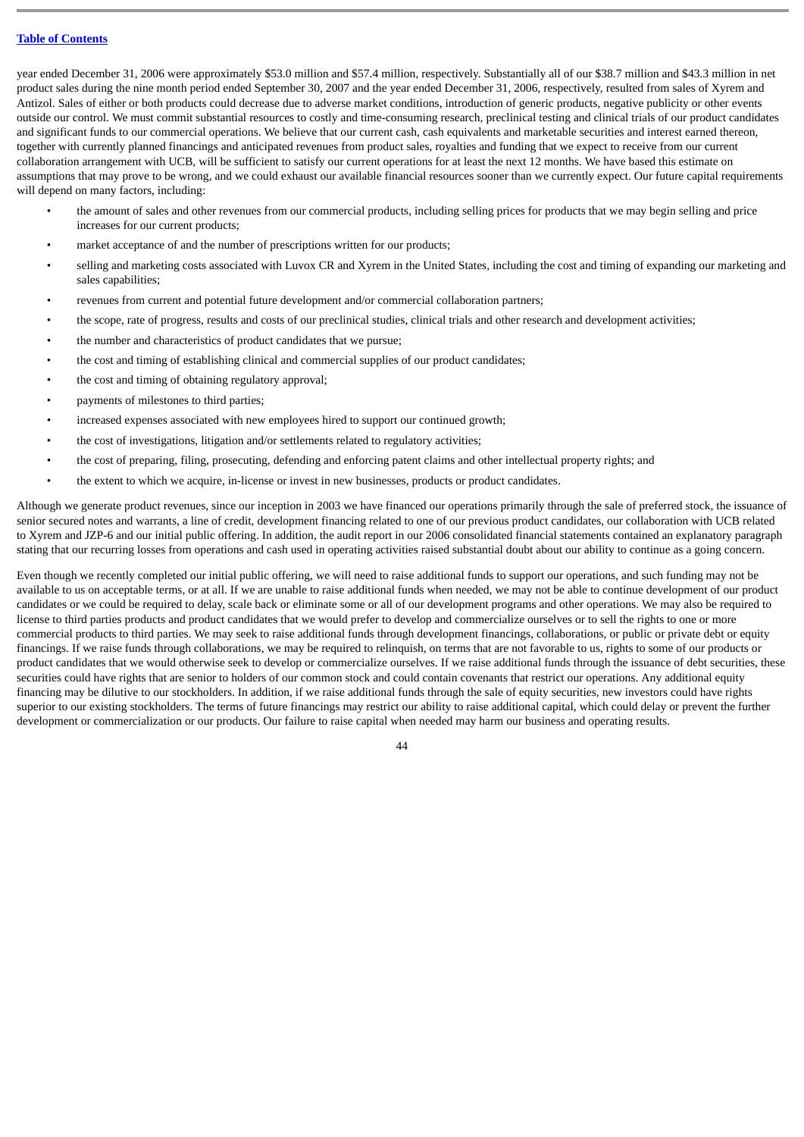year ended December 31, 2006 were approximately \$53.0 million and \$57.4 million, respectively. Substantially all of our \$38.7 million and \$43.3 million in net product sales during the nine month period ended September 30, 2007 and the year ended December 31, 2006, respectively, resulted from sales of Xyrem and Antizol. Sales of either or both products could decrease due to adverse market conditions, introduction of generic products, negative publicity or other events outside our control. We must commit substantial resources to costly and time-consuming research, preclinical testing and clinical trials of our product candidates and significant funds to our commercial operations. We believe that our current cash, cash equivalents and marketable securities and interest earned thereon, together with currently planned financings and anticipated revenues from product sales, royalties and funding that we expect to receive from our current collaboration arrangement with UCB, will be sufficient to satisfy our current operations for at least the next 12 months. We have based this estimate on assumptions that may prove to be wrong, and we could exhaust our available financial resources sooner than we currently expect. Our future capital requirements will depend on many factors, including:

- the amount of sales and other revenues from our commercial products, including selling prices for products that we may begin selling and price increases for our current products;
- market acceptance of and the number of prescriptions written for our products;
- selling and marketing costs associated with Luvox CR and Xyrem in the United States, including the cost and timing of expanding our marketing and sales capabilities;
- revenues from current and potential future development and/or commercial collaboration partners;
- the scope, rate of progress, results and costs of our preclinical studies, clinical trials and other research and development activities;
- the number and characteristics of product candidates that we pursue;
- the cost and timing of establishing clinical and commercial supplies of our product candidates;
- the cost and timing of obtaining regulatory approval;
- payments of milestones to third parties;
- increased expenses associated with new employees hired to support our continued growth;
- the cost of investigations, litigation and/or settlements related to regulatory activities;
- the cost of preparing, filing, prosecuting, defending and enforcing patent claims and other intellectual property rights; and
- the extent to which we acquire, in-license or invest in new businesses, products or product candidates.

Although we generate product revenues, since our inception in 2003 we have financed our operations primarily through the sale of preferred stock, the issuance of senior secured notes and warrants, a line of credit, development financing related to one of our previous product candidates, our collaboration with UCB related to Xyrem and JZP-6 and our initial public offering. In addition, the audit report in our 2006 consolidated financial statements contained an explanatory paragraph stating that our recurring losses from operations and cash used in operating activities raised substantial doubt about our ability to continue as a going concern.

Even though we recently completed our initial public offering, we will need to raise additional funds to support our operations, and such funding may not be available to us on acceptable terms, or at all. If we are unable to raise additional funds when needed, we may not be able to continue development of our product candidates or we could be required to delay, scale back or eliminate some or all of our development programs and other operations. We may also be required to license to third parties products and product candidates that we would prefer to develop and commercialize ourselves or to sell the rights to one or more commercial products to third parties. We may seek to raise additional funds through development financings, collaborations, or public or private debt or equity financings. If we raise funds through collaborations, we may be required to relinquish, on terms that are not favorable to us, rights to some of our products or product candidates that we would otherwise seek to develop or commercialize ourselves. If we raise additional funds through the issuance of debt securities, these securities could have rights that are senior to holders of our common stock and could contain covenants that restrict our operations. Any additional equity financing may be dilutive to our stockholders. In addition, if we raise additional funds through the sale of equity securities, new investors could have rights superior to our existing stockholders. The terms of future financings may restrict our ability to raise additional capital, which could delay or prevent the further development or commercialization or our products. Our failure to raise capital when needed may harm our business and operating results.

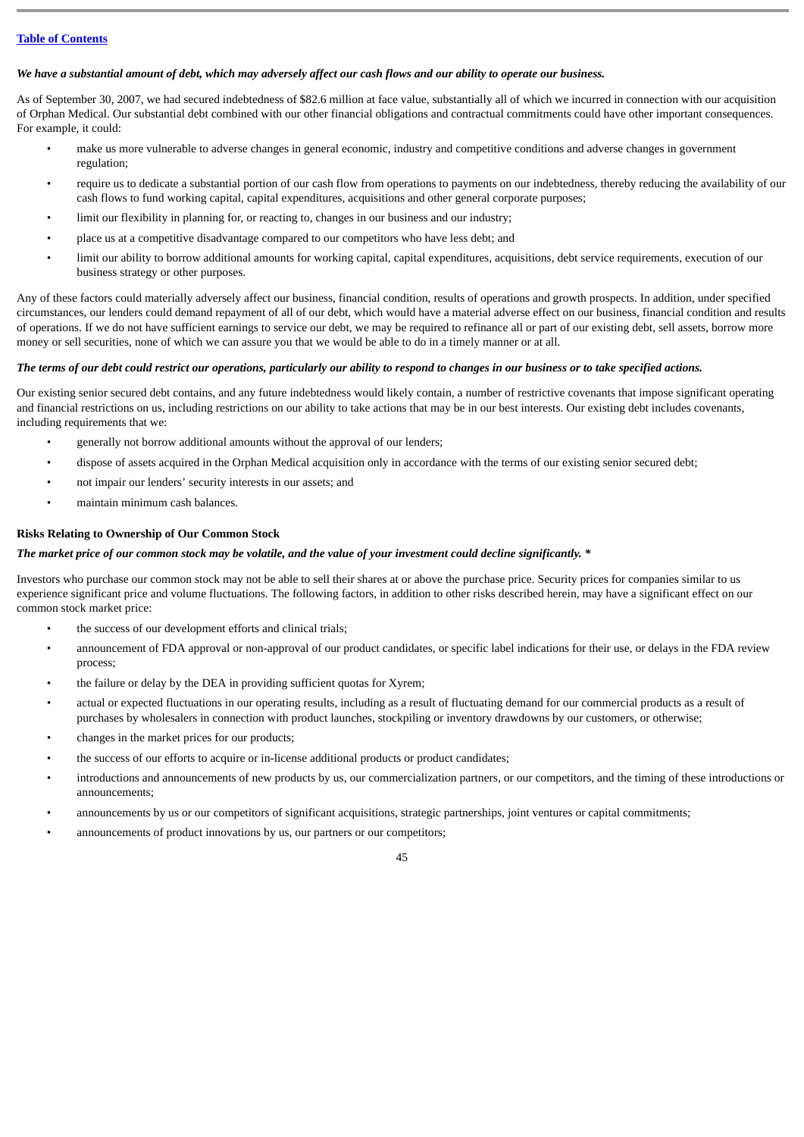### *We have a substantial amount of debt, which may adversely affect our cash flows and our ability to operate our business.*

As of September 30, 2007, we had secured indebtedness of \$82.6 million at face value, substantially all of which we incurred in connection with our acquisition of Orphan Medical. Our substantial debt combined with our other financial obligations and contractual commitments could have other important consequences. For example, it could:

- make us more vulnerable to adverse changes in general economic, industry and competitive conditions and adverse changes in government regulation;
- require us to dedicate a substantial portion of our cash flow from operations to payments on our indebtedness, thereby reducing the availability of our cash flows to fund working capital, capital expenditures, acquisitions and other general corporate purposes;
- limit our flexibility in planning for, or reacting to, changes in our business and our industry;
- place us at a competitive disadvantage compared to our competitors who have less debt; and
- limit our ability to borrow additional amounts for working capital, capital expenditures, acquisitions, debt service requirements, execution of our business strategy or other purposes.

Any of these factors could materially adversely affect our business, financial condition, results of operations and growth prospects. In addition, under specified circumstances, our lenders could demand repayment of all of our debt, which would have a material adverse effect on our business, financial condition and results of operations. If we do not have sufficient earnings to service our debt, we may be required to refinance all or part of our existing debt, sell assets, borrow more money or sell securities, none of which we can assure you that we would be able to do in a timely manner or at all.

### *The terms of our debt could restrict our operations, particularly our ability to respond to changes in our business or to take specified actions.*

Our existing senior secured debt contains, and any future indebtedness would likely contain, a number of restrictive covenants that impose significant operating and financial restrictions on us, including restrictions on our ability to take actions that may be in our best interests. Our existing debt includes covenants, including requirements that we:

- generally not borrow additional amounts without the approval of our lenders;
- dispose of assets acquired in the Orphan Medical acquisition only in accordance with the terms of our existing senior secured debt;
- not impair our lenders' security interests in our assets; and
- maintain minimum cash balances.

### **Risks Relating to Ownership of Our Common Stock**

### *The market price of our common stock may be volatile, and the value of your investment could decline significantly. \**

Investors who purchase our common stock may not be able to sell their shares at or above the purchase price. Security prices for companies similar to us experience significant price and volume fluctuations. The following factors, in addition to other risks described herein, may have a significant effect on our common stock market price:

- the success of our development efforts and clinical trials;
- announcement of FDA approval or non-approval of our product candidates, or specific label indications for their use, or delays in the FDA review process;
- the failure or delay by the DEA in providing sufficient quotas for Xyrem;
- actual or expected fluctuations in our operating results, including as a result of fluctuating demand for our commercial products as a result of purchases by wholesalers in connection with product launches, stockpiling or inventory drawdowns by our customers, or otherwise;
- changes in the market prices for our products;
- the success of our efforts to acquire or in-license additional products or product candidates;
- introductions and announcements of new products by us, our commercialization partners, or our competitors, and the timing of these introductions or announcements;
- announcements by us or our competitors of significant acquisitions, strategic partnerships, joint ventures or capital commitments;
- announcements of product innovations by us, our partners or our competitors;

### 45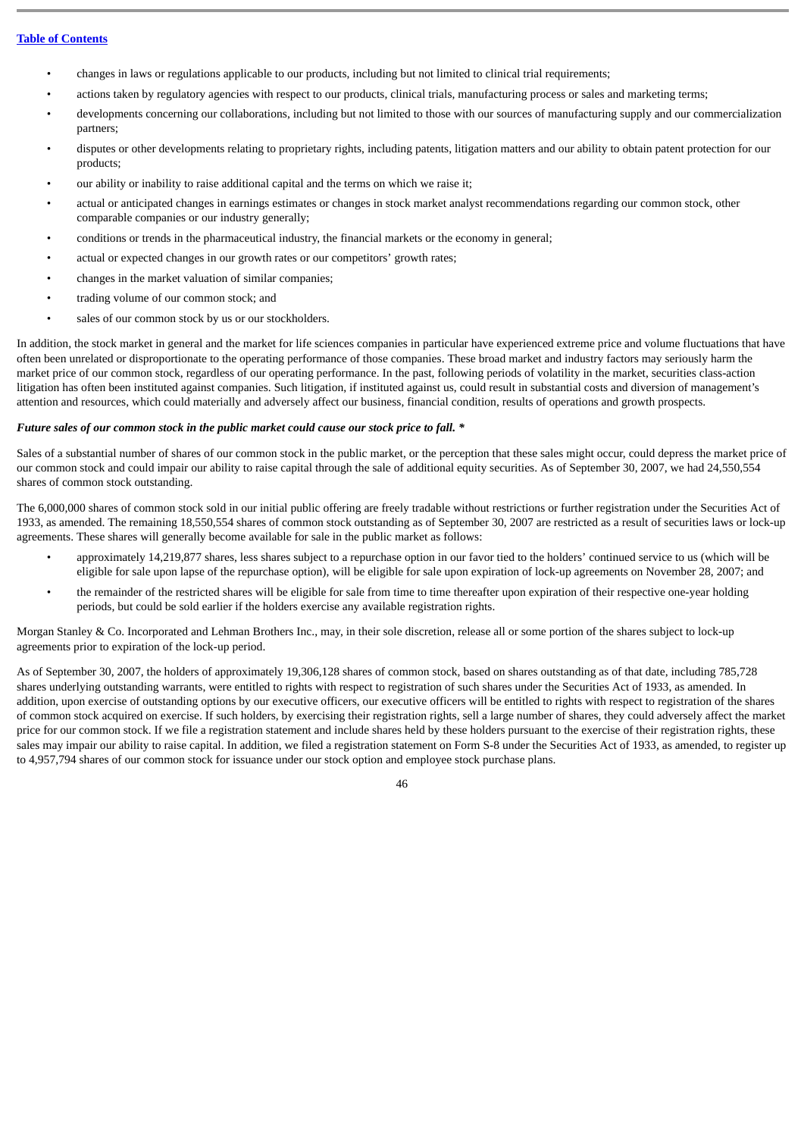- changes in laws or regulations applicable to our products, including but not limited to clinical trial requirements;
- actions taken by regulatory agencies with respect to our products, clinical trials, manufacturing process or sales and marketing terms;
- developments concerning our collaborations, including but not limited to those with our sources of manufacturing supply and our commercialization partners;
- disputes or other developments relating to proprietary rights, including patents, litigation matters and our ability to obtain patent protection for our products;
- our ability or inability to raise additional capital and the terms on which we raise it;
- actual or anticipated changes in earnings estimates or changes in stock market analyst recommendations regarding our common stock, other comparable companies or our industry generally;
- conditions or trends in the pharmaceutical industry, the financial markets or the economy in general;
- actual or expected changes in our growth rates or our competitors' growth rates;
- changes in the market valuation of similar companies;
- trading volume of our common stock; and
- sales of our common stock by us or our stockholders.

In addition, the stock market in general and the market for life sciences companies in particular have experienced extreme price and volume fluctuations that have often been unrelated or disproportionate to the operating performance of those companies. These broad market and industry factors may seriously harm the market price of our common stock, regardless of our operating performance. In the past, following periods of volatility in the market, securities class-action litigation has often been instituted against companies. Such litigation, if instituted against us, could result in substantial costs and diversion of management's attention and resources, which could materially and adversely affect our business, financial condition, results of operations and growth prospects.

#### *Future sales of our common stock in the public market could cause our stock price to fall. \**

Sales of a substantial number of shares of our common stock in the public market, or the perception that these sales might occur, could depress the market price of our common stock and could impair our ability to raise capital through the sale of additional equity securities. As of September 30, 2007, we had 24,550,554 shares of common stock outstanding.

The 6,000,000 shares of common stock sold in our initial public offering are freely tradable without restrictions or further registration under the Securities Act of 1933, as amended. The remaining 18,550,554 shares of common stock outstanding as of September 30, 2007 are restricted as a result of securities laws or lock-up agreements. These shares will generally become available for sale in the public market as follows:

- approximately 14,219,877 shares, less shares subject to a repurchase option in our favor tied to the holders' continued service to us (which will be eligible for sale upon lapse of the repurchase option), will be eligible for sale upon expiration of lock-up agreements on November 28, 2007; and
- the remainder of the restricted shares will be eligible for sale from time to time thereafter upon expiration of their respective one-year holding periods, but could be sold earlier if the holders exercise any available registration rights.

Morgan Stanley & Co. Incorporated and Lehman Brothers Inc., may, in their sole discretion, release all or some portion of the shares subject to lock-up agreements prior to expiration of the lock-up period.

As of September 30, 2007, the holders of approximately 19,306,128 shares of common stock, based on shares outstanding as of that date, including 785,728 shares underlying outstanding warrants, were entitled to rights with respect to registration of such shares under the Securities Act of 1933, as amended. In addition, upon exercise of outstanding options by our executive officers, our executive officers will be entitled to rights with respect to registration of the shares of common stock acquired on exercise. If such holders, by exercising their registration rights, sell a large number of shares, they could adversely affect the market price for our common stock. If we file a registration statement and include shares held by these holders pursuant to the exercise of their registration rights, these sales may impair our ability to raise capital. In addition, we filed a registration statement on Form S-8 under the Securities Act of 1933, as amended, to register up to 4,957,794 shares of our common stock for issuance under our stock option and employee stock purchase plans.

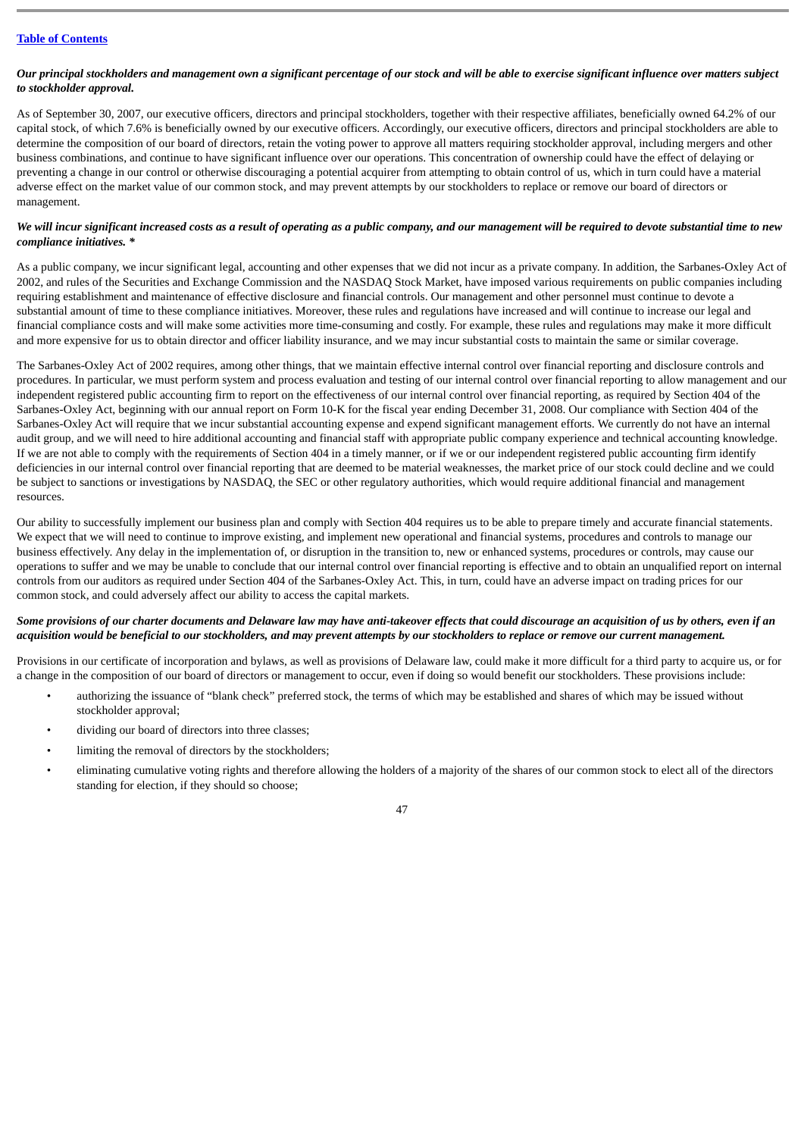### *Our principal stockholders and management own a significant percentage of our stock and will be able to exercise significant influence over matters subject to stockholder approval.*

As of September 30, 2007, our executive officers, directors and principal stockholders, together with their respective affiliates, beneficially owned 64.2% of our capital stock, of which 7.6% is beneficially owned by our executive officers. Accordingly, our executive officers, directors and principal stockholders are able to determine the composition of our board of directors, retain the voting power to approve all matters requiring stockholder approval, including mergers and other business combinations, and continue to have significant influence over our operations. This concentration of ownership could have the effect of delaying or preventing a change in our control or otherwise discouraging a potential acquirer from attempting to obtain control of us, which in turn could have a material adverse effect on the market value of our common stock, and may prevent attempts by our stockholders to replace or remove our board of directors or management.

## *We will incur significant increased costs as a result of operating as a public company, and our management will be required to devote substantial time to new compliance initiatives. \**

As a public company, we incur significant legal, accounting and other expenses that we did not incur as a private company. In addition, the Sarbanes-Oxley Act of 2002, and rules of the Securities and Exchange Commission and the NASDAQ Stock Market, have imposed various requirements on public companies including requiring establishment and maintenance of effective disclosure and financial controls. Our management and other personnel must continue to devote a substantial amount of time to these compliance initiatives. Moreover, these rules and regulations have increased and will continue to increase our legal and financial compliance costs and will make some activities more time-consuming and costly. For example, these rules and regulations may make it more difficult and more expensive for us to obtain director and officer liability insurance, and we may incur substantial costs to maintain the same or similar coverage.

The Sarbanes-Oxley Act of 2002 requires, among other things, that we maintain effective internal control over financial reporting and disclosure controls and procedures. In particular, we must perform system and process evaluation and testing of our internal control over financial reporting to allow management and our independent registered public accounting firm to report on the effectiveness of our internal control over financial reporting, as required by Section 404 of the Sarbanes-Oxley Act, beginning with our annual report on Form 10-K for the fiscal year ending December 31, 2008. Our compliance with Section 404 of the Sarbanes-Oxley Act will require that we incur substantial accounting expense and expend significant management efforts. We currently do not have an internal audit group, and we will need to hire additional accounting and financial staff with appropriate public company experience and technical accounting knowledge. If we are not able to comply with the requirements of Section 404 in a timely manner, or if we or our independent registered public accounting firm identify deficiencies in our internal control over financial reporting that are deemed to be material weaknesses, the market price of our stock could decline and we could be subject to sanctions or investigations by NASDAQ, the SEC or other regulatory authorities, which would require additional financial and management resources.

Our ability to successfully implement our business plan and comply with Section 404 requires us to be able to prepare timely and accurate financial statements. We expect that we will need to continue to improve existing, and implement new operational and financial systems, procedures and controls to manage our business effectively. Any delay in the implementation of, or disruption in the transition to, new or enhanced systems, procedures or controls, may cause our operations to suffer and we may be unable to conclude that our internal control over financial reporting is effective and to obtain an unqualified report on internal controls from our auditors as required under Section 404 of the Sarbanes-Oxley Act. This, in turn, could have an adverse impact on trading prices for our common stock, and could adversely affect our ability to access the capital markets.

## *Some provisions of our charter documents and Delaware law may have anti-takeover effects that could discourage an acquisition of us by others, even if an acquisition would be beneficial to our stockholders, and may prevent attempts by our stockholders to replace or remove our current management.*

Provisions in our certificate of incorporation and bylaws, as well as provisions of Delaware law, could make it more difficult for a third party to acquire us, or for a change in the composition of our board of directors or management to occur, even if doing so would benefit our stockholders. These provisions include:

- authorizing the issuance of "blank check" preferred stock, the terms of which may be established and shares of which may be issued without stockholder approval;
- dividing our board of directors into three classes;
- limiting the removal of directors by the stockholders;
- eliminating cumulative voting rights and therefore allowing the holders of a majority of the shares of our common stock to elect all of the directors standing for election, if they should so choose;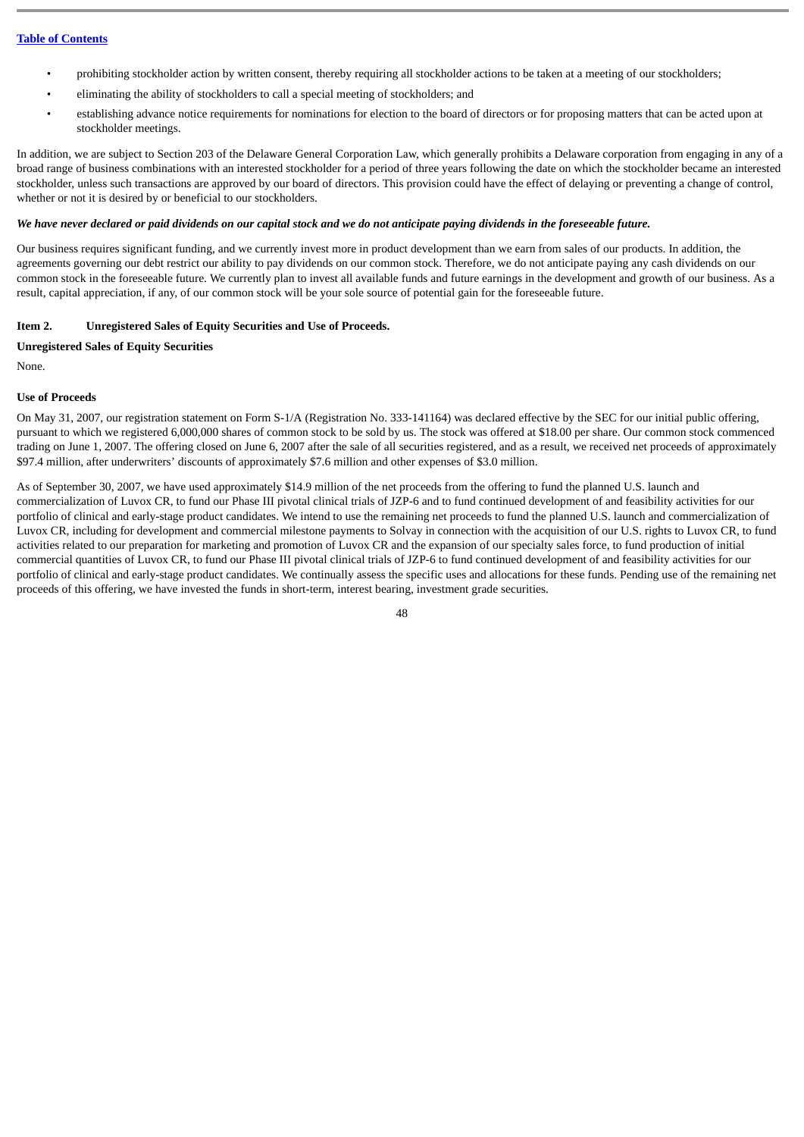- prohibiting stockholder action by written consent, thereby requiring all stockholder actions to be taken at a meeting of our stockholders;
- eliminating the ability of stockholders to call a special meeting of stockholders; and
- establishing advance notice requirements for nominations for election to the board of directors or for proposing matters that can be acted upon at stockholder meetings.

In addition, we are subject to Section 203 of the Delaware General Corporation Law, which generally prohibits a Delaware corporation from engaging in any of a broad range of business combinations with an interested stockholder for a period of three years following the date on which the stockholder became an interested stockholder, unless such transactions are approved by our board of directors. This provision could have the effect of delaying or preventing a change of control, whether or not it is desired by or beneficial to our stockholders.

### *We have never declared or paid dividends on our capital stock and we do not anticipate paying dividends in the foreseeable future.*

Our business requires significant funding, and we currently invest more in product development than we earn from sales of our products. In addition, the agreements governing our debt restrict our ability to pay dividends on our common stock. Therefore, we do not anticipate paying any cash dividends on our common stock in the foreseeable future. We currently plan to invest all available funds and future earnings in the development and growth of our business. As a result, capital appreciation, if any, of our common stock will be your sole source of potential gain for the foreseeable future.

## **Item 2. Unregistered Sales of Equity Securities and Use of Proceeds.**

### **Unregistered Sales of Equity Securities**

None.

### **Use of Proceeds**

On May 31, 2007, our registration statement on Form S-1/A (Registration No. 333-141164) was declared effective by the SEC for our initial public offering, pursuant to which we registered 6,000,000 shares of common stock to be sold by us. The stock was offered at \$18.00 per share. Our common stock commenced trading on June 1, 2007. The offering closed on June 6, 2007 after the sale of all securities registered, and as a result, we received net proceeds of approximately \$97.4 million, after underwriters' discounts of approximately \$7.6 million and other expenses of \$3.0 million.

As of September 30, 2007, we have used approximately \$14.9 million of the net proceeds from the offering to fund the planned U.S. launch and commercialization of Luvox CR, to fund our Phase III pivotal clinical trials of JZP-6 and to fund continued development of and feasibility activities for our portfolio of clinical and early-stage product candidates. We intend to use the remaining net proceeds to fund the planned U.S. launch and commercialization of Luvox CR, including for development and commercial milestone payments to Solvay in connection with the acquisition of our U.S. rights to Luvox CR, to fund activities related to our preparation for marketing and promotion of Luvox CR and the expansion of our specialty sales force, to fund production of initial commercial quantities of Luvox CR, to fund our Phase III pivotal clinical trials of JZP-6 to fund continued development of and feasibility activities for our portfolio of clinical and early-stage product candidates. We continually assess the specific uses and allocations for these funds. Pending use of the remaining net proceeds of this offering, we have invested the funds in short-term, interest bearing, investment grade securities.

48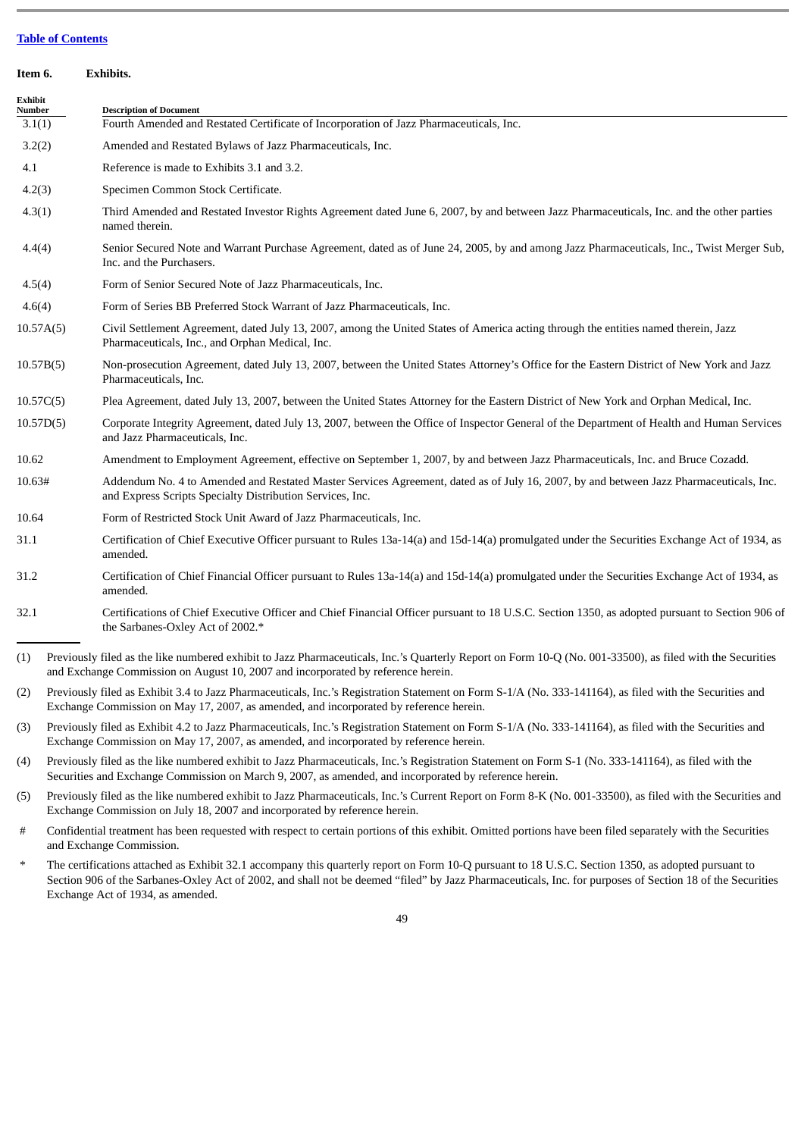| Item 6.           |           | <b>Exhibits.</b>                                                                                                                                                                                                                                               |  |  |  |  |  |
|-------------------|-----------|----------------------------------------------------------------------------------------------------------------------------------------------------------------------------------------------------------------------------------------------------------------|--|--|--|--|--|
| Exhibit<br>Number |           | <b>Description of Document</b>                                                                                                                                                                                                                                 |  |  |  |  |  |
| 3.1(1)            |           | Fourth Amended and Restated Certificate of Incorporation of Jazz Pharmaceuticals, Inc.                                                                                                                                                                         |  |  |  |  |  |
| 3.2(2)            |           | Amended and Restated Bylaws of Jazz Pharmaceuticals, Inc.                                                                                                                                                                                                      |  |  |  |  |  |
| 4.1               |           | Reference is made to Exhibits 3.1 and 3.2.                                                                                                                                                                                                                     |  |  |  |  |  |
| 4.2(3)            |           | Specimen Common Stock Certificate.                                                                                                                                                                                                                             |  |  |  |  |  |
| 4.3(1)            |           | Third Amended and Restated Investor Rights Agreement dated June 6, 2007, by and between Jazz Pharmaceuticals, Inc. and the other parties<br>named therein.                                                                                                     |  |  |  |  |  |
| 4.4(4)            |           | Senior Secured Note and Warrant Purchase Agreement, dated as of June 24, 2005, by and among Jazz Pharmaceuticals, Inc., Twist Merger Sub,<br>Inc. and the Purchasers.                                                                                          |  |  |  |  |  |
| 4.5(4)            |           | Form of Senior Secured Note of Jazz Pharmaceuticals, Inc.                                                                                                                                                                                                      |  |  |  |  |  |
| 4.6(4)            |           | Form of Series BB Preferred Stock Warrant of Jazz Pharmaceuticals, Inc.                                                                                                                                                                                        |  |  |  |  |  |
|                   | 10.57A(5) | Civil Settlement Agreement, dated July 13, 2007, among the United States of America acting through the entities named therein, Jazz<br>Pharmaceuticals, Inc., and Orphan Medical, Inc.                                                                         |  |  |  |  |  |
|                   | 10.57B(5) | Non-prosecution Agreement, dated July 13, 2007, between the United States Attorney's Office for the Eastern District of New York and Jazz<br>Pharmaceuticals, Inc.                                                                                             |  |  |  |  |  |
|                   | 10.57C(5) | Plea Agreement, dated July 13, 2007, between the United States Attorney for the Eastern District of New York and Orphan Medical, Inc.                                                                                                                          |  |  |  |  |  |
|                   | 10.57D(5) | Corporate Integrity Agreement, dated July 13, 2007, between the Office of Inspector General of the Department of Health and Human Services<br>and Jazz Pharmaceuticals, Inc.                                                                                   |  |  |  |  |  |
| 10.62             |           | Amendment to Employment Agreement, effective on September 1, 2007, by and between Jazz Pharmaceuticals, Inc. and Bruce Cozadd.                                                                                                                                 |  |  |  |  |  |
| 10.63#            |           | Addendum No. 4 to Amended and Restated Master Services Agreement, dated as of July 16, 2007, by and between Jazz Pharmaceuticals, Inc.<br>and Express Scripts Specialty Distribution Services, Inc.                                                            |  |  |  |  |  |
| 10.64             |           | Form of Restricted Stock Unit Award of Jazz Pharmaceuticals, Inc.                                                                                                                                                                                              |  |  |  |  |  |
| 31.1              |           | Certification of Chief Executive Officer pursuant to Rules 13a-14(a) and 15d-14(a) promulgated under the Securities Exchange Act of 1934, as<br>amended.                                                                                                       |  |  |  |  |  |
| 31.2              |           | Certification of Chief Financial Officer pursuant to Rules 13a-14(a) and 15d-14(a) promulgated under the Securities Exchange Act of 1934, as<br>amended.                                                                                                       |  |  |  |  |  |
| 32.1              |           | Certifications of Chief Executive Officer and Chief Financial Officer pursuant to 18 U.S.C. Section 1350, as adopted pursuant to Section 906 of<br>the Sarbanes-Oxley Act of 2002.*                                                                            |  |  |  |  |  |
| (1)               |           | Previously filed as the like numbered exhibit to Jazz Pharmaceuticals, Inc.'s Quarterly Report on Form 10-Q (No. 001-33500), as filed with the Securities<br>and Exchange Commission on August 10, 2007 and incorporated by reference herein.                  |  |  |  |  |  |
| (2)               |           | Previously filed as Exhibit 3.4 to Jazz Pharmaceuticals, Inc.'s Registration Statement on Form S-1/A (No. 333-141164), as filed with the Securities and<br>Exchange Commission on May 17, 2007, as amended, and incorporated by reference herein.              |  |  |  |  |  |
| (3)               |           | Previously filed as Exhibit 4.2 to Jazz Pharmaceuticals, Inc.'s Registration Statement on Form S-1/A (No. 333-141164), as filed with the Securities and<br>Exchange Commission on May 17, 2007, as amended, and incorporated by reference herein.              |  |  |  |  |  |
| (4)               |           | Previously filed as the like numbered exhibit to Jazz Pharmaceuticals, Inc.'s Registration Statement on Form S-1 (No. 333-141164), as filed with the<br>Securities and Exchange Commission on March 9, 2007, as amended, and incorporated by reference herein. |  |  |  |  |  |
| (5)               |           | Previously filed as the like numbered exhibit to Jazz Pharmaceuticals, Inc.'s Current Report on Form 8-K (No. 001-33500), as filed with the Securities and<br>Exchange Commission on July 18, 2007 and incorporated by reference herein.                       |  |  |  |  |  |

 # Confidential treatment has been requested with respect to certain portions of this exhibit. Omitted portions have been filed separately with the Securities and Exchange Commission.

The certifications attached as Exhibit 32.1 accompany this quarterly report on Form 10-Q pursuant to 18 U.S.C. Section 1350, as adopted pursuant to Section 906 of the Sarbanes-Oxley Act of 2002, and shall not be deemed "filed" by Jazz Pharmaceuticals, Inc. for purposes of Section 18 of the Securities Exchange Act of 1934, as amended.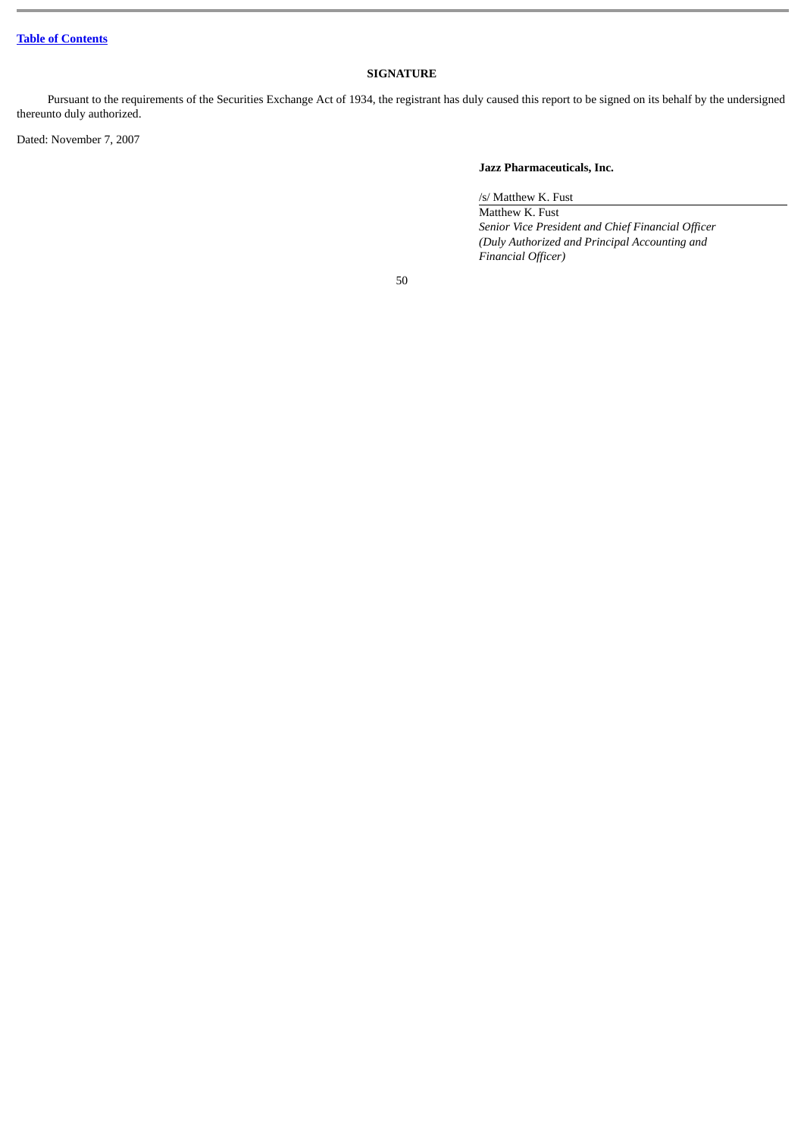## **SIGNATURE**

Pursuant to the requirements of the Securities Exchange Act of 1934, the registrant has duly caused this report to be signed on its behalf by the undersigned thereunto duly authorized.

Dated: November 7, 2007

## **Jazz Pharmaceuticals, Inc.**

/s/ Matthew K. Fust

Matthew K. Fust *Senior Vice President and Chief Financial Officer (Duly Authorized and Principal Accounting and Financial Officer)*

50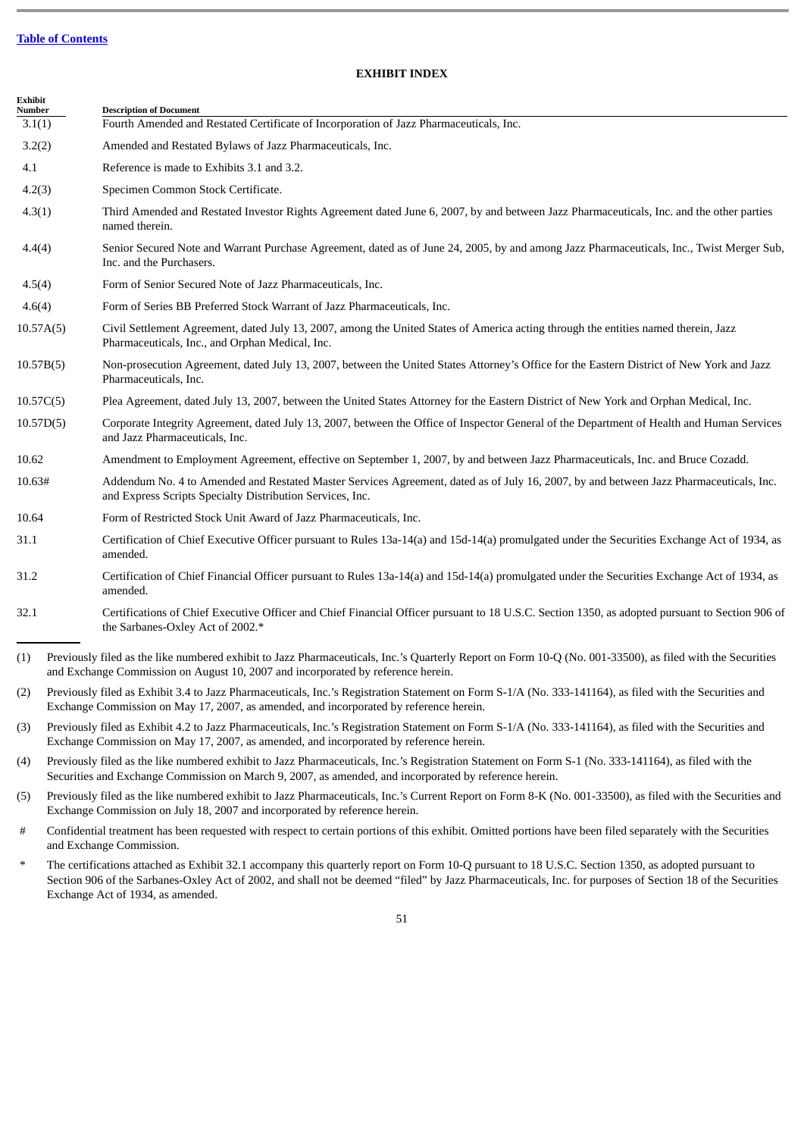## **EXHIBIT INDEX**

| Exhibit<br>Number                                                                                                                                                                                                                                        |                                                                                                                                                                                                                                                                | <b>Description of Document</b>                                                                                                                                                                                                                |  |  |  |  |  |
|----------------------------------------------------------------------------------------------------------------------------------------------------------------------------------------------------------------------------------------------------------|----------------------------------------------------------------------------------------------------------------------------------------------------------------------------------------------------------------------------------------------------------------|-----------------------------------------------------------------------------------------------------------------------------------------------------------------------------------------------------------------------------------------------|--|--|--|--|--|
| 3.1(1)                                                                                                                                                                                                                                                   |                                                                                                                                                                                                                                                                | Fourth Amended and Restated Certificate of Incorporation of Jazz Pharmaceuticals, Inc.                                                                                                                                                        |  |  |  |  |  |
| 3.2(2)                                                                                                                                                                                                                                                   |                                                                                                                                                                                                                                                                | Amended and Restated Bylaws of Jazz Pharmaceuticals, Inc.                                                                                                                                                                                     |  |  |  |  |  |
| 4.1                                                                                                                                                                                                                                                      |                                                                                                                                                                                                                                                                | Reference is made to Exhibits 3.1 and 3.2.                                                                                                                                                                                                    |  |  |  |  |  |
| 4.2(3)                                                                                                                                                                                                                                                   |                                                                                                                                                                                                                                                                | Specimen Common Stock Certificate.                                                                                                                                                                                                            |  |  |  |  |  |
| 4.3(1)                                                                                                                                                                                                                                                   |                                                                                                                                                                                                                                                                | Third Amended and Restated Investor Rights Agreement dated June 6, 2007, by and between Jazz Pharmaceuticals, Inc. and the other parties<br>named therein.                                                                                    |  |  |  |  |  |
| 4.4(4)                                                                                                                                                                                                                                                   |                                                                                                                                                                                                                                                                | Senior Secured Note and Warrant Purchase Agreement, dated as of June 24, 2005, by and among Jazz Pharmaceuticals, Inc., Twist Merger Sub,<br>Inc. and the Purchasers.                                                                         |  |  |  |  |  |
| 4.5(4)                                                                                                                                                                                                                                                   |                                                                                                                                                                                                                                                                | Form of Senior Secured Note of Jazz Pharmaceuticals, Inc.                                                                                                                                                                                     |  |  |  |  |  |
| 4.6(4)                                                                                                                                                                                                                                                   |                                                                                                                                                                                                                                                                | Form of Series BB Preferred Stock Warrant of Jazz Pharmaceuticals, Inc.                                                                                                                                                                       |  |  |  |  |  |
|                                                                                                                                                                                                                                                          | 10.57A(5)                                                                                                                                                                                                                                                      | Civil Settlement Agreement, dated July 13, 2007, among the United States of America acting through the entities named therein, Jazz<br>Pharmaceuticals, Inc., and Orphan Medical, Inc.                                                        |  |  |  |  |  |
| 10.57B(5)                                                                                                                                                                                                                                                |                                                                                                                                                                                                                                                                | Non-prosecution Agreement, dated July 13, 2007, between the United States Attorney's Office for the Eastern District of New York and Jazz<br>Pharmaceuticals, Inc.                                                                            |  |  |  |  |  |
|                                                                                                                                                                                                                                                          | 10.57C(5)                                                                                                                                                                                                                                                      | Plea Agreement, dated July 13, 2007, between the United States Attorney for the Eastern District of New York and Orphan Medical, Inc.                                                                                                         |  |  |  |  |  |
|                                                                                                                                                                                                                                                          | 10.57D(5)                                                                                                                                                                                                                                                      | Corporate Integrity Agreement, dated July 13, 2007, between the Office of Inspector General of the Department of Health and Human Services<br>and Jazz Pharmaceuticals, Inc.                                                                  |  |  |  |  |  |
| 10.62                                                                                                                                                                                                                                                    |                                                                                                                                                                                                                                                                | Amendment to Employment Agreement, effective on September 1, 2007, by and between Jazz Pharmaceuticals, Inc. and Bruce Cozadd.                                                                                                                |  |  |  |  |  |
| 10.63#                                                                                                                                                                                                                                                   |                                                                                                                                                                                                                                                                | Addendum No. 4 to Amended and Restated Master Services Agreement, dated as of July 16, 2007, by and between Jazz Pharmaceuticals, Inc.<br>and Express Scripts Specialty Distribution Services, Inc.                                           |  |  |  |  |  |
| 10.64                                                                                                                                                                                                                                                    |                                                                                                                                                                                                                                                                | Form of Restricted Stock Unit Award of Jazz Pharmaceuticals, Inc.                                                                                                                                                                             |  |  |  |  |  |
| 31.1                                                                                                                                                                                                                                                     |                                                                                                                                                                                                                                                                | Certification of Chief Executive Officer pursuant to Rules 13a-14(a) and 15d-14(a) promulgated under the Securities Exchange Act of 1934, as<br>amended.                                                                                      |  |  |  |  |  |
| 31.2                                                                                                                                                                                                                                                     |                                                                                                                                                                                                                                                                | Certification of Chief Financial Officer pursuant to Rules 13a-14(a) and 15d-14(a) promulgated under the Securities Exchange Act of 1934, as<br>amended.                                                                                      |  |  |  |  |  |
| 32.1                                                                                                                                                                                                                                                     |                                                                                                                                                                                                                                                                | Certifications of Chief Executive Officer and Chief Financial Officer pursuant to 18 U.S.C. Section 1350, as adopted pursuant to Section 906 of<br>the Sarbanes-Oxley Act of 2002.*                                                           |  |  |  |  |  |
| (1)                                                                                                                                                                                                                                                      |                                                                                                                                                                                                                                                                | Previously filed as the like numbered exhibit to Jazz Pharmaceuticals, Inc.'s Quarterly Report on Form 10-Q (No. 001-33500), as filed with the Securities<br>and Exchange Commission on August 10, 2007 and incorporated by reference herein. |  |  |  |  |  |
| (2)<br>Exchange Commission on May 17, 2007, as amended, and incorporated by reference herein.                                                                                                                                                            |                                                                                                                                                                                                                                                                | Previously filed as Exhibit 3.4 to Jazz Pharmaceuticals, Inc.'s Registration Statement on Form S-1/A (No. 333-141164), as filed with the Securities and                                                                                       |  |  |  |  |  |
| Previously filed as Exhibit 4.2 to Jazz Pharmaceuticals, Inc.'s Registration Statement on Form S-1/A (No. 333-141164), as filed with the Securities and<br>(3)<br>Exchange Commission on May 17, 2007, as amended, and incorporated by reference herein. |                                                                                                                                                                                                                                                                |                                                                                                                                                                                                                                               |  |  |  |  |  |
| (4)                                                                                                                                                                                                                                                      | Previously filed as the like numbered exhibit to Jazz Pharmaceuticals, Inc.'s Registration Statement on Form S-1 (No. 333-141164), as filed with the<br>Securities and Exchange Commission on March 9, 2007, as amended, and incorporated by reference herein. |                                                                                                                                                                                                                                               |  |  |  |  |  |
| (5)                                                                                                                                                                                                                                                      |                                                                                                                                                                                                                                                                | Previously filed as the like numbered exhibit to Jazz Pharmaceuticals, Inc.'s Current Report on Form 8-K (No. 001-33500), as filed with the Securities and<br>Exchange Commission on July 18, 2007 and incorporated by reference herein.      |  |  |  |  |  |
| #                                                                                                                                                                                                                                                        | Confidential treatment has been requested with respect to certain portions of this exhibit. Omitted portions have been filed separately with the Securities<br>and Exchange Commission.                                                                        |                                                                                                                                                                                                                                               |  |  |  |  |  |
|                                                                                                                                                                                                                                                          |                                                                                                                                                                                                                                                                | contifications attached as Eubibit 22.1 assemnows this quarterly report on Form 10.0 puressant to 10 H C.C. Costion 1250, as adopted puresse                                                                                                  |  |  |  |  |  |

 \* The certifications attached as Exhibit 32.1 accompany this quarterly report on Form 10-Q pursuant to 18 U.S.C. Section 1350, as adopted pursuant to Section 906 of the Sarbanes-Oxley Act of 2002, and shall not be deemed "filed" by Jazz Pharmaceuticals, Inc. for purposes of Section 18 of the Securities Exchange Act of 1934, as amended.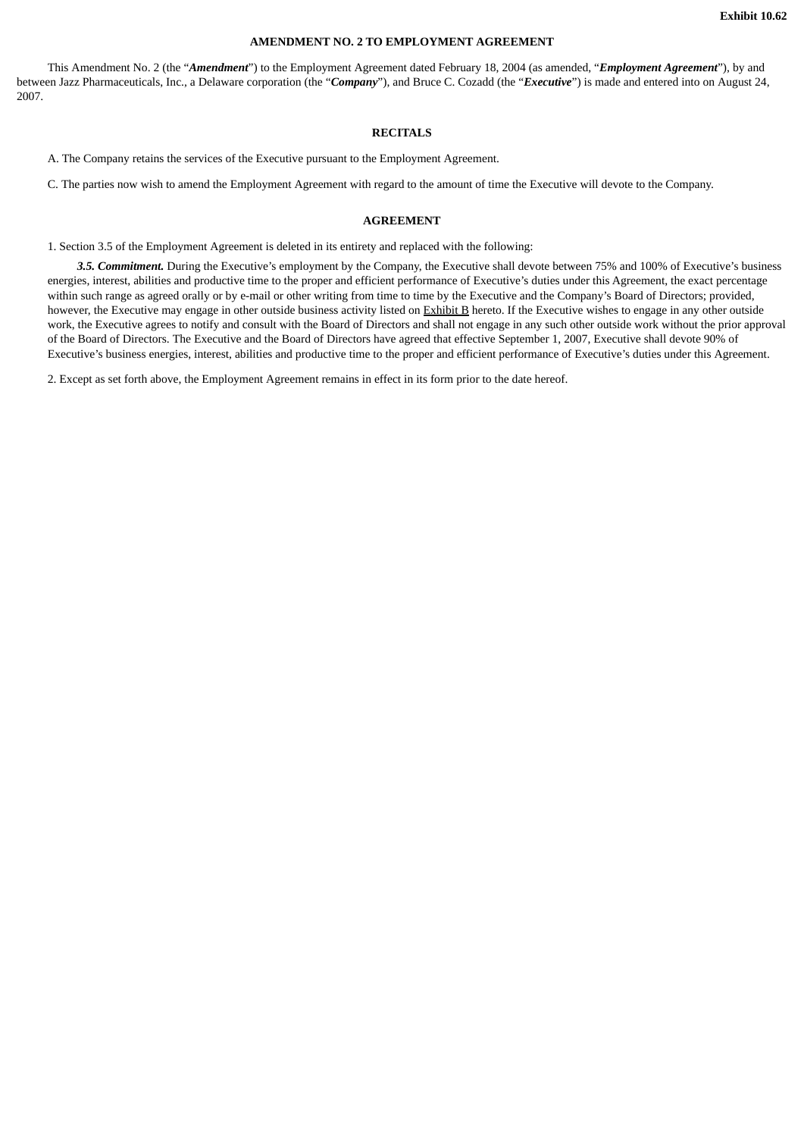## **AMENDMENT NO. 2 TO EMPLOYMENT AGREEMENT**

This Amendment No. 2 (the "*Amendment*") to the Employment Agreement dated February 18, 2004 (as amended, "*Employment Agreement*"), by and between Jazz Pharmaceuticals, Inc., a Delaware corporation (the "*Company*"), and Bruce C. Cozadd (the "*Executive*") is made and entered into on August 24, 2007.

### **RECITALS**

A. The Company retains the services of the Executive pursuant to the Employment Agreement.

C. The parties now wish to amend the Employment Agreement with regard to the amount of time the Executive will devote to the Company.

### **AGREEMENT**

1. Section 3.5 of the Employment Agreement is deleted in its entirety and replaced with the following:

*3.5. Commitment.* During the Executive's employment by the Company, the Executive shall devote between 75% and 100% of Executive's business energies, interest, abilities and productive time to the proper and efficient performance of Executive's duties under this Agreement, the exact percentage within such range as agreed orally or by e-mail or other writing from time to time by the Executive and the Company's Board of Directors; provided, however, the Executive may engage in other outside business activity listed on **Exhibit B** hereto. If the Executive wishes to engage in any other outside work, the Executive agrees to notify and consult with the Board of Directors and shall not engage in any such other outside work without the prior approval of the Board of Directors. The Executive and the Board of Directors have agreed that effective September 1, 2007, Executive shall devote 90% of Executive's business energies, interest, abilities and productive time to the proper and efficient performance of Executive's duties under this Agreement.

2. Except as set forth above, the Employment Agreement remains in effect in its form prior to the date hereof.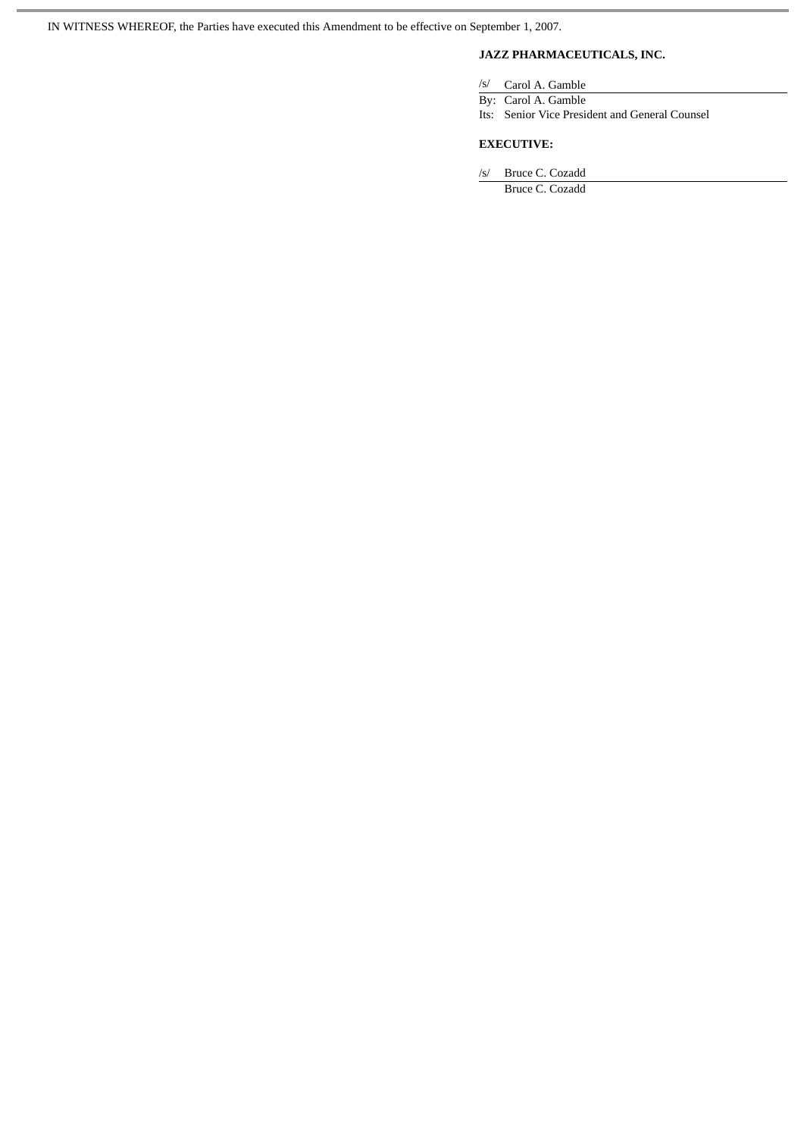IN WITNESS WHEREOF, the Parties have executed this Amendment to be effective on September 1, 2007.

# **JAZZ PHARMACEUTICALS, INC.**

- /s/ Carol A. Gamble
- By: Carol A. Gamble
- Its: Senior Vice President and General Counsel

## **EXECUTIVE:**

/s/ Bruce C. Cozadd

Bruce C. Cozadd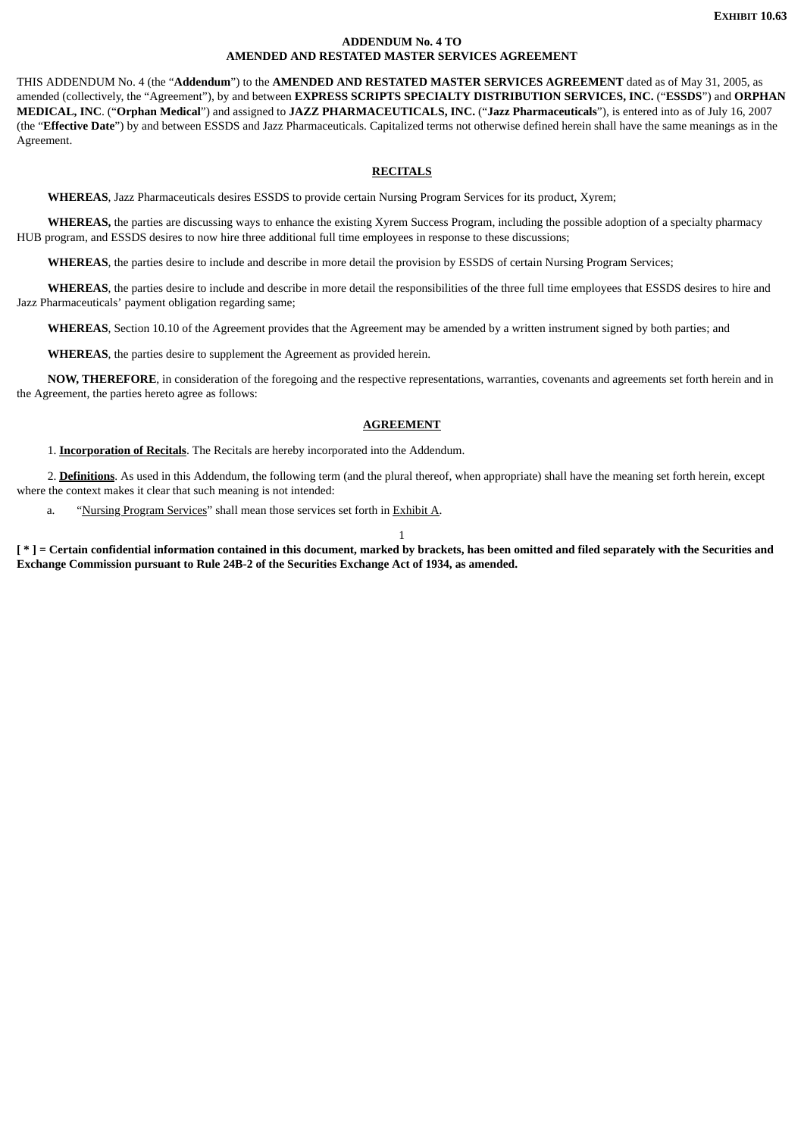## **ADDENDUM No. 4 TO AMENDED AND RESTATED MASTER SERVICES AGREEMENT**

THIS ADDENDUM No. 4 (the "**Addendum**") to the **AMENDED AND RESTATED MASTER SERVICES AGREEMENT** dated as of May 31, 2005, as amended (collectively, the "Agreement"), by and between **EXPRESS SCRIPTS SPECIALTY DISTRIBUTION SERVICES, INC.** ("**ESSDS**") and **ORPHAN MEDICAL, INC**. ("**Orphan Medical**") and assigned to **JAZZ PHARMACEUTICALS, INC.** ("**Jazz Pharmaceuticals**"), is entered into as of July 16, 2007 (the "**Effective Date**") by and between ESSDS and Jazz Pharmaceuticals. Capitalized terms not otherwise defined herein shall have the same meanings as in the Agreement.

### **RECITALS**

**WHEREAS**, Jazz Pharmaceuticals desires ESSDS to provide certain Nursing Program Services for its product, Xyrem;

**WHEREAS,** the parties are discussing ways to enhance the existing Xyrem Success Program, including the possible adoption of a specialty pharmacy HUB program, and ESSDS desires to now hire three additional full time employees in response to these discussions;

**WHEREAS**, the parties desire to include and describe in more detail the provision by ESSDS of certain Nursing Program Services;

**WHEREAS**, the parties desire to include and describe in more detail the responsibilities of the three full time employees that ESSDS desires to hire and Jazz Pharmaceuticals' payment obligation regarding same;

**WHEREAS**, Section 10.10 of the Agreement provides that the Agreement may be amended by a written instrument signed by both parties; and

**WHEREAS**, the parties desire to supplement the Agreement as provided herein.

**NOW, THEREFORE**, in consideration of the foregoing and the respective representations, warranties, covenants and agreements set forth herein and in the Agreement, the parties hereto agree as follows:

### **AGREEMENT**

1. **Incorporation of Recitals**. The Recitals are hereby incorporated into the Addendum.

2. **Definitions**. As used in this Addendum, the following term (and the plural thereof, when appropriate) shall have the meaning set forth herein, except where the context makes it clear that such meaning is not intended:

a. "Nursing Program Services" shall mean those services set forth in Exhibit A.

1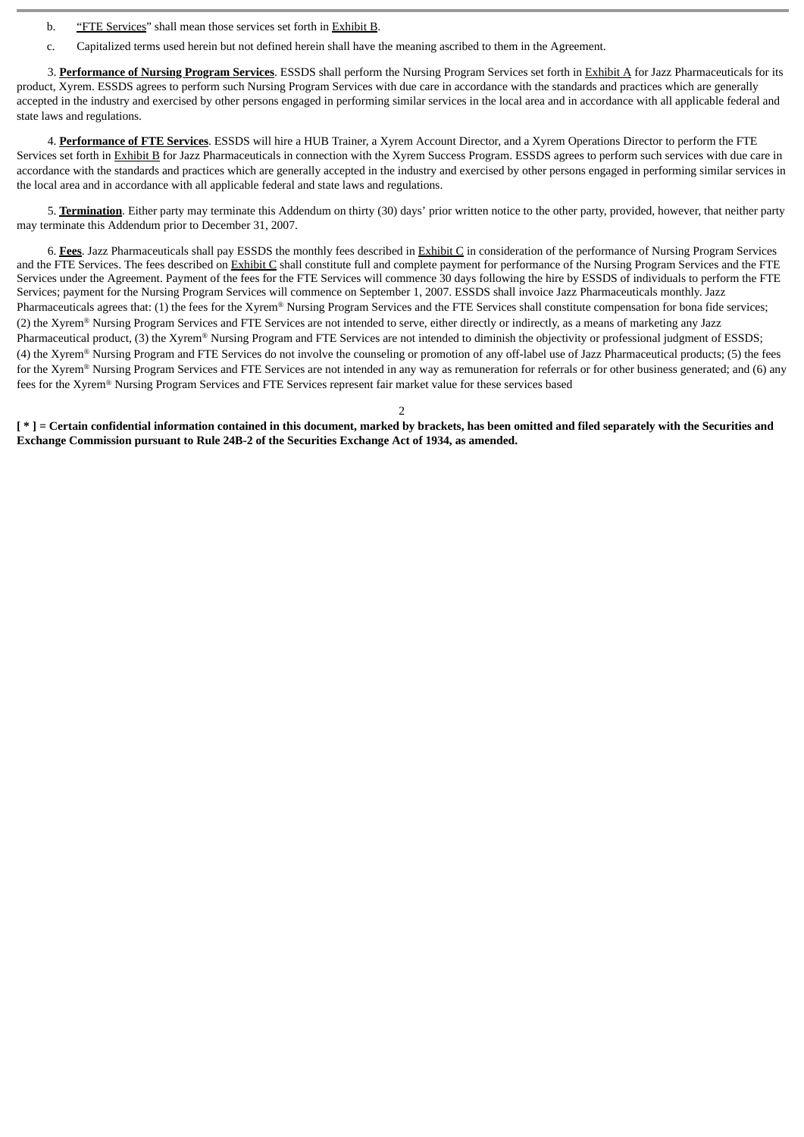- b. "FTE Services" shall mean those services set forth in Exhibit B.
- c. Capitalized terms used herein but not defined herein shall have the meaning ascribed to them in the Agreement.

3. **Performance of Nursing Program Services**. ESSDS shall perform the Nursing Program Services set forth in Exhibit A for Jazz Pharmaceuticals for its product, Xyrem. ESSDS agrees to perform such Nursing Program Services with due care in accordance with the standards and practices which are generally accepted in the industry and exercised by other persons engaged in performing similar services in the local area and in accordance with all applicable federal and state laws and regulations.

4. **Performance of FTE Services**. ESSDS will hire a HUB Trainer, a Xyrem Account Director, and a Xyrem Operations Director to perform the FTE Services set forth in Exhibit B for Jazz Pharmaceuticals in connection with the Xyrem Success Program. ESSDS agrees to perform such services with due care in accordance with the standards and practices which are generally accepted in the industry and exercised by other persons engaged in performing similar services in the local area and in accordance with all applicable federal and state laws and regulations.

5. **Termination**. Either party may terminate this Addendum on thirty (30) days' prior written notice to the other party, provided, however, that neither party may terminate this Addendum prior to December 31, 2007.

6. **Fees**. Jazz Pharmaceuticals shall pay ESSDS the monthly fees described in Exhibit C in consideration of the performance of Nursing Program Services and the FTE Services. The fees described on Exhibit C shall constitute full and complete payment for performance of the Nursing Program Services and the FTE Services under the Agreement. Payment of the fees for the FTE Services will commence 30 days following the hire by ESSDS of individuals to perform the FTE Services; payment for the Nursing Program Services will commence on September 1, 2007. ESSDS shall invoice Jazz Pharmaceuticals monthly. Jazz Pharmaceuticals agrees that: (1) the fees for the Xyrem® Nursing Program Services and the FTE Services shall constitute compensation for bona fide services; (2) the Xyrem® Nursing Program Services and FTE Services are not intended to serve, either directly or indirectly, as a means of marketing any Jazz Pharmaceutical product, (3) the Xyrem® Nursing Program and FTE Services are not intended to diminish the objectivity or professional judgment of ESSDS; (4) the Xyrem® Nursing Program and FTE Services do not involve the counseling or promotion of any off-label use of Jazz Pharmaceutical products; (5) the fees for the Xyrem® Nursing Program Services and FTE Services are not intended in any way as remuneration for referrals or for other business generated; and (6) any fees for the Xyrem® Nursing Program Services and FTE Services represent fair market value for these services based

 $\mathcal{D}$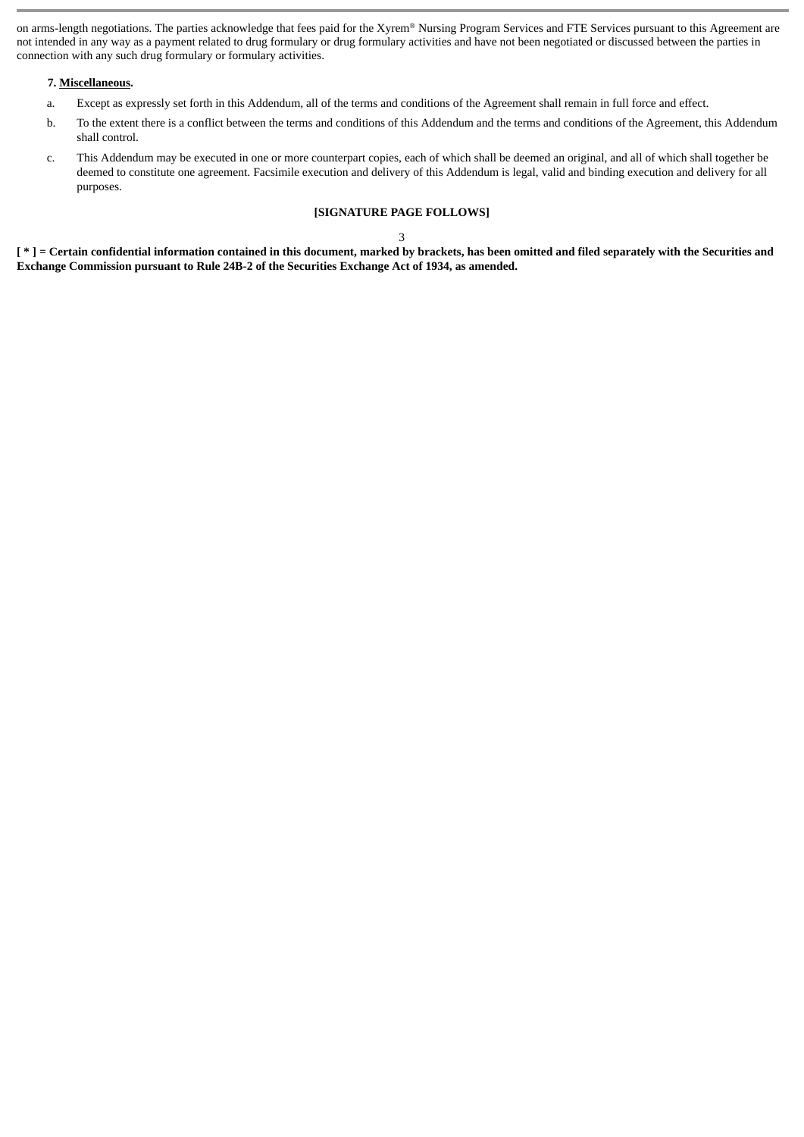on arms-length negotiations. The parties acknowledge that fees paid for the Xyrem® Nursing Program Services and FTE Services pursuant to this Agreement are not intended in any way as a payment related to drug formulary or drug formulary activities and have not been negotiated or discussed between the parties in connection with any such drug formulary or formulary activities.

## **7. Miscellaneous.**

- a. Except as expressly set forth in this Addendum, all of the terms and conditions of the Agreement shall remain in full force and effect.
- b. To the extent there is a conflict between the terms and conditions of this Addendum and the terms and conditions of the Agreement, this Addendum shall control.
- c. This Addendum may be executed in one or more counterpart copies, each of which shall be deemed an original, and all of which shall together be deemed to constitute one agreement. Facsimile execution and delivery of this Addendum is legal, valid and binding execution and delivery for all purposes.

## **[SIGNATURE PAGE FOLLOWS]**

3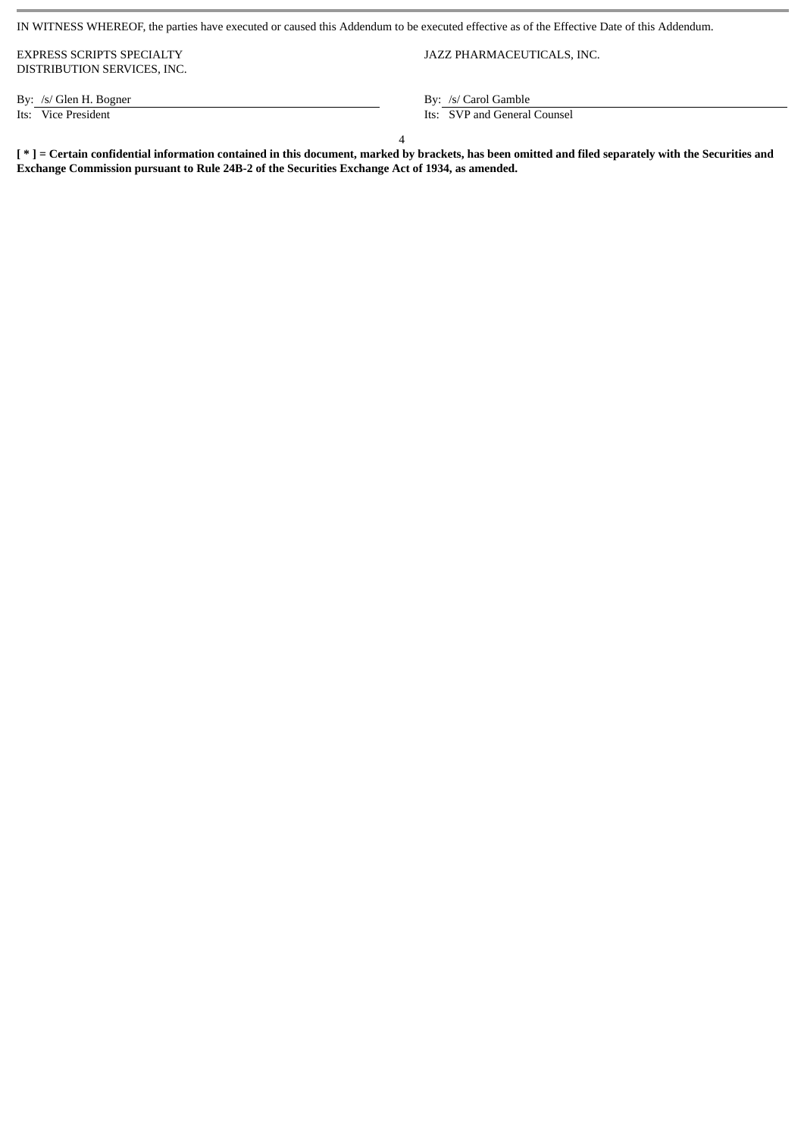IN WITNESS WHEREOF, the parties have executed or caused this Addendum to be executed effective as of the Effective Date of this Addendum.

EXPRESS SCRIPTS SPECIALTY DISTRIBUTION SERVICES, INC. JAZZ PHARMACEUTICALS, INC.

By: /s/ Glen H. Bogner By: /s/ Carol Gamble Its: Vice President **Its: SVP** and General Counsel

4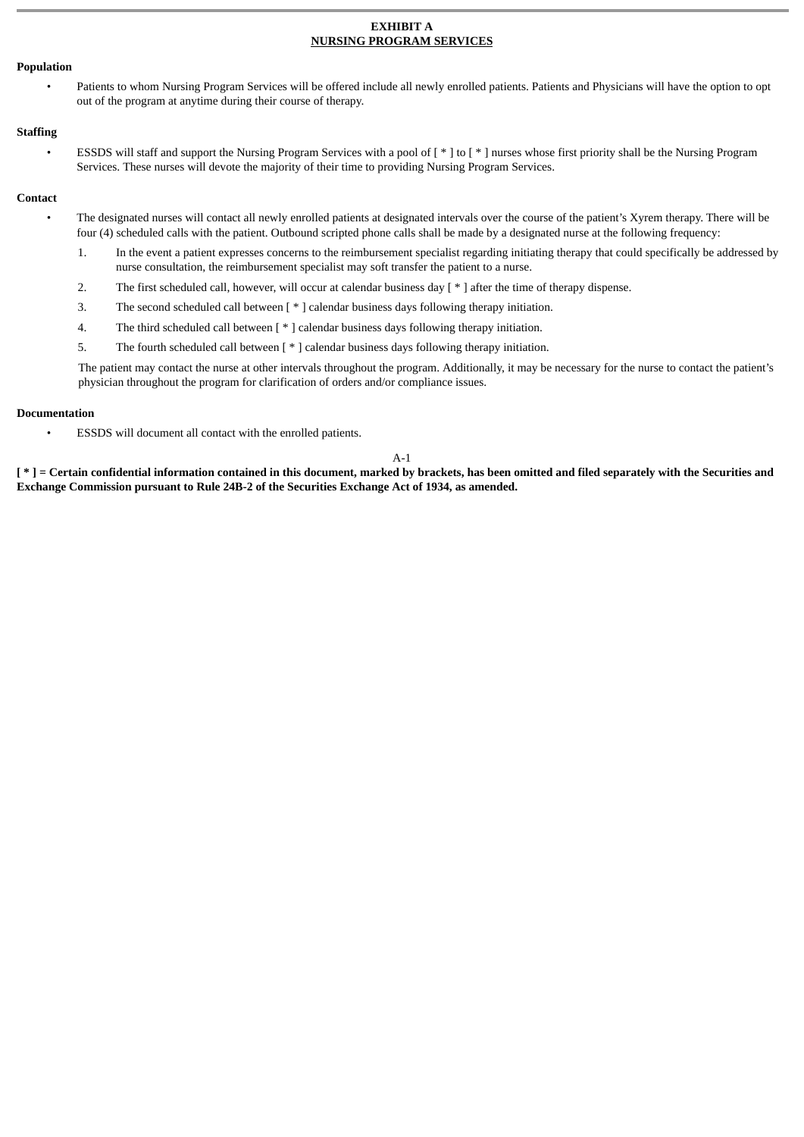### **EXHIBIT A NURSING PROGRAM SERVICES**

### **Population**

• Patients to whom Nursing Program Services will be offered include all newly enrolled patients. Patients and Physicians will have the option to opt out of the program at anytime during their course of therapy.

### **Staffing**

• ESSDS will staff and support the Nursing Program Services with a pool of [ \* ] to [ \* ] nurses whose first priority shall be the Nursing Program Services. These nurses will devote the majority of their time to providing Nursing Program Services.

### **Contact**

- The designated nurses will contact all newly enrolled patients at designated intervals over the course of the patient's Xyrem therapy. There will be four (4) scheduled calls with the patient. Outbound scripted phone calls shall be made by a designated nurse at the following frequency:
	- 1. In the event a patient expresses concerns to the reimbursement specialist regarding initiating therapy that could specifically be addressed by nurse consultation, the reimbursement specialist may soft transfer the patient to a nurse.
	- 2. The first scheduled call, however, will occur at calendar business day [ \* ] after the time of therapy dispense.
	- 3. The second scheduled call between [ \* ] calendar business days following therapy initiation.
	- 4. The third scheduled call between [ \* ] calendar business days following therapy initiation.
	- 5. The fourth scheduled call between [ \* ] calendar business days following therapy initiation.

The patient may contact the nurse at other intervals throughout the program. Additionally, it may be necessary for the nurse to contact the patient's physician throughout the program for clarification of orders and/or compliance issues.

### **Documentation**

ESSDS will document all contact with the enrolled patients.

A-1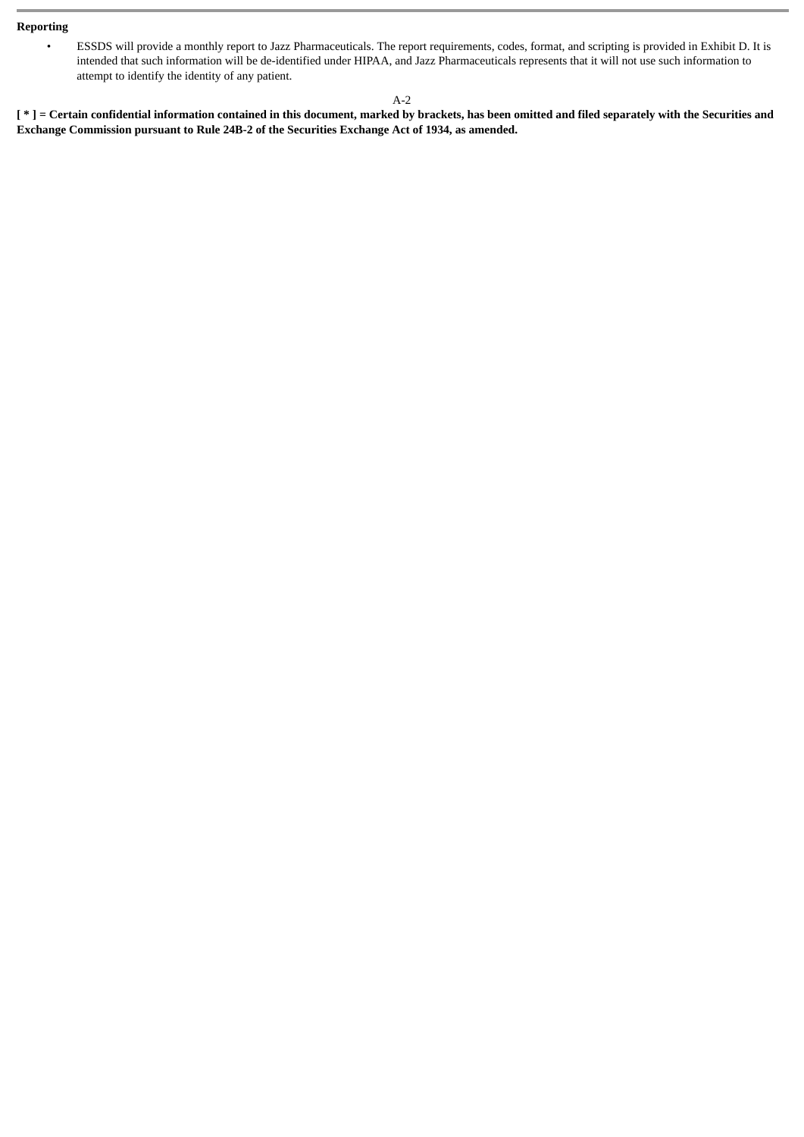## **Reporting**

• ESSDS will provide a monthly report to Jazz Pharmaceuticals. The report requirements, codes, format, and scripting is provided in Exhibit D. It is intended that such information will be de-identified under HIPAA, and Jazz Pharmaceuticals represents that it will not use such information to attempt to identify the identity of any patient.

A-2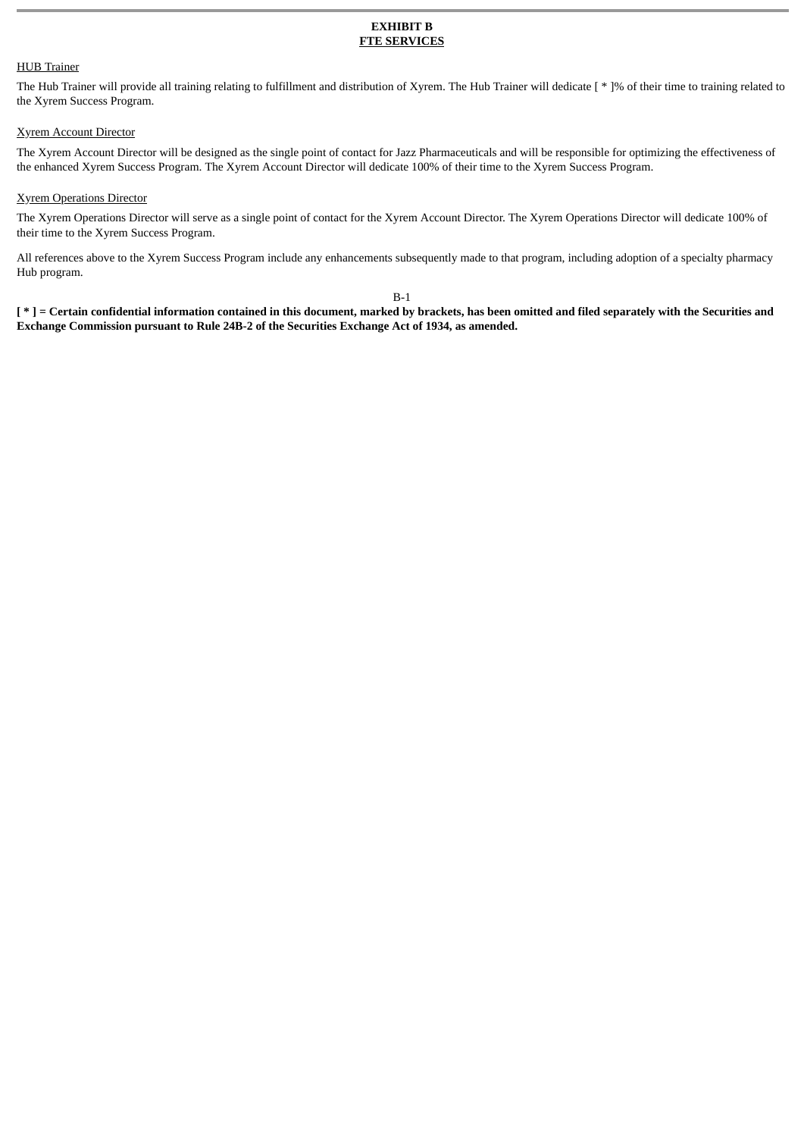### **EXHIBIT B FTE SERVICES**

## HUB Trainer

The Hub Trainer will provide all training relating to fulfillment and distribution of Xyrem. The Hub Trainer will dedicate [ \* ]% of their time to training related to the Xyrem Success Program.

## Xyrem Account Director

The Xyrem Account Director will be designed as the single point of contact for Jazz Pharmaceuticals and will be responsible for optimizing the effectiveness of the enhanced Xyrem Success Program. The Xyrem Account Director will dedicate 100% of their time to the Xyrem Success Program.

## Xyrem Operations Director

The Xyrem Operations Director will serve as a single point of contact for the Xyrem Account Director. The Xyrem Operations Director will dedicate 100% of their time to the Xyrem Success Program.

All references above to the Xyrem Success Program include any enhancements subsequently made to that program, including adoption of a specialty pharmacy Hub program.

B-1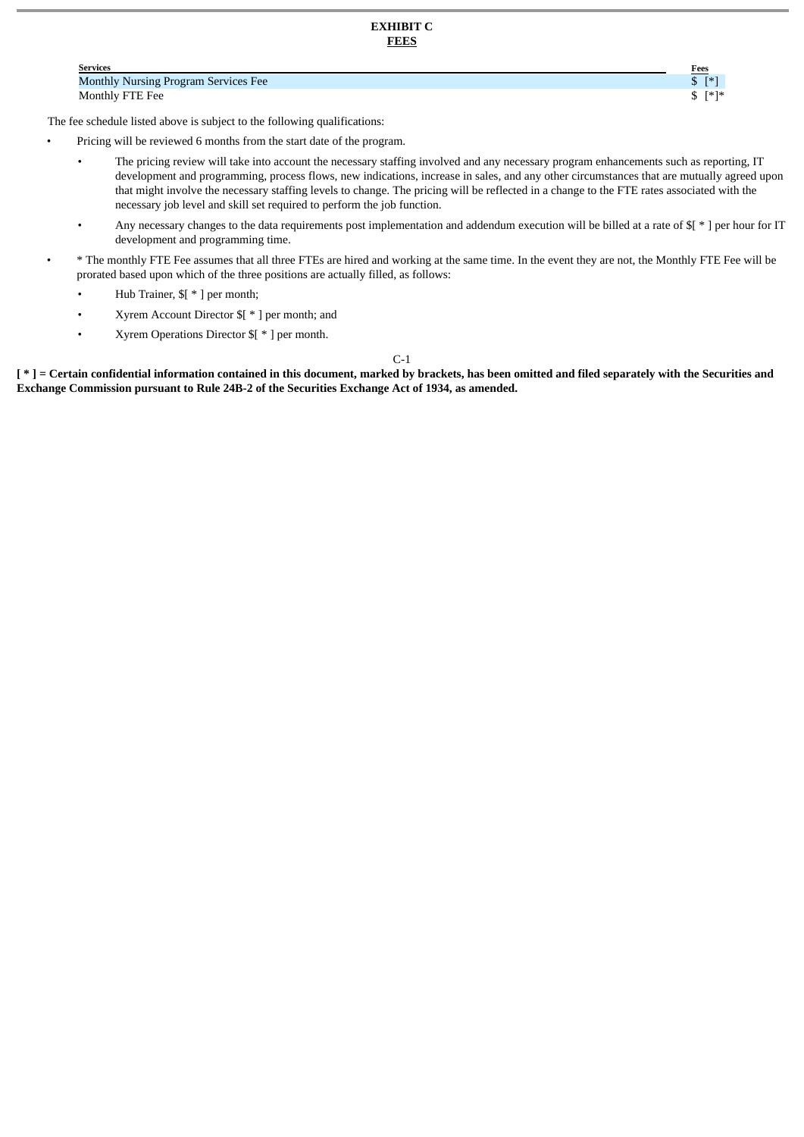**Services Fees** Monthly Nursing Program Services Fee  $\overline{\$ \ [^* ]}$ Monthly FTE Fee  $\qquad \qquad$  \$ [\*]\*



The fee schedule listed above is subject to the following qualifications:

- Pricing will be reviewed 6 months from the start date of the program.
	- The pricing review will take into account the necessary staffing involved and any necessary program enhancements such as reporting, IT development and programming, process flows, new indications, increase in sales, and any other circumstances that are mutually agreed upon that might involve the necessary staffing levels to change. The pricing will be reflected in a change to the FTE rates associated with the necessary job level and skill set required to perform the job function.
	- Any necessary changes to the data requirements post implementation and addendum execution will be billed at a rate of \$[ \* ] per hour for IT development and programming time.
- \* The monthly FTE Fee assumes that all three FTEs are hired and working at the same time. In the event they are not, the Monthly FTE Fee will be prorated based upon which of the three positions are actually filled, as follows:
	- Hub Trainer, \$[ \* ] per month;
	- Xyrem Account Director \$[ \* ] per month; and
	- Xyrem Operations Director \$[ \* ] per month.

C-1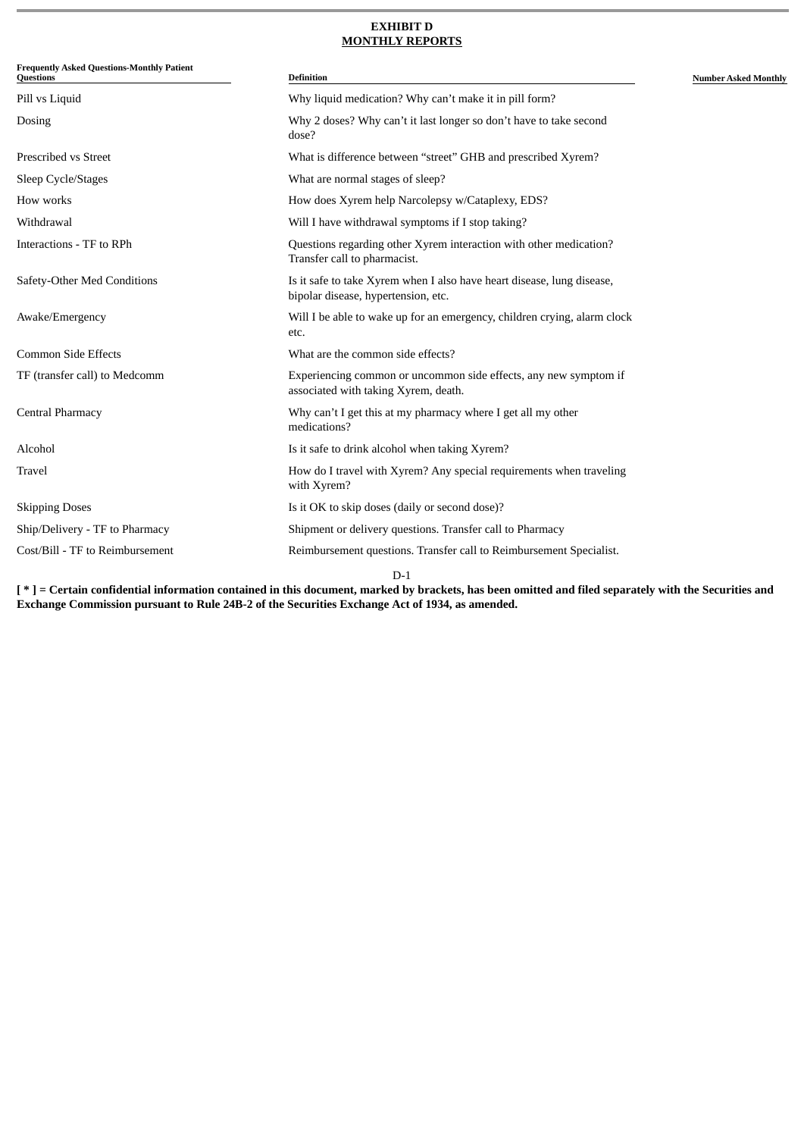## **EXHIBIT D MONTHLY REPORTS**

| <b>Frequently Asked Questions-Monthly Patient</b><br><b>Questions</b> | <b>Definition</b>                                                                                             | <b>Number Asked Monthly</b> |  |  |
|-----------------------------------------------------------------------|---------------------------------------------------------------------------------------------------------------|-----------------------------|--|--|
| Pill vs Liquid                                                        | Why liquid medication? Why can't make it in pill form?                                                        |                             |  |  |
| Dosing                                                                | Why 2 doses? Why can't it last longer so don't have to take second<br>dose?                                   |                             |  |  |
| <b>Prescribed vs Street</b>                                           | What is difference between "street" GHB and prescribed Xyrem?                                                 |                             |  |  |
| Sleep Cycle/Stages                                                    | What are normal stages of sleep?                                                                              |                             |  |  |
| How works                                                             | How does Xyrem help Narcolepsy w/Cataplexy, EDS?                                                              |                             |  |  |
| Withdrawal                                                            | Will I have withdrawal symptoms if I stop taking?                                                             |                             |  |  |
| Interactions - TF to RPh                                              | Questions regarding other Xyrem interaction with other medication?<br>Transfer call to pharmacist.            |                             |  |  |
| Safety-Other Med Conditions                                           | Is it safe to take Xyrem when I also have heart disease, lung disease,<br>bipolar disease, hypertension, etc. |                             |  |  |
| Awake/Emergency                                                       | Will I be able to wake up for an emergency, children crying, alarm clock<br>etc.                              |                             |  |  |
| <b>Common Side Effects</b>                                            | What are the common side effects?                                                                             |                             |  |  |
| TF (transfer call) to Medcomm                                         | Experiencing common or uncommon side effects, any new symptom if<br>associated with taking Xyrem, death.      |                             |  |  |
| Central Pharmacy                                                      | Why can't I get this at my pharmacy where I get all my other<br>medications?                                  |                             |  |  |
| Alcohol                                                               | Is it safe to drink alcohol when taking Xyrem?                                                                |                             |  |  |
| Travel                                                                | How do I travel with Xyrem? Any special requirements when traveling<br>with Xyrem?                            |                             |  |  |
| <b>Skipping Doses</b>                                                 | Is it OK to skip doses (daily or second dose)?                                                                |                             |  |  |
| Ship/Delivery - TF to Pharmacy                                        | Shipment or delivery questions. Transfer call to Pharmacy                                                     |                             |  |  |
| Cost/Bill - TF to Reimbursement                                       | Reimbursement questions. Transfer call to Reimbursement Specialist.                                           |                             |  |  |
|                                                                       | $D-1$                                                                                                         |                             |  |  |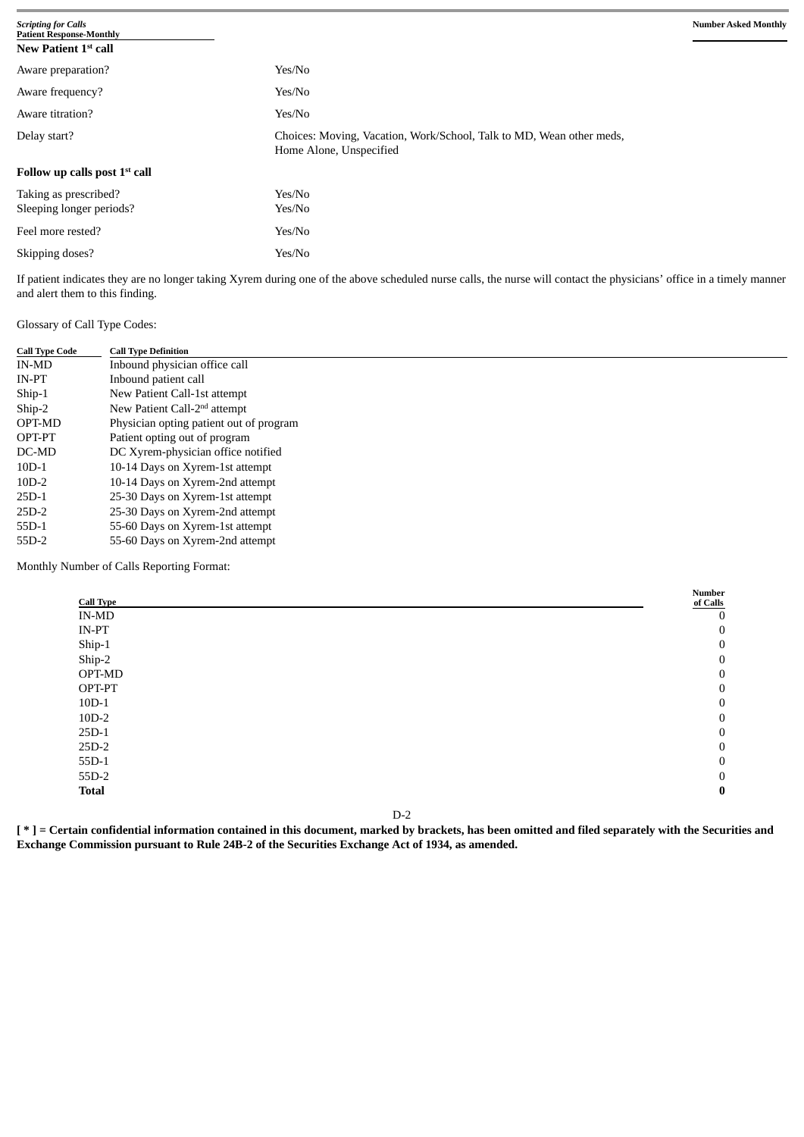| <b>Scripting for Calls</b><br><b>Patient Response-Monthly</b> |                                                                                                 | <b>Number Asked Monthly</b> |
|---------------------------------------------------------------|-------------------------------------------------------------------------------------------------|-----------------------------|
| New Patient 1 <sup>st</sup> call                              |                                                                                                 |                             |
| Aware preparation?                                            | Yes/No                                                                                          |                             |
| Aware frequency?                                              | Yes/No                                                                                          |                             |
| Aware titration?                                              | Yes/No                                                                                          |                             |
| Delay start?                                                  | Choices: Moving, Vacation, Work/School, Talk to MD, Wean other meds,<br>Home Alone, Unspecified |                             |
| Follow up calls post 1 <sup>st</sup> call                     |                                                                                                 |                             |
| Taking as prescribed?<br>Sleeping longer periods?             | Yes/No<br>Yes/No                                                                                |                             |
| Feel more rested?                                             | Yes/No                                                                                          |                             |
| Skipping doses?                                               | Yes/No                                                                                          |                             |

If patient indicates they are no longer taking Xyrem during one of the above scheduled nurse calls, the nurse will contact the physicians' office in a timely manner and alert them to this finding.

| Glossary of Call Type Codes: |  |  |  |  |
|------------------------------|--|--|--|--|
|------------------------------|--|--|--|--|

| <b>Call Type Code</b> | <b>Call Type Definition</b>              |
|-----------------------|------------------------------------------|
| IN-MD                 | Inbound physician office call            |
| IN-PT                 | Inbound patient call                     |
| Ship-1                | New Patient Call-1st attempt             |
| Ship-2                | New Patient Call-2 <sup>nd</sup> attempt |
| OPT-MD                | Physician opting patient out of program  |
| OPT-PT                | Patient opting out of program            |
| $DC-MD$               | DC Xyrem-physician office notified       |
| 10D-1                 | 10-14 Days on Xyrem-1st attempt          |
| $10D-2$               | 10-14 Days on Xyrem-2nd attempt          |
| 25D-1                 | 25-30 Days on Xyrem-1st attempt          |
| 25D-2                 | 25-30 Days on Xyrem-2nd attempt          |
| 55D-1                 | 55-60 Days on Xyrem-1st attempt          |
| 55D-2                 | 55-60 Days on Xyrem-2nd attempt          |
|                       |                                          |

Monthly Number of Calls Reporting Format:

| <b>Call Type</b> | <b>Number</b><br>of Calls |
|------------------|---------------------------|
| IN-MD            | 0                         |
|                  |                           |
| IN-PT            | 0                         |
| $Ship-1$         | 0                         |
| $Ship-2$         | 0                         |
| OPT-MD           | 0                         |
| OPT-PT           | $\boldsymbol{0}$          |
| $10D-1$          | 0                         |
| $10D-2$          | 0                         |
| $25D-1$          | $\overline{0}$            |
| $25D-2$          | $\overline{0}$            |
| $55D-1$          | $\overline{0}$            |
| 55D-2            | $\overline{0}$            |
| <b>Total</b>     | $\bf{0}$                  |
|                  |                           |

D-2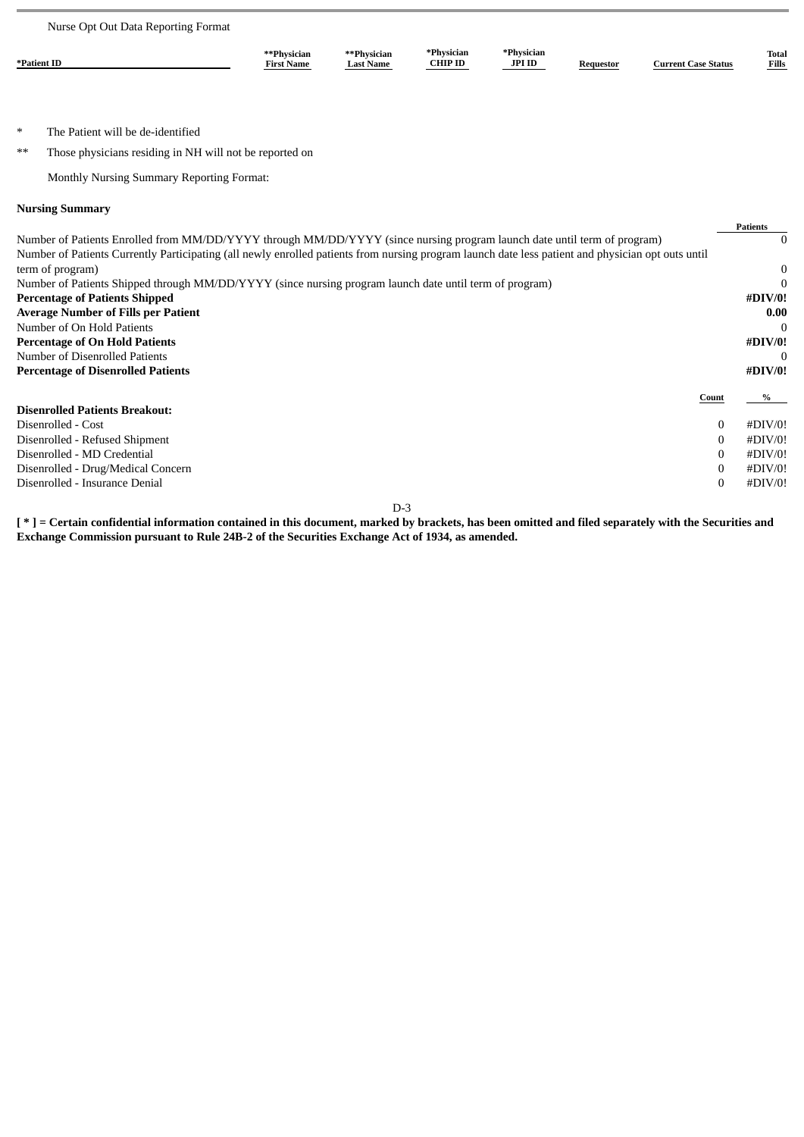| Nurse Opt Out Data Reporting Format |                                  |                          |                              |                             |                  |                            |                       |
|-------------------------------------|----------------------------------|--------------------------|------------------------------|-----------------------------|------------------|----------------------------|-----------------------|
| *Patient ID                         | **Physician<br><b>First Name</b> | **Physician<br>Last Name | *Physician<br><b>CHIP ID</b> | *Physician<br><b>JPI ID</b> | <b>Requestor</b> | <b>Current Case Status</b> | <b>Total</b><br>Fills |

\* The Patient will be de-identified

\*\* Those physicians residing in NH will not be reported on

Monthly Nursing Summary Reporting Format:

## **Nursing Summary**

| Number of Patients Enrolled from MM/DD/YYYY through MM/DD/YYYY (since nursing program launch date until term of program)<br>Number of Patients Currently Participating (all newly enrolled patients from nursing program launch date less patient and physician opt outs until<br>term of program)<br>Number of Patients Shipped through MM/DD/YYYY (since nursing program launch date until term of program)<br><b>Percentage of Patients Shipped</b><br><b>Average Number of Fills per Patient</b><br>Number of On Hold Patients<br><b>Percentage of On Hold Patients</b><br>Number of Disenrolled Patients<br><b>Percentage of Disenrolled Patients</b><br>%<br>Count<br><b>Disenrolled Patients Breakout:</b><br>$\mathbf{0}$<br>Disenrolled - Cost<br>Disenrolled - Refused Shipment<br>$\Omega$<br>Disenrolled - MD Credential<br>$\Omega$<br>$\Omega$<br>Disenrolled - Drug/Medical Concern<br>Disenrolled - Insurance Denial<br>$\Omega$ | <b>Patients</b> |
|--------------------------------------------------------------------------------------------------------------------------------------------------------------------------------------------------------------------------------------------------------------------------------------------------------------------------------------------------------------------------------------------------------------------------------------------------------------------------------------------------------------------------------------------------------------------------------------------------------------------------------------------------------------------------------------------------------------------------------------------------------------------------------------------------------------------------------------------------------------------------------------------------------------------------------------------------|-----------------|
|                                                                                                                                                                                                                                                                                                                                                                                                                                                                                                                                                                                                                                                                                                                                                                                                                                                                                                                                                  | $\Omega$        |
|                                                                                                                                                                                                                                                                                                                                                                                                                                                                                                                                                                                                                                                                                                                                                                                                                                                                                                                                                  |                 |
|                                                                                                                                                                                                                                                                                                                                                                                                                                                                                                                                                                                                                                                                                                                                                                                                                                                                                                                                                  | $\overline{0}$  |
|                                                                                                                                                                                                                                                                                                                                                                                                                                                                                                                                                                                                                                                                                                                                                                                                                                                                                                                                                  | 0               |
|                                                                                                                                                                                                                                                                                                                                                                                                                                                                                                                                                                                                                                                                                                                                                                                                                                                                                                                                                  | #DIV/0!         |
|                                                                                                                                                                                                                                                                                                                                                                                                                                                                                                                                                                                                                                                                                                                                                                                                                                                                                                                                                  | 0.00            |
|                                                                                                                                                                                                                                                                                                                                                                                                                                                                                                                                                                                                                                                                                                                                                                                                                                                                                                                                                  | $\Omega$        |
|                                                                                                                                                                                                                                                                                                                                                                                                                                                                                                                                                                                                                                                                                                                                                                                                                                                                                                                                                  | #DIV/0!         |
|                                                                                                                                                                                                                                                                                                                                                                                                                                                                                                                                                                                                                                                                                                                                                                                                                                                                                                                                                  | $\Omega$        |
|                                                                                                                                                                                                                                                                                                                                                                                                                                                                                                                                                                                                                                                                                                                                                                                                                                                                                                                                                  | #DIV/0!         |
|                                                                                                                                                                                                                                                                                                                                                                                                                                                                                                                                                                                                                                                                                                                                                                                                                                                                                                                                                  |                 |
|                                                                                                                                                                                                                                                                                                                                                                                                                                                                                                                                                                                                                                                                                                                                                                                                                                                                                                                                                  |                 |
|                                                                                                                                                                                                                                                                                                                                                                                                                                                                                                                                                                                                                                                                                                                                                                                                                                                                                                                                                  | #DIV/0!         |
|                                                                                                                                                                                                                                                                                                                                                                                                                                                                                                                                                                                                                                                                                                                                                                                                                                                                                                                                                  | #DIV/0!         |
|                                                                                                                                                                                                                                                                                                                                                                                                                                                                                                                                                                                                                                                                                                                                                                                                                                                                                                                                                  | #DIV/0!         |
|                                                                                                                                                                                                                                                                                                                                                                                                                                                                                                                                                                                                                                                                                                                                                                                                                                                                                                                                                  | #DIV/0!         |
|                                                                                                                                                                                                                                                                                                                                                                                                                                                                                                                                                                                                                                                                                                                                                                                                                                                                                                                                                  | #DIV/0!         |

D-3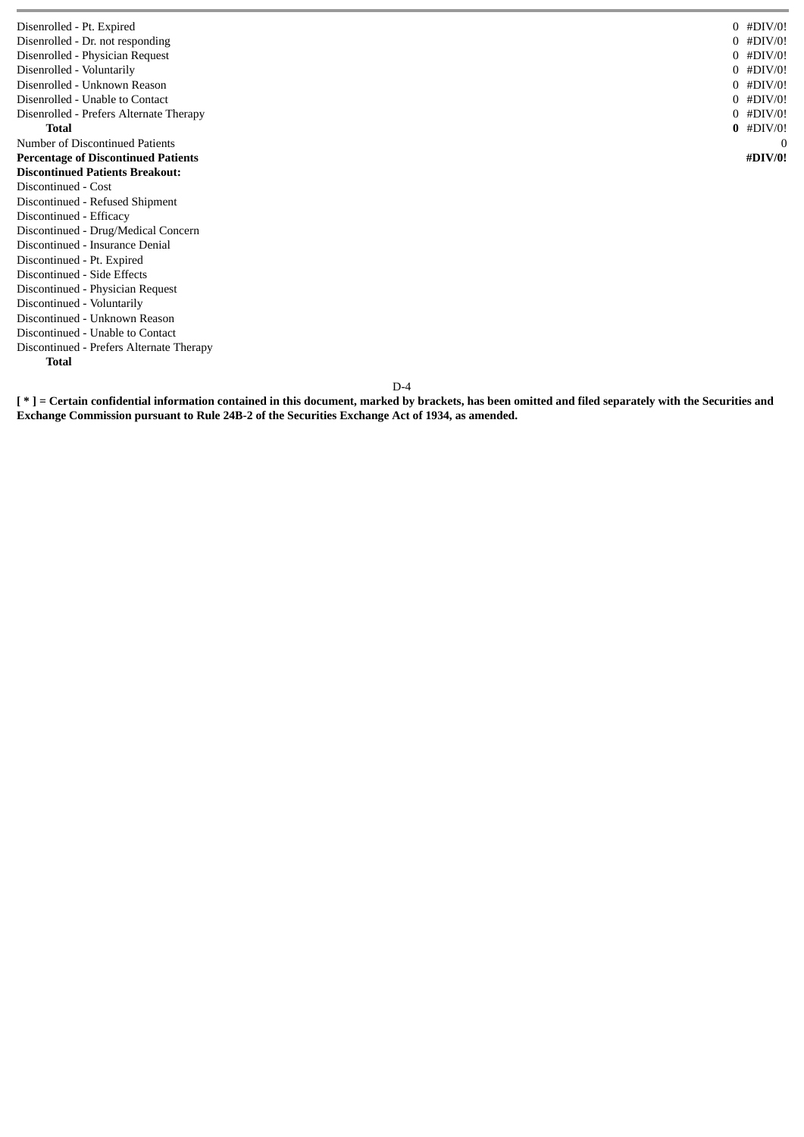| Disenrolled - Pt. Expired                  | $0$ #DIV/0! |
|--------------------------------------------|-------------|
| Disenrolled - Dr. not responding           | $0$ #DIV/0! |
| Disenrolled - Physician Request            | $0$ #DIV/0! |
| Disenrolled - Voluntarily                  | $0$ #DIV/0! |
| Disenrolled - Unknown Reason               | $0$ #DIV/0! |
| Disenrolled - Unable to Contact            | $0$ #DIV/0! |
| Disenrolled - Prefers Alternate Therapy    | $0$ #DIV/0! |
| <b>Total</b>                               | $0$ #DIV/0! |
| Number of Discontinued Patients            | $\Omega$    |
| <b>Percentage of Discontinued Patients</b> | #DIV/0!     |
| <b>Discontinued Patients Breakout:</b>     |             |
| Discontinued - Cost                        |             |
| Discontinued - Refused Shipment            |             |
| Discontinued - Efficacy                    |             |
| Discontinued - Drug/Medical Concern        |             |
| Discontinued - Insurance Denial            |             |
| Discontinued - Pt. Expired                 |             |
| Discontinued - Side Effects                |             |
| Discontinued - Physician Request           |             |
| Discontinued - Voluntarily                 |             |
| Discontinued - Unknown Reason              |             |
| Discontinued - Unable to Contact           |             |
| Discontinued - Prefers Alternate Therapy   |             |
| Total                                      |             |

D-4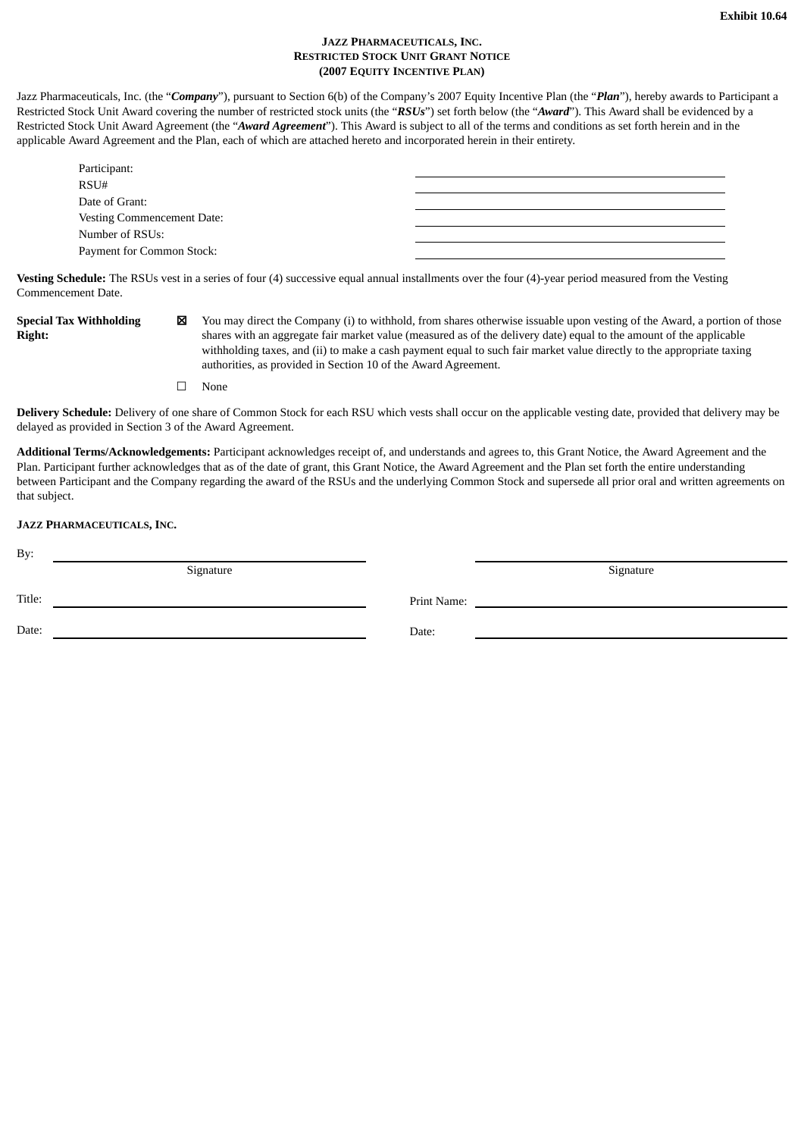## **JAZZ PHARMACEUTICALS, INC. RESTRICTED STOCK UNIT GRANT NOTICE (2007 EQUITY INCENTIVE PLAN)**

Jazz Pharmaceuticals, Inc. (the "*Company*"), pursuant to Section 6(b) of the Company's 2007 Equity Incentive Plan (the "*Plan*"), hereby awards to Participant a Restricted Stock Unit Award covering the number of restricted stock units (the "*RSUs*") set forth below (the "*Award*"). This Award shall be evidenced by a Restricted Stock Unit Award Agreement (the "*Award Agreement*"). This Award is subject to all of the terms and conditions as set forth herein and in the applicable Award Agreement and the Plan, each of which are attached hereto and incorporated herein in their entirety.

| Participant:                      |  |
|-----------------------------------|--|
| RSU#                              |  |
| Date of Grant:                    |  |
| <b>Vesting Commencement Date:</b> |  |
| Number of RSUs:                   |  |
| Payment for Common Stock:         |  |

**Vesting Schedule:** The RSUs vest in a series of four (4) successive equal annual installments over the four (4)-year period measured from the Vesting Commencement Date.

| <b>Special Tax Withholding</b> | ⊠ | You may direct the Company (i) to withhold, from shares otherwise issuable upon vesting of the Award, a portion of those                                                                |
|--------------------------------|---|-----------------------------------------------------------------------------------------------------------------------------------------------------------------------------------------|
| Right:                         |   | shares with an aggregate fair market value (measured as of the delivery date) equal to the amount of the applicable                                                                     |
|                                |   | withholding taxes, and (ii) to make a cash payment equal to such fair market value directly to the appropriate taxing<br>authorities, as provided in Section 10 of the Award Agreement. |

☐ None

**Delivery Schedule:** Delivery of one share of Common Stock for each RSU which vests shall occur on the applicable vesting date, provided that delivery may be delayed as provided in Section 3 of the Award Agreement.

**Additional Terms/Acknowledgements:** Participant acknowledges receipt of, and understands and agrees to, this Grant Notice, the Award Agreement and the Plan. Participant further acknowledges that as of the date of grant, this Grant Notice, the Award Agreement and the Plan set forth the entire understanding between Participant and the Company regarding the award of the RSUs and the underlying Common Stock and supersede all prior oral and written agreements on that subject.

**JAZZ PHARMACEUTICALS, INC.**

| By:    |           |             |           |
|--------|-----------|-------------|-----------|
|        | Signature |             | Signature |
| Title: |           | Print Name: |           |
| Date:  |           | Date:       |           |
|        |           |             |           |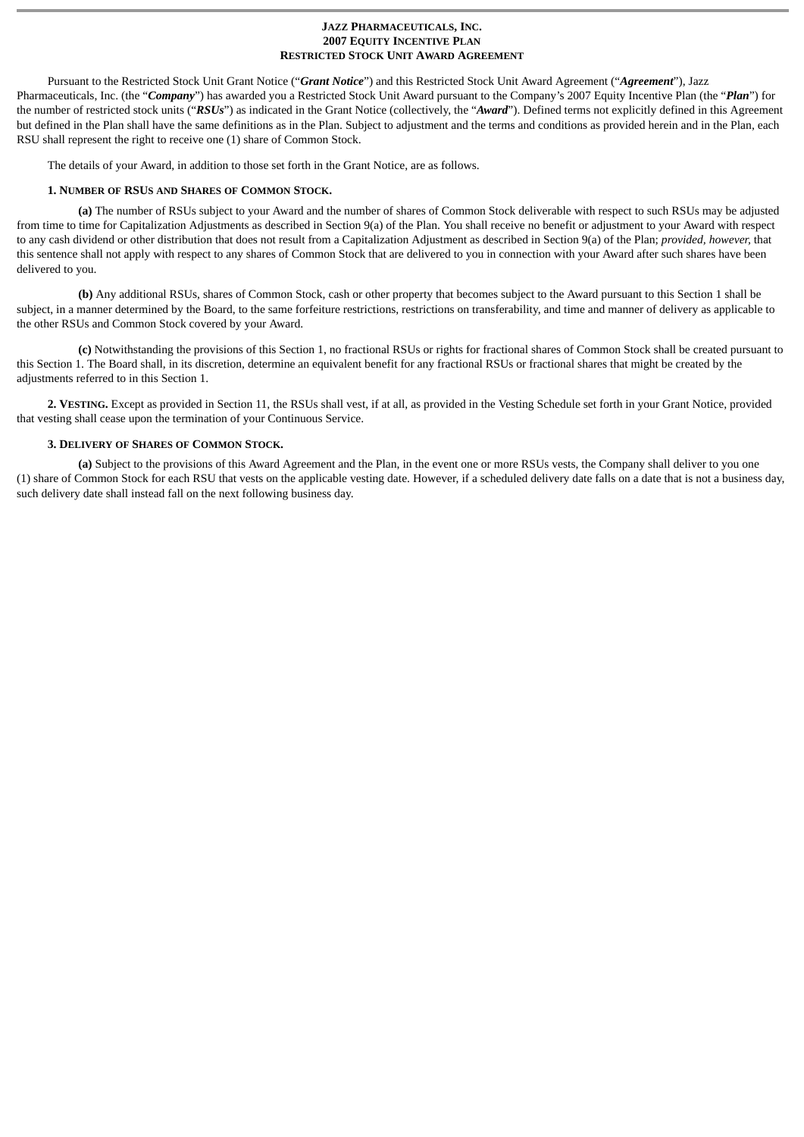### **JAZZ PHARMACEUTICALS, INC. 2007 EQUITY INCENTIVE PLAN RESTRICTED STOCK UNIT AWARD AGREEMENT**

Pursuant to the Restricted Stock Unit Grant Notice ("*Grant Notice*") and this Restricted Stock Unit Award Agreement ("*Agreement*"), Jazz Pharmaceuticals, Inc. (the "*Company*") has awarded you a Restricted Stock Unit Award pursuant to the Company's 2007 Equity Incentive Plan (the "*Plan*") for the number of restricted stock units ("*RSUs*") as indicated in the Grant Notice (collectively, the "*Award*"). Defined terms not explicitly defined in this Agreement but defined in the Plan shall have the same definitions as in the Plan. Subject to adjustment and the terms and conditions as provided herein and in the Plan, each RSU shall represent the right to receive one (1) share of Common Stock.

The details of your Award, in addition to those set forth in the Grant Notice, are as follows.

### **1. NUMBER OF RSUS AND SHARES OF COMMON STOCK.**

**(a)** The number of RSUs subject to your Award and the number of shares of Common Stock deliverable with respect to such RSUs may be adjusted from time to time for Capitalization Adjustments as described in Section 9(a) of the Plan. You shall receive no benefit or adjustment to your Award with respect to any cash dividend or other distribution that does not result from a Capitalization Adjustment as described in Section 9(a) of the Plan; *provided, however,* that this sentence shall not apply with respect to any shares of Common Stock that are delivered to you in connection with your Award after such shares have been delivered to you.

**(b)** Any additional RSUs, shares of Common Stock, cash or other property that becomes subject to the Award pursuant to this Section 1 shall be subject, in a manner determined by the Board, to the same forfeiture restrictions, restrictions on transferability, and time and manner of delivery as applicable to the other RSUs and Common Stock covered by your Award.

**(c)** Notwithstanding the provisions of this Section 1, no fractional RSUs or rights for fractional shares of Common Stock shall be created pursuant to this Section 1. The Board shall, in its discretion, determine an equivalent benefit for any fractional RSUs or fractional shares that might be created by the adjustments referred to in this Section 1.

**2. VESTING.** Except as provided in Section 11, the RSUs shall vest, if at all, as provided in the Vesting Schedule set forth in your Grant Notice, provided that vesting shall cease upon the termination of your Continuous Service.

### **3. DELIVERY OF SHARES OF COMMON STOCK.**

**(a)** Subject to the provisions of this Award Agreement and the Plan, in the event one or more RSUs vests, the Company shall deliver to you one (1) share of Common Stock for each RSU that vests on the applicable vesting date. However, if a scheduled delivery date falls on a date that is not a business day, such delivery date shall instead fall on the next following business day.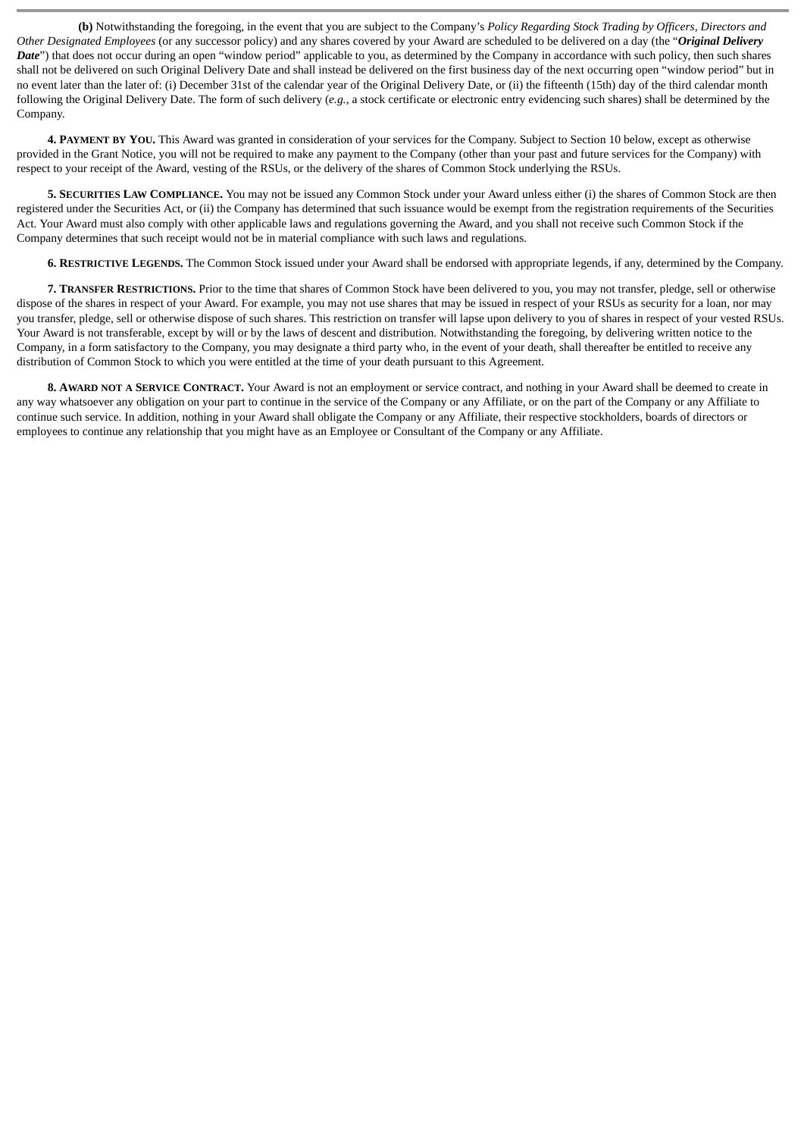**(b)** Notwithstanding the foregoing, in the event that you are subject to the Company's *Policy Regarding Stock Trading by Officers, Directors and Other Designated Employees* (or any successor policy) and any shares covered by your Award are scheduled to be delivered on a day (the "*Original Delivery Date*") that does not occur during an open "window period" applicable to you, as determined by the Company in accordance with such policy, then such shares shall not be delivered on such Original Delivery Date and shall instead be delivered on the first business day of the next occurring open "window period" but in no event later than the later of: (i) December 31st of the calendar year of the Original Delivery Date, or (ii) the fifteenth (15th) day of the third calendar month following the Original Delivery Date. The form of such delivery (e.g., a stock certificate or electronic entry evidencing such shares) shall be determined by the Company.

**4. PAYMENT BY YOU.** This Award was granted in consideration of your services for the Company. Subject to Section 10 below, except as otherwise provided in the Grant Notice, you will not be required to make any payment to the Company (other than your past and future services for the Company) with respect to your receipt of the Award, vesting of the RSUs, or the delivery of the shares of Common Stock underlying the RSUs.

**5. SECURITIES LAW COMPLIANCE.** You may not be issued any Common Stock under your Award unless either (i) the shares of Common Stock are then registered under the Securities Act, or (ii) the Company has determined that such issuance would be exempt from the registration requirements of the Securities Act. Your Award must also comply with other applicable laws and regulations governing the Award, and you shall not receive such Common Stock if the Company determines that such receipt would not be in material compliance with such laws and regulations.

**6. RESTRICTIVE LEGENDS.** The Common Stock issued under your Award shall be endorsed with appropriate legends, if any, determined by the Company.

**7. TRANSFER RESTRICTIONS.** Prior to the time that shares of Common Stock have been delivered to you, you may not transfer, pledge, sell or otherwise dispose of the shares in respect of your Award. For example, you may not use shares that may be issued in respect of your RSUs as security for a loan, nor may you transfer, pledge, sell or otherwise dispose of such shares. This restriction on transfer will lapse upon delivery to you of shares in respect of your vested RSUs. Your Award is not transferable, except by will or by the laws of descent and distribution. Notwithstanding the foregoing, by delivering written notice to the Company, in a form satisfactory to the Company, you may designate a third party who, in the event of your death, shall thereafter be entitled to receive any distribution of Common Stock to which you were entitled at the time of your death pursuant to this Agreement.

**8. AWARD NOT A SERVICE CONTRACT.** Your Award is not an employment or service contract, and nothing in your Award shall be deemed to create in any way whatsoever any obligation on your part to continue in the service of the Company or any Affiliate, or on the part of the Company or any Affiliate to continue such service. In addition, nothing in your Award shall obligate the Company or any Affiliate, their respective stockholders, boards of directors or employees to continue any relationship that you might have as an Employee or Consultant of the Company or any Affiliate.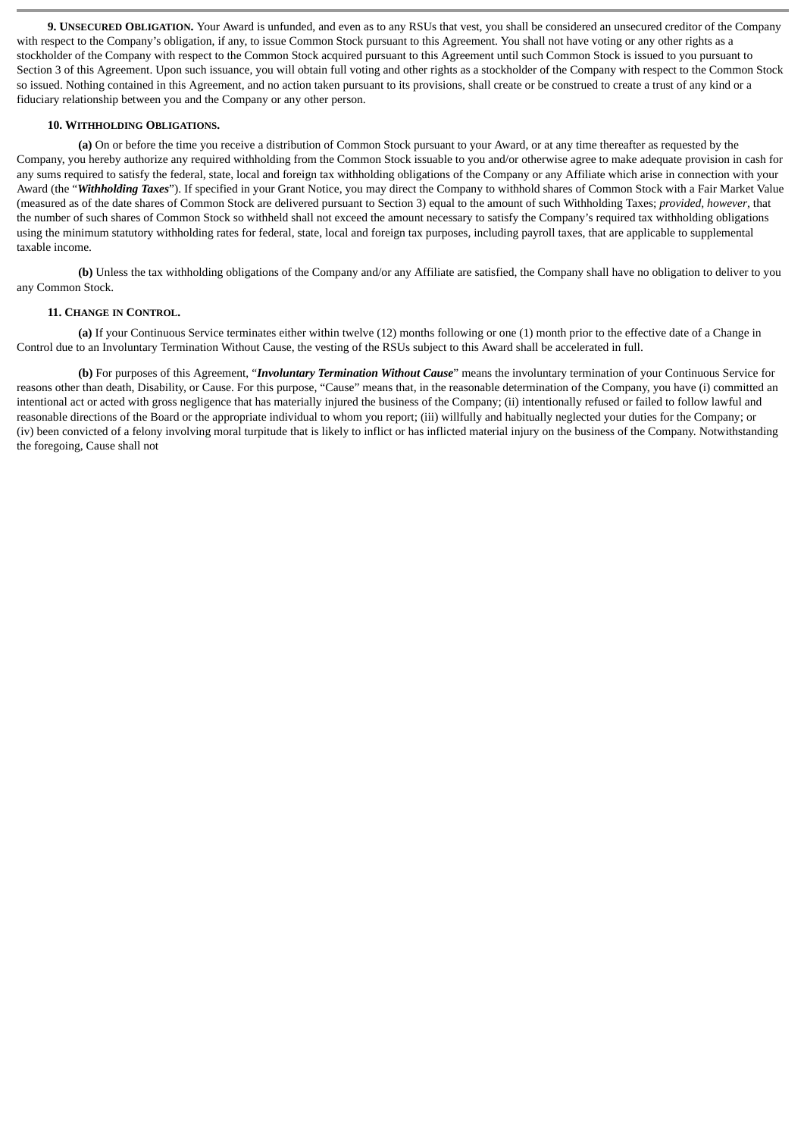**9. UNSECURED OBLIGATION.** Your Award is unfunded, and even as to any RSUs that vest, you shall be considered an unsecured creditor of the Company with respect to the Company's obligation, if any, to issue Common Stock pursuant to this Agreement. You shall not have voting or any other rights as a stockholder of the Company with respect to the Common Stock acquired pursuant to this Agreement until such Common Stock is issued to you pursuant to Section 3 of this Agreement. Upon such issuance, you will obtain full voting and other rights as a stockholder of the Company with respect to the Common Stock so issued. Nothing contained in this Agreement, and no action taken pursuant to its provisions, shall create or be construed to create a trust of any kind or a fiduciary relationship between you and the Company or any other person.

### **10. WITHHOLDING OBLIGATIONS.**

**(a)** On or before the time you receive a distribution of Common Stock pursuant to your Award, or at any time thereafter as requested by the Company, you hereby authorize any required withholding from the Common Stock issuable to you and/or otherwise agree to make adequate provision in cash for any sums required to satisfy the federal, state, local and foreign tax withholding obligations of the Company or any Affiliate which arise in connection with your Award (the "*Withholding Taxes*"). If specified in your Grant Notice, you may direct the Company to withhold shares of Common Stock with a Fair Market Value (measured as of the date shares of Common Stock are delivered pursuant to Section 3) equal to the amount of such Withholding Taxes; *provided, however*, that the number of such shares of Common Stock so withheld shall not exceed the amount necessary to satisfy the Company's required tax withholding obligations using the minimum statutory withholding rates for federal, state, local and foreign tax purposes, including payroll taxes, that are applicable to supplemental taxable income.

**(b)** Unless the tax withholding obligations of the Company and/or any Affiliate are satisfied, the Company shall have no obligation to deliver to you any Common Stock.

#### **11. CHANGE IN CONTROL.**

**(a)** If your Continuous Service terminates either within twelve (12) months following or one (1) month prior to the effective date of a Change in Control due to an Involuntary Termination Without Cause, the vesting of the RSUs subject to this Award shall be accelerated in full.

**(b)** For purposes of this Agreement, "*Involuntary Termination Without Cause*" means the involuntary termination of your Continuous Service for reasons other than death, Disability, or Cause. For this purpose, "Cause" means that, in the reasonable determination of the Company, you have (i) committed an intentional act or acted with gross negligence that has materially injured the business of the Company; (ii) intentionally refused or failed to follow lawful and reasonable directions of the Board or the appropriate individual to whom you report; (iii) willfully and habitually neglected your duties for the Company; or (iv) been convicted of a felony involving moral turpitude that is likely to inflict or has inflicted material injury on the business of the Company. Notwithstanding the foregoing, Cause shall not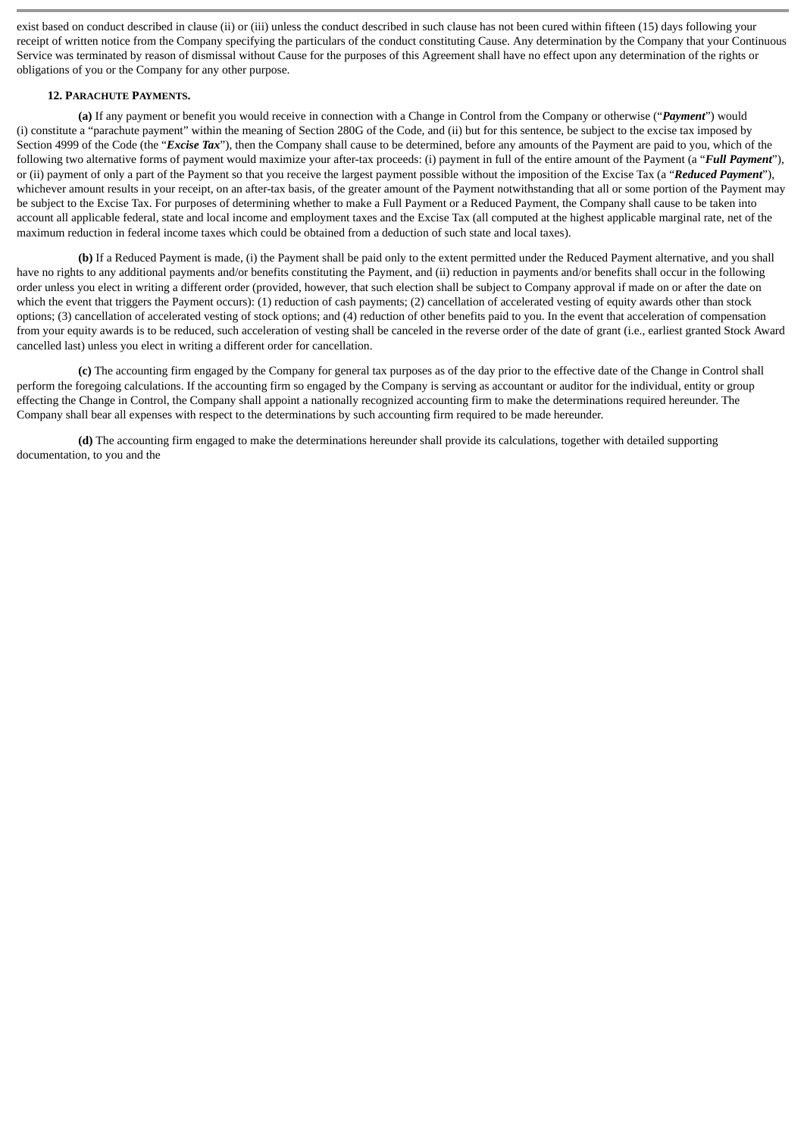exist based on conduct described in clause (ii) or (iii) unless the conduct described in such clause has not been cured within fifteen (15) days following your receipt of written notice from the Company specifying the particulars of the conduct constituting Cause. Any determination by the Company that your Continuous Service was terminated by reason of dismissal without Cause for the purposes of this Agreement shall have no effect upon any determination of the rights or obligations of you or the Company for any other purpose.

### **12. PARACHUTE PAYMENTS.**

**(a)** If any payment or benefit you would receive in connection with a Change in Control from the Company or otherwise ("*Payment*") would (i) constitute a "parachute payment" within the meaning of Section 280G of the Code, and (ii) but for this sentence, be subject to the excise tax imposed by Section 4999 of the Code (the "*Excise Tax*"), then the Company shall cause to be determined, before any amounts of the Payment are paid to you, which of the following two alternative forms of payment would maximize your after-tax proceeds: (i) payment in full of the entire amount of the Payment (a "*Full Payment*"), or (ii) payment of only a part of the Payment so that you receive the largest payment possible without the imposition of the Excise Tax (a "*Reduced Payment*"), whichever amount results in your receipt, on an after-tax basis, of the greater amount of the Payment notwithstanding that all or some portion of the Payment may be subject to the Excise Tax. For purposes of determining whether to make a Full Payment or a Reduced Payment, the Company shall cause to be taken into account all applicable federal, state and local income and employment taxes and the Excise Tax (all computed at the highest applicable marginal rate, net of the maximum reduction in federal income taxes which could be obtained from a deduction of such state and local taxes).

**(b)** If a Reduced Payment is made, (i) the Payment shall be paid only to the extent permitted under the Reduced Payment alternative, and you shall have no rights to any additional payments and/or benefits constituting the Payment, and (ii) reduction in payments and/or benefits shall occur in the following order unless you elect in writing a different order (provided, however, that such election shall be subject to Company approval if made on or after the date on which the event that triggers the Payment occurs): (1) reduction of cash payments; (2) cancellation of accelerated vesting of equity awards other than stock options; (3) cancellation of accelerated vesting of stock options; and (4) reduction of other benefits paid to you. In the event that acceleration of compensation from your equity awards is to be reduced, such acceleration of vesting shall be canceled in the reverse order of the date of grant (i.e., earliest granted Stock Award cancelled last) unless you elect in writing a different order for cancellation.

**(c)** The accounting firm engaged by the Company for general tax purposes as of the day prior to the effective date of the Change in Control shall perform the foregoing calculations. If the accounting firm so engaged by the Company is serving as accountant or auditor for the individual, entity or group effecting the Change in Control, the Company shall appoint a nationally recognized accounting firm to make the determinations required hereunder. The Company shall bear all expenses with respect to the determinations by such accounting firm required to be made hereunder.

**(d)** The accounting firm engaged to make the determinations hereunder shall provide its calculations, together with detailed supporting documentation, to you and the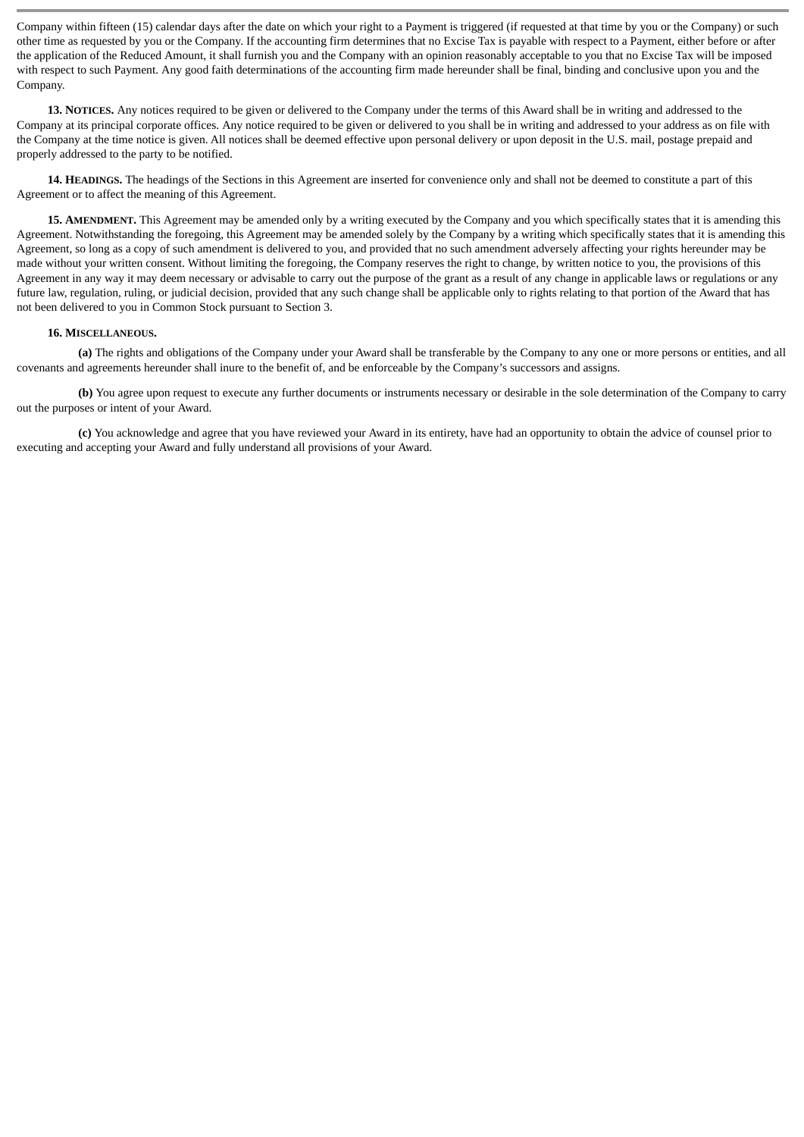Company within fifteen (15) calendar days after the date on which your right to a Payment is triggered (if requested at that time by you or the Company) or such other time as requested by you or the Company. If the accounting firm determines that no Excise Tax is payable with respect to a Payment, either before or after the application of the Reduced Amount, it shall furnish you and the Company with an opinion reasonably acceptable to you that no Excise Tax will be imposed with respect to such Payment. Any good faith determinations of the accounting firm made hereunder shall be final, binding and conclusive upon you and the Company.

**13. NOTICES.** Any notices required to be given or delivered to the Company under the terms of this Award shall be in writing and addressed to the Company at its principal corporate offices. Any notice required to be given or delivered to you shall be in writing and addressed to your address as on file with the Company at the time notice is given. All notices shall be deemed effective upon personal delivery or upon deposit in the U.S. mail, postage prepaid and properly addressed to the party to be notified.

**14. HEADINGS.** The headings of the Sections in this Agreement are inserted for convenience only and shall not be deemed to constitute a part of this Agreement or to affect the meaning of this Agreement.

**15. AMENDMENT.** This Agreement may be amended only by a writing executed by the Company and you which specifically states that it is amending this Agreement. Notwithstanding the foregoing, this Agreement may be amended solely by the Company by a writing which specifically states that it is amending this Agreement, so long as a copy of such amendment is delivered to you, and provided that no such amendment adversely affecting your rights hereunder may be made without your written consent. Without limiting the foregoing, the Company reserves the right to change, by written notice to you, the provisions of this Agreement in any way it may deem necessary or advisable to carry out the purpose of the grant as a result of any change in applicable laws or regulations or any future law, regulation, ruling, or judicial decision, provided that any such change shall be applicable only to rights relating to that portion of the Award that has not been delivered to you in Common Stock pursuant to Section 3.

### **16. MISCELLANEOUS.**

**(a)** The rights and obligations of the Company under your Award shall be transferable by the Company to any one or more persons or entities, and all covenants and agreements hereunder shall inure to the benefit of, and be enforceable by the Company's successors and assigns.

**(b)** You agree upon request to execute any further documents or instruments necessary or desirable in the sole determination of the Company to carry out the purposes or intent of your Award.

**(c)** You acknowledge and agree that you have reviewed your Award in its entirety, have had an opportunity to obtain the advice of counsel prior to executing and accepting your Award and fully understand all provisions of your Award.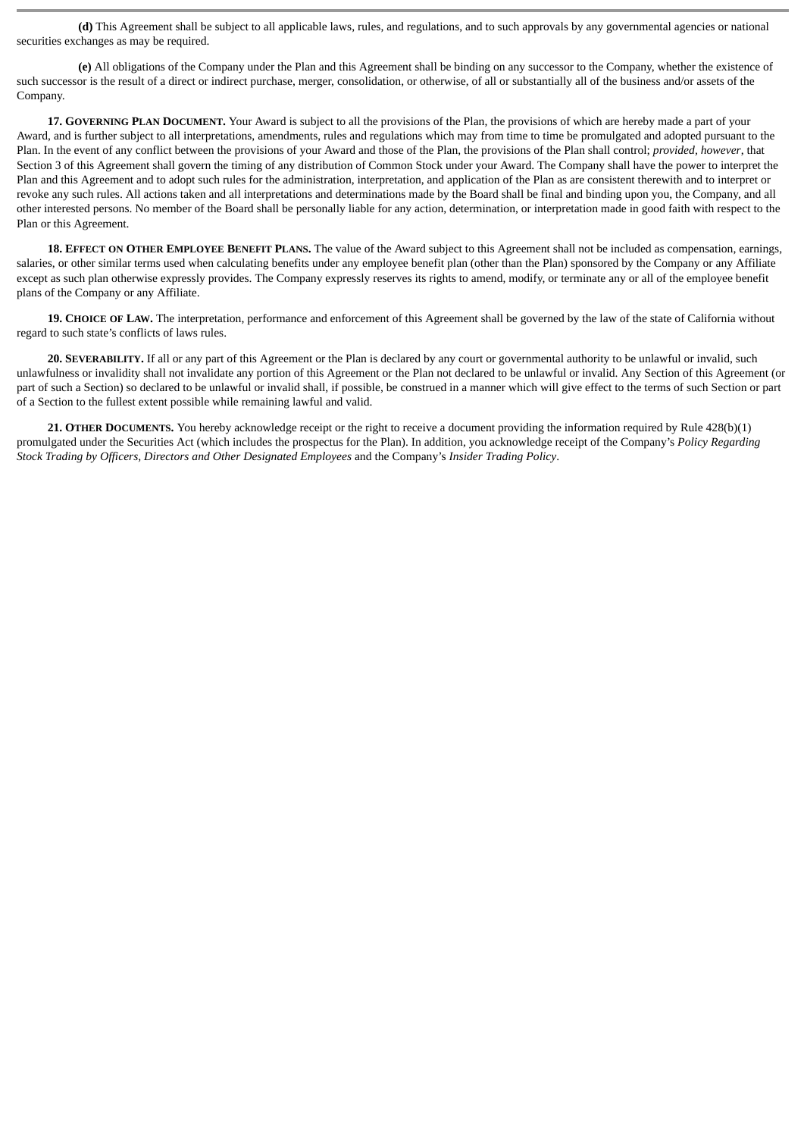**(d)** This Agreement shall be subject to all applicable laws, rules, and regulations, and to such approvals by any governmental agencies or national securities exchanges as may be required.

**(e)** All obligations of the Company under the Plan and this Agreement shall be binding on any successor to the Company, whether the existence of such successor is the result of a direct or indirect purchase, merger, consolidation, or otherwise, of all or substantially all of the business and/or assets of the Company.

**17. GOVERNING PLAN DOCUMENT.** Your Award is subject to all the provisions of the Plan, the provisions of which are hereby made a part of your Award, and is further subject to all interpretations, amendments, rules and regulations which may from time to time be promulgated and adopted pursuant to the Plan. In the event of any conflict between the provisions of your Award and those of the Plan, the provisions of the Plan shall control; *provided, however*, that Section 3 of this Agreement shall govern the timing of any distribution of Common Stock under your Award. The Company shall have the power to interpret the Plan and this Agreement and to adopt such rules for the administration, interpretation, and application of the Plan as are consistent therewith and to interpret or revoke any such rules. All actions taken and all interpretations and determinations made by the Board shall be final and binding upon you, the Company, and all other interested persons. No member of the Board shall be personally liable for any action, determination, or interpretation made in good faith with respect to the Plan or this Agreement.

18. EFFECT ON OTHER EMPLOYEE BENEFIT PLANS. The value of the Award subject to this Agreement shall not be included as compensation, earnings, salaries, or other similar terms used when calculating benefits under any employee benefit plan (other than the Plan) sponsored by the Company or any Affiliate except as such plan otherwise expressly provides. The Company expressly reserves its rights to amend, modify, or terminate any or all of the employee benefit plans of the Company or any Affiliate.

**19. CHOICE OF LAW.** The interpretation, performance and enforcement of this Agreement shall be governed by the law of the state of California without regard to such state's conflicts of laws rules.

**20. SEVERABILITY.** If all or any part of this Agreement or the Plan is declared by any court or governmental authority to be unlawful or invalid, such unlawfulness or invalidity shall not invalidate any portion of this Agreement or the Plan not declared to be unlawful or invalid. Any Section of this Agreement (or part of such a Section) so declared to be unlawful or invalid shall, if possible, be construed in a manner which will give effect to the terms of such Section or part of a Section to the fullest extent possible while remaining lawful and valid.

**21. OTHER DOCUMENTS.** You hereby acknowledge receipt or the right to receive a document providing the information required by Rule 428(b)(1) promulgated under the Securities Act (which includes the prospectus for the Plan). In addition, you acknowledge receipt of the Company's *Policy Regarding Stock Trading by Officers, Directors and Other Designated Employees* and the Company's *Insider Trading Policy*.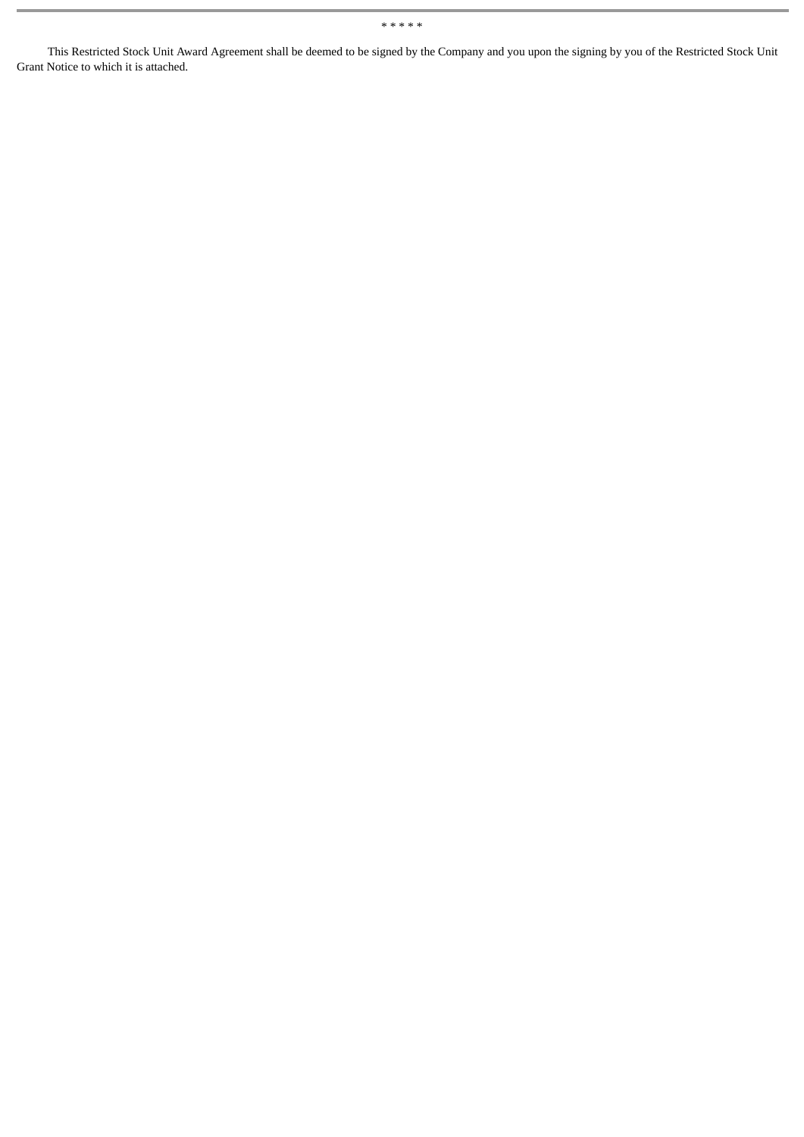# \* \* \* \* \*

This Restricted Stock Unit Award Agreement shall be deemed to be signed by the Company and you upon the signing by you of the Restricted Stock Unit Grant Notice to which it is attached.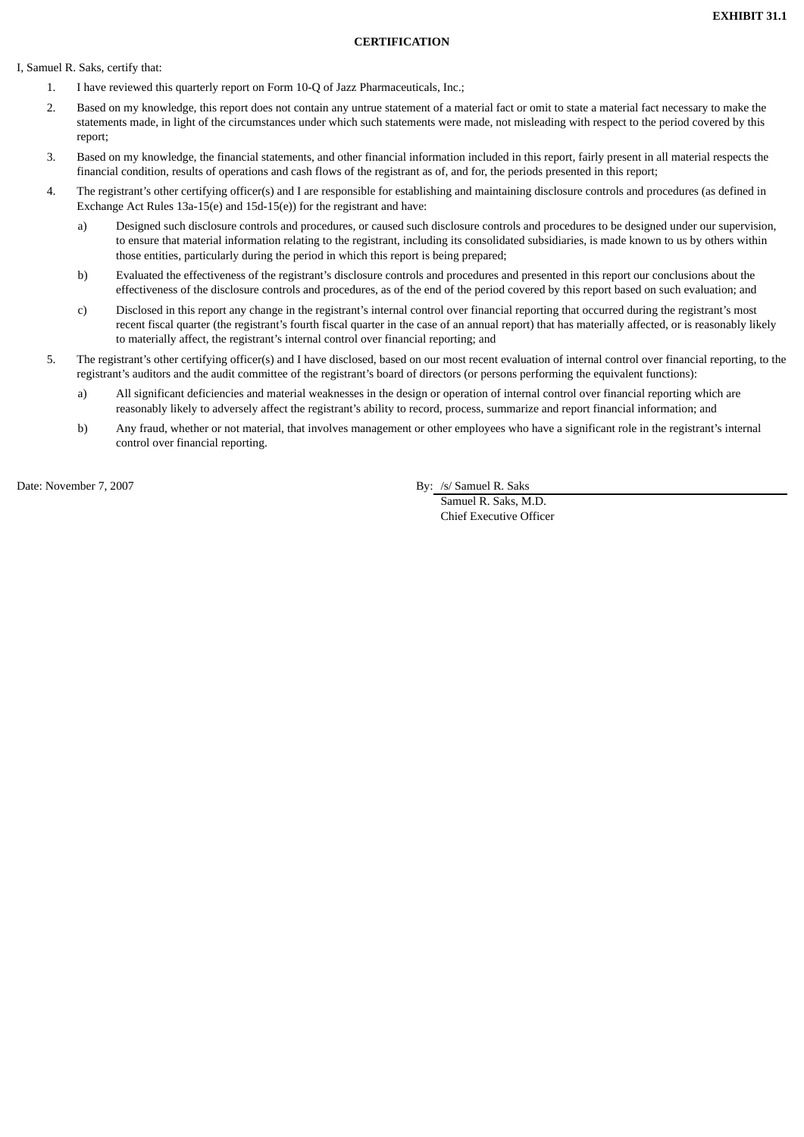## **CERTIFICATION**

I, Samuel R. Saks, certify that:

- 1. I have reviewed this quarterly report on Form 10-Q of Jazz Pharmaceuticals, Inc.;
- 2. Based on my knowledge, this report does not contain any untrue statement of a material fact or omit to state a material fact necessary to make the statements made, in light of the circumstances under which such statements were made, not misleading with respect to the period covered by this report;
- 3. Based on my knowledge, the financial statements, and other financial information included in this report, fairly present in all material respects the financial condition, results of operations and cash flows of the registrant as of, and for, the periods presented in this report;
- 4. The registrant's other certifying officer(s) and I are responsible for establishing and maintaining disclosure controls and procedures (as defined in Exchange Act Rules 13a-15(e) and 15d-15(e)) for the registrant and have:
	- a) Designed such disclosure controls and procedures, or caused such disclosure controls and procedures to be designed under our supervision, to ensure that material information relating to the registrant, including its consolidated subsidiaries, is made known to us by others within those entities, particularly during the period in which this report is being prepared;
	- b) Evaluated the effectiveness of the registrant's disclosure controls and procedures and presented in this report our conclusions about the effectiveness of the disclosure controls and procedures, as of the end of the period covered by this report based on such evaluation; and
	- c) Disclosed in this report any change in the registrant's internal control over financial reporting that occurred during the registrant's most recent fiscal quarter (the registrant's fourth fiscal quarter in the case of an annual report) that has materially affected, or is reasonably likely to materially affect, the registrant's internal control over financial reporting; and
- 5. The registrant's other certifying officer(s) and I have disclosed, based on our most recent evaluation of internal control over financial reporting, to the registrant's auditors and the audit committee of the registrant's board of directors (or persons performing the equivalent functions):
	- a) All significant deficiencies and material weaknesses in the design or operation of internal control over financial reporting which are reasonably likely to adversely affect the registrant's ability to record, process, summarize and report financial information; and
	- b) Any fraud, whether or not material, that involves management or other employees who have a significant role in the registrant's internal control over financial reporting.

Date: November 7, 2007 By: /s/ Samuel R. Saks

Samuel R. Saks, M.D. Chief Executive Officer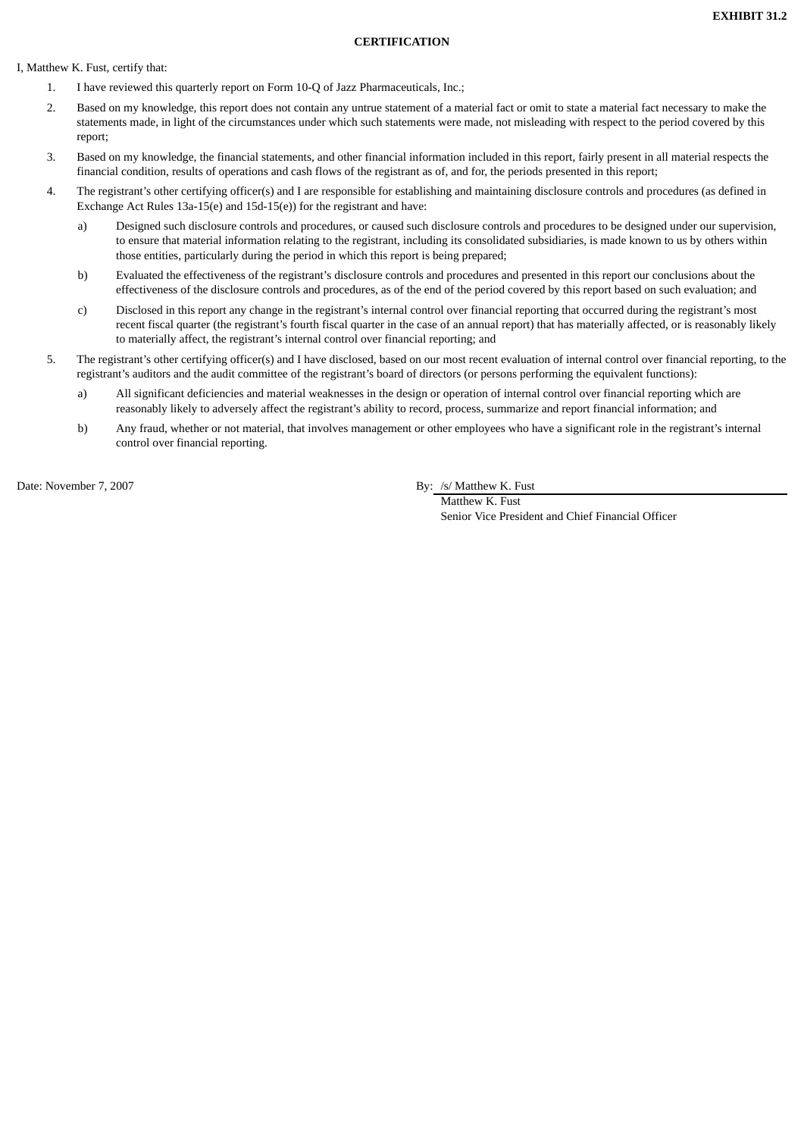## **CERTIFICATION**

#### I, Matthew K. Fust, certify that:

- 1. I have reviewed this quarterly report on Form 10-Q of Jazz Pharmaceuticals, Inc.;
- 2. Based on my knowledge, this report does not contain any untrue statement of a material fact or omit to state a material fact necessary to make the statements made, in light of the circumstances under which such statements were made, not misleading with respect to the period covered by this report;
- 3. Based on my knowledge, the financial statements, and other financial information included in this report, fairly present in all material respects the financial condition, results of operations and cash flows of the registrant as of, and for, the periods presented in this report;
- 4. The registrant's other certifying officer(s) and I are responsible for establishing and maintaining disclosure controls and procedures (as defined in Exchange Act Rules 13a-15(e) and 15d-15(e)) for the registrant and have:
	- a) Designed such disclosure controls and procedures, or caused such disclosure controls and procedures to be designed under our supervision, to ensure that material information relating to the registrant, including its consolidated subsidiaries, is made known to us by others within those entities, particularly during the period in which this report is being prepared;
	- b) Evaluated the effectiveness of the registrant's disclosure controls and procedures and presented in this report our conclusions about the effectiveness of the disclosure controls and procedures, as of the end of the period covered by this report based on such evaluation; and
	- c) Disclosed in this report any change in the registrant's internal control over financial reporting that occurred during the registrant's most recent fiscal quarter (the registrant's fourth fiscal quarter in the case of an annual report) that has materially affected, or is reasonably likely to materially affect, the registrant's internal control over financial reporting; and
- 5. The registrant's other certifying officer(s) and I have disclosed, based on our most recent evaluation of internal control over financial reporting, to the registrant's auditors and the audit committee of the registrant's board of directors (or persons performing the equivalent functions):
	- a) All significant deficiencies and material weaknesses in the design or operation of internal control over financial reporting which are reasonably likely to adversely affect the registrant's ability to record, process, summarize and report financial information; and
	- b) Any fraud, whether or not material, that involves management or other employees who have a significant role in the registrant's internal control over financial reporting.

Date: November 7, 2007 **By:** /s/ Matthew K. Fust

Matthew K. Fust Senior Vice President and Chief Financial Officer